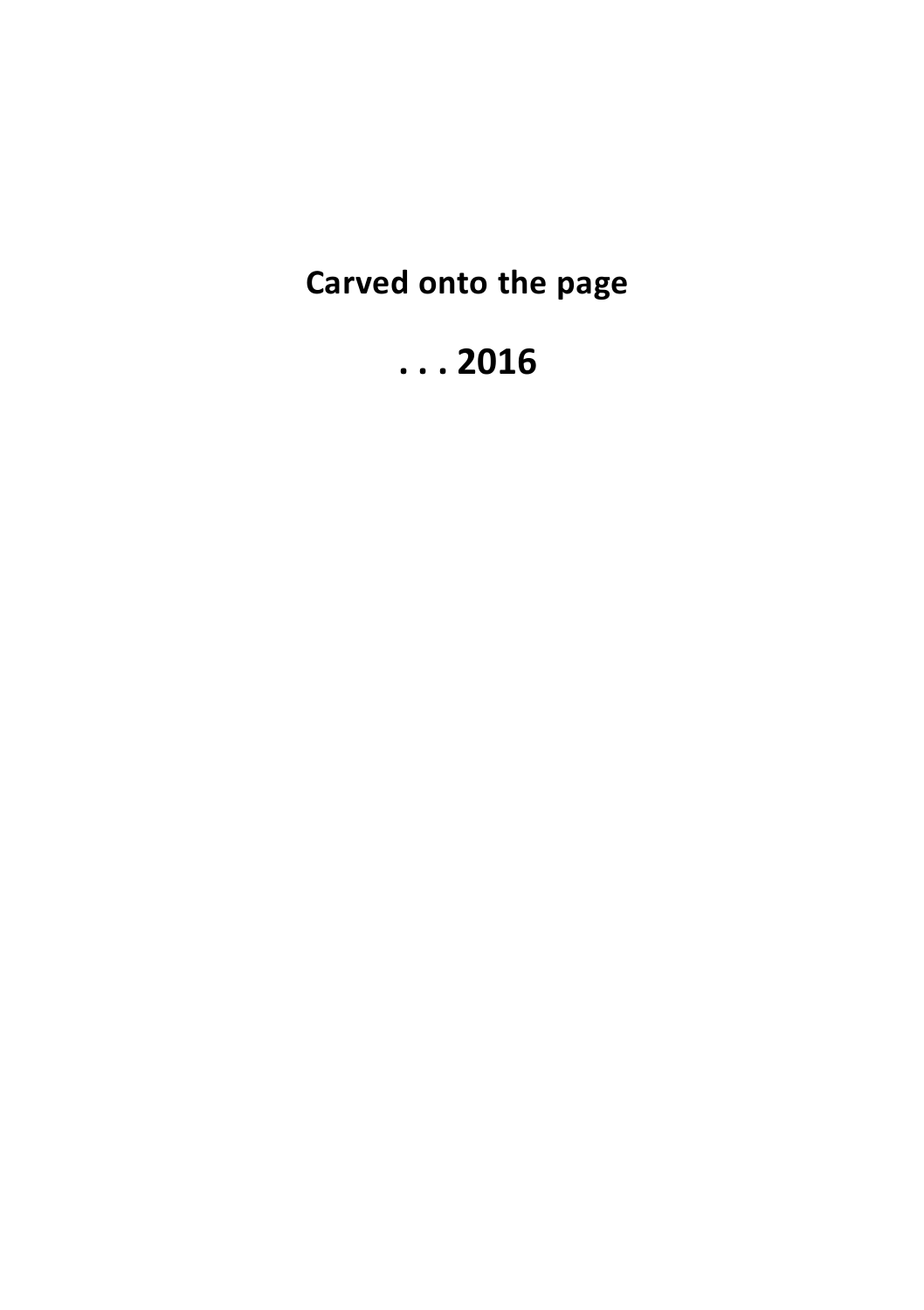**Carved onto the page**

# **. . . 2016**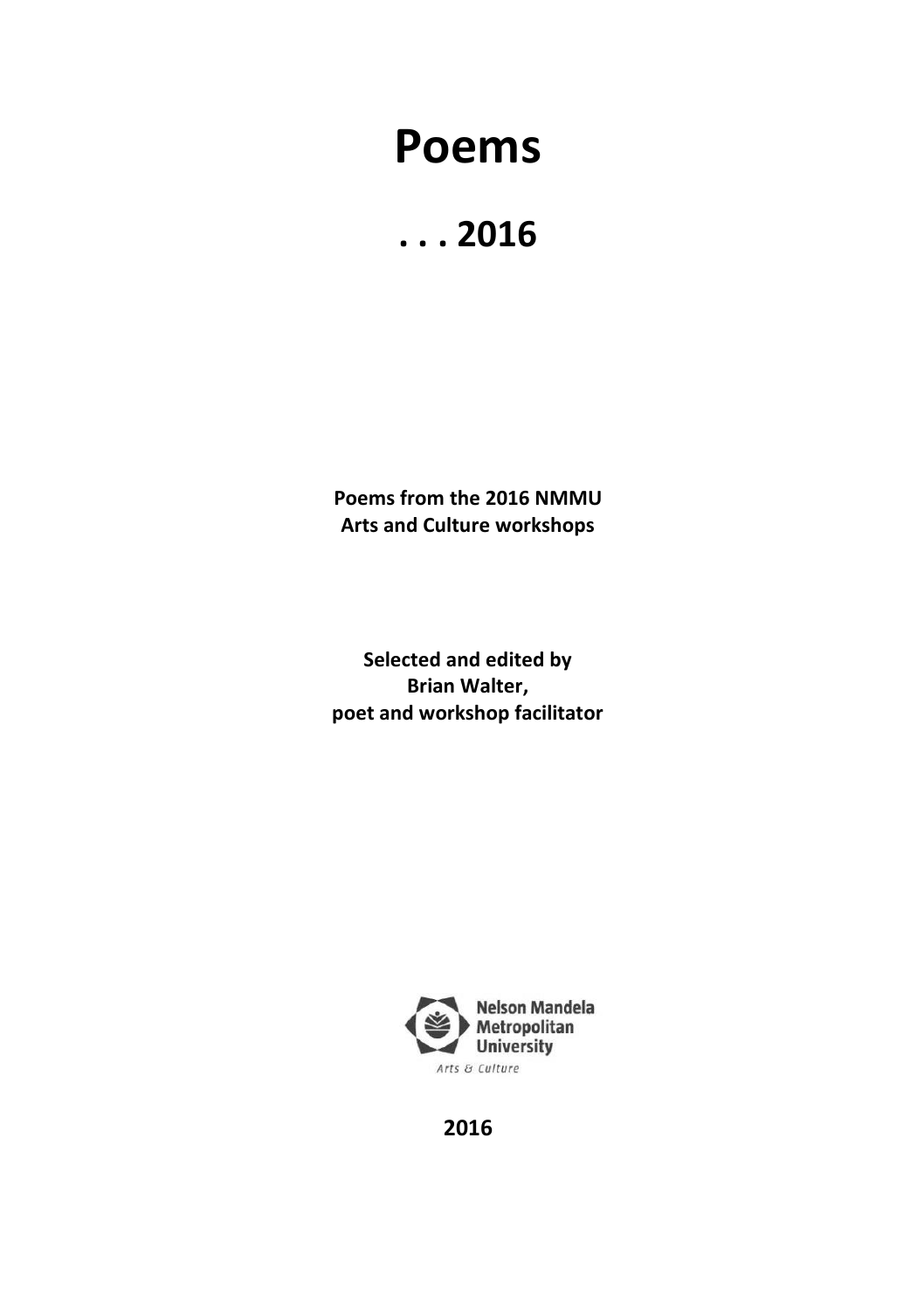# **Poems**



**Poems from the 2016 NMMU Arts and Culture workshops**

**Selected and edited by Brian Walter, poet and workshop facilitator**



**2016**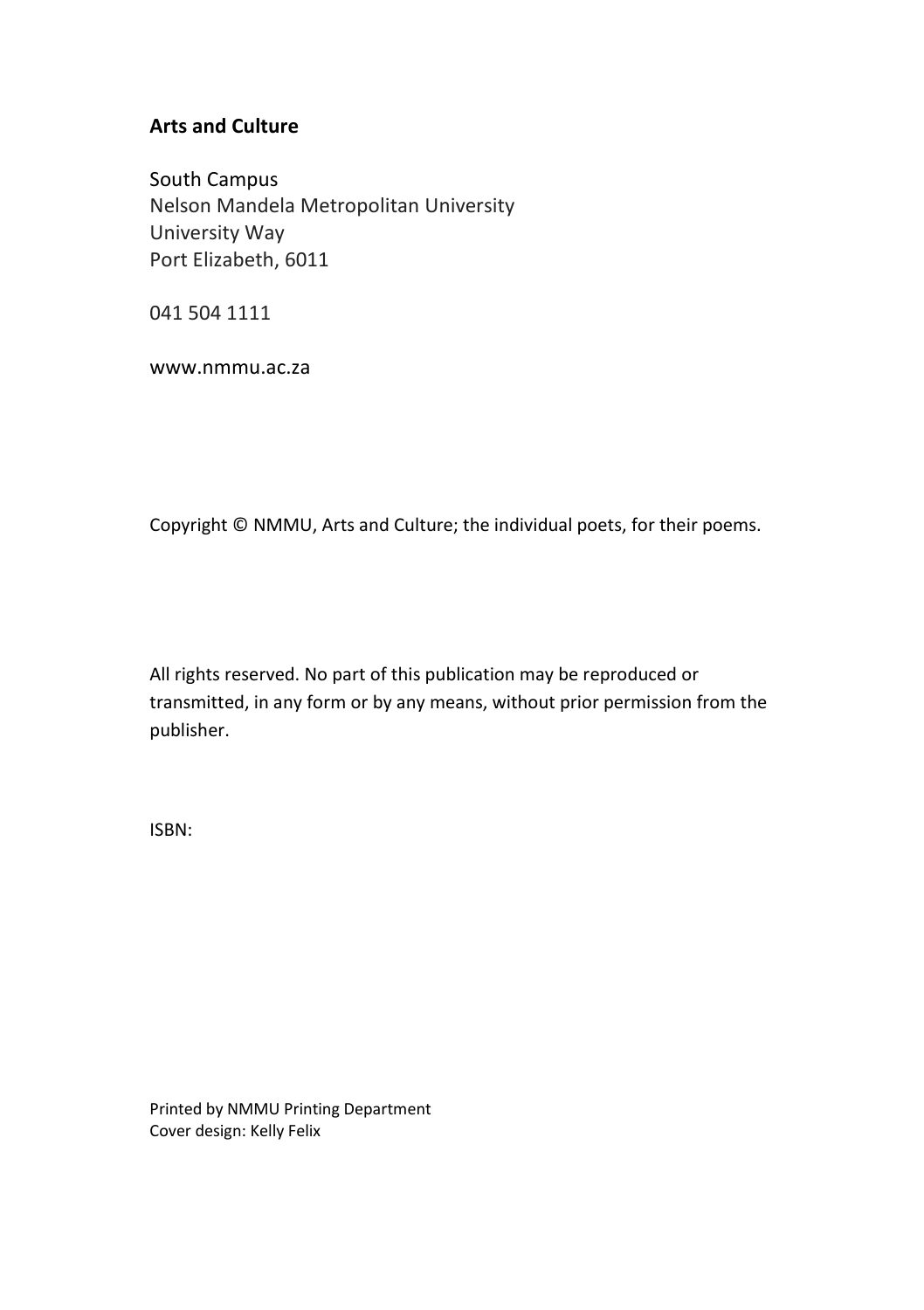#### **Arts and Culture**

South Campus Nelson Mandela Metropolitan University University Way Port Elizabeth, 6011

041 504 1111

www.nmmu.ac.za

Copyright © NMMU, Arts and Culture; the individual poets, for their poems.

All rights reserved. No part of this publication may be reproduced or transmitted, in any form or by any means, without prior permission from the publisher.

ISBN:

Printed by NMMU Printing Department Cover design: Kelly Felix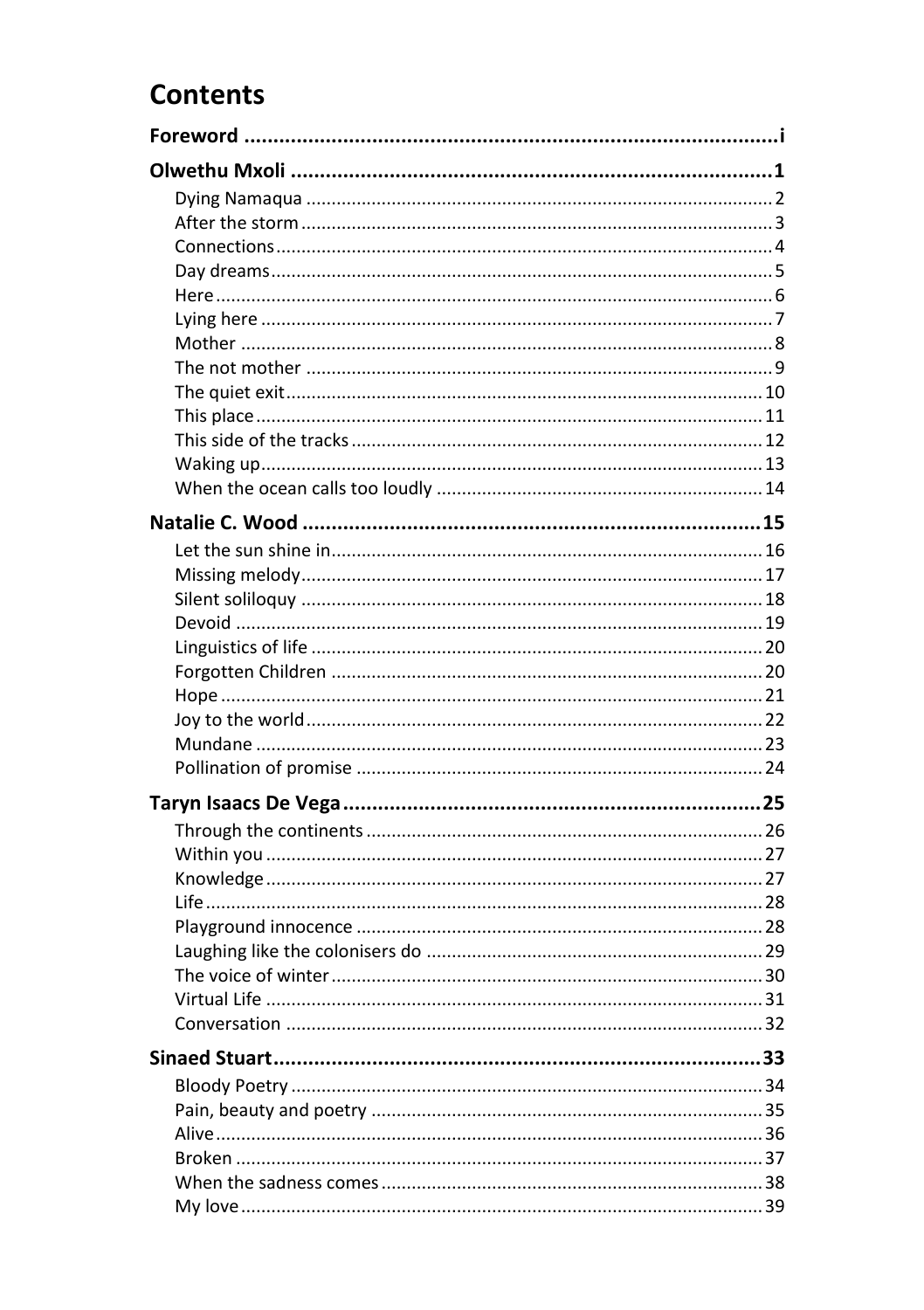### **Contents**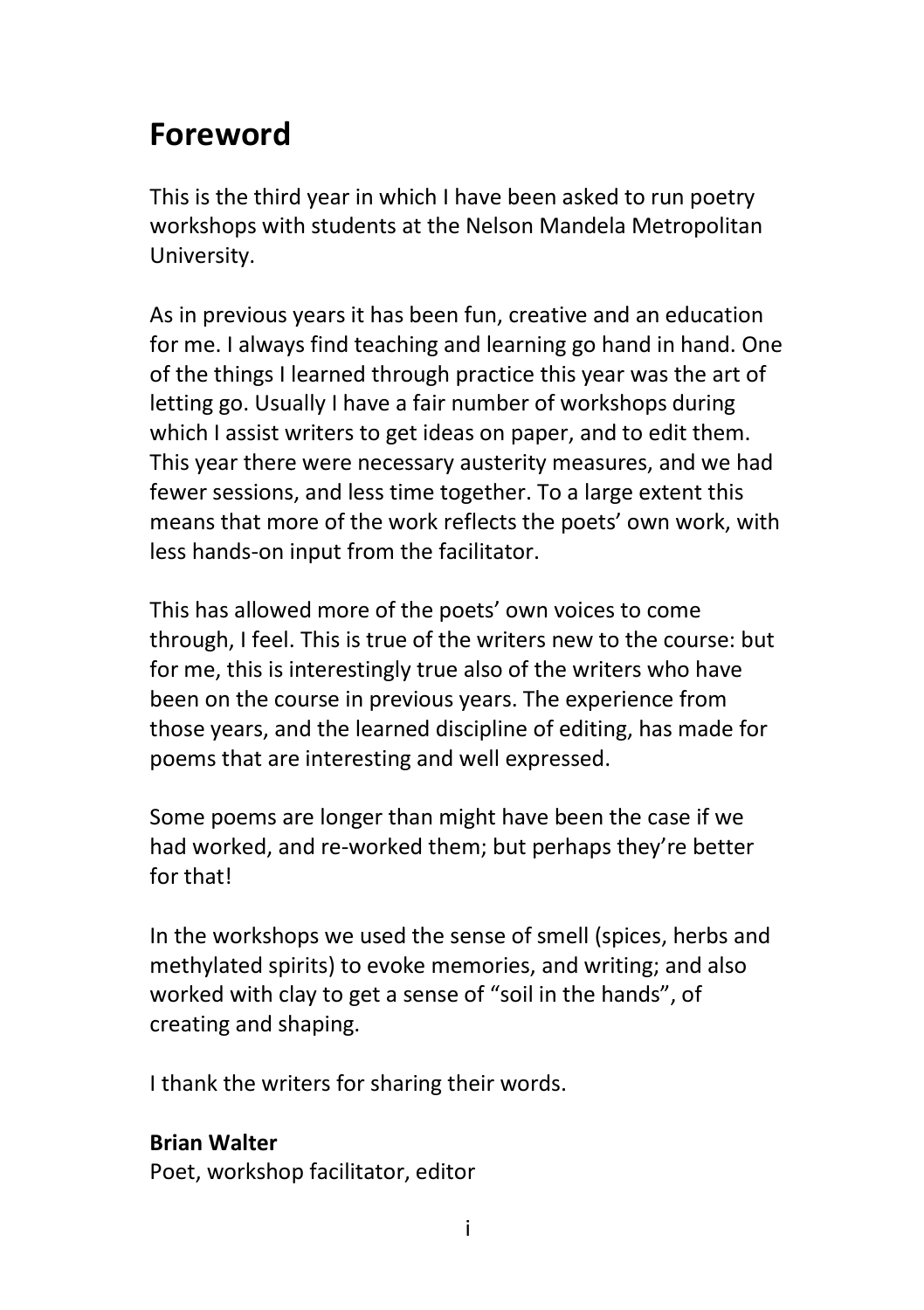## <span id="page-7-0"></span>**Foreword**

This is the third year in which I have been asked to run poetry workshops with students at the Nelson Mandela Metropolitan University.

As in previous years it has been fun, creative and an education for me. I always find teaching and learning go hand in hand. One of the things I learned through practice this year was the art of letting go. Usually I have a fair number of workshops during which I assist writers to get ideas on paper, and to edit them. This year there were necessary austerity measures, and we had fewer sessions, and less time together. To a large extent this means that more of the work reflects the poets' own work, with less hands-on input from the facilitator.

This has allowed more of the poets' own voices to come through, I feel. This is true of the writers new to the course: but for me, this is interestingly true also of the writers who have been on the course in previous years. The experience from those years, and the learned discipline of editing, has made for poems that are interesting and well expressed.

Some poems are longer than might have been the case if we had worked, and re-worked them; but perhaps they're better for that!

In the workshops we used the sense of smell (spices, herbs and methylated spirits) to evoke memories, and writing; and also worked with clay to get a sense of "soil in the hands", of creating and shaping.

I thank the writers for sharing their words.

### **Brian Walter**

Poet, workshop facilitator, editor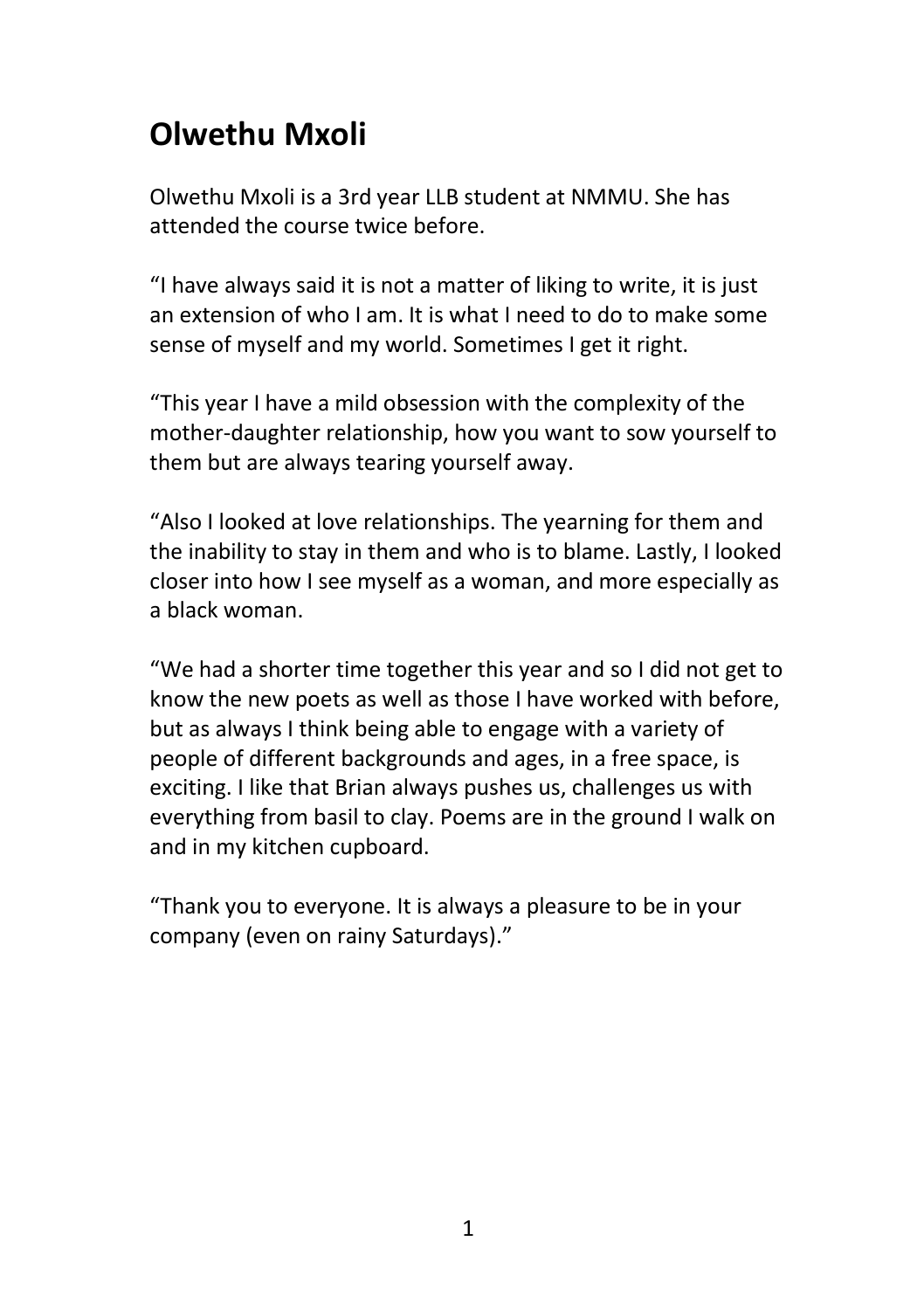# <span id="page-8-0"></span>**Olwethu Mxoli**

Olwethu Mxoli is a 3rd year LLB student at NMMU. She has attended the course twice before.

"I have always said it is not a matter of liking to write, it is just an extension of who I am. It is what I need to do to make some sense of myself and my world. Sometimes I get it right.

"This year I have a mild obsession with the complexity of the mother-daughter relationship, how you want to sow yourself to them but are always tearing yourself away.

"Also I looked at love relationships. The yearning for them and the inability to stay in them and who is to blame. Lastly, I looked closer into how I see myself as a woman, and more especially as a black woman.

"We had a shorter time together this year and so I did not get to know the new poets as well as those I have worked with before, but as always I think being able to engage with a variety of people of different backgrounds and ages, in a free space, is exciting. I like that Brian always pushes us, challenges us with everything from basil to clay. Poems are in the ground I walk on and in my kitchen cupboard.

"Thank you to everyone. It is always a pleasure to be in your company (even on rainy Saturdays)."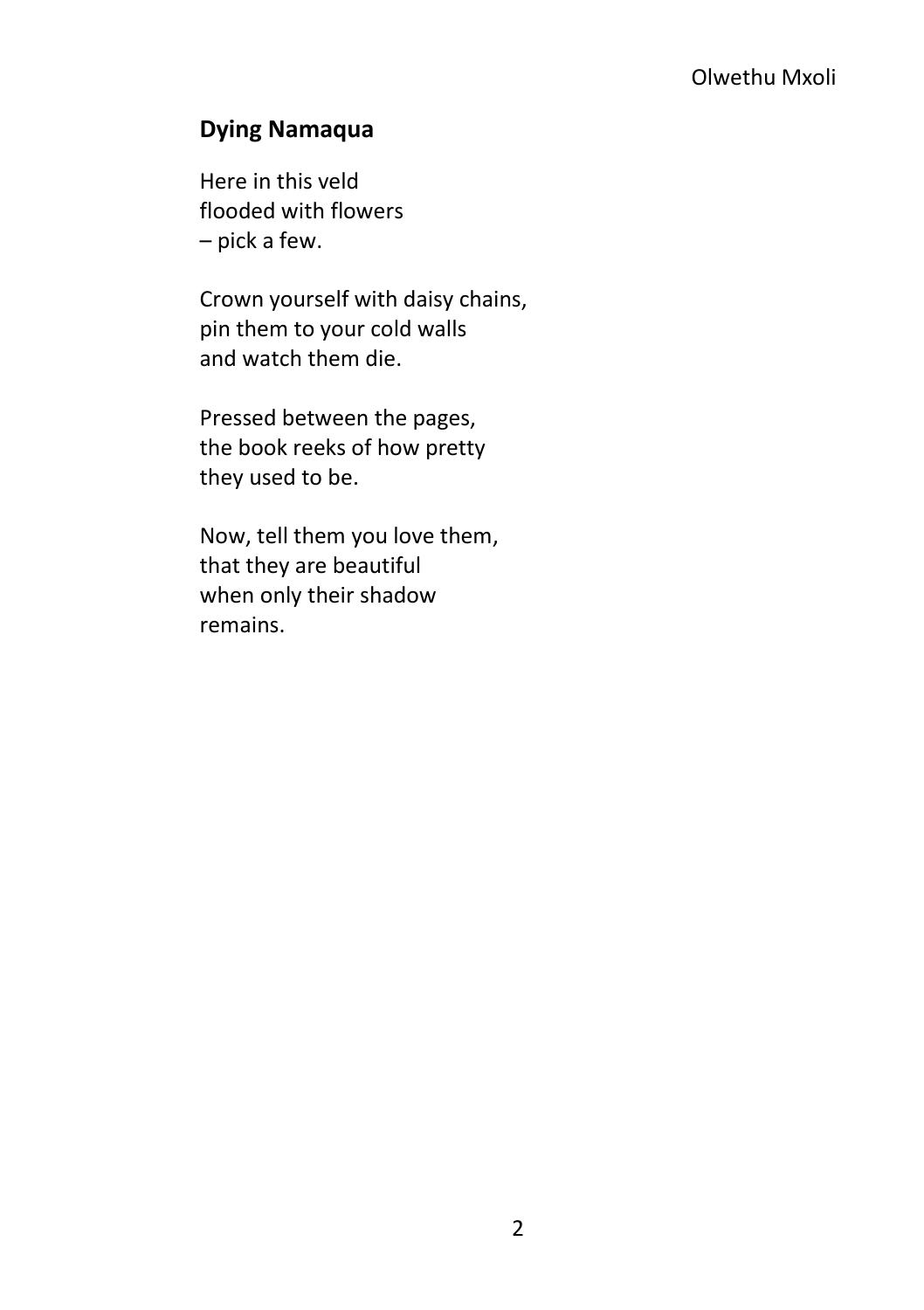### <span id="page-9-0"></span>**Dying Namaqua**

Here in this veld flooded with flowers – pick a few.

Crown yourself with daisy chains, pin them to your cold walls and watch them die.

Pressed between the pages, the book reeks of how pretty they used to be.

Now, tell them you love them, that they are beautiful when only their shadow remains.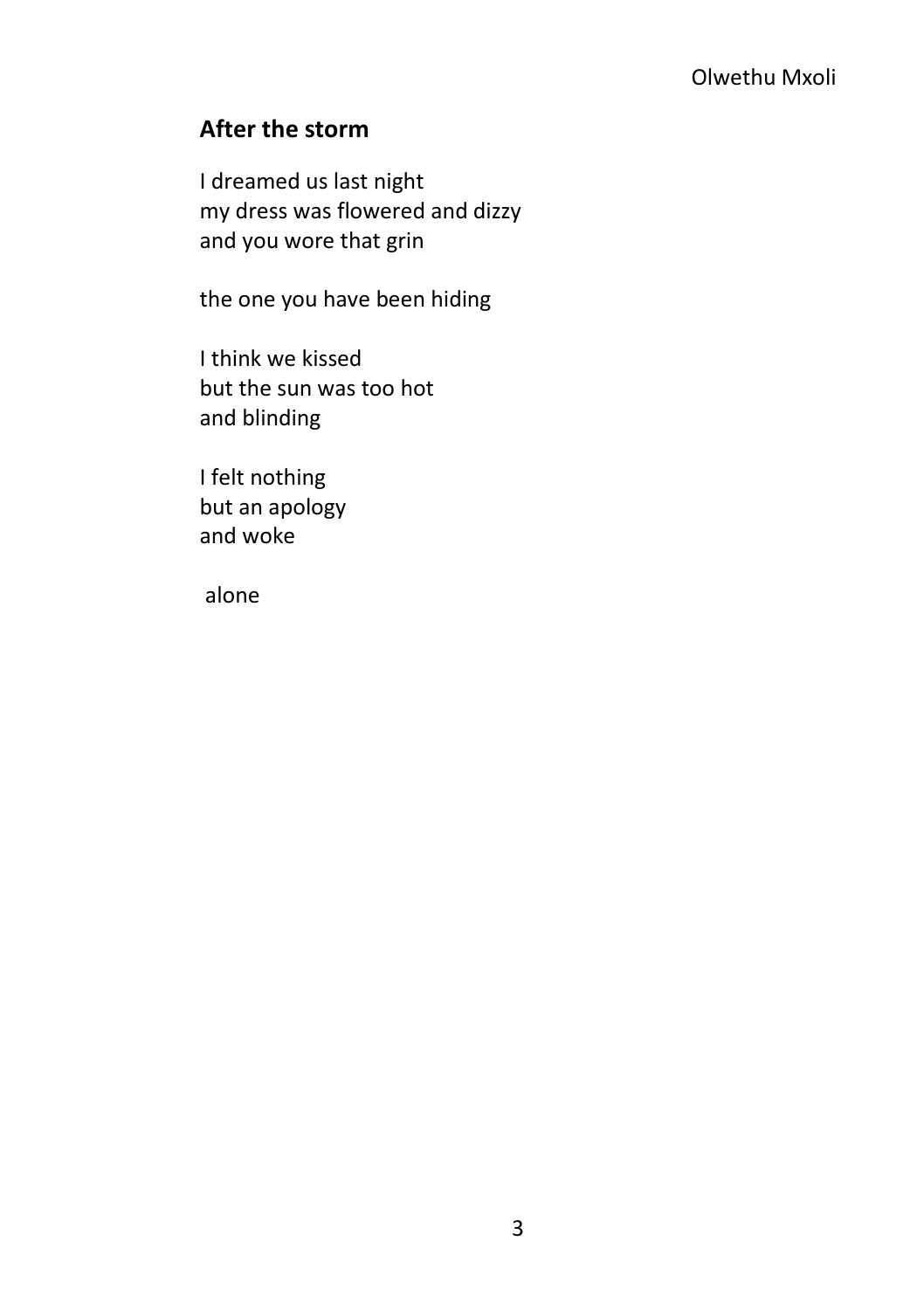### <span id="page-10-0"></span>**After the storm**

I dreamed us last night my dress was flowered and dizzy and you wore that grin

the one you have been hiding

I think we kissed but the sun was too hot and blinding

I felt nothing but an apology and woke

alone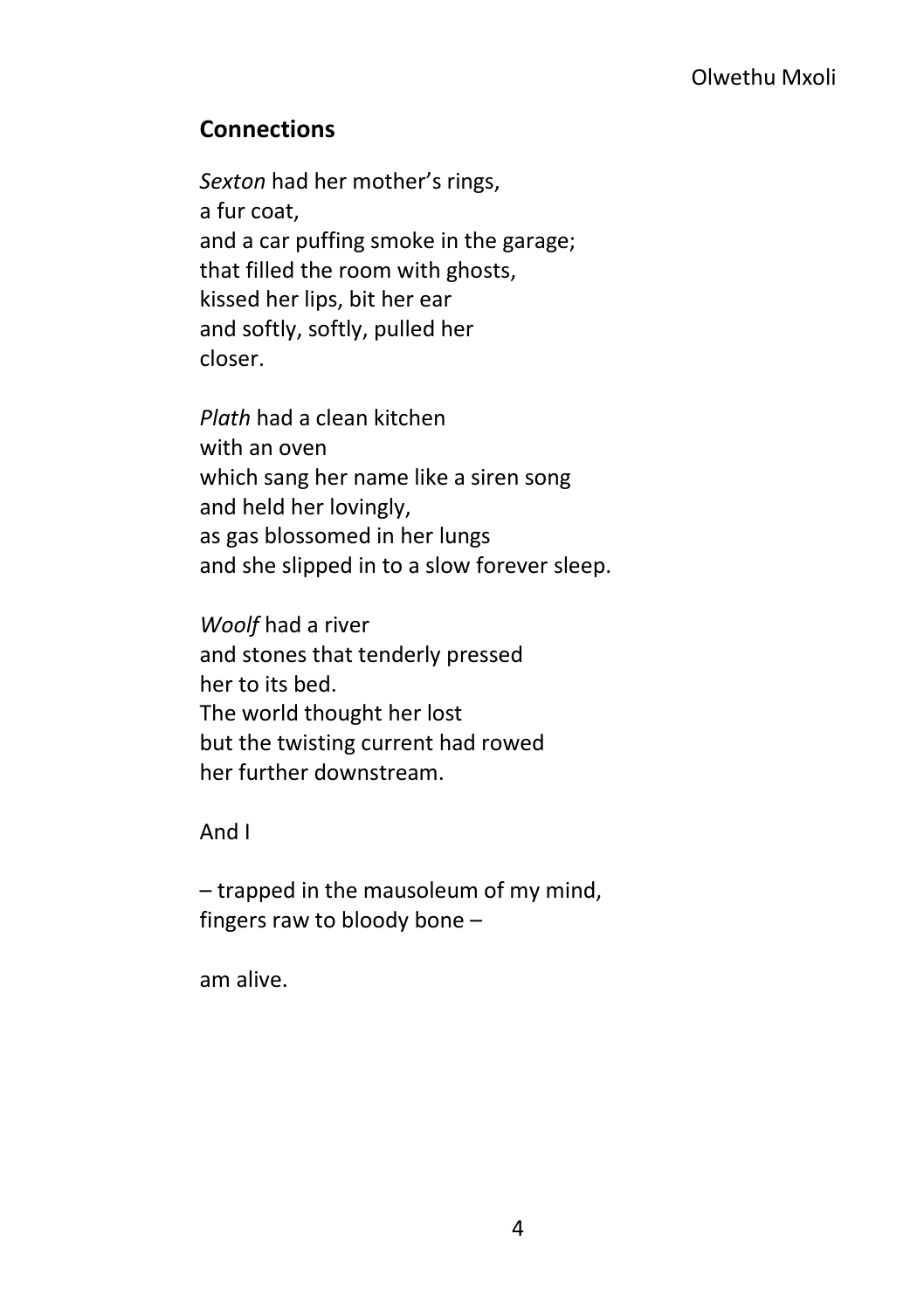### <span id="page-11-0"></span>**Connections**

*Sexton* had her mother's rings, a fur coat, and a car puffing smoke in the garage; that filled the room with ghosts, kissed her lips, bit her ear and softly, softly, pulled her closer.

*Plath* had a clean kitchen with an oven which sang her name like a siren song and held her lovingly, as gas blossomed in her lungs and she slipped in to a slow forever sleep.

*Woolf* had a river and stones that tenderly pressed her to its bed. The world thought her lost but the twisting current had rowed her further downstream.

And I

– trapped in the mausoleum of my mind, fingers raw to bloody bone –

am alive.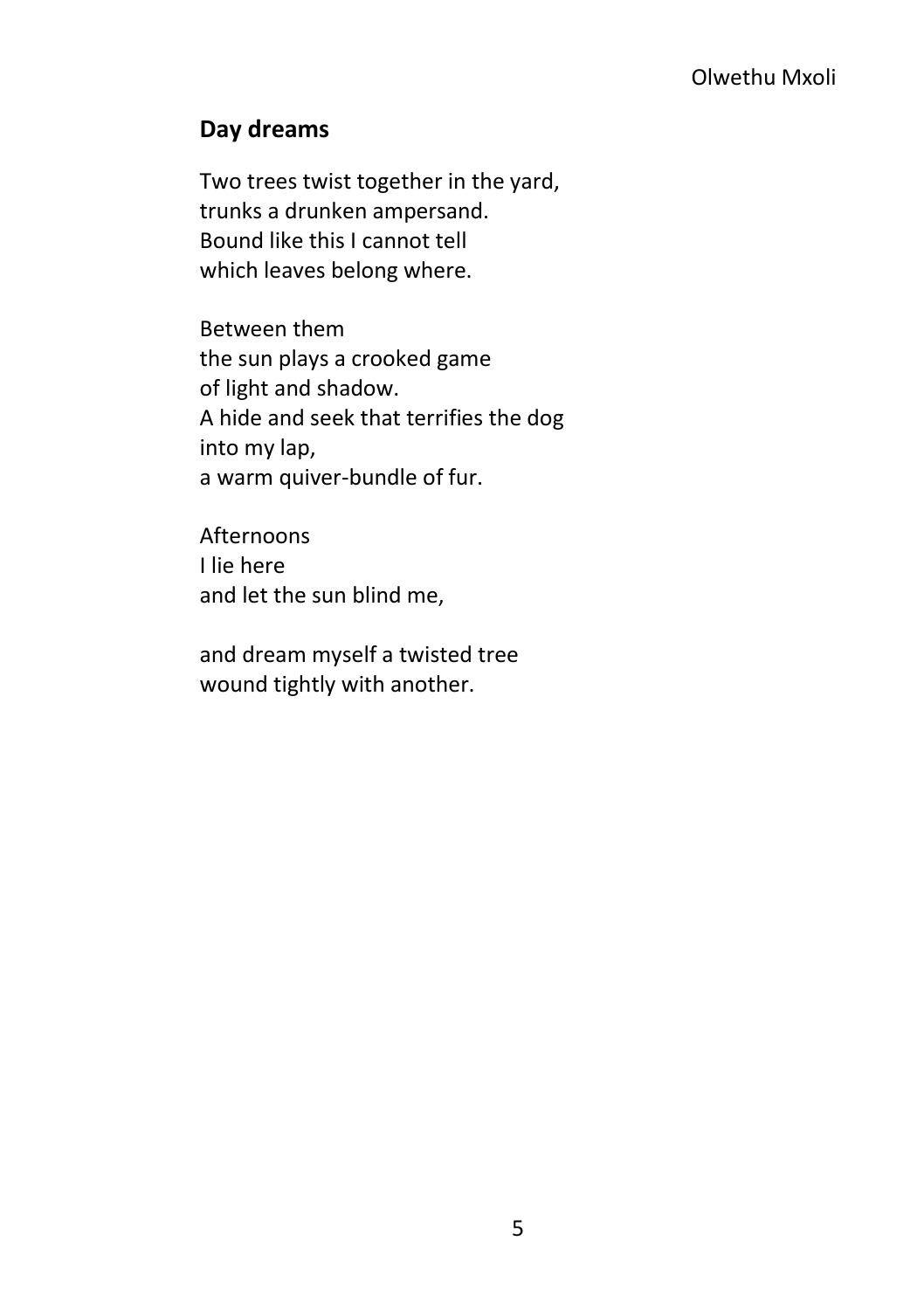### <span id="page-12-0"></span>**Day dreams**

Two trees twist together in the yard, trunks a drunken ampersand. Bound like this I cannot tell which leaves belong where.

Between them the sun plays a crooked game of light and shadow. A hide and seek that terrifies the dog into my lap, a warm quiver-bundle of fur.

Afternoons I lie here and let the sun blind me,

and dream myself a twisted tree wound tightly with another.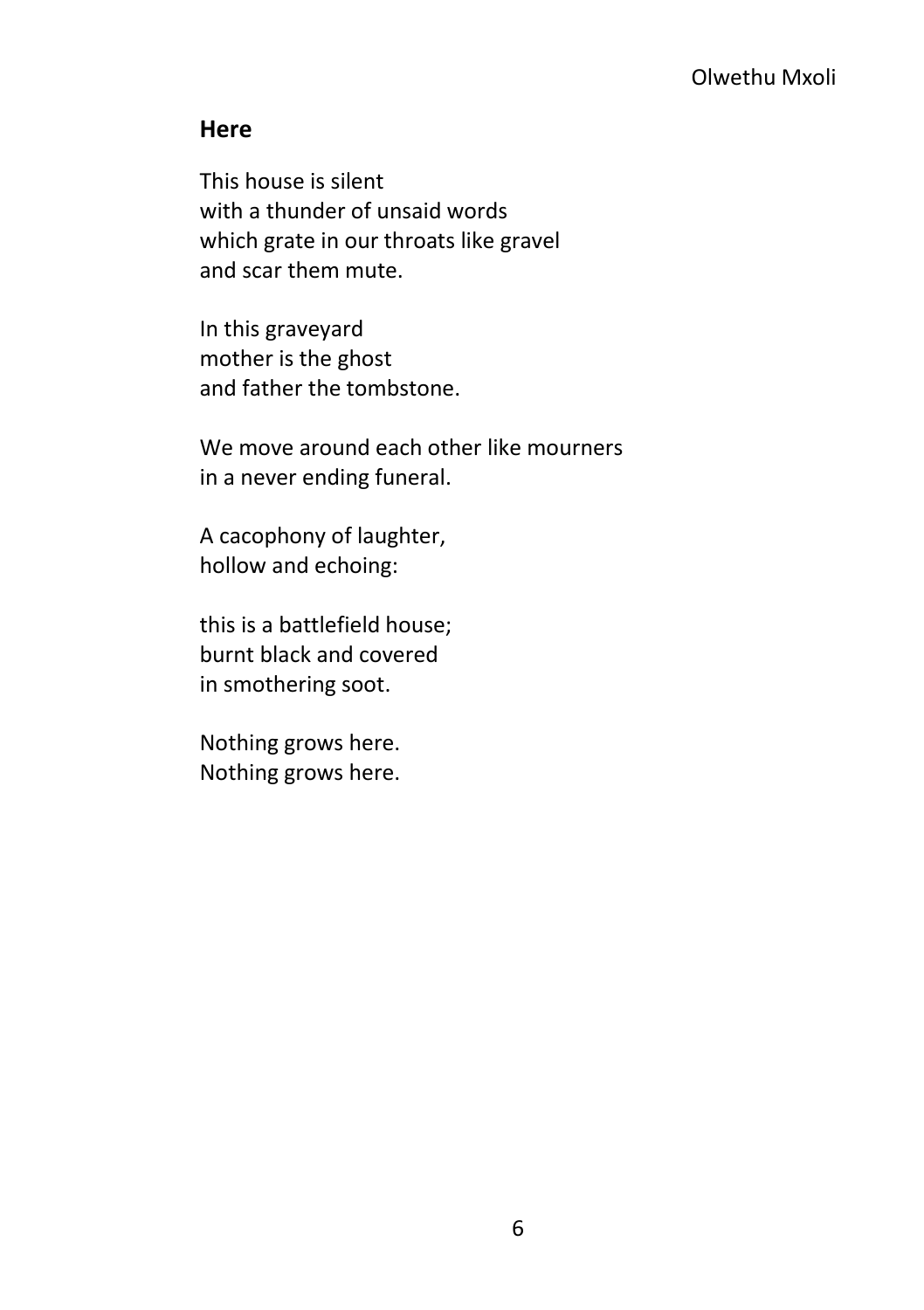### <span id="page-13-0"></span>**Here**

This house is silent with a thunder of unsaid words which grate in our throats like gravel and scar them mute.

In this graveyard mother is the ghost and father the tombstone.

We move around each other like mourners in a never ending funeral.

A cacophony of laughter, hollow and echoing:

this is a battlefield house; burnt black and covered in smothering soot.

Nothing grows here. Nothing grows here.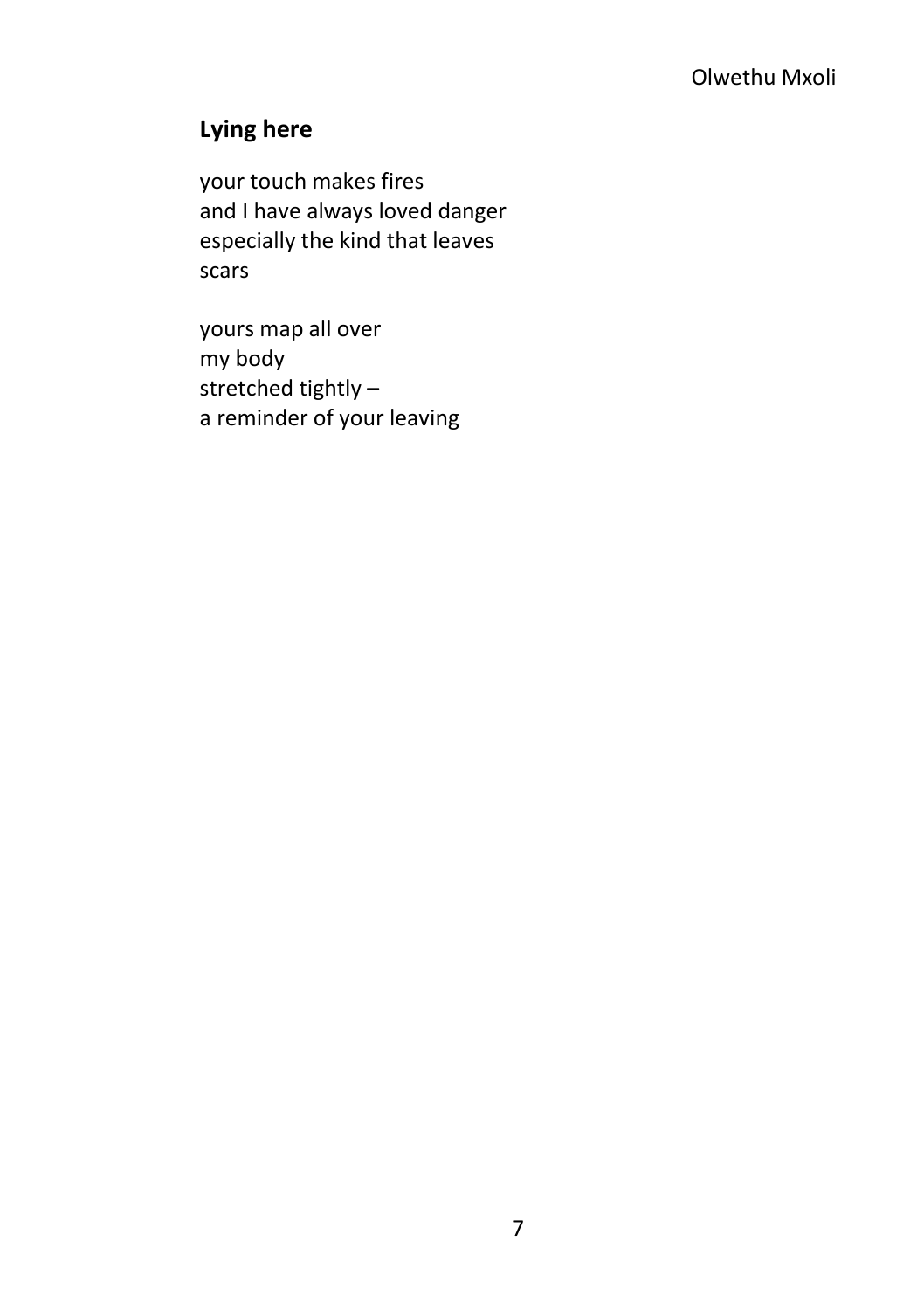### <span id="page-14-0"></span>**Lying here**

your touch makes fires and I have always loved danger especially the kind that leaves scars

yours map all over my body stretched tightly – a reminder of your leaving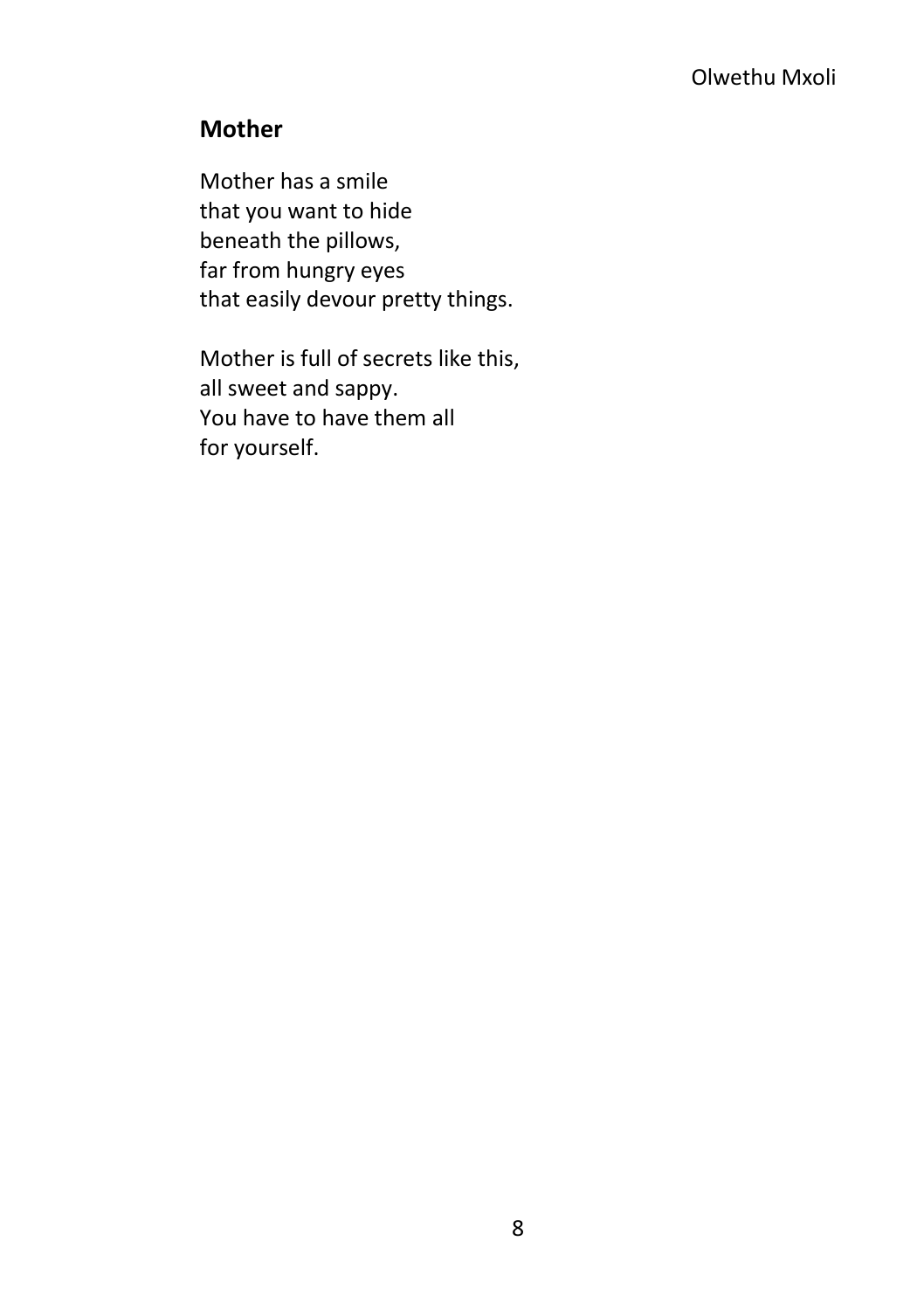### <span id="page-15-0"></span>**Mother**

Mother has a smile that you want to hide beneath the pillows, far from hungry eyes that easily devour pretty things.

Mother is full of secrets like this, all sweet and sappy. You have to have them all for yourself.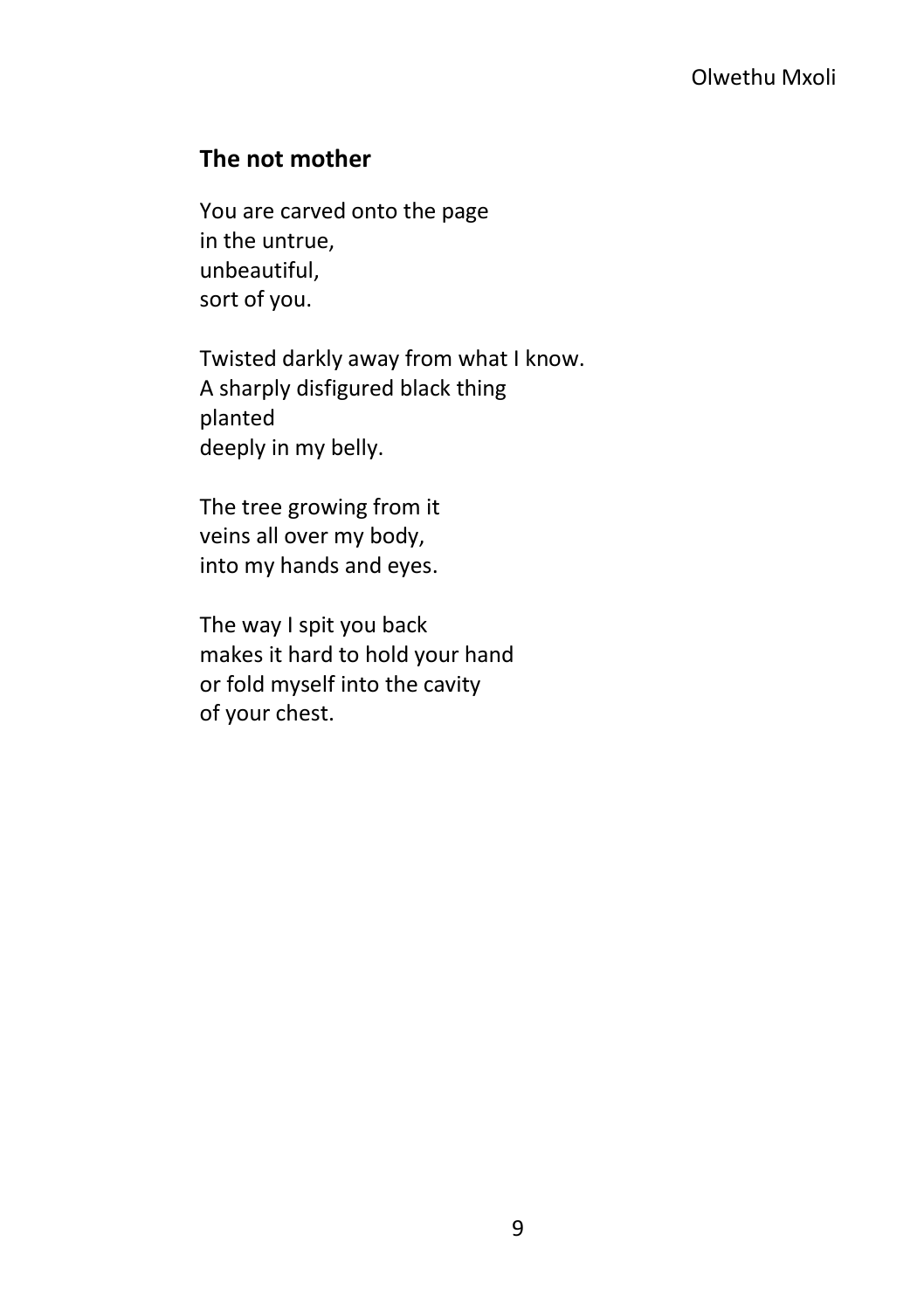### <span id="page-16-0"></span>**The not mother**

You are carved onto the page in the untrue, unbeautiful, sort of you.

Twisted darkly away from what I know. A sharply disfigured black thing planted deeply in my belly.

The tree growing from it veins all over my body, into my hands and eyes.

The way I spit you back makes it hard to hold your hand or fold myself into the cavity of your chest.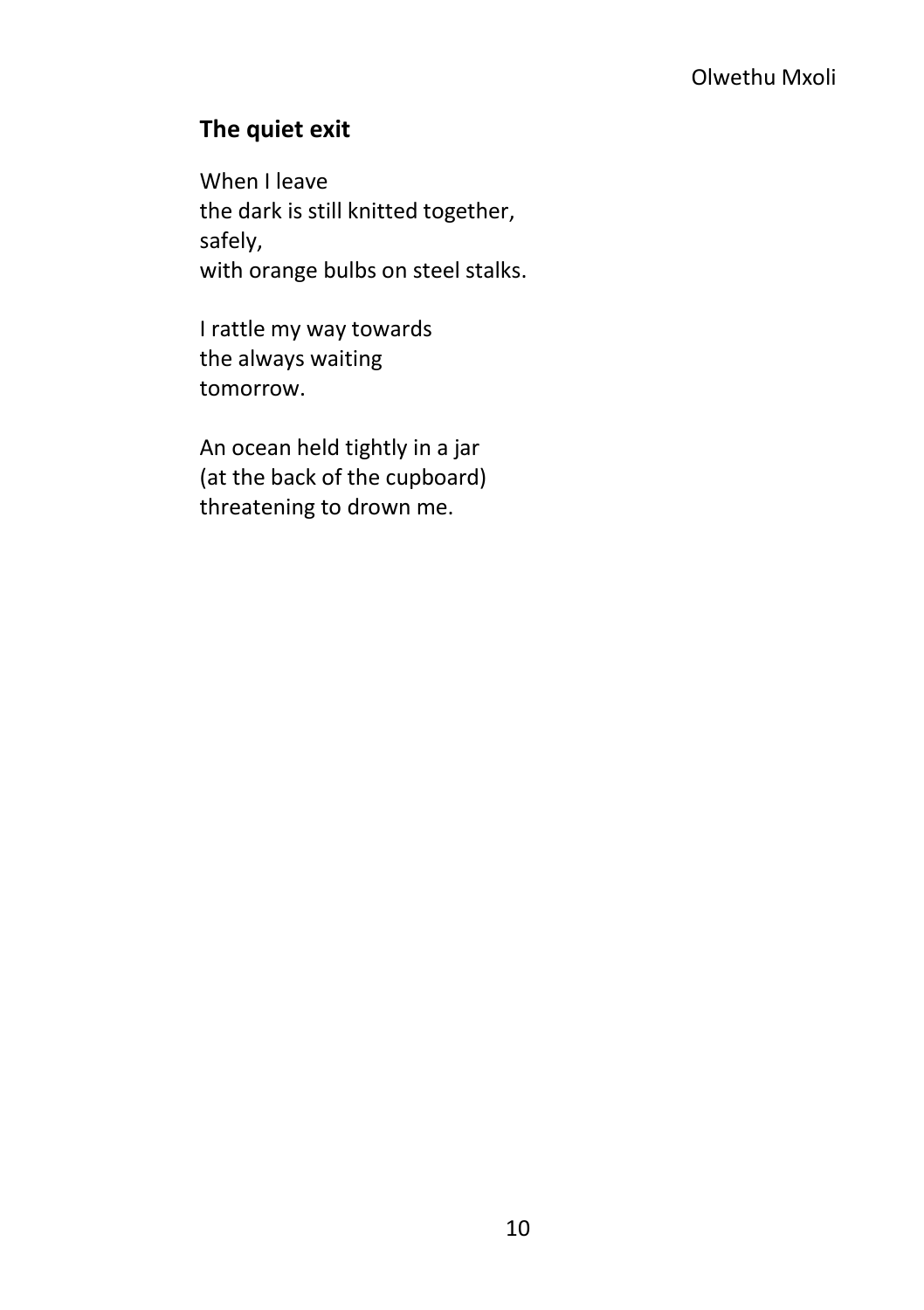### <span id="page-17-0"></span>**The quiet exit**

When I leave the dark is still knitted together, safely, with orange bulbs on steel stalks.

I rattle my way towards the always waiting tomorrow.

An ocean held tightly in a jar (at the back of the cupboard) threatening to drown me.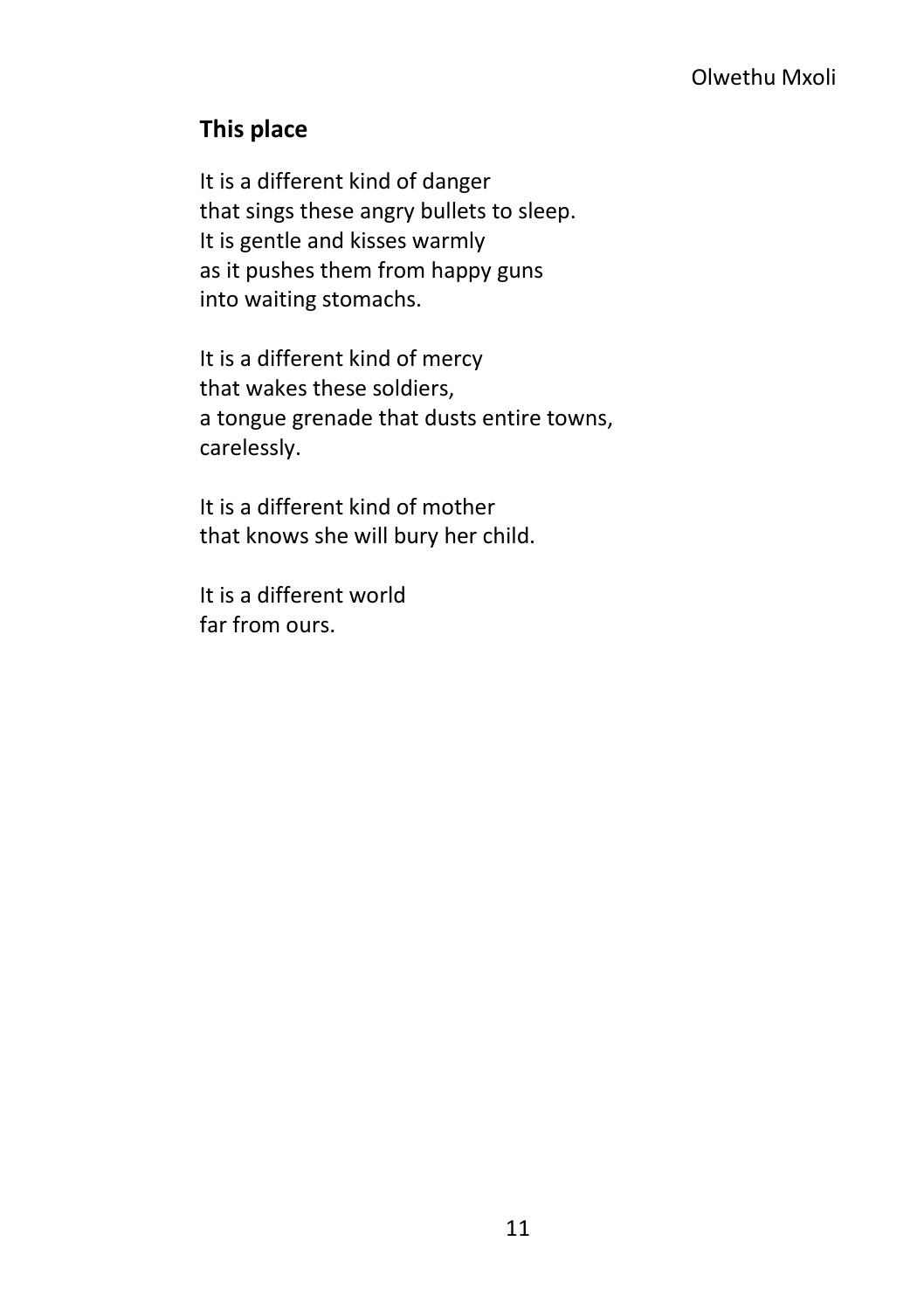### <span id="page-18-0"></span>**This place**

It is a different kind of danger that sings these angry bullets to sleep. It is gentle and kisses warmly as it pushes them from happy guns into waiting stomachs.

It is a different kind of mercy that wakes these soldiers, a tongue grenade that dusts entire towns, carelessly.

It is a different kind of mother that knows she will bury her child.

It is a different world far from ours.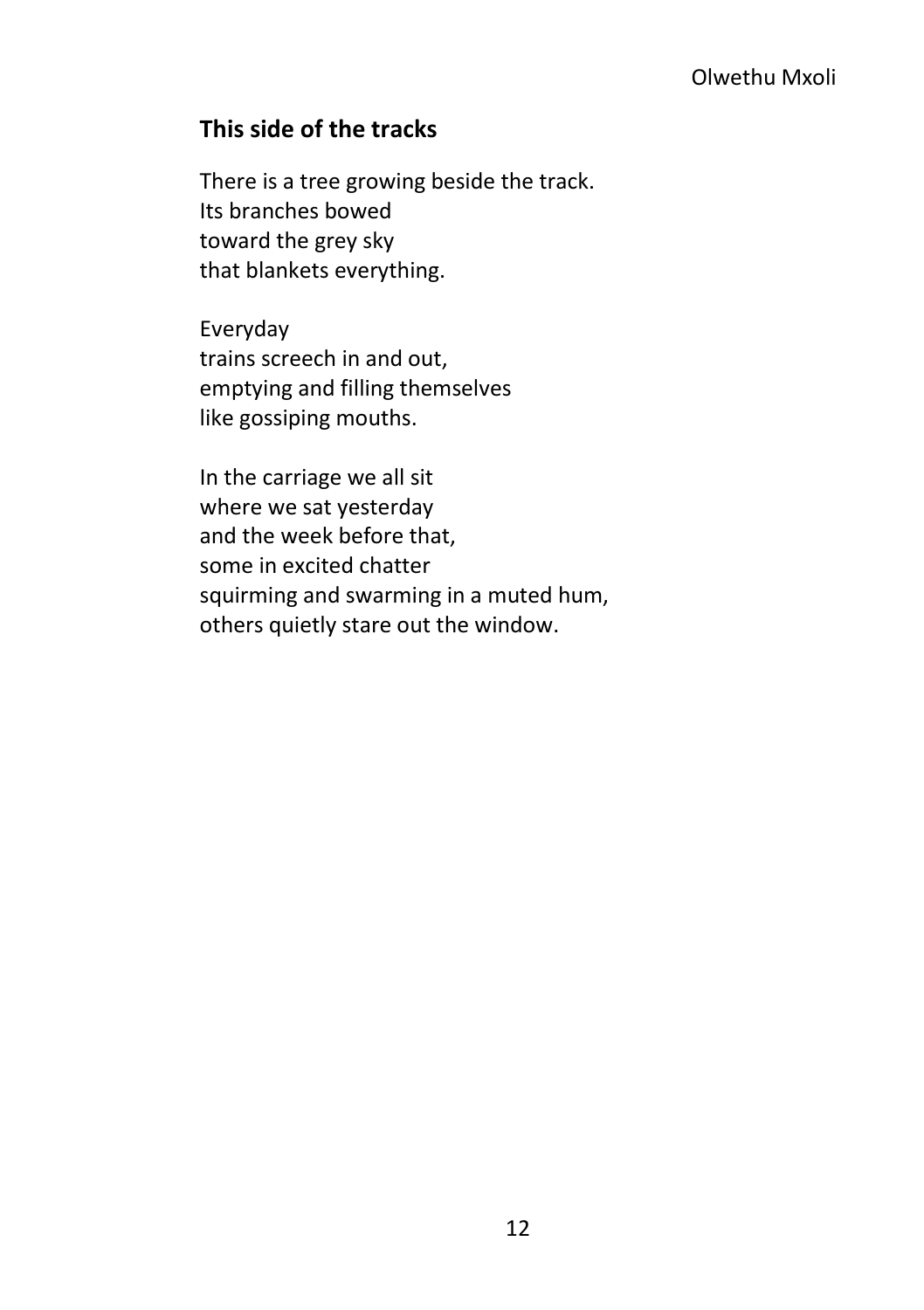### <span id="page-19-0"></span>**This side of the tracks**

There is a tree growing beside the track. Its branches bowed toward the grey sky that blankets everything.

Everyday trains screech in and out, emptying and filling themselves like gossiping mouths.

In the carriage we all sit where we sat yesterday and the week before that, some in excited chatter squirming and swarming in a muted hum, others quietly stare out the window.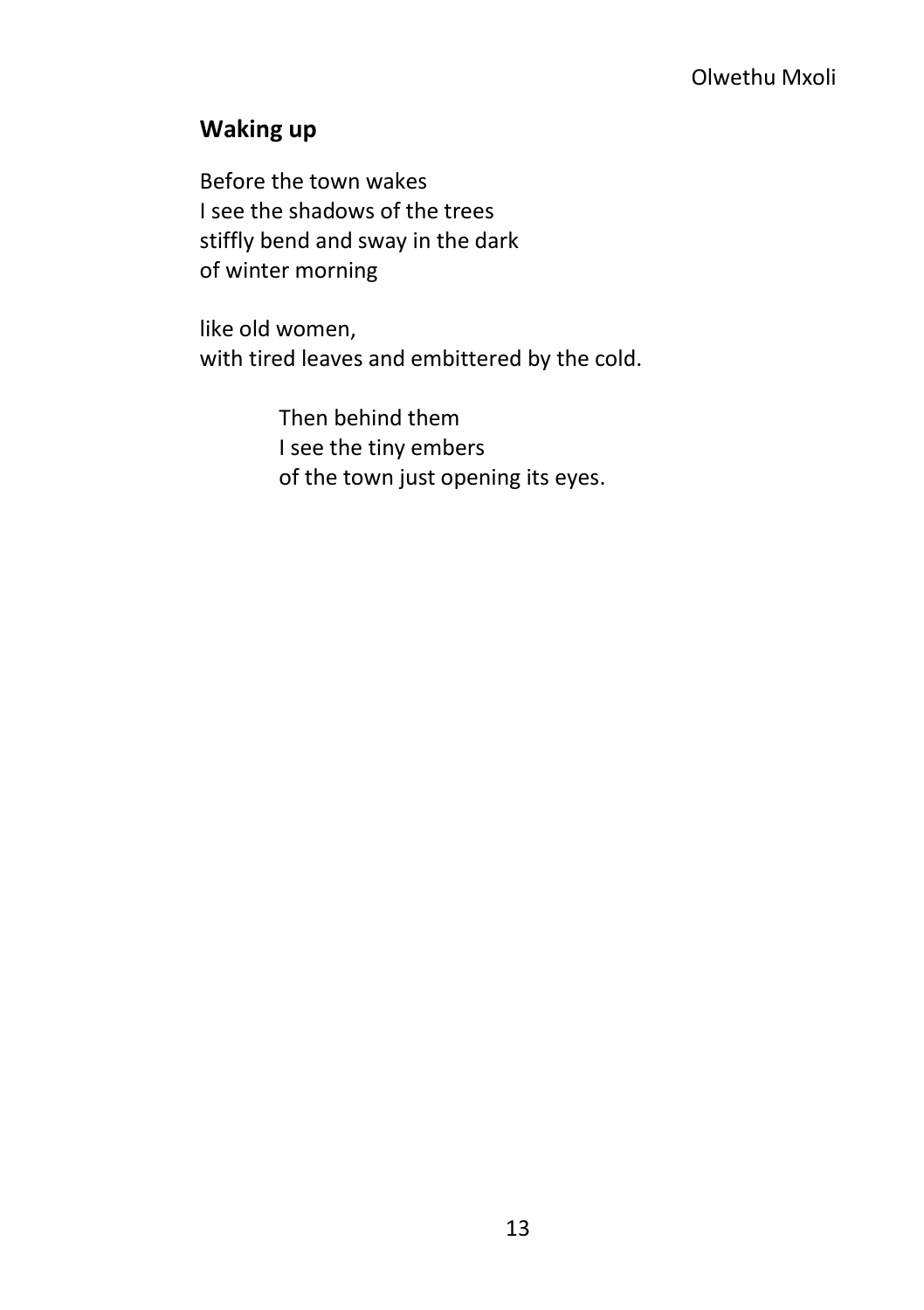### <span id="page-20-0"></span>**Waking up**

Before the town wakes I see the shadows of the trees stiffly bend and sway in the dark of winter morning

like old women, with tired leaves and embittered by the cold.

> Then behind them I see the tiny embers of the town just opening its eyes.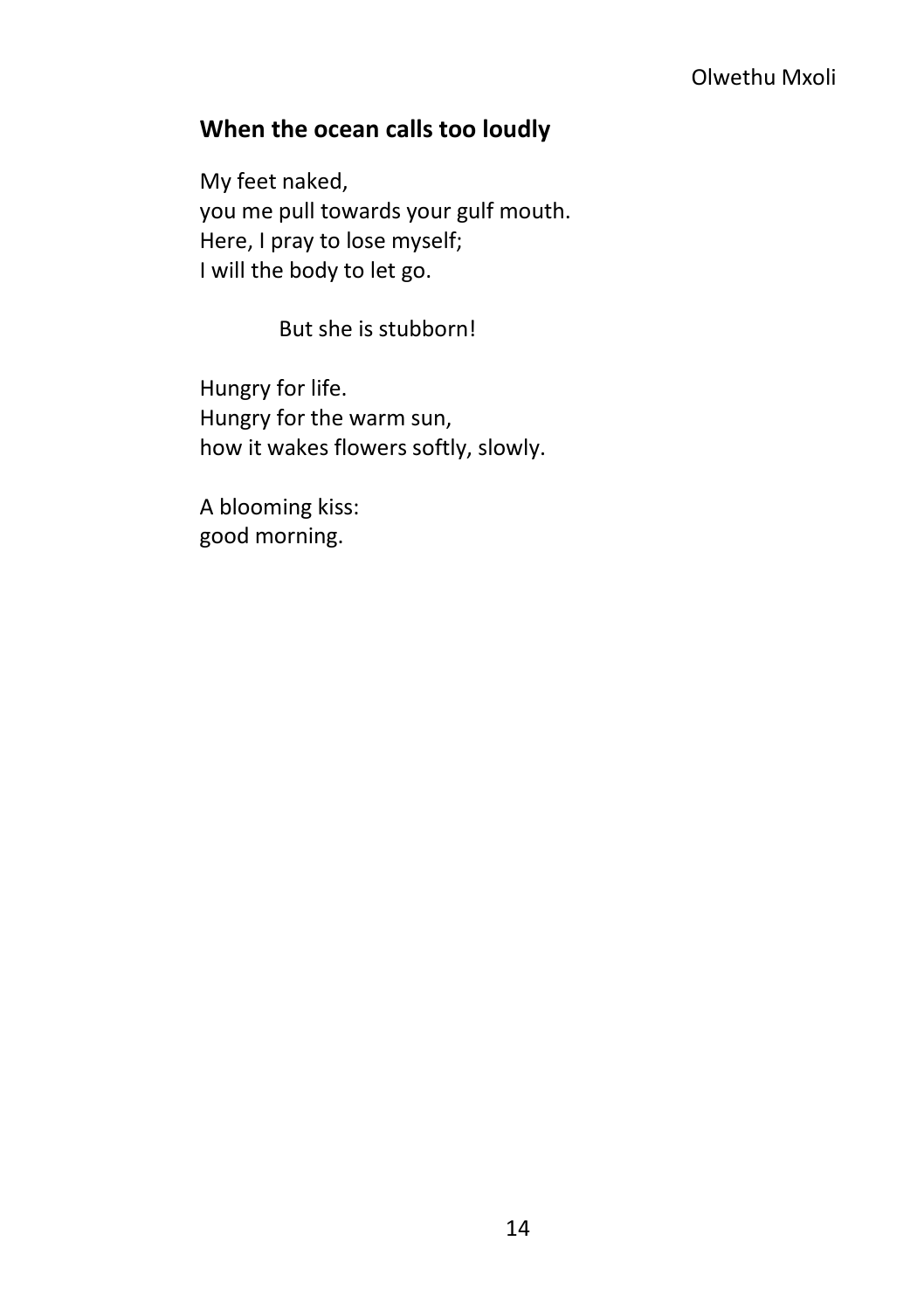### Olwethu Mxoli

### <span id="page-21-0"></span>**When the ocean calls too loudly**

My feet naked, you me pull towards your gulf mouth. Here, I pray to lose myself; I will the body to let go.

But she is stubborn!

Hungry for life. Hungry for the warm sun, how it wakes flowers softly, slowly.

A blooming kiss: good morning.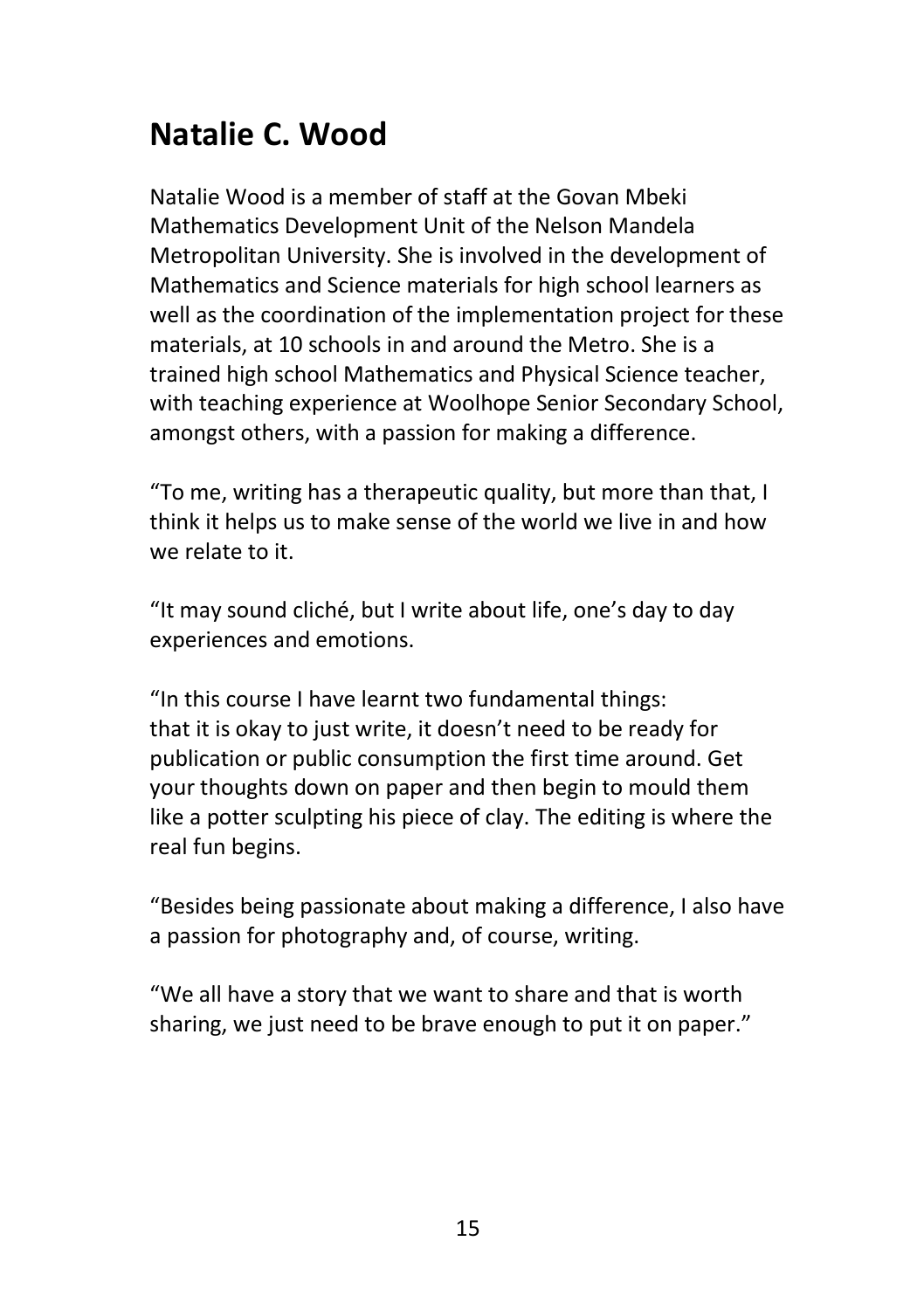## <span id="page-22-0"></span>**Natalie C. Wood**

Natalie Wood is a member of staff at the Govan Mbeki Mathematics Development Unit of the Nelson Mandela Metropolitan University. She is involved in the development of Mathematics and Science materials for high school learners as well as the coordination of the implementation project for these materials, at 10 schools in and around the Metro. She is a trained high school Mathematics and Physical Science teacher, with teaching experience at Woolhope Senior Secondary School, amongst others, with a passion for making a difference.

"To me, writing has a therapeutic quality, but more than that, I think it helps us to make sense of the world we live in and how we relate to it.

"It may sound cliché, but I write about life, one's day to day experiences and emotions.

"In this course I have learnt two fundamental things: that it is okay to just write, it doesn't need to be ready for publication or public consumption the first time around. Get your thoughts down on paper and then begin to mould them like a potter sculpting his piece of clay. The editing is where the real fun begins.

"Besides being passionate about making a difference, I also have a passion for photography and, of course, writing.

"We all have a story that we want to share and that is worth sharing, we just need to be brave enough to put it on paper."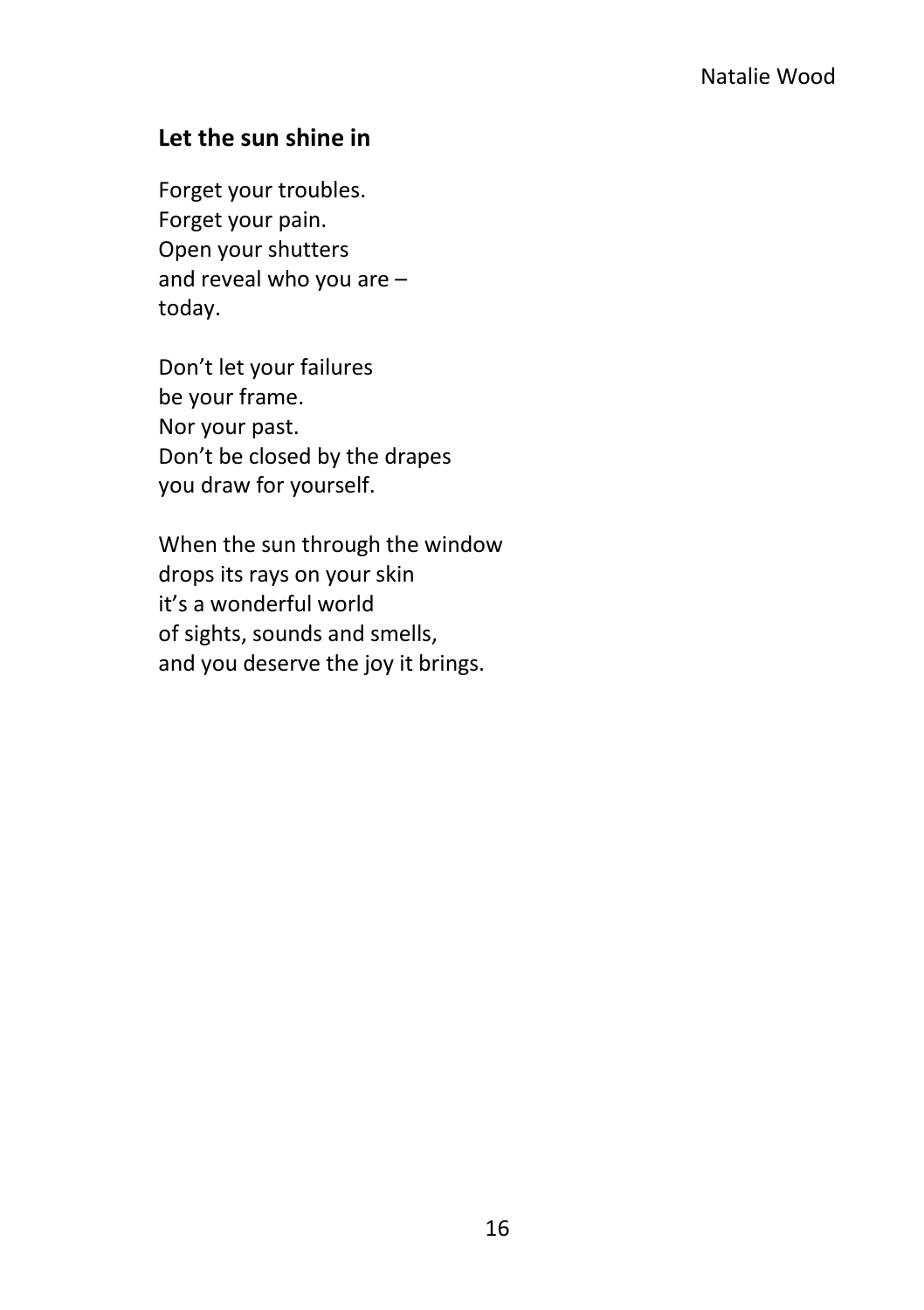### <span id="page-23-0"></span>**Let the sun shine in**

Forget your troubles. Forget your pain. Open your shutters and reveal who you are – today.

Don't let your failures be your frame. Nor your past. Don't be closed by the drapes you draw for yourself.

When the sun through the window drops its rays on your skin it's a wonderful world of sights, sounds and smells, and you deserve the joy it brings.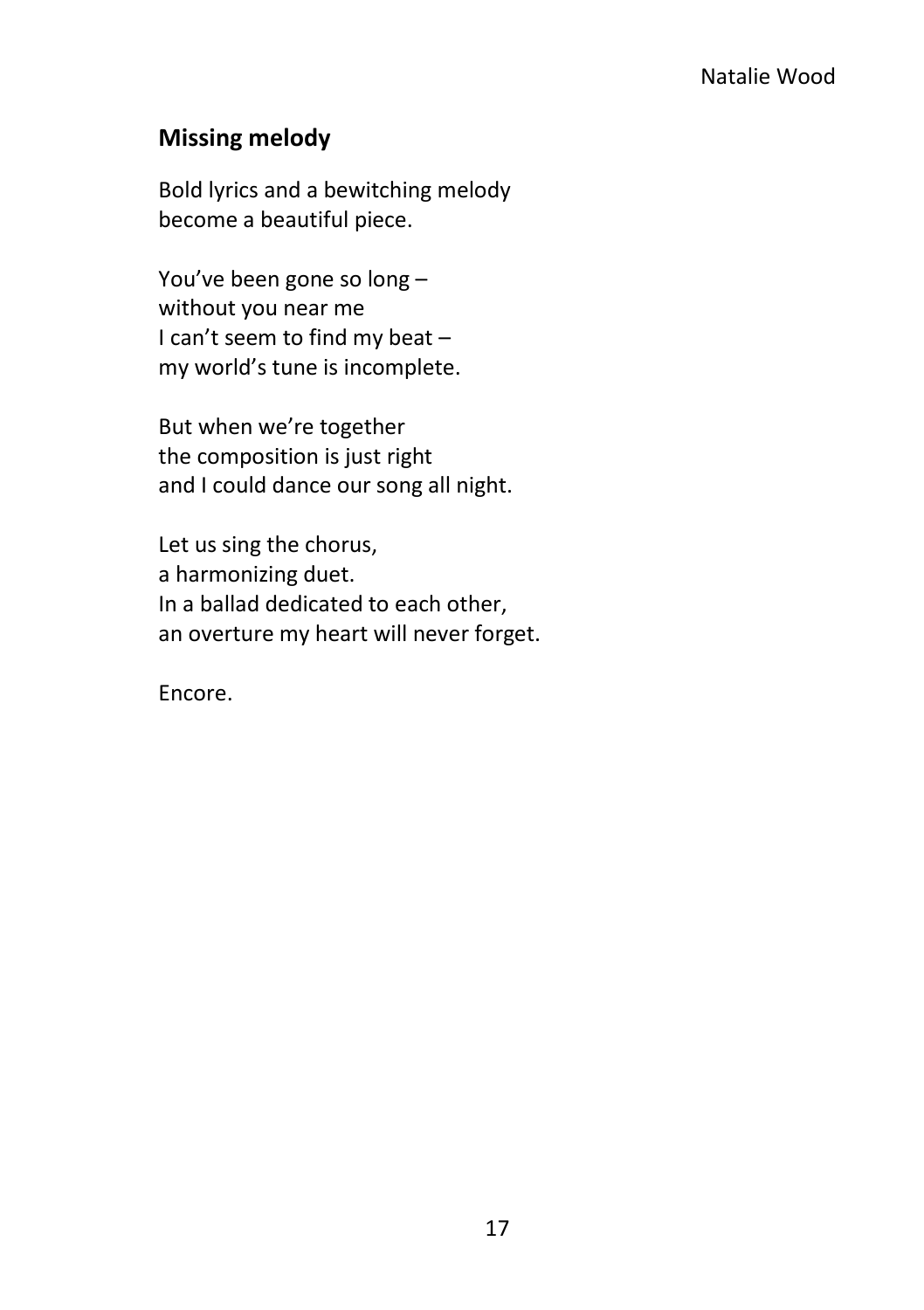### <span id="page-24-0"></span>**Missing melody**

Bold lyrics and a bewitching melody become a beautiful piece.

You've been gone so long – without you near me I can't seem to find my beat – my world's tune is incomplete.

But when we're together the composition is just right and I could dance our song all night.

Let us sing the chorus, a harmonizing duet. In a ballad dedicated to each other, an overture my heart will never forget.

Encore.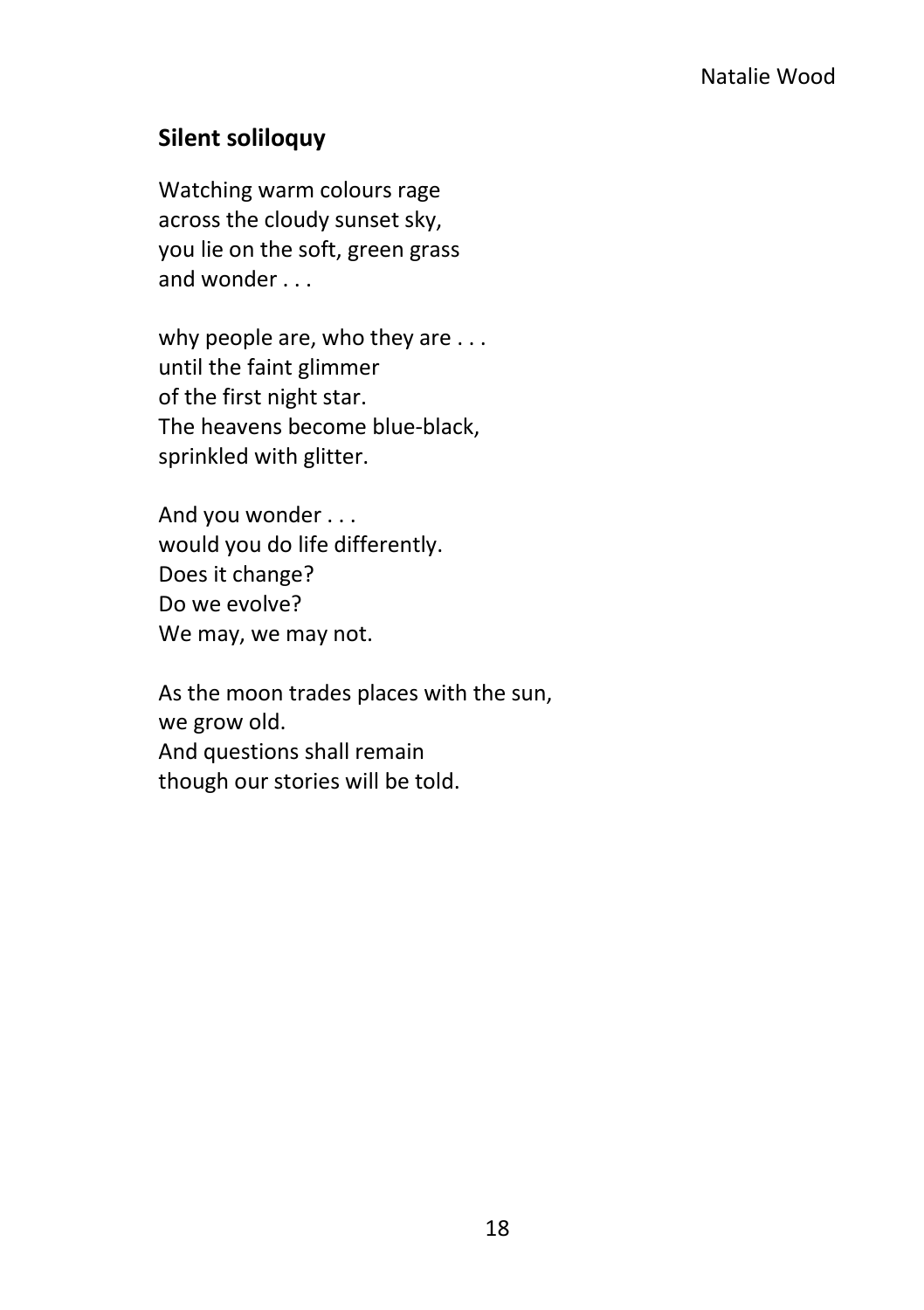### <span id="page-25-0"></span>**Silent soliloquy**

Watching warm colours rage across the cloudy sunset sky, you lie on the soft, green grass and wonder . . .

why people are, who they are . . . until the faint glimmer of the first night star. The heavens become blue-black, sprinkled with glitter.

And you wonder . . . would you do life differently. Does it change? Do we evolve? We may, we may not.

As the moon trades places with the sun, we grow old. And questions shall remain though our stories will be told.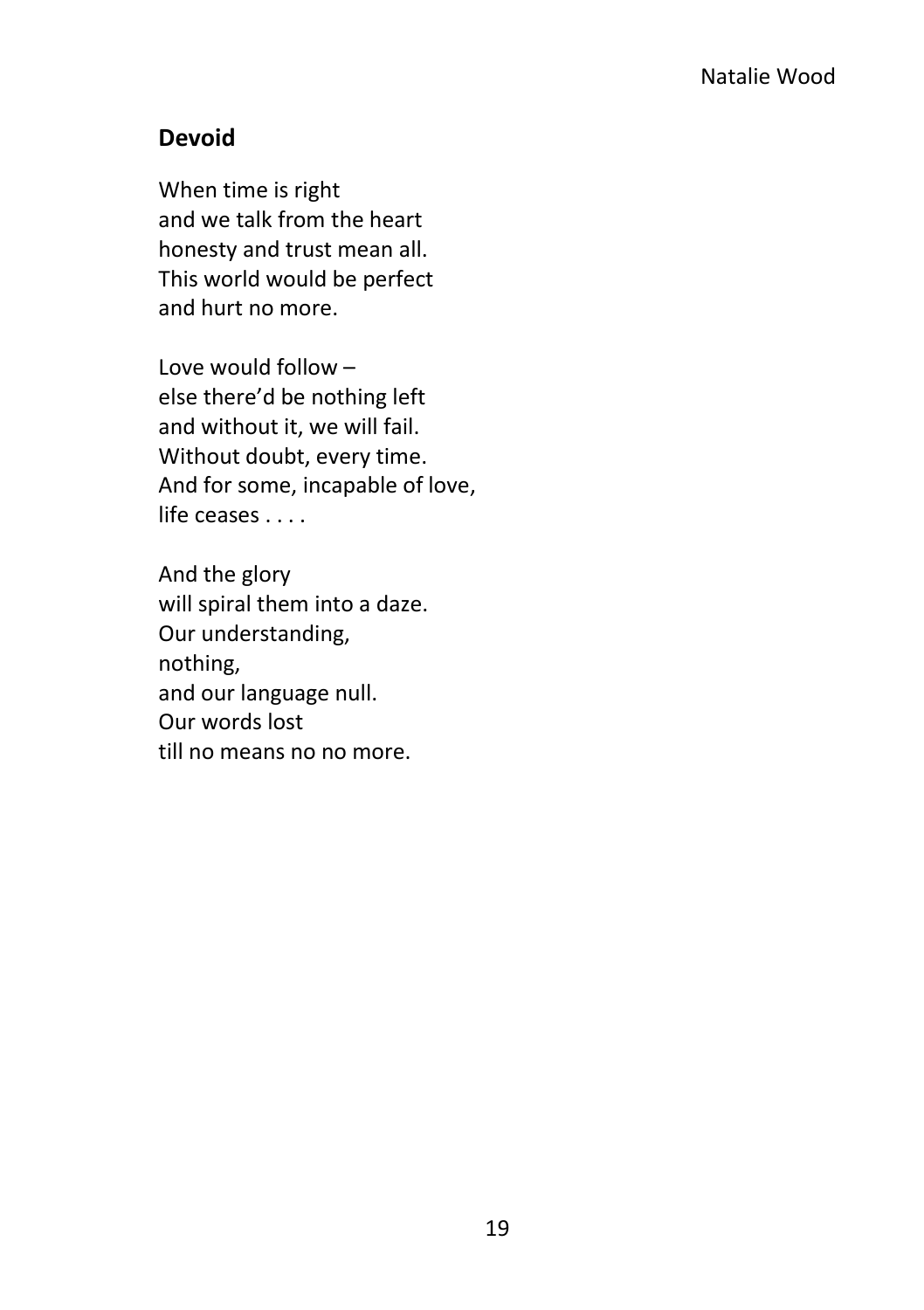### <span id="page-26-0"></span>**Devoid**

When time is right and we talk from the heart honesty and trust mean all. This world would be perfect and hurt no more.

Love would follow – else there'd be nothing left and without it, we will fail. Without doubt, every time. And for some, incapable of love, life ceases . . . .

And the glory will spiral them into a daze. Our understanding, nothing, and our language null. Our words lost till no means no no more.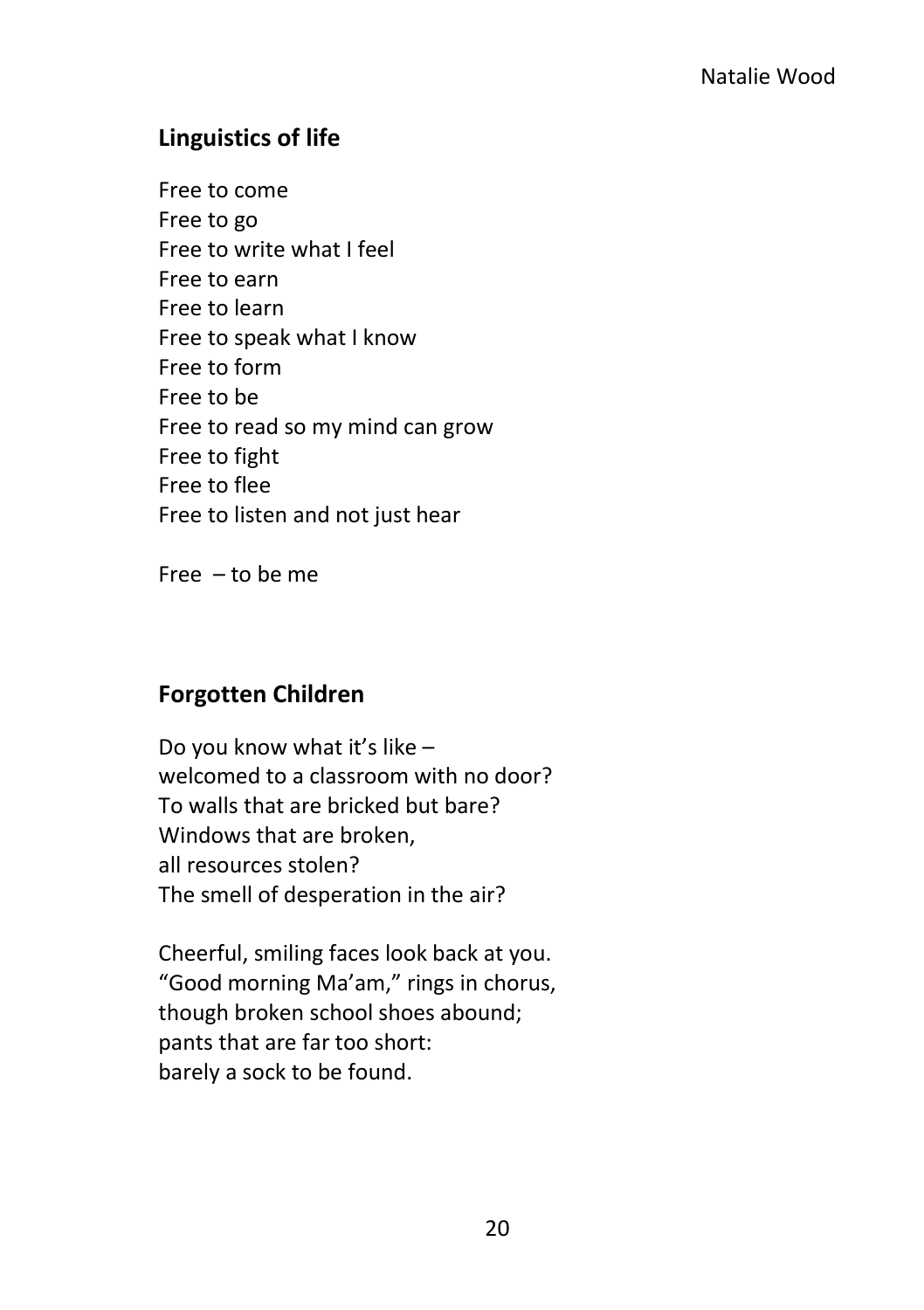### <span id="page-27-0"></span>**Linguistics of life**

Free to come Free to go Free to write what I feel Free to earn Free to learn Free to speak what I know Free to form Free to be Free to read so my mind can grow Free to fight Free to flee Free to listen and not just hear

Free – to be me

### <span id="page-27-1"></span>**Forgotten Children**

Do you know what it's like – welcomed to a classroom with no door? To walls that are bricked but bare? Windows that are broken, all resources stolen? The smell of desperation in the air?

Cheerful, smiling faces look back at you. "Good morning Ma'am," rings in chorus, though broken school shoes abound; pants that are far too short: barely a sock to be found.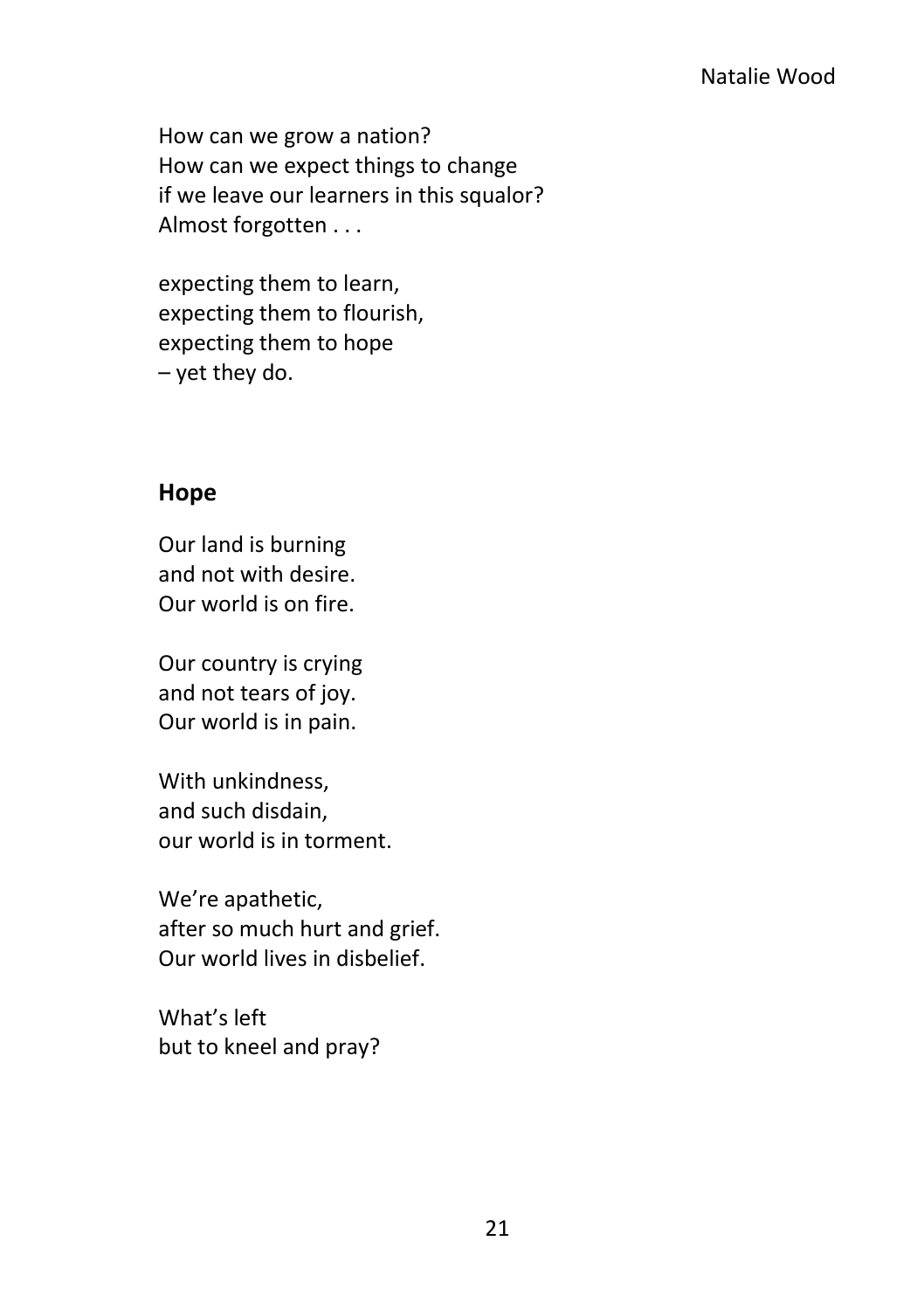#### Natalie Wood

How can we grow a nation? How can we expect things to change if we leave our learners in this squalor? Almost forgotten . . .

expecting them to learn, expecting them to flourish, expecting them to hope – yet they do.

#### <span id="page-28-0"></span>**Hope**

Our land is burning and not with desire. Our world is on fire.

Our country is crying and not tears of joy. Our world is in pain.

With unkindness, and such disdain, our world is in torment.

We're apathetic, after so much hurt and grief. Our world lives in disbelief.

What's left but to kneel and pray?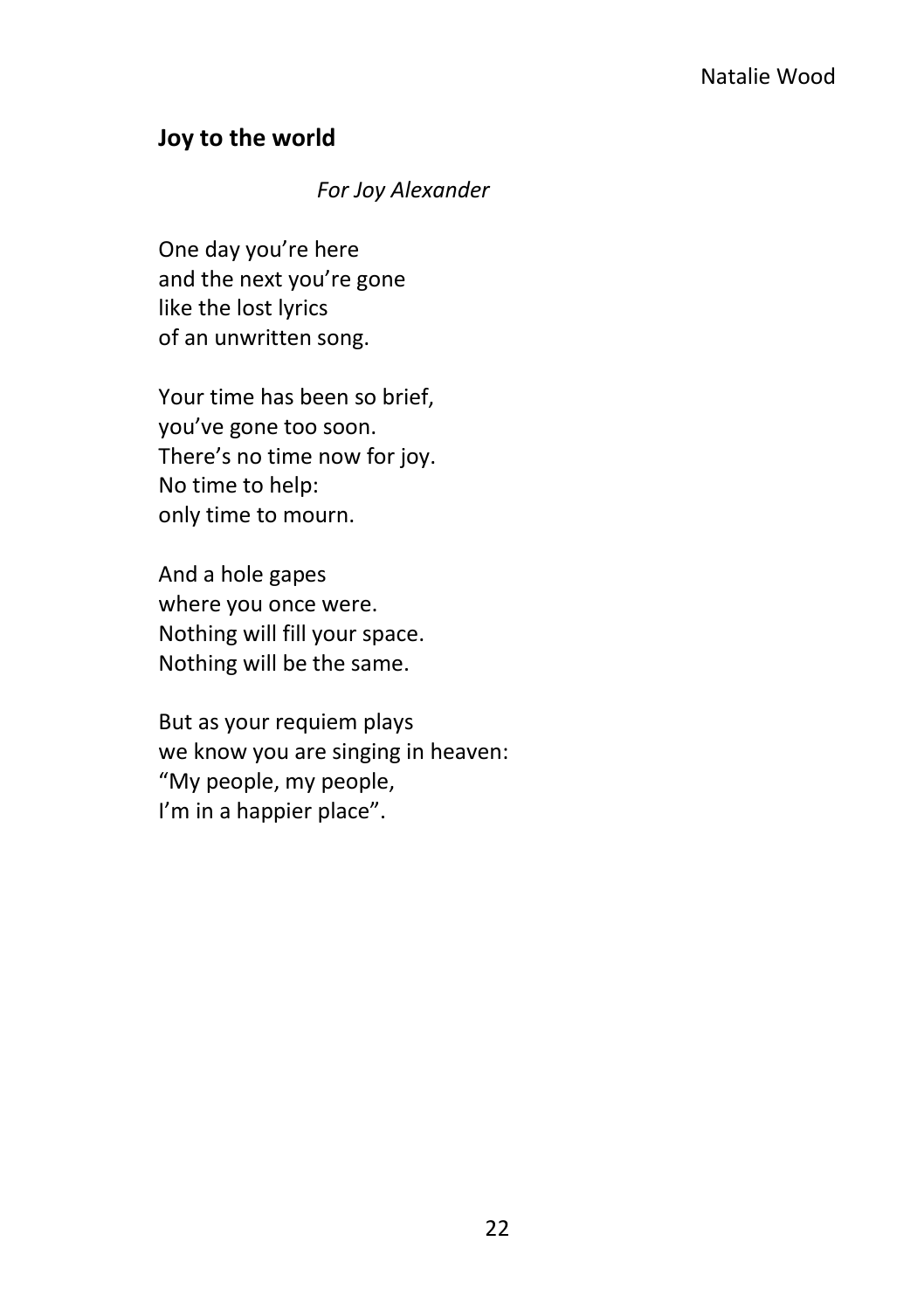### <span id="page-29-0"></span>**Joy to the world**

#### *For Joy Alexander*

One day you're here and the next you're gone like the lost lyrics of an unwritten song.

Your time has been so brief, you've gone too soon. There's no time now for joy. No time to help: only time to mourn.

And a hole gapes where you once were. Nothing will fill your space. Nothing will be the same.

But as your requiem plays we know you are singing in heaven: "My people, my people, I'm in a happier place".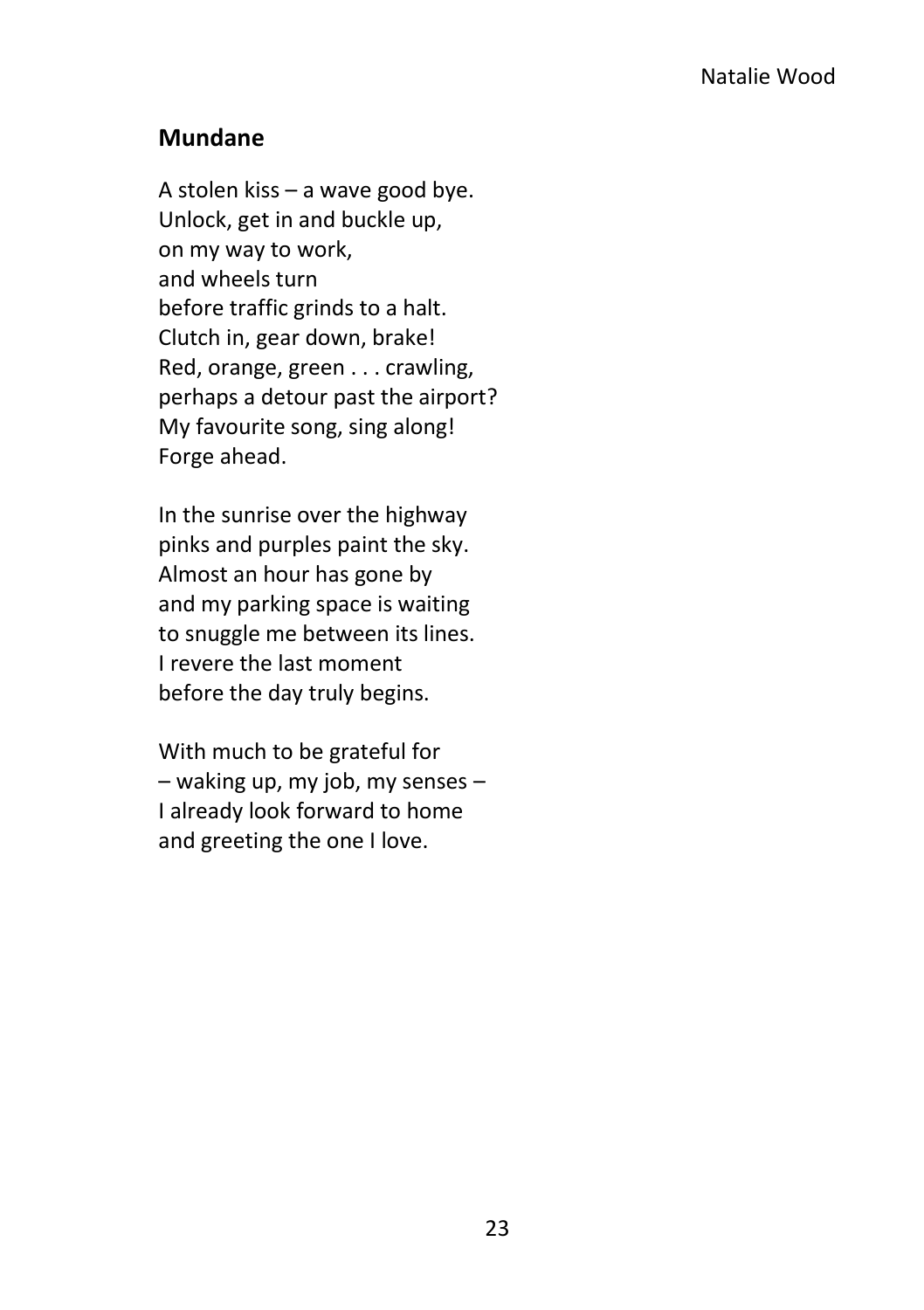### <span id="page-30-0"></span>**Mundane**

A stolen kiss – a wave good bye. Unlock, get in and buckle up, on my way to work, and wheels turn before traffic grinds to a halt. Clutch in, gear down, brake! Red, orange, green . . . crawling, perhaps a detour past the airport? My favourite song, sing along! Forge ahead.

In the sunrise over the highway pinks and purples paint the sky. Almost an hour has gone by and my parking space is waiting to snuggle me between its lines. I revere the last moment before the day truly begins.

With much to be grateful for – waking up, my job, my senses – I already look forward to home and greeting the one I love.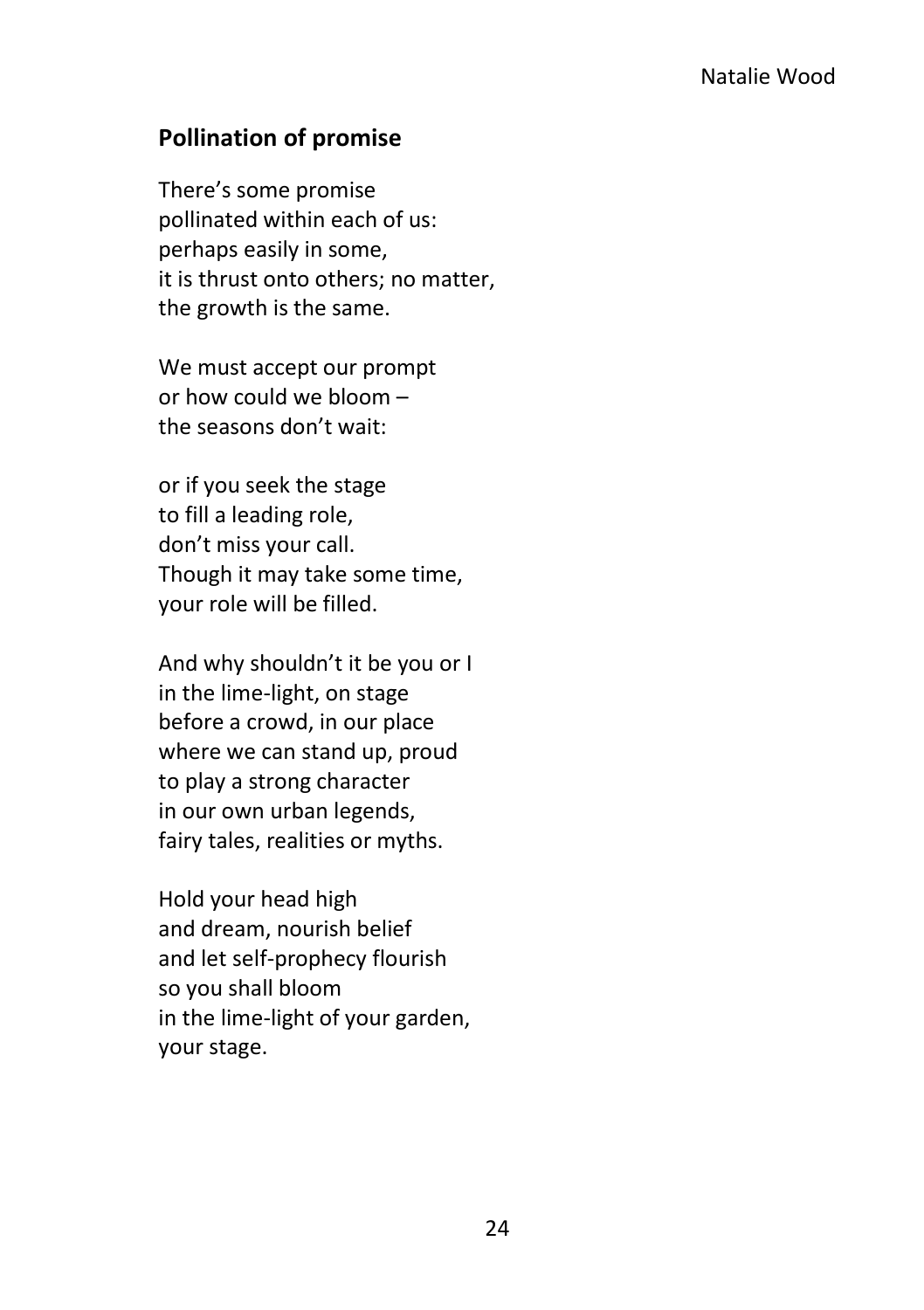### <span id="page-31-0"></span>**Pollination of promise**

There's some promise pollinated within each of us: perhaps easily in some, it is thrust onto others; no matter, the growth is the same.

We must accept our prompt or how could we bloom – the seasons don't wait:

or if you seek the stage to fill a leading role, don't miss your call. Though it may take some time, your role will be filled.

And why shouldn't it be you or I in the lime-light, on stage before a crowd, in our place where we can stand up, proud to play a strong character in our own urban legends, fairy tales, realities or myths.

Hold your head high and dream, nourish belief and let self-prophecy flourish so you shall bloom in the lime-light of your garden, your stage.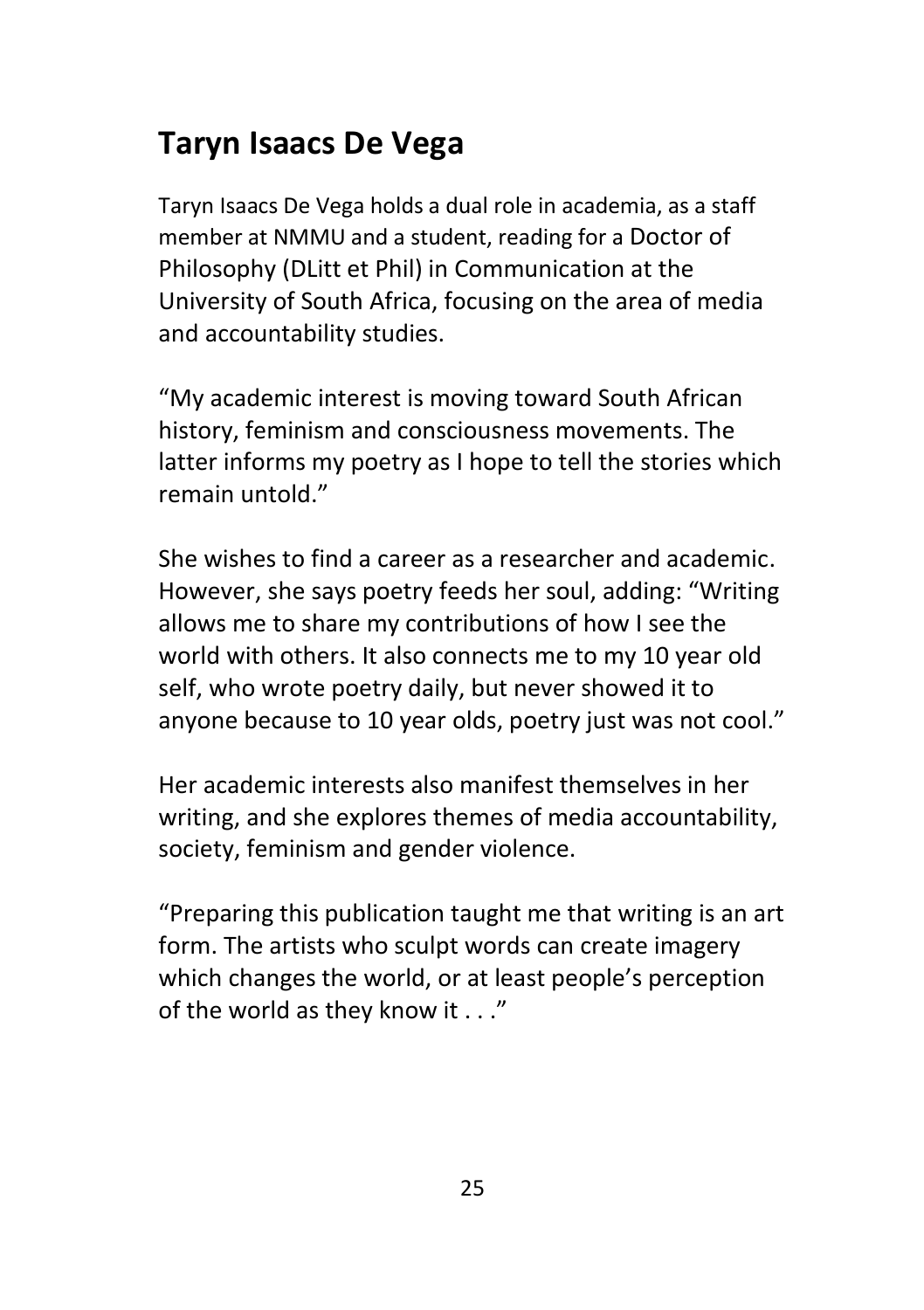### <span id="page-32-0"></span>**Taryn Isaacs De Vega**

Taryn Isaacs De Vega holds a dual role in academia, as a staff member at NMMU and a student, reading for a Doctor of Philosophy (DLitt et Phil) in Communication at the University of South Africa, focusing on the area of media and accountability studies.

"My academic interest is moving toward South African history, feminism and consciousness movements. The latter informs my poetry as I hope to tell the stories which remain untold."

She wishes to find a career as a researcher and academic. However, she says poetry feeds her soul, adding: "Writing allows me to share my contributions of how I see the world with others. It also connects me to my 10 year old self, who wrote poetry daily, but never showed it to anyone because to 10 year olds, poetry just was not cool."

Her academic interests also manifest themselves in her writing, and she explores themes of media accountability, society, feminism and gender violence.

"Preparing this publication taught me that writing is an art form. The artists who sculpt words can create imagery which changes the world, or at least people's perception of the world as they know it . . ."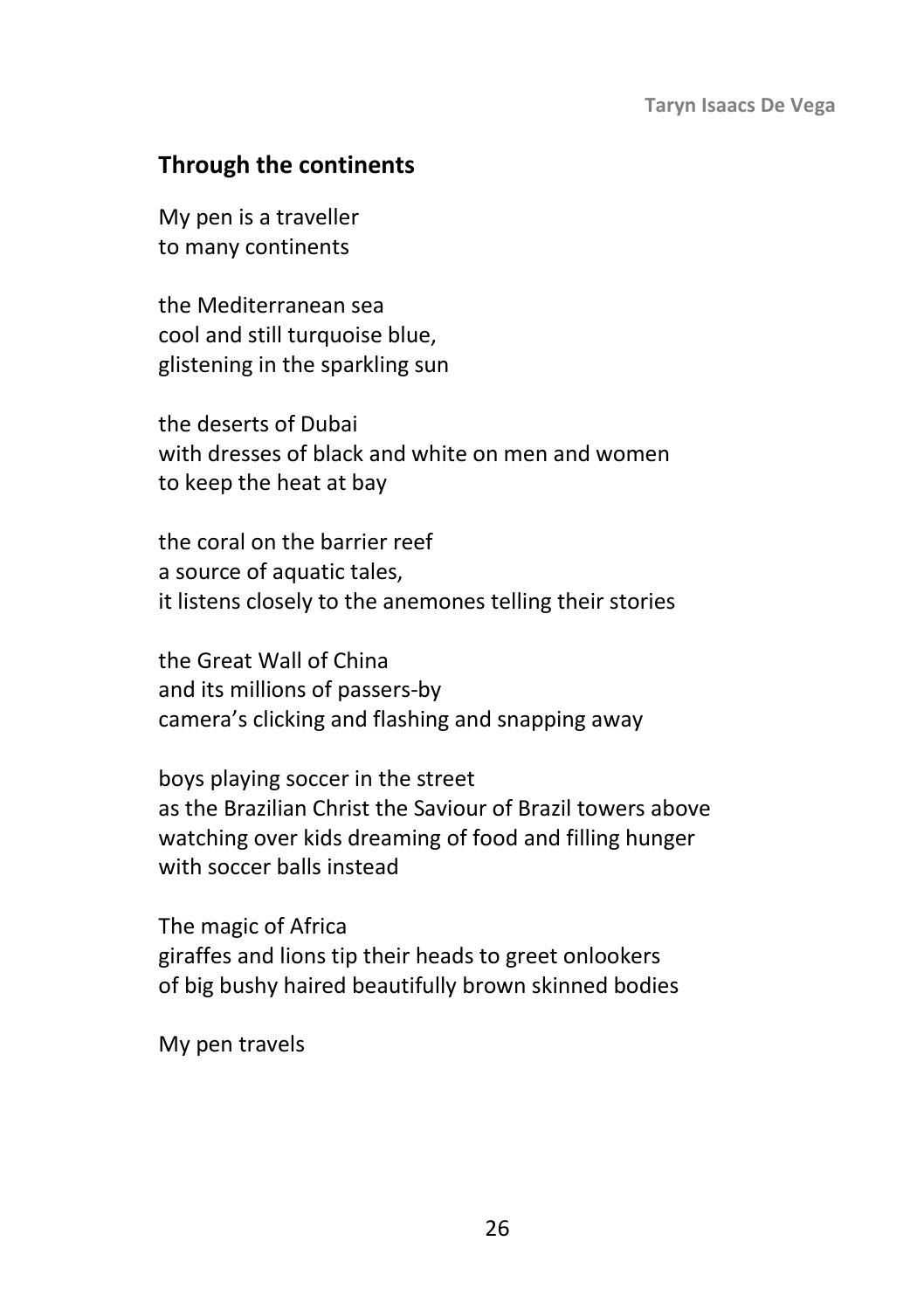### <span id="page-33-0"></span>**Through the continents**

My pen is a traveller to many continents

the Mediterranean sea cool and still turquoise blue, glistening in the sparkling sun

the deserts of Dubai with dresses of black and white on men and women to keep the heat at bay

the coral on the barrier reef a source of aquatic tales, it listens closely to the anemones telling their stories

the Great Wall of China and its millions of passers-by camera's clicking and flashing and snapping away

boys playing soccer in the street as the Brazilian Christ the Saviour of Brazil towers above watching over kids dreaming of food and filling hunger with soccer balls instead

The magic of Africa giraffes and lions tip their heads to greet onlookers of big bushy haired beautifully brown skinned bodies

My pen travels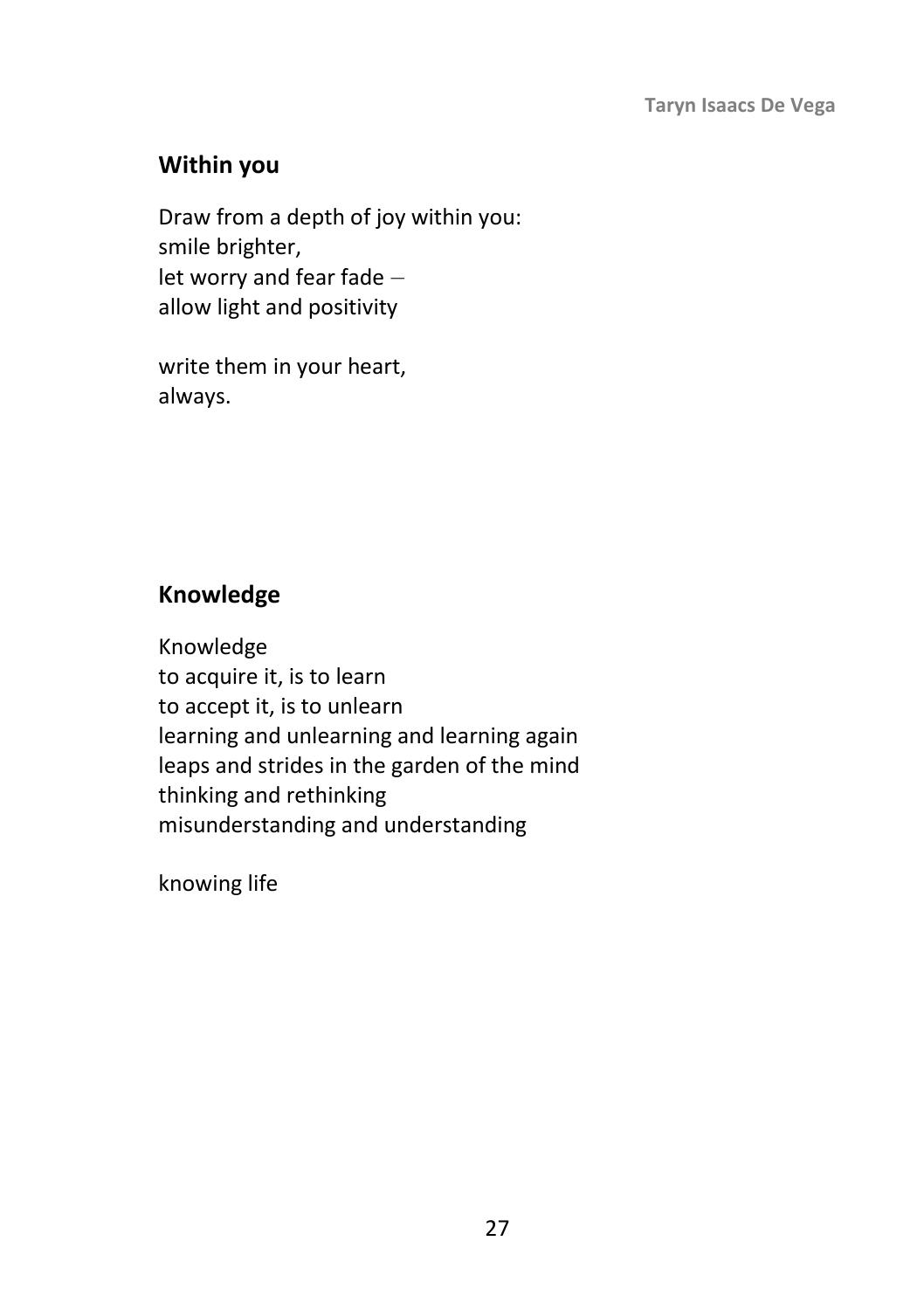### <span id="page-34-0"></span>**Within you**

Draw from a depth of joy within you: smile brighter, let worry and fear fade – allow light and positivity

write them in your heart, always.

### <span id="page-34-1"></span>**Knowledge**

Knowledge to acquire it, is to learn to accept it, is to unlearn learning and unlearning and learning again leaps and strides in the garden of the mind thinking and rethinking misunderstanding and understanding

knowing life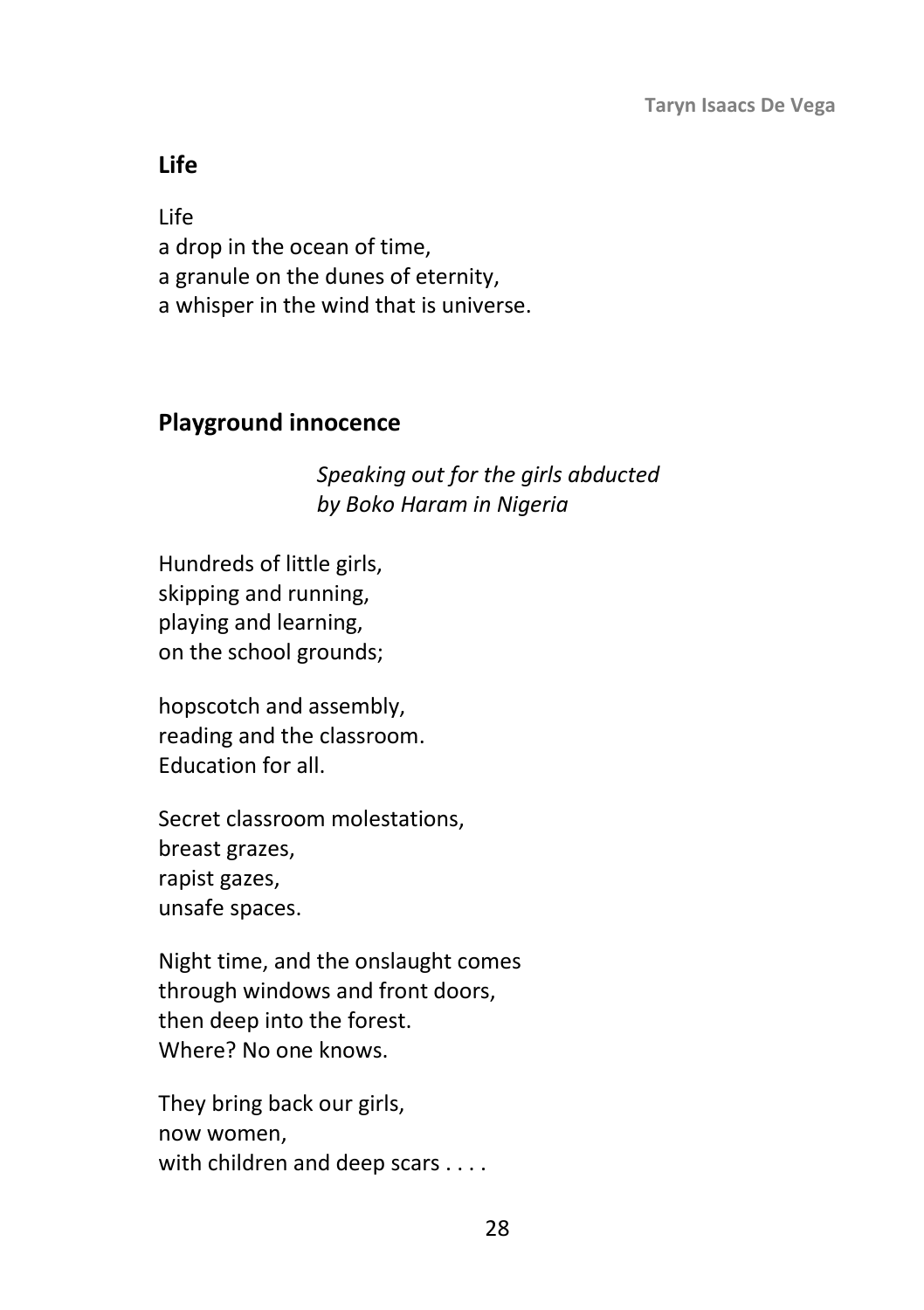### <span id="page-35-0"></span>**Life**

Life a drop in the ocean of time, a granule on the dunes of eternity, a whisper in the wind that is universe.

### <span id="page-35-1"></span>**Playground innocence**

*Speaking out for the girls abducted by Boko Haram in Nigeria* 

Hundreds of little girls, skipping and running, playing and learning, on the school grounds;

hopscotch and assembly, reading and the classroom. Education for all.

Secret classroom molestations, breast grazes, rapist gazes, unsafe spaces.

Night time, and the onslaught comes through windows and front doors, then deep into the forest. Where? No one knows.

They bring back our girls, now women, with children and deep scars . . . .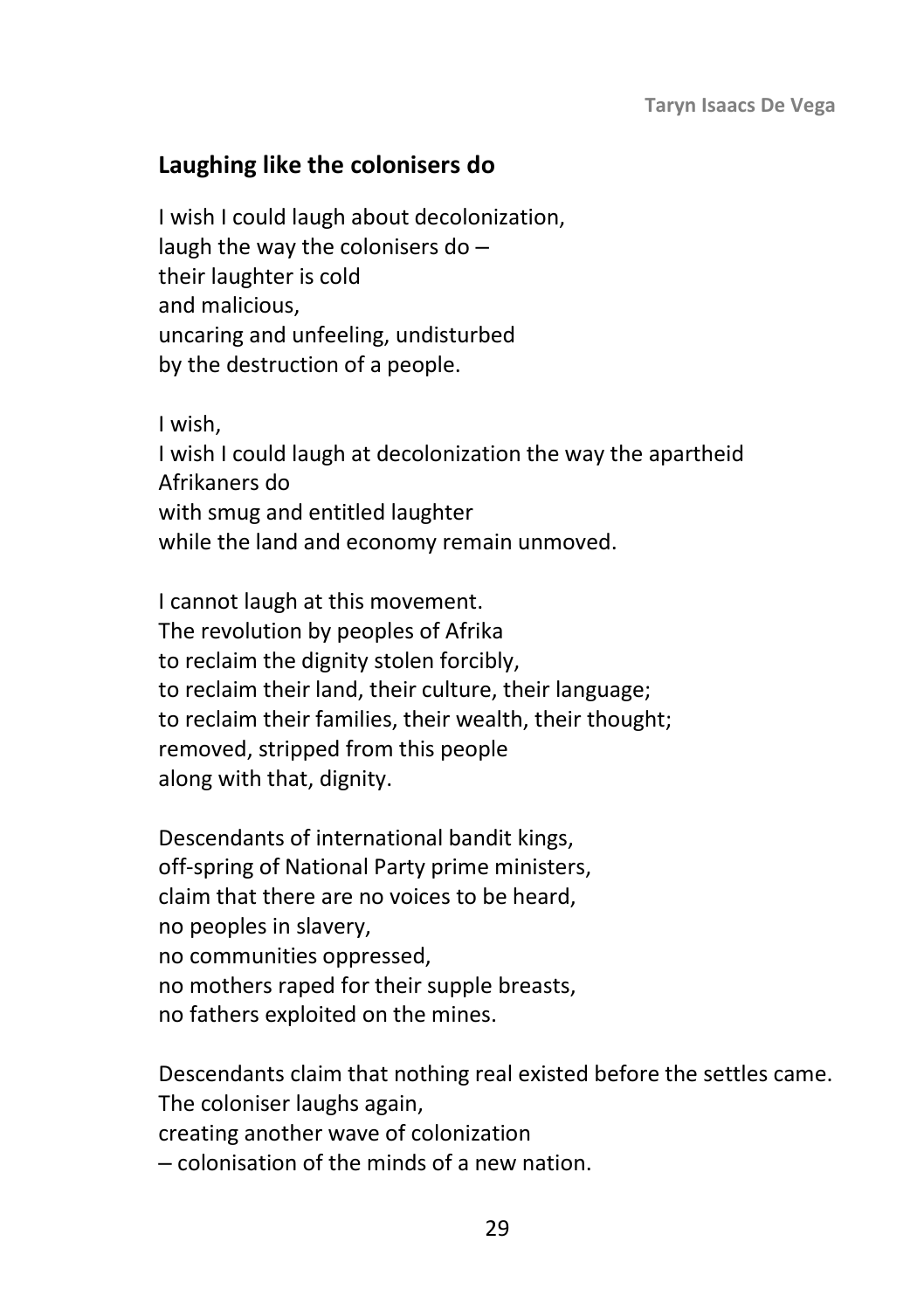### **Laughing like the colonisers do**

I wish I could laugh about decolonization, laugh the way the colonisers do  $$ their laughter is cold and malicious, uncaring and unfeeling, undisturbed by the destruction of a people.

I wish, I wish I could laugh at decolonization the way the apartheid Afrikaners do with smug and entitled laughter while the land and economy remain unmoved.

I cannot laugh at this movement. The revolution by peoples of Afrika to reclaim the dignity stolen forcibly, to reclaim their land, their culture, their language; to reclaim their families, their wealth, their thought; removed, stripped from this people along with that, dignity.

Descendants of international bandit kings, off-spring of National Party prime ministers, claim that there are no voices to be heard, no peoples in slavery, no communities oppressed, no mothers raped for their supple breasts, no fathers exploited on the mines.

Descendants claim that nothing real existed before the settles came. The coloniser laughs again, creating another wave of colonization ‒ colonisation of the minds of a new nation.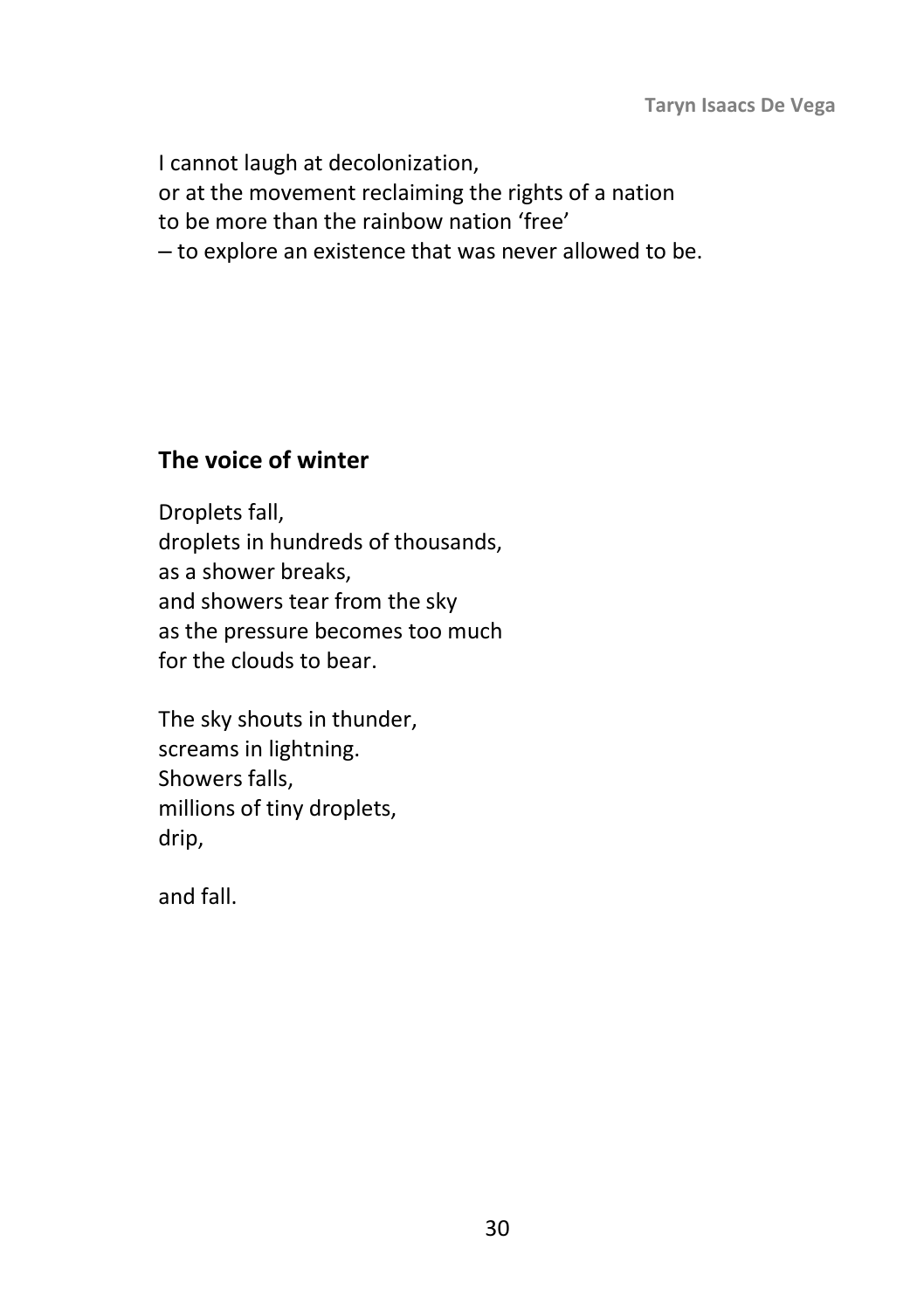I cannot laugh at decolonization, or at the movement reclaiming the rights of a nation to be more than the rainbow nation 'free' ‒ to explore an existence that was never allowed to be.

# **The voice of winter**

Droplets fall, droplets in hundreds of thousands, as a shower breaks, and showers tear from the sky as the pressure becomes too much for the clouds to bear.

The sky shouts in thunder, screams in lightning. Showers falls, millions of tiny droplets, drip,

and fall.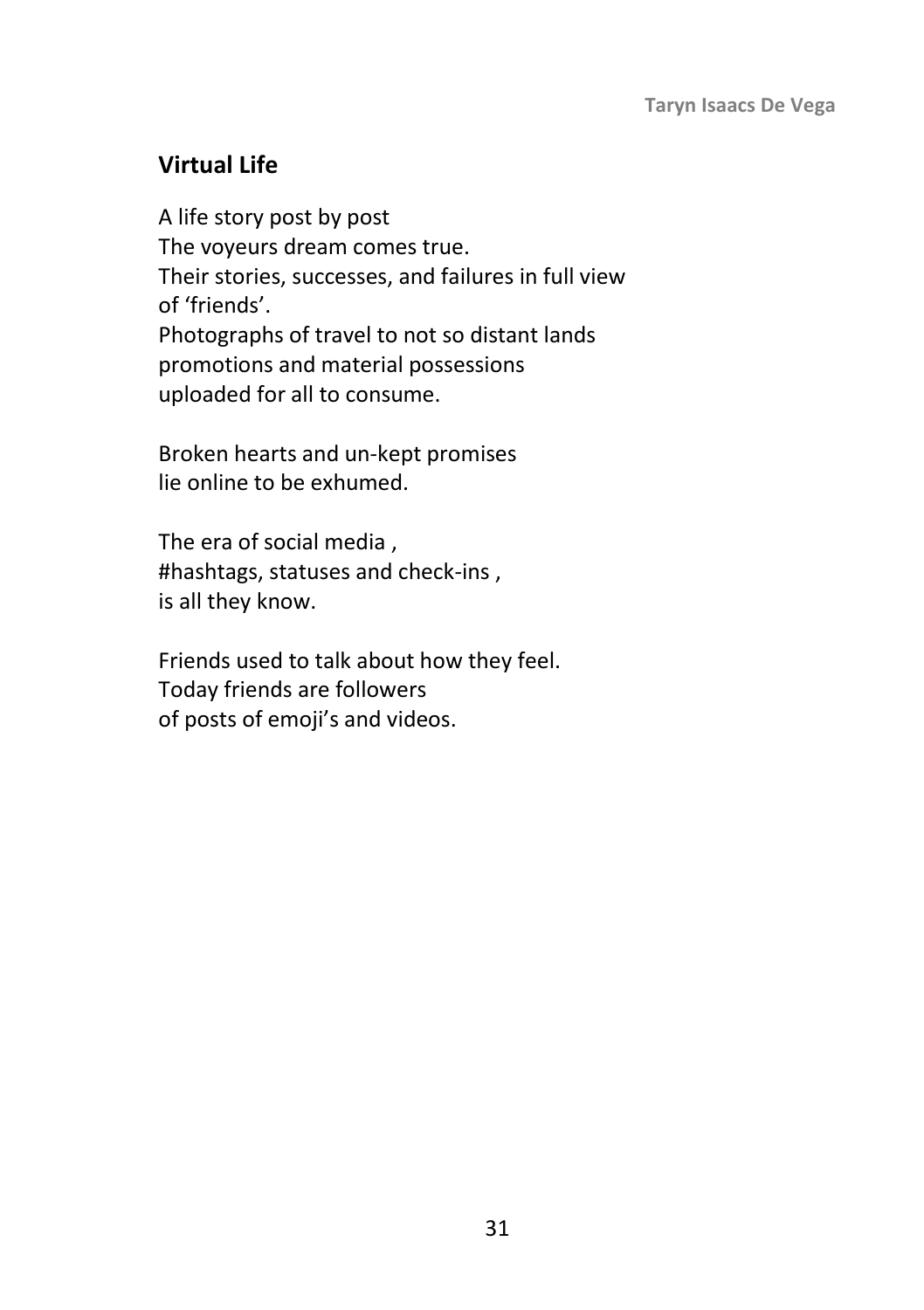## **Virtual Life**

A life story post by post The voyeurs dream comes true. Their stories, successes, and failures in full view of 'friends'. Photographs of travel to not so distant lands promotions and material possessions uploaded for all to consume.

Broken hearts and un-kept promises lie online to be exhumed.

The era of social media , #hashtags, statuses and check-ins , is all they know.

Friends used to talk about how they feel. Today friends are followers of posts of emoji's and videos.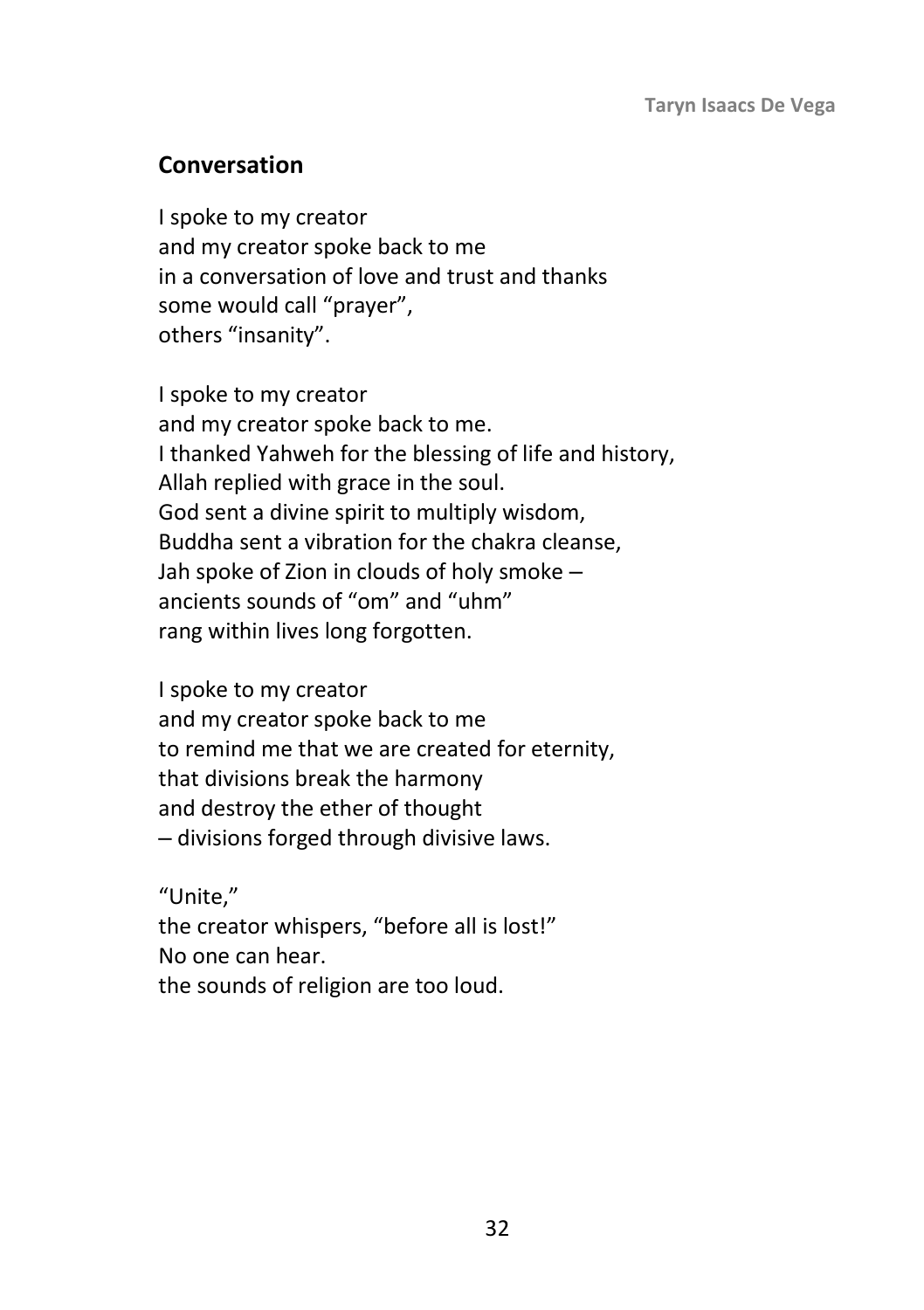## **Conversation**

I spoke to my creator and my creator spoke back to me in a conversation of love and trust and thanks some would call "prayer", others "insanity".

I spoke to my creator and my creator spoke back to me. I thanked Yahweh for the blessing of life and history, Allah replied with grace in the soul. God sent a divine spirit to multiply wisdom, Buddha sent a vibration for the chakra cleanse, Jah spoke of Zion in clouds of holy smoke  $$ ancients sounds of "om" and "uhm" rang within lives long forgotten.

I spoke to my creator and my creator spoke back to me to remind me that we are created for eternity, that divisions break the harmony and destroy the ether of thought ‒ divisions forged through divisive laws.

"Unite,"

the creator whispers, "before all is lost!" No one can hear. the sounds of religion are too loud.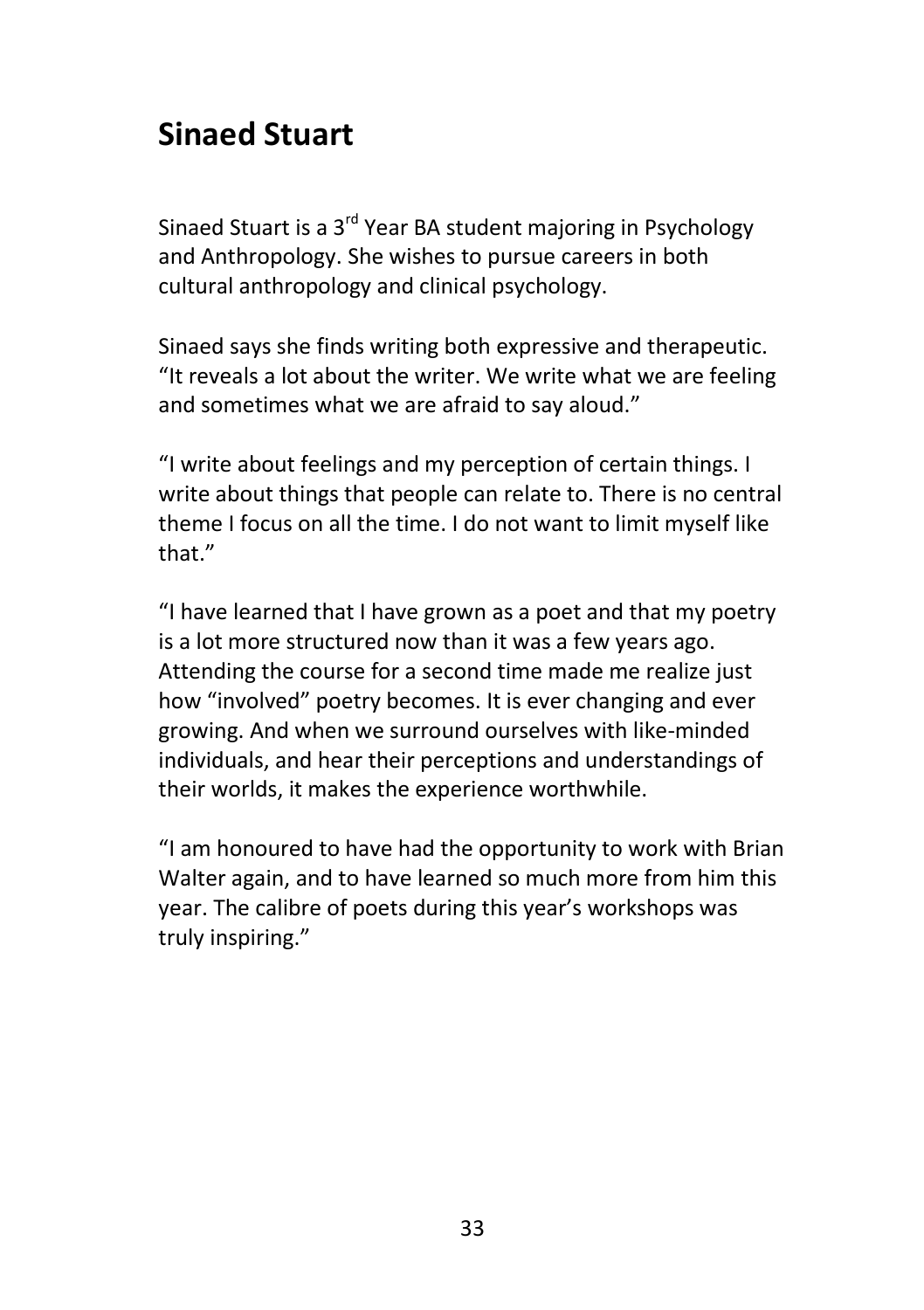# **Sinaed Stuart**

Sinaed Stuart is a 3<sup>rd</sup> Year BA student majoring in Psychology and Anthropology. She wishes to pursue careers in both cultural anthropology and clinical psychology.

Sinaed says she finds writing both expressive and therapeutic. "It reveals a lot about the writer. We write what we are feeling and sometimes what we are afraid to say aloud."

"I write about feelings and my perception of certain things. I write about things that people can relate to. There is no central theme I focus on all the time. I do not want to limit myself like that."

"I have learned that I have grown as a poet and that my poetry is a lot more structured now than it was a few years ago. Attending the course for a second time made me realize just how "involved" poetry becomes. It is ever changing and ever growing. And when we surround ourselves with like-minded individuals, and hear their perceptions and understandings of their worlds, it makes the experience worthwhile.

"I am honoured to have had the opportunity to work with Brian Walter again, and to have learned so much more from him this year. The calibre of poets during this year's workshops was truly inspiring."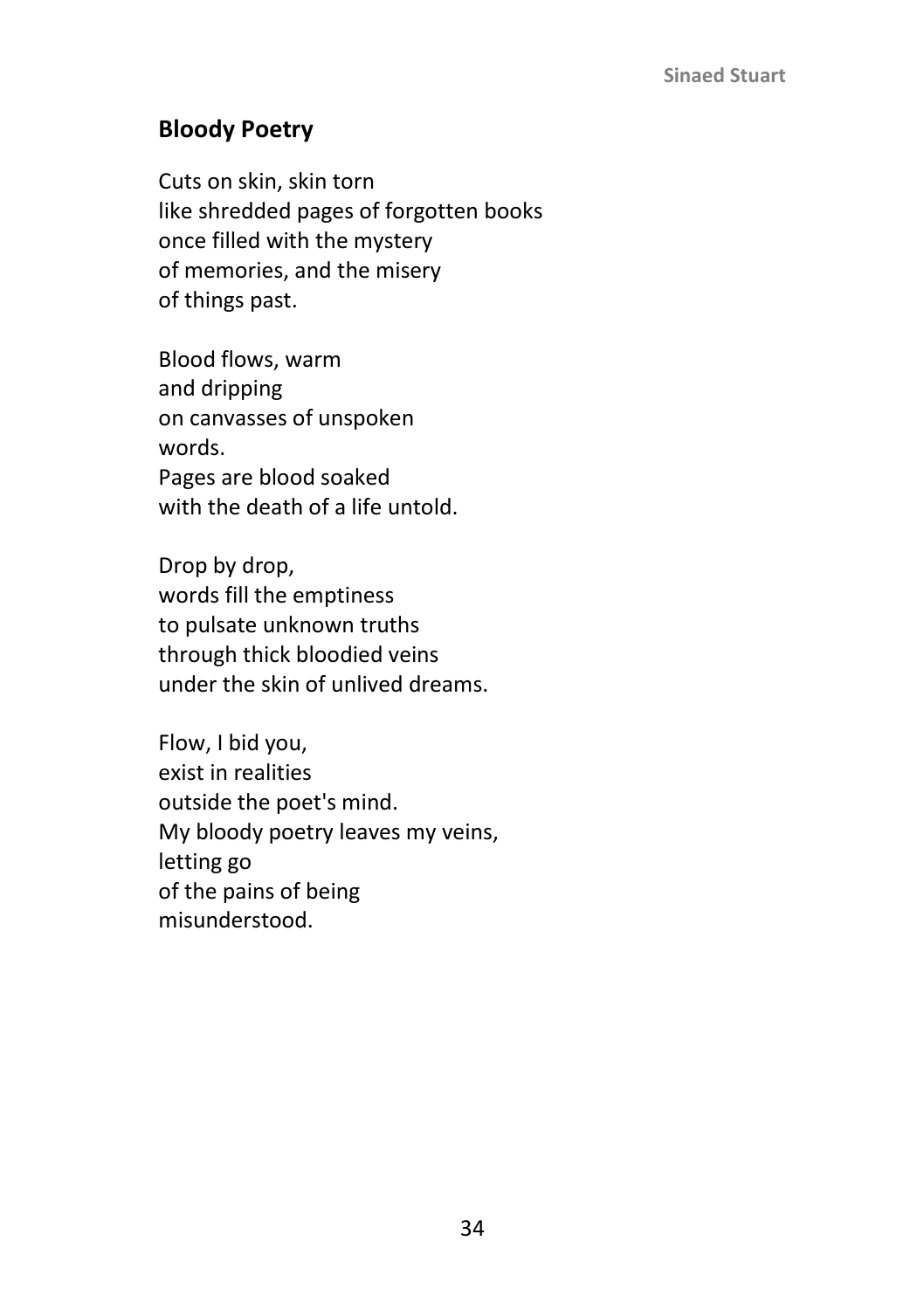## **Bloody Poetry**

Cuts on skin, skin torn like shredded pages of forgotten books once filled with the mystery of memories, and the misery of things past.

Blood flows, warm and dripping on canvasses of unspoken words. Pages are blood soaked with the death of a life untold.

Drop by drop, words fill the emptiness to pulsate unknown truths through thick bloodied veins under the skin of unlived dreams.

Flow, I bid you, exist in realities outside the poet's mind. My bloody poetry leaves my veins, letting go of the pains of being misunderstood.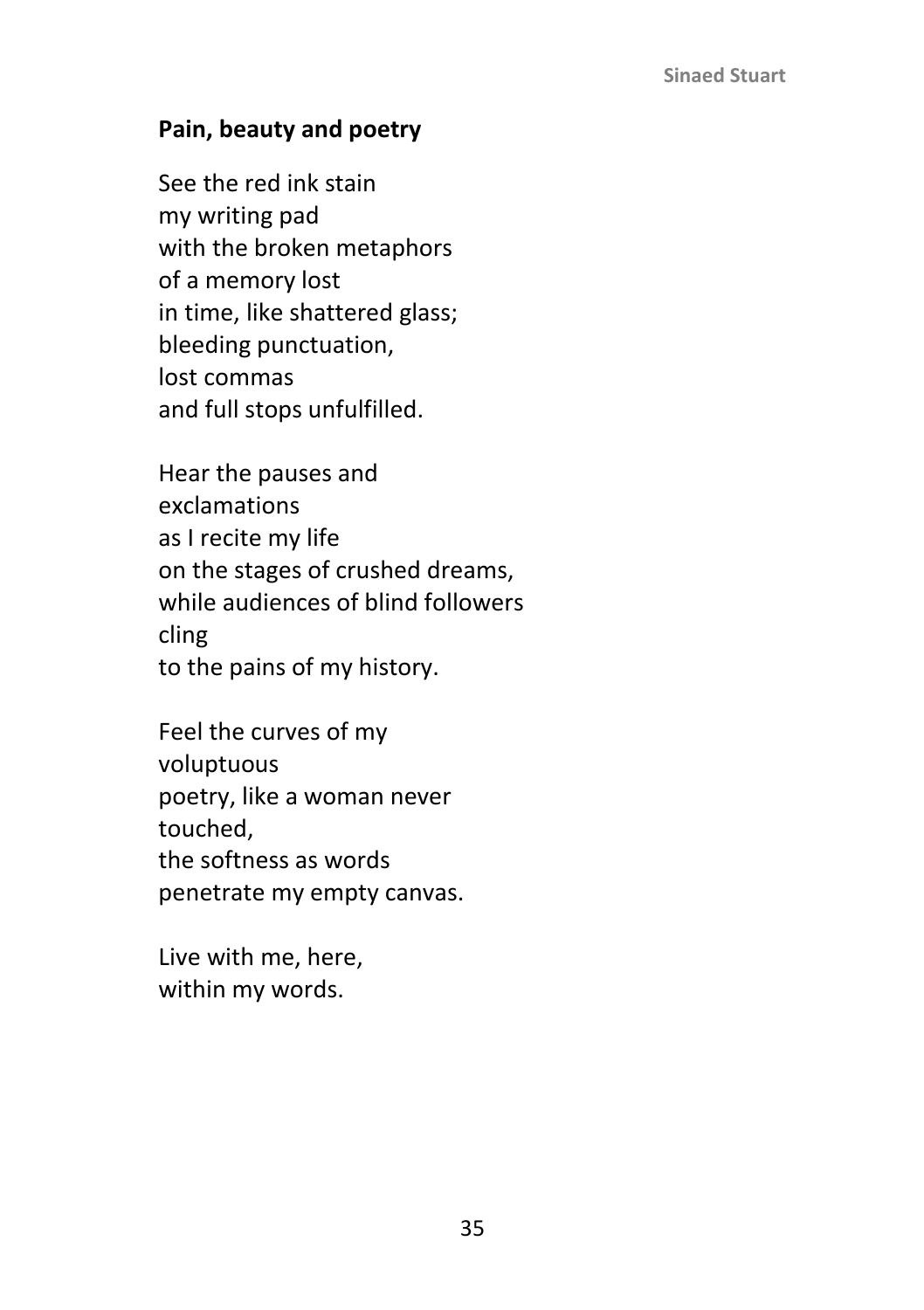### **Pain, beauty and poetry**

See the red ink stain my writing pad with the broken metaphors of a memory lost in time, like shattered glass; bleeding punctuation, lost commas and full stops unfulfilled.

Hear the pauses and exclamations as I recite my life on the stages of crushed dreams, while audiences of blind followers cling to the pains of my history.

Feel the curves of my voluptuous poetry, like a woman never touched, the softness as words penetrate my empty canvas.

Live with me, here, within my words.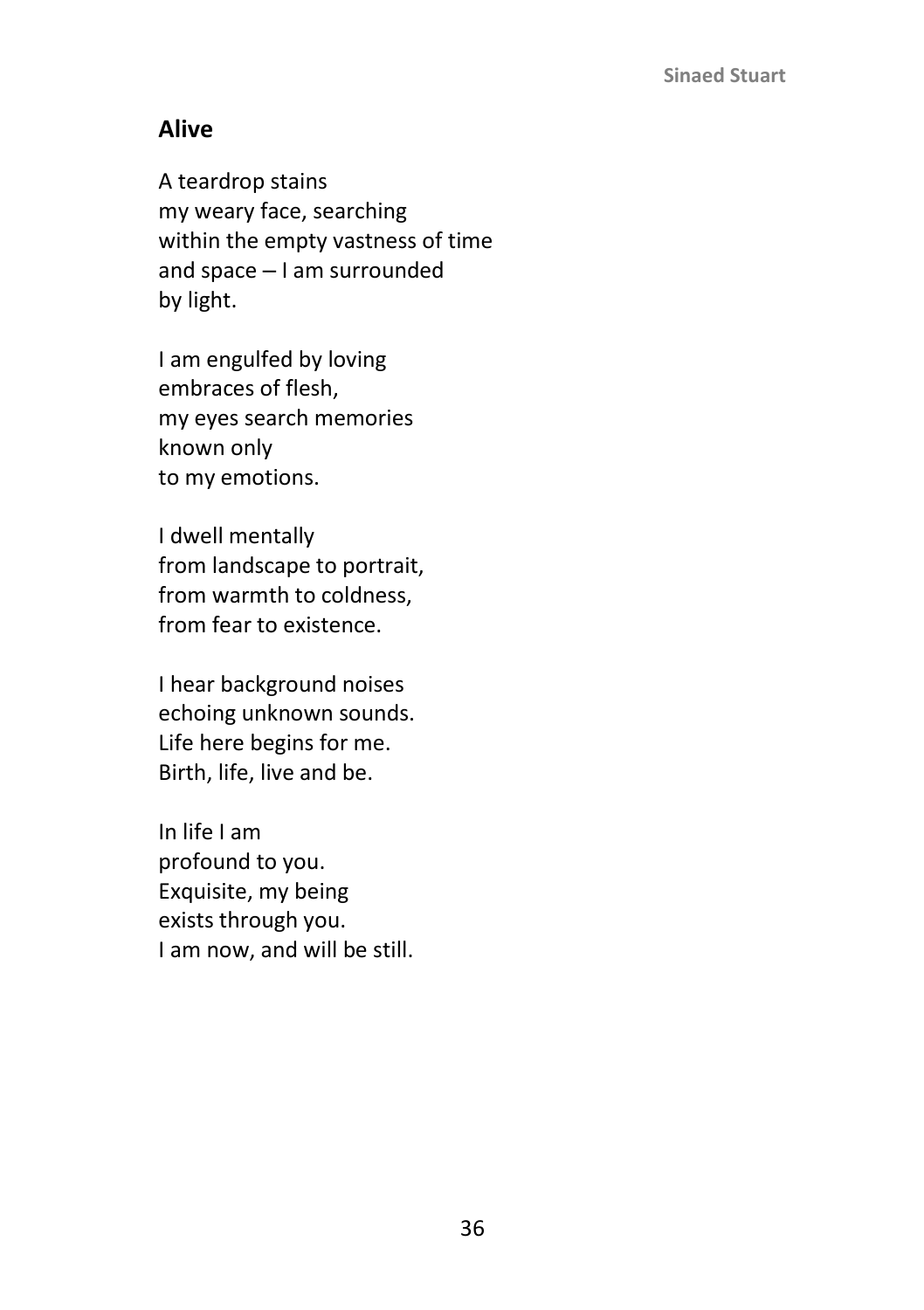### **Alive**

A teardrop stains my weary face, searching within the empty vastness of time and space  $-1$  am surrounded by light.

I am engulfed by loving embraces of flesh, my eyes search memories known only to my emotions.

I dwell mentally from landscape to portrait, from warmth to coldness, from fear to existence.

I hear background noises echoing unknown sounds. Life here begins for me. Birth, life, live and be.

In life I am profound to you. Exquisite, my being exists through you. I am now, and will be still.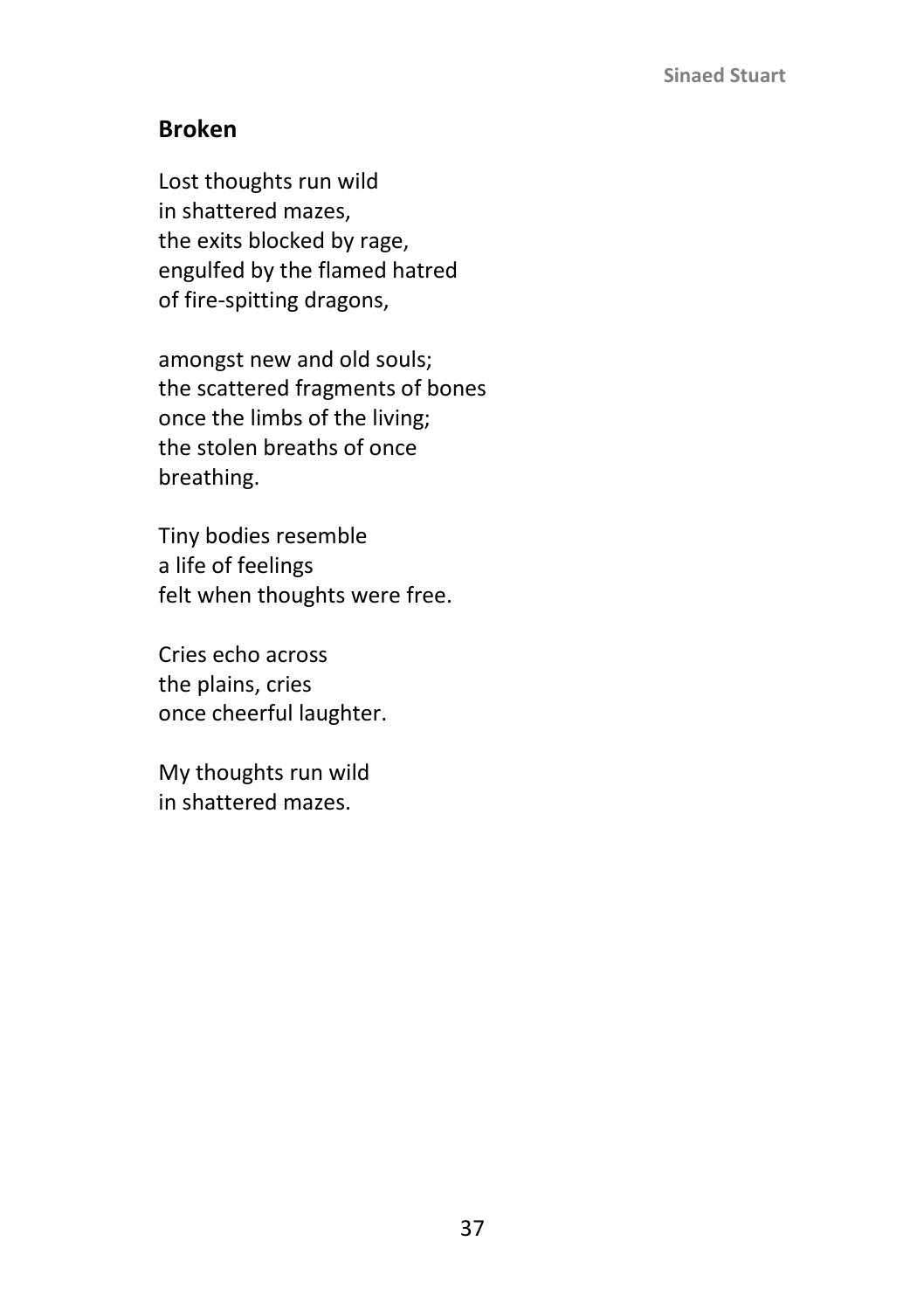### **Broken**

Lost thoughts run wild in shattered mazes, the exits blocked by rage, engulfed by the flamed hatred of fire-spitting dragons,

amongst new and old souls; the scattered fragments of bones once the limbs of the living; the stolen breaths of once breathing.

Tiny bodies resemble a life of feelings felt when thoughts were free.

Cries echo across the plains, cries once cheerful laughter.

My thoughts run wild in shattered mazes.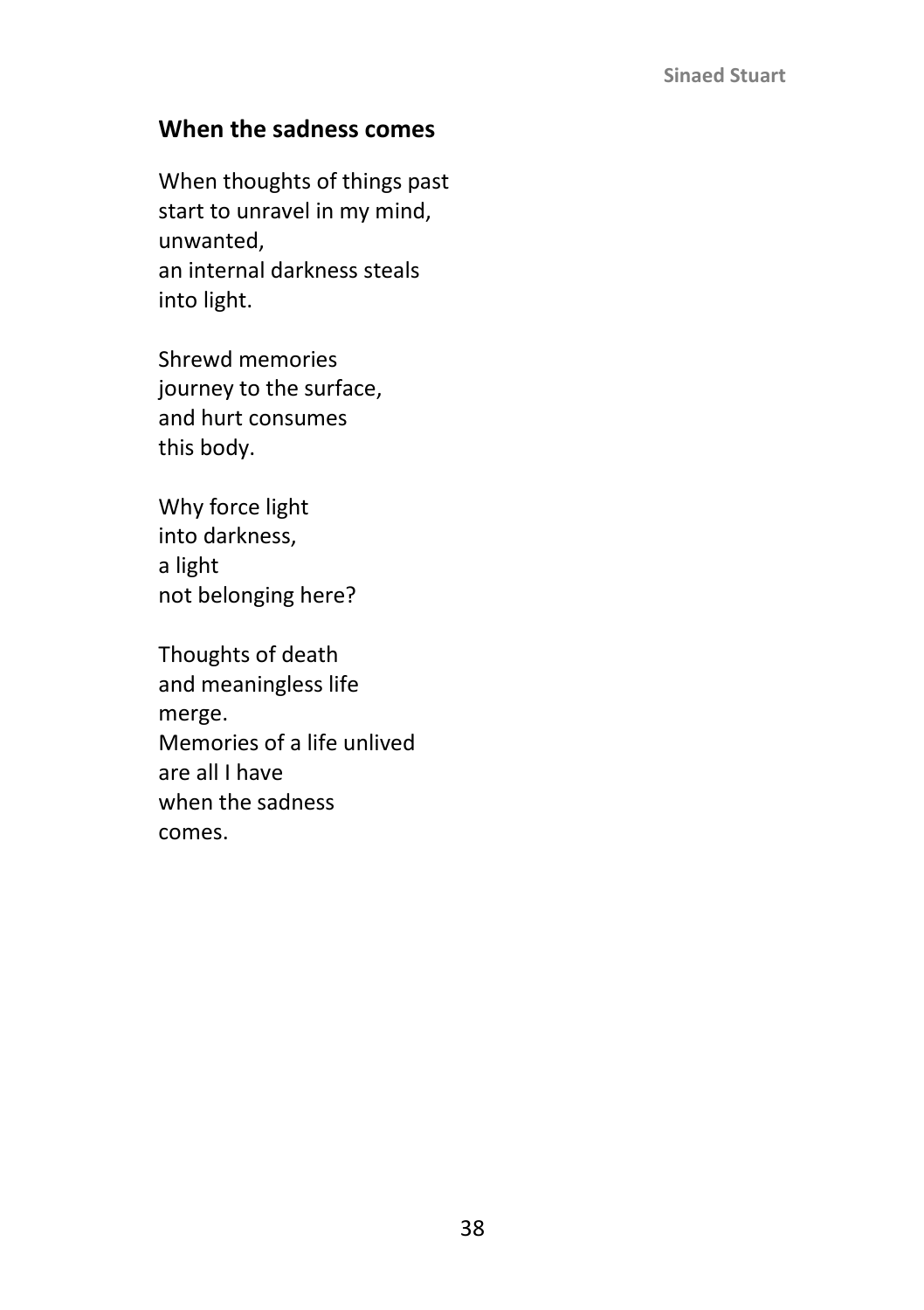### **When the sadness comes**

When thoughts of things past start to unravel in my mind, unwanted, an internal darkness steals into light.

Shrewd memories journey to the surface, and hurt consumes this body.

Why force light into darkness, a light not belonging here?

Thoughts of death and meaningless life merge. Memories of a life unlived are all I have when the sadness comes.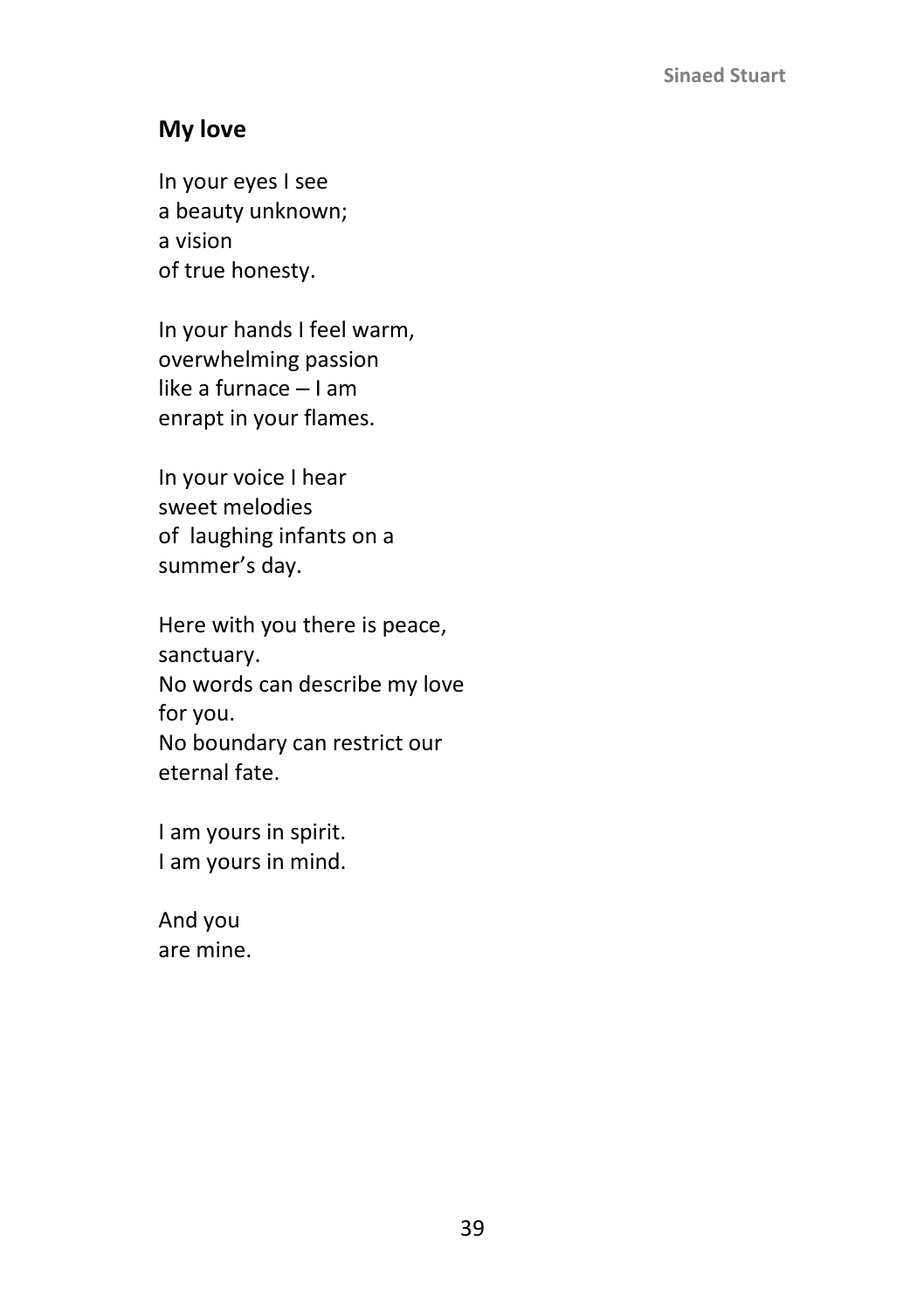### **My love**

In your eyes I see a beauty unknown; a vision of true honesty.

In your hands I feel warm, overwhelming passion like a furnace  $-1$  am enrapt in your flames.

In your voice I hear sweet melodies of laughing infants on a summer's day.

Here with you there is peace, sanctuary. No words can describe my love for you. No boundary can restrict our eternal fate.

I am yours in spirit. I am yours in mind.

And you are mine.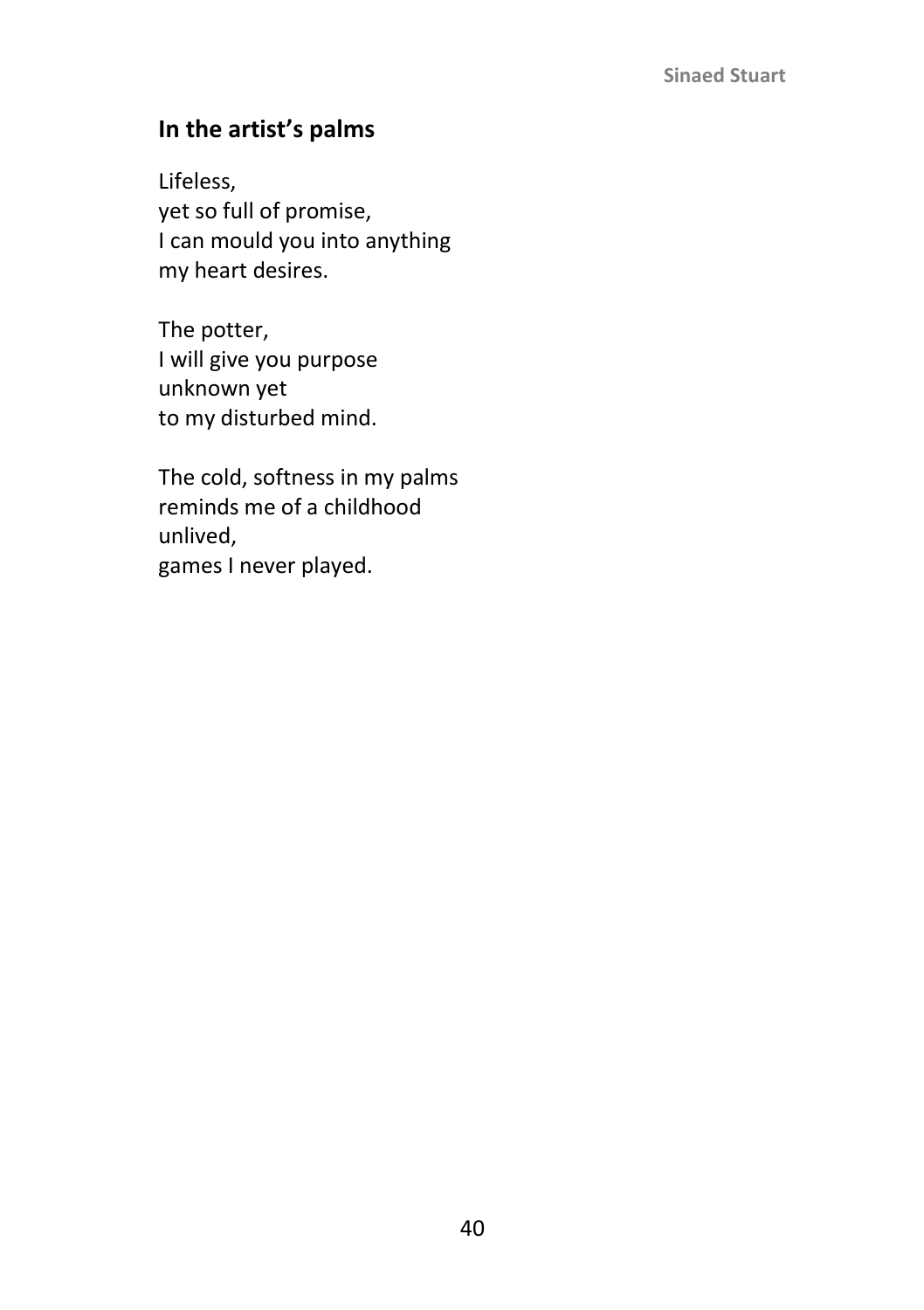### **In the artist's palms**

Lifeless, yet so full of promise, I can mould you into anything my heart desires.

The potter, I will give you purpose unknown yet to my disturbed mind.

The cold, softness in my palms reminds me of a childhood unlived, games I never played.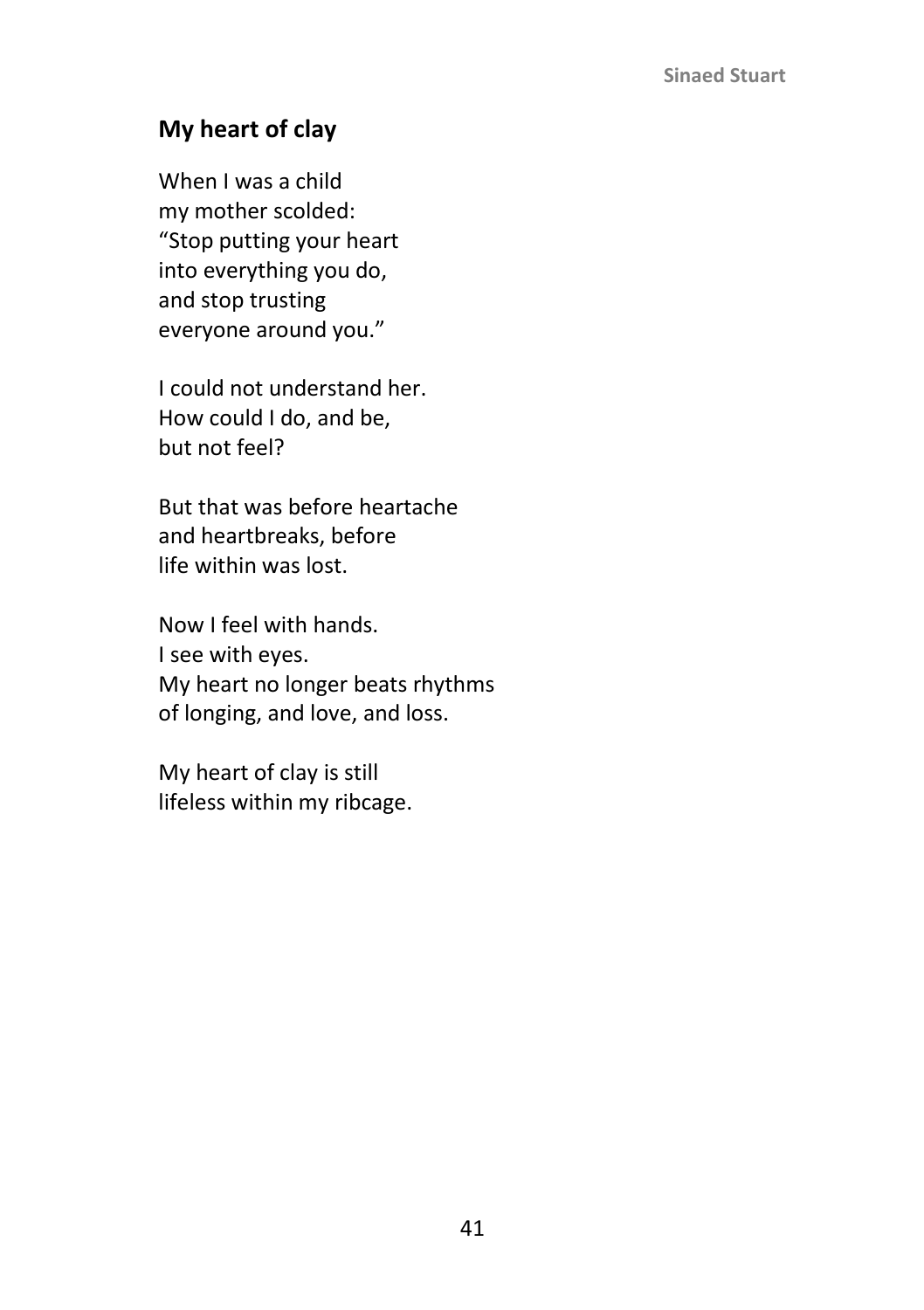## **My heart of clay**

When I was a child my mother scolded: "Stop putting your heart into everything you do, and stop trusting everyone around you."

I could not understand her. How could I do, and be, but not feel?

But that was before heartache and heartbreaks, before life within was lost.

Now I feel with hands. I see with eyes. My heart no longer beats rhythms of longing, and love, and loss.

My heart of clay is still lifeless within my ribcage.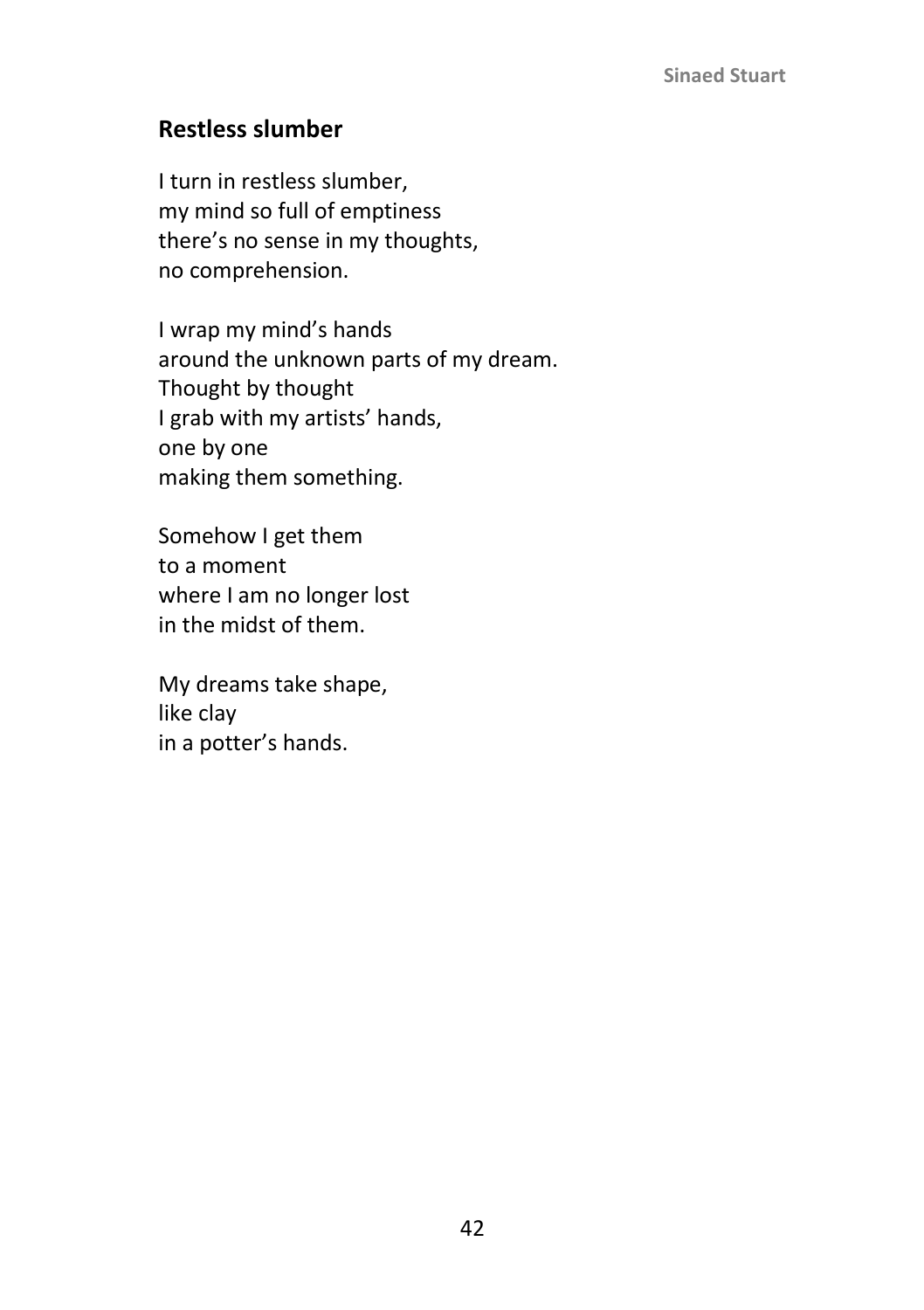### **Restless slumber**

I turn in restless slumber, my mind so full of emptiness there's no sense in my thoughts, no comprehension.

I wrap my mind's hands around the unknown parts of my dream. Thought by thought I grab with my artists' hands, one by one making them something.

Somehow I get them to a moment where I am no longer lost in the midst of them.

My dreams take shape, like clay in a potter's hands.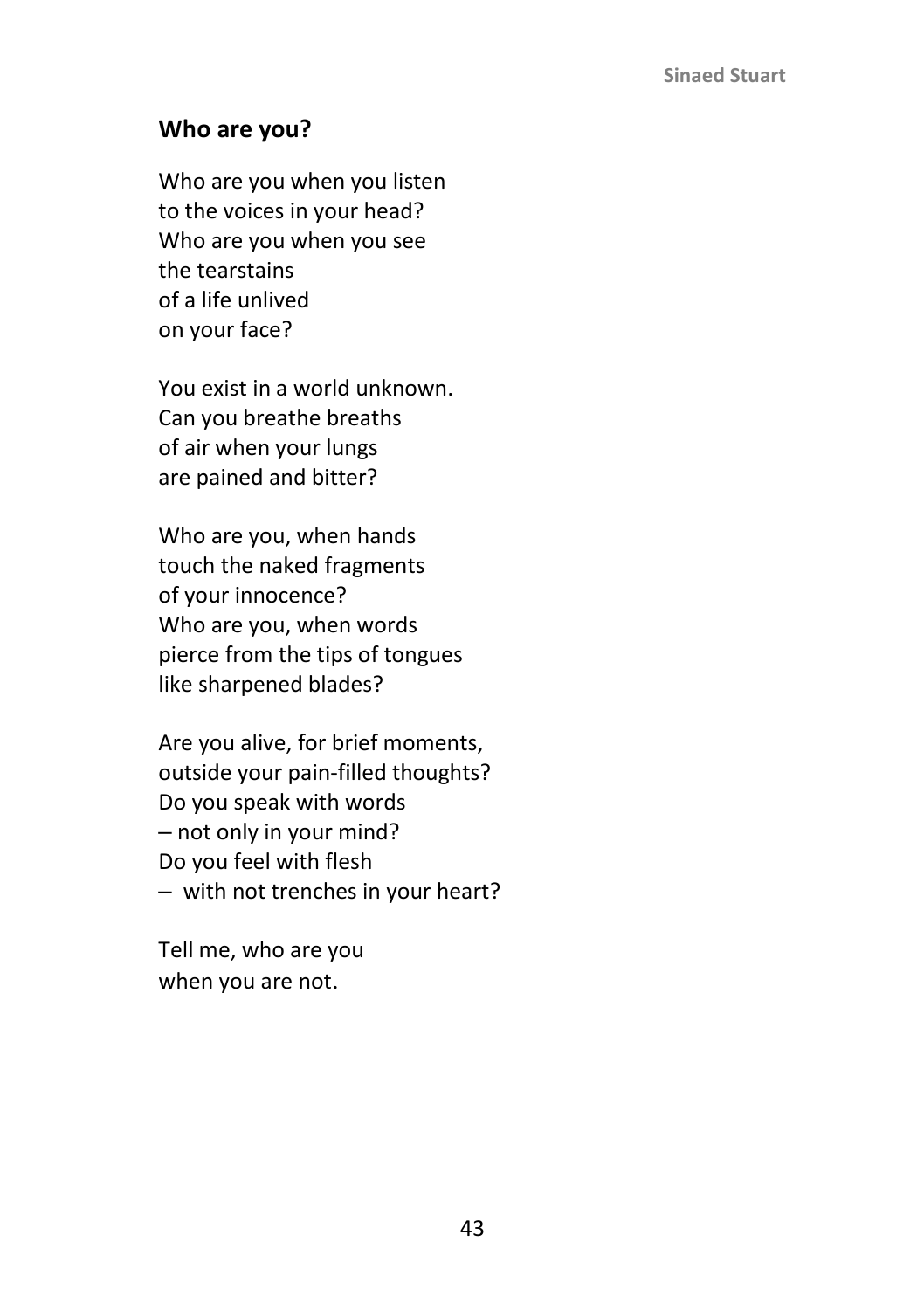### **Who are you?**

Who are you when you listen to the voices in your head? Who are you when you see the tearstains of a life unlived on your face?

You exist in a world unknown. Can you breathe breaths of air when your lungs are pained and bitter?

Who are you, when hands touch the naked fragments of your innocence? Who are you, when words pierce from the tips of tongues like sharpened blades?

Are you alive, for brief moments, outside your pain-filled thoughts? Do you speak with words ‒ not only in your mind? Do you feel with flesh - with not trenches in your heart?

Tell me, who are you when you are not.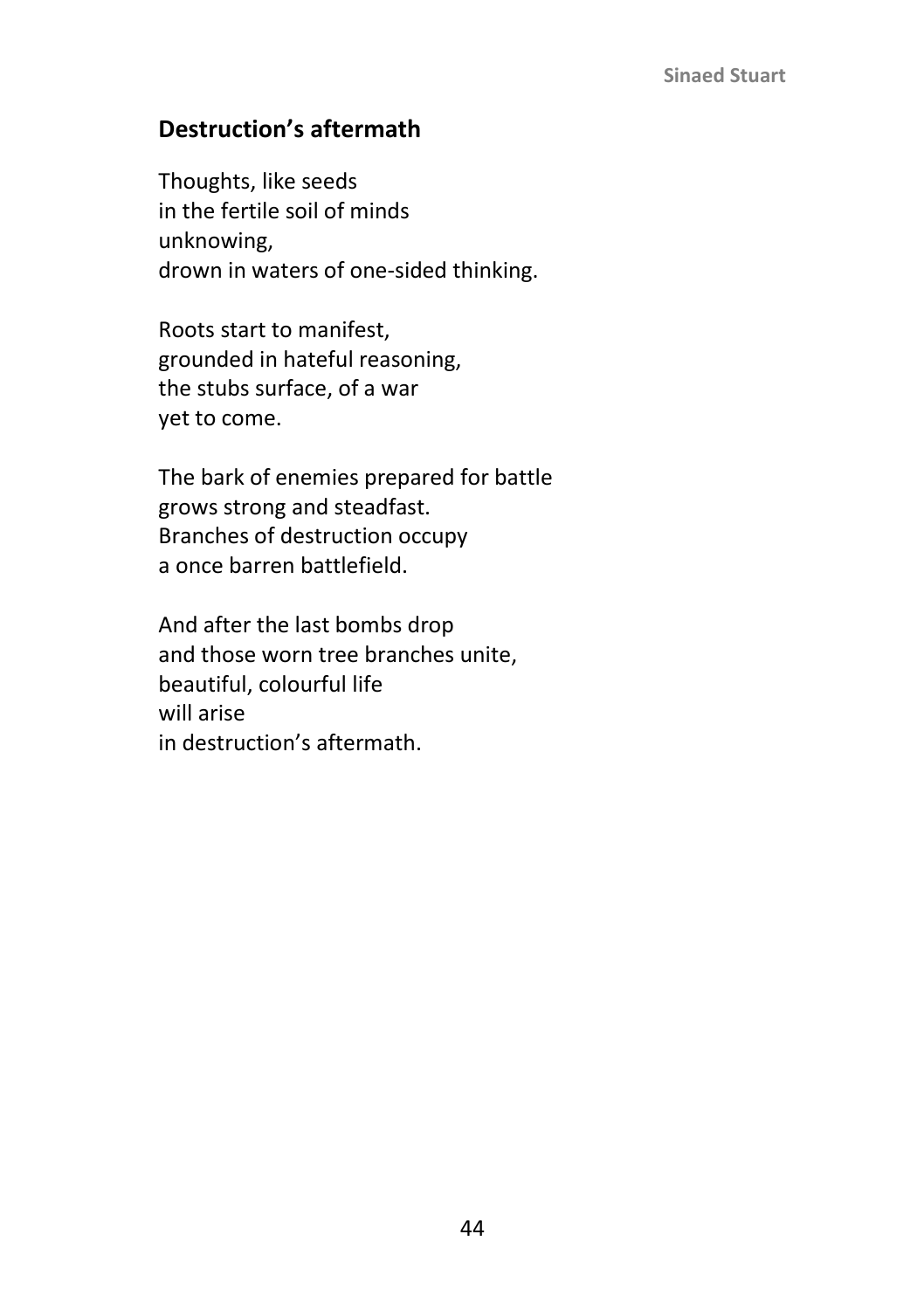### **Destruction's aftermath**

Thoughts, like seeds in the fertile soil of minds unknowing, drown in waters of one-sided thinking.

Roots start to manifest, grounded in hateful reasoning, the stubs surface, of a war yet to come.

The bark of enemies prepared for battle grows strong and steadfast. Branches of destruction occupy a once barren battlefield.

And after the last bombs drop and those worn tree branches unite, beautiful, colourful life will arise in destruction's aftermath.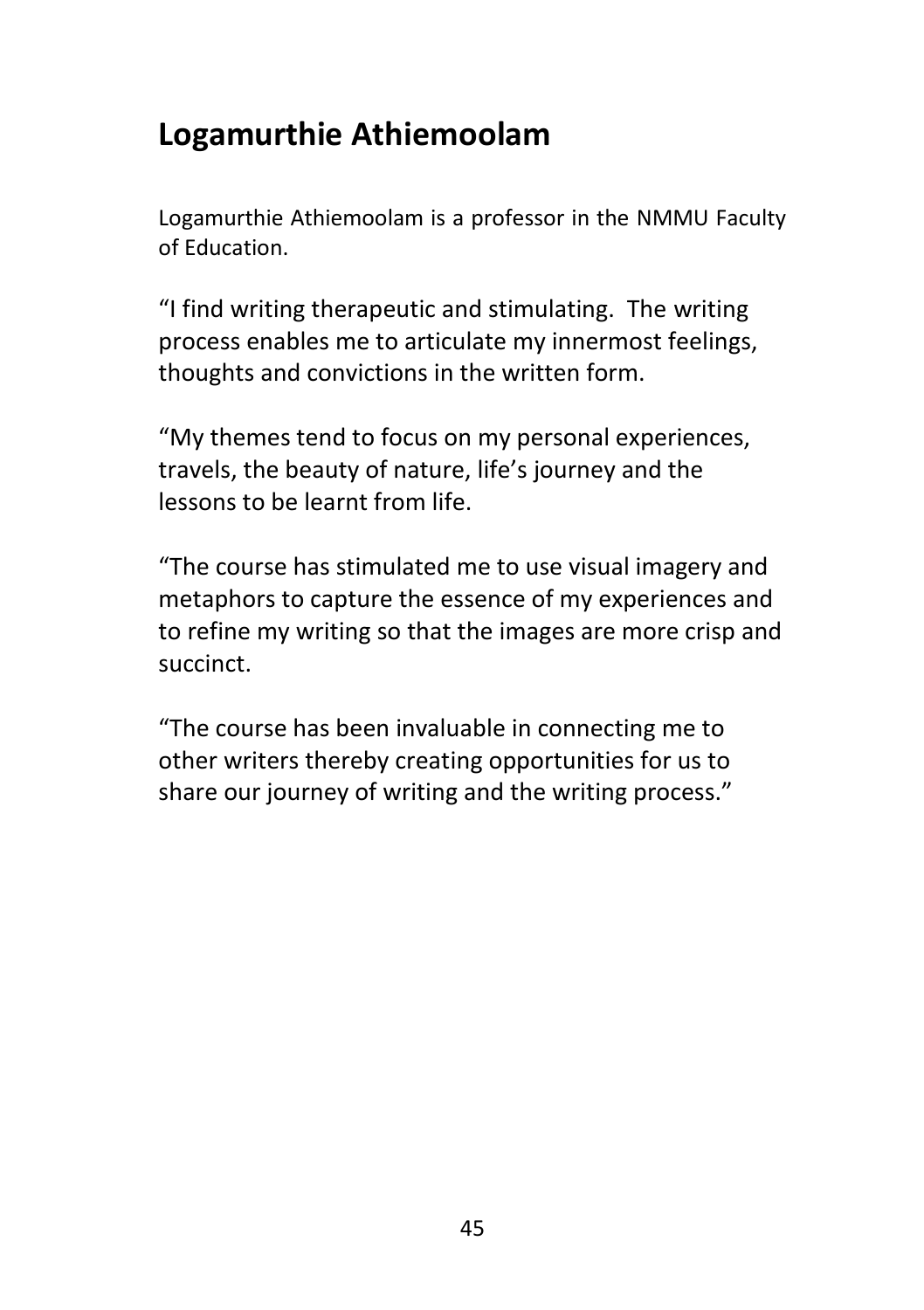# **Logamurthie Athiemoolam**

Logamurthie Athiemoolam is a professor in the NMMU Faculty of Education.

"I find writing therapeutic and stimulating. The writing process enables me to articulate my innermost feelings, thoughts and convictions in the written form.

"My themes tend to focus on my personal experiences, travels, the beauty of nature, life's journey and the lessons to be learnt from life.

"The course has stimulated me to use visual imagery and metaphors to capture the essence of my experiences and to refine my writing so that the images are more crisp and succinct.

"The course has been invaluable in connecting me to other writers thereby creating opportunities for us to share our journey of writing and the writing process."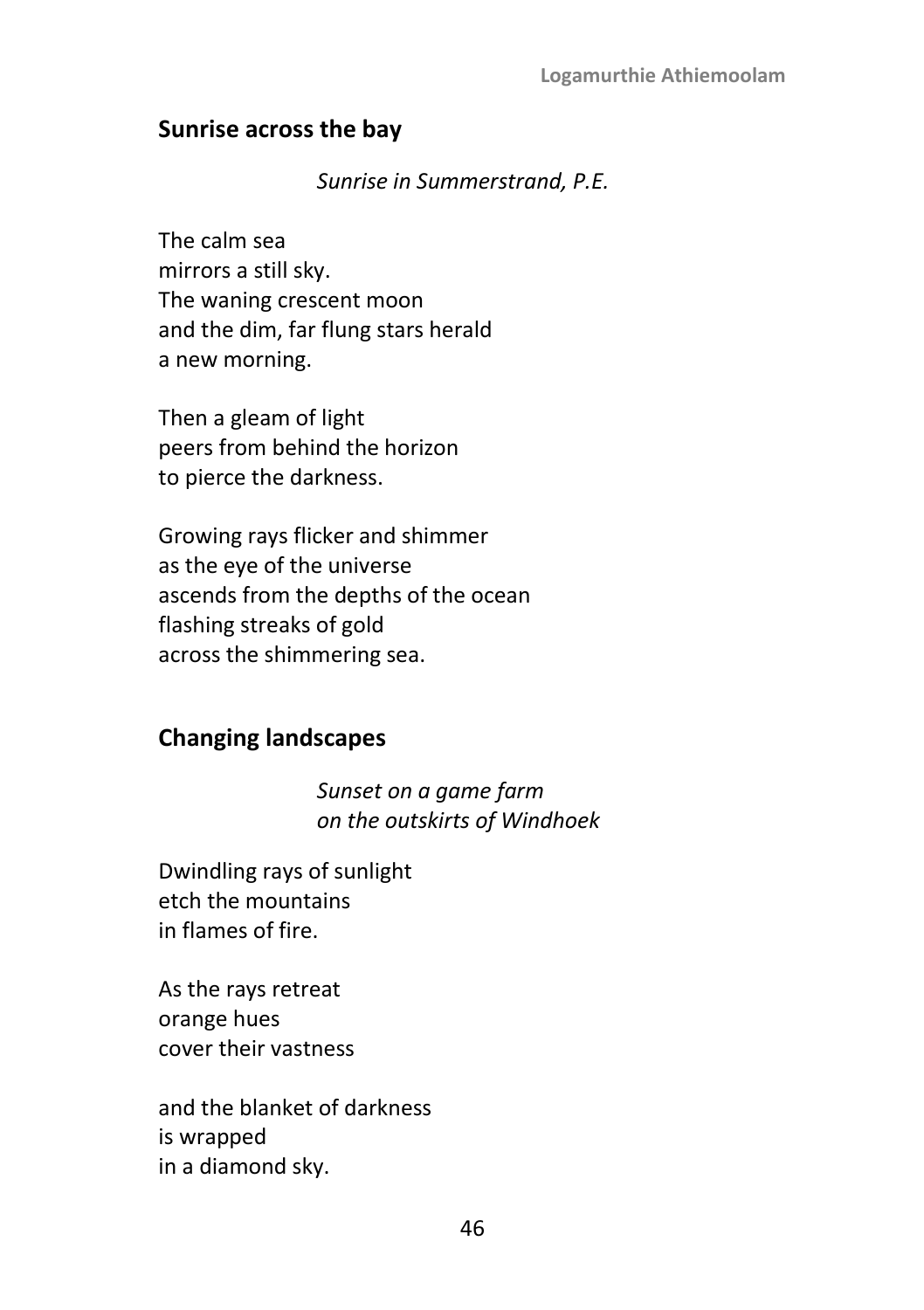### **Sunrise across the bay**

#### *Sunrise in Summerstrand, P.E.*

The calm sea mirrors a still sky. The waning crescent moon and the dim, far flung stars herald a new morning.

Then a gleam of light peers from behind the horizon to pierce the darkness.

Growing rays flicker and shimmer as the eye of the universe ascends from the depths of the ocean flashing streaks of gold across the shimmering sea.

# **Changing landscapes**

*Sunset on a game farm on the outskirts of Windhoek*

Dwindling rays of sunlight etch the mountains in flames of fire.

As the rays retreat orange hues cover their vastness

and the blanket of darkness is wrapped in a diamond sky.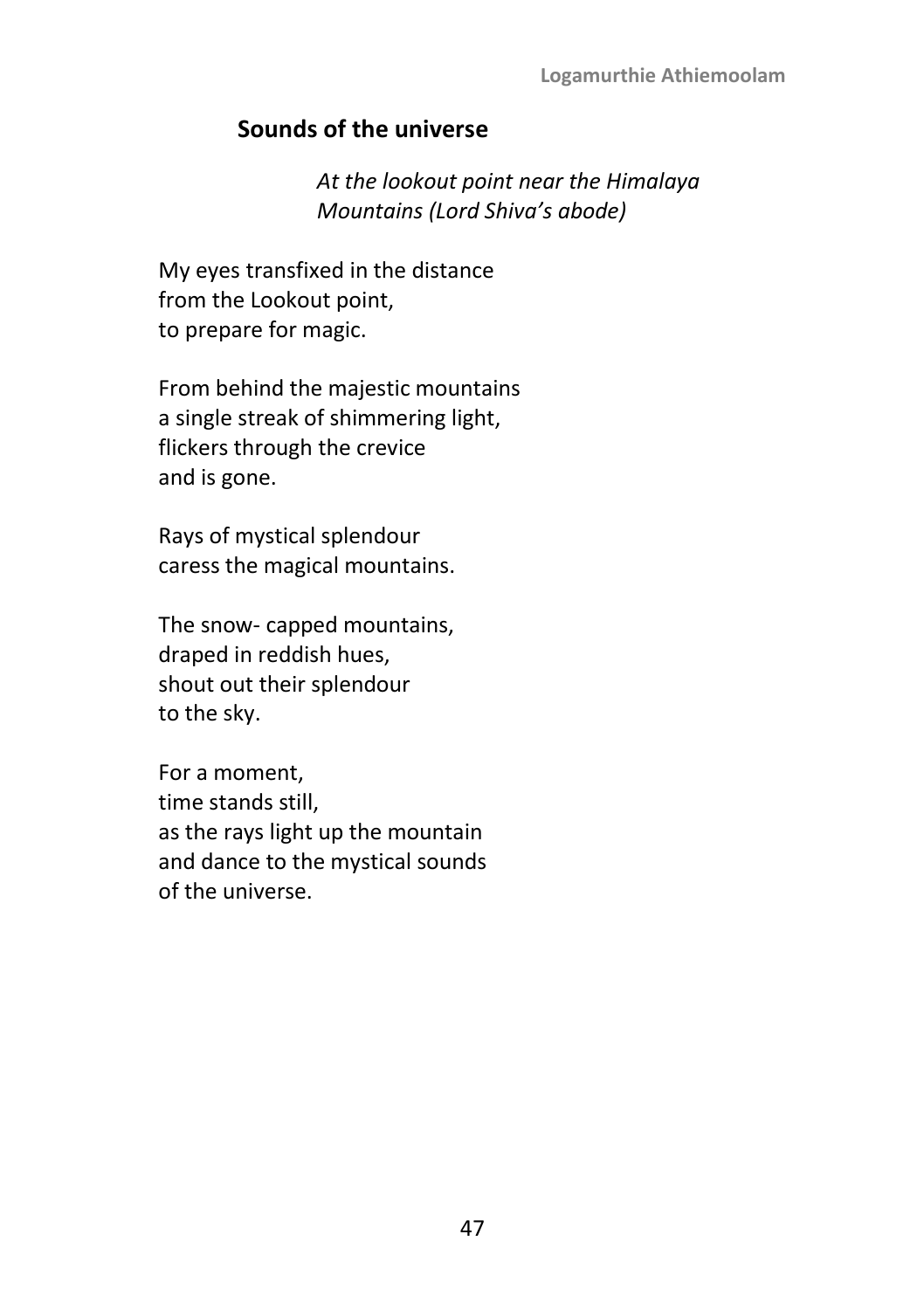### **Sounds of the universe**

*At the lookout point near the Himalaya Mountains (Lord Shiva's abode)*

My eyes transfixed in the distance from the Lookout point, to prepare for magic.

From behind the majestic mountains a single streak of shimmering light, flickers through the crevice and is gone.

Rays of mystical splendour caress the magical mountains.

The snow- capped mountains, draped in reddish hues, shout out their splendour to the sky.

For a moment, time stands still, as the rays light up the mountain and dance to the mystical sounds of the universe.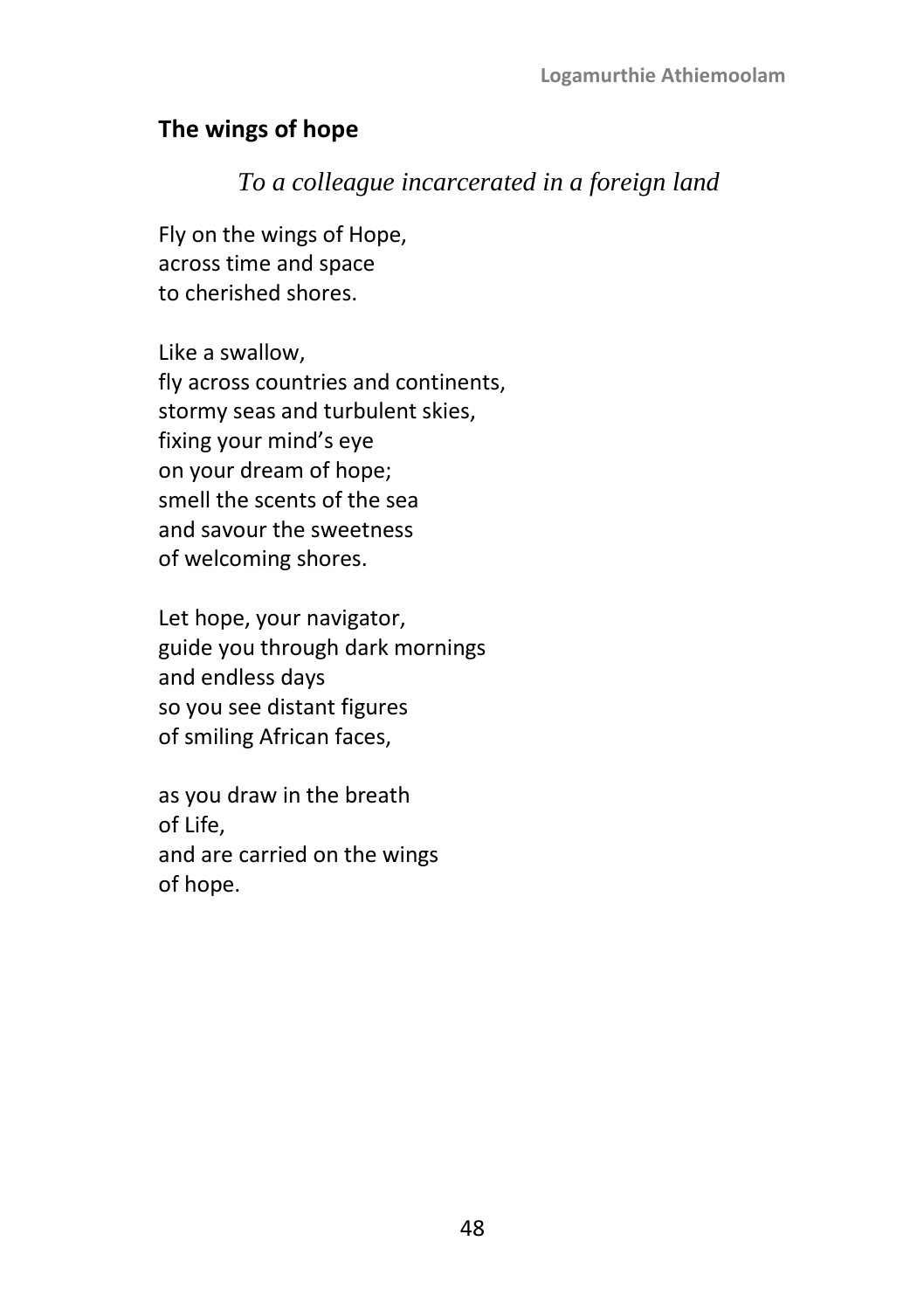## **The wings of hope**

### *To a colleague incarcerated in a foreign land*

Fly on the wings of Hope, across time and space to cherished shores.

Like a swallow, fly across countries and continents, stormy seas and turbulent skies, fixing your mind's eye on your dream of hope; smell the scents of the sea and savour the sweetness of welcoming shores.

Let hope, your navigator, guide you through dark mornings and endless days so you see distant figures of smiling African faces,

as you draw in the breath of Life, and are carried on the wings of hope.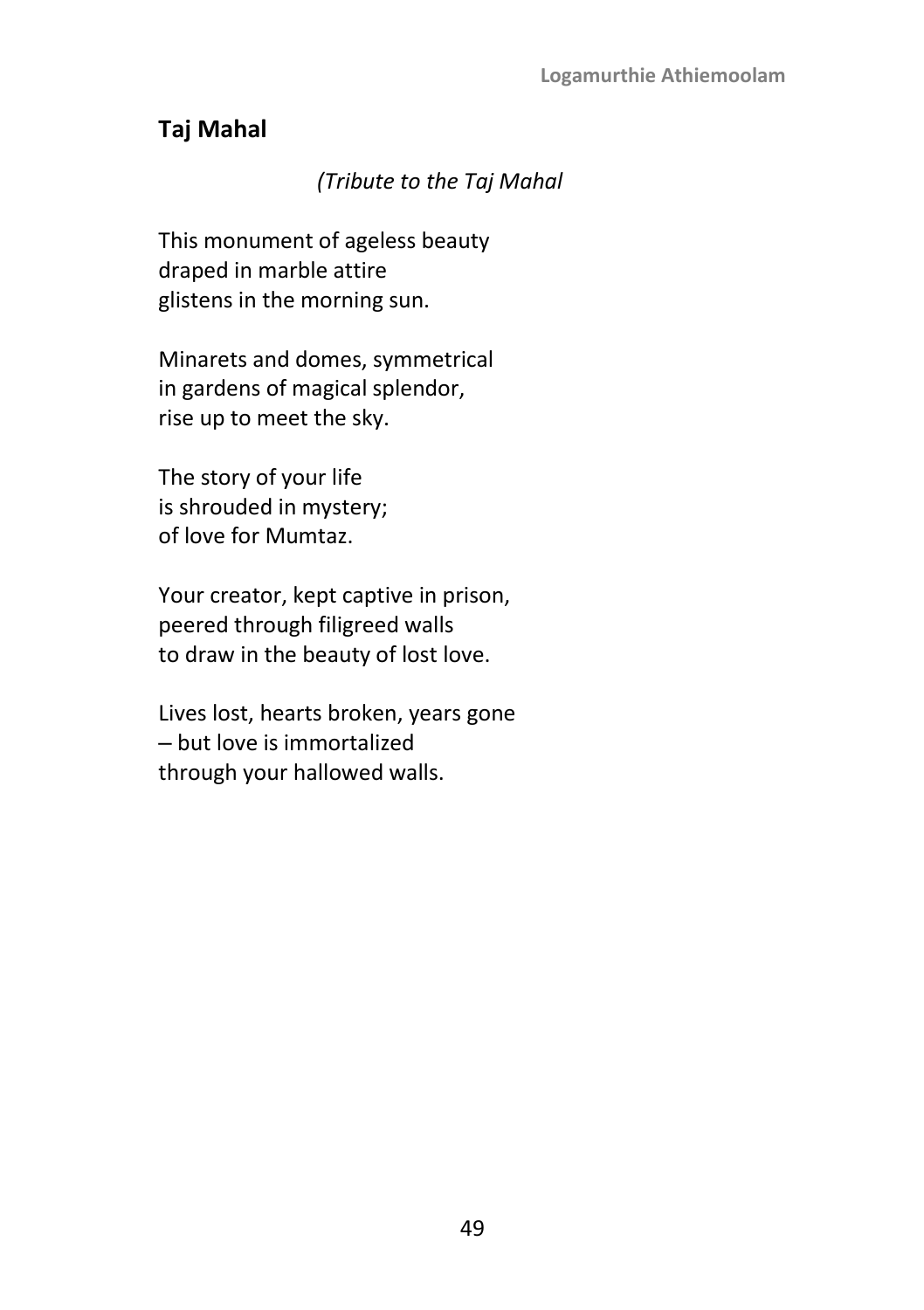# **Taj Mahal**

### *(Tribute to the Taj Mahal*

This monument of ageless beauty draped in marble attire glistens in the morning sun.

Minarets and domes, symmetrical in gardens of magical splendor, rise up to meet the sky.

The story of your life is shrouded in mystery; of love for Mumtaz.

Your creator, kept captive in prison, peered through filigreed walls to draw in the beauty of lost love.

Lives lost, hearts broken, years gone ‒ but love is immortalized through your hallowed walls.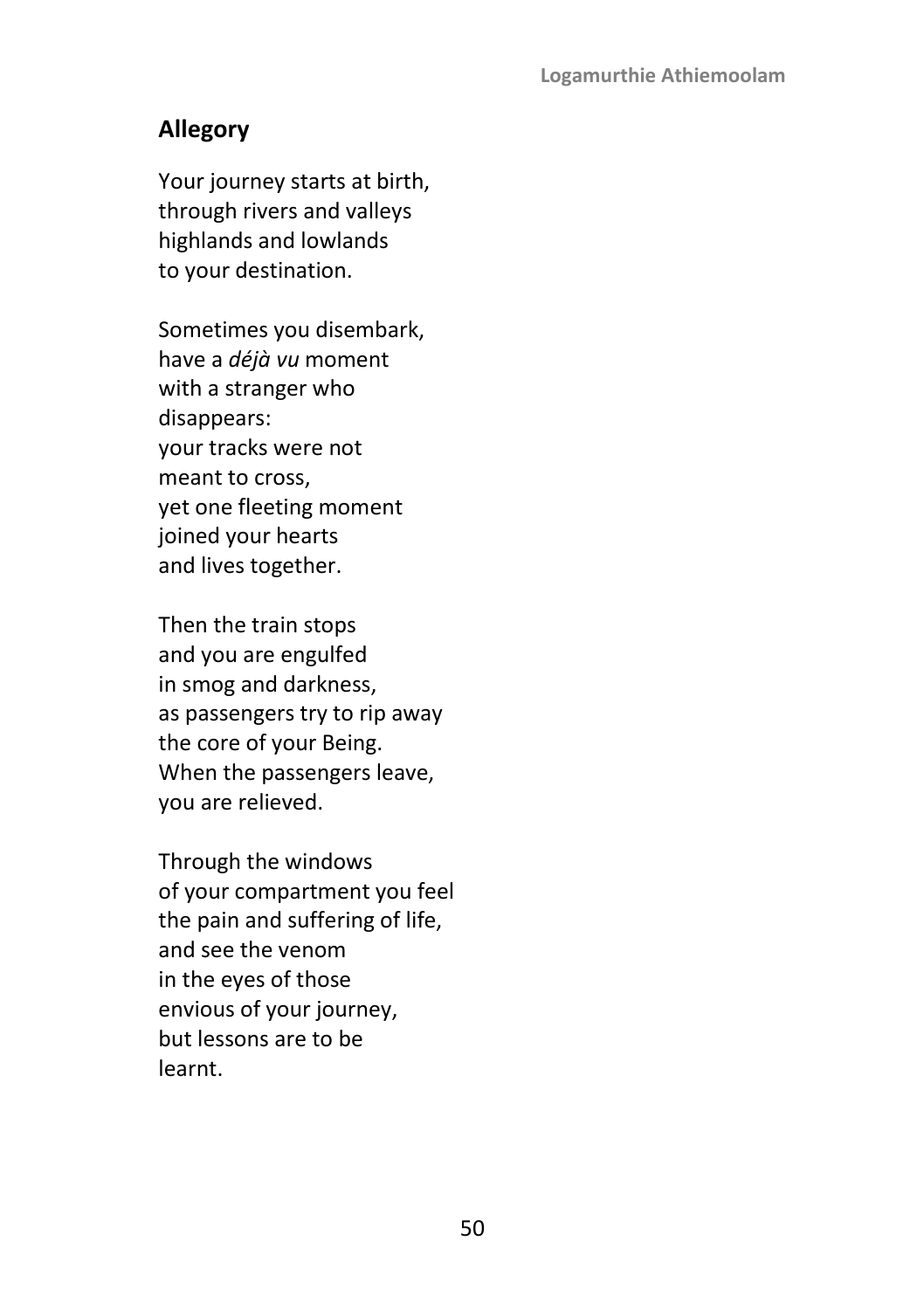# **Allegory**

Your journey starts at birth, through rivers and valleys highlands and lowlands to your destination.

Sometimes you disembark, have a *déjà vu* moment with a stranger who disappears: your tracks were not meant to cross, yet one fleeting moment joined your hearts and lives together.

Then the train stops and you are engulfed in smog and darkness, as passengers try to rip away the core of your Being. When the passengers leave, you are relieved.

Through the windows of your compartment you feel the pain and suffering of life, and see the venom in the eyes of those envious of your journey, but lessons are to be learnt.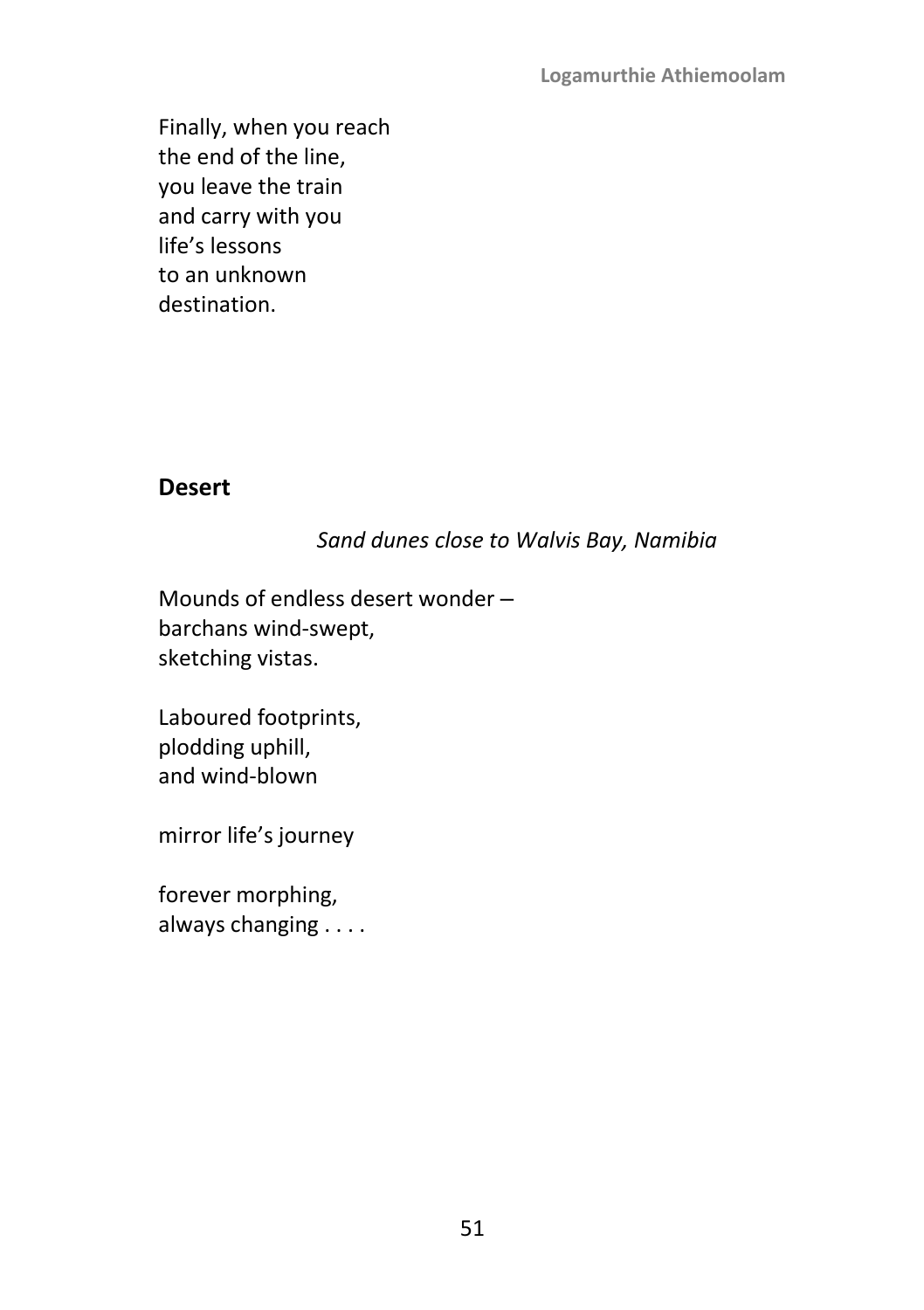Finally, when you reach the end of the line, you leave the train and carry with you life's lessons to an unknown destination.

### **Desert**

### *Sand dunes close to Walvis Bay, Namibia*

Mounds of endless desert wonder barchans wind-swept, sketching vistas.

Laboured footprints, plodding uphill, and wind-blown

mirror life's journey

forever morphing, always changing . . . .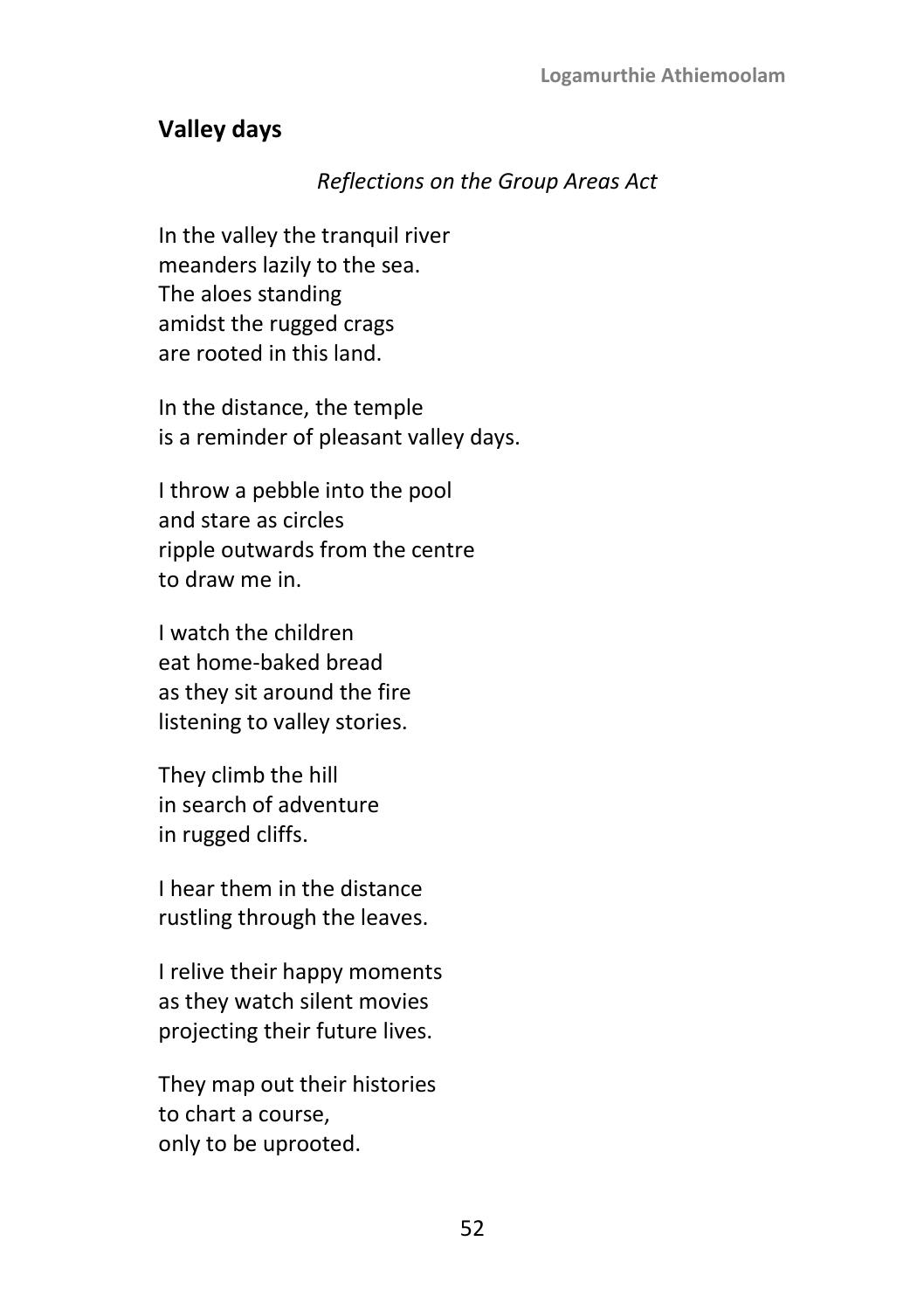### **Valley days**

### *Reflections on the Group Areas Act*

In the valley the tranquil river meanders lazily to the sea. The aloes standing amidst the rugged crags are rooted in this land.

In the distance, the temple is a reminder of pleasant valley days.

I throw a pebble into the pool and stare as circles ripple outwards from the centre to draw me in.

I watch the children eat home-baked bread as they sit around the fire listening to valley stories.

They climb the hill in search of adventure in rugged cliffs.

I hear them in the distance rustling through the leaves.

I relive their happy moments as they watch silent movies projecting their future lives.

They map out their histories to chart a course, only to be uprooted.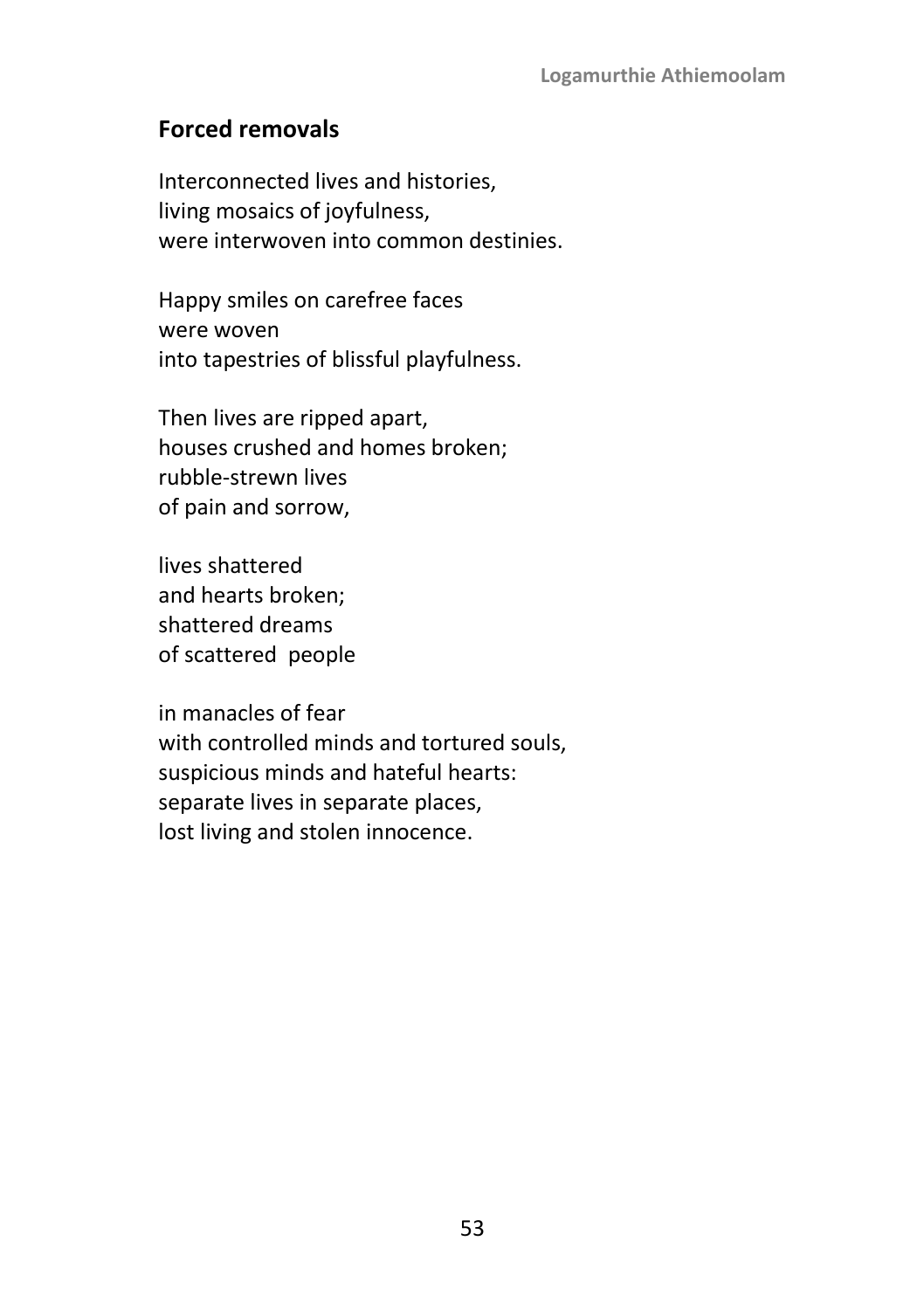### **Forced removals**

Interconnected lives and histories, living mosaics of joyfulness, were interwoven into common destinies.

Happy smiles on carefree faces were woven into tapestries of blissful playfulness.

Then lives are ripped apart, houses crushed and homes broken; rubble-strewn lives of pain and sorrow,

lives shattered and hearts broken; shattered dreams of scattered people

in manacles of fear with controlled minds and tortured souls, suspicious minds and hateful hearts: separate lives in separate places, lost living and stolen innocence.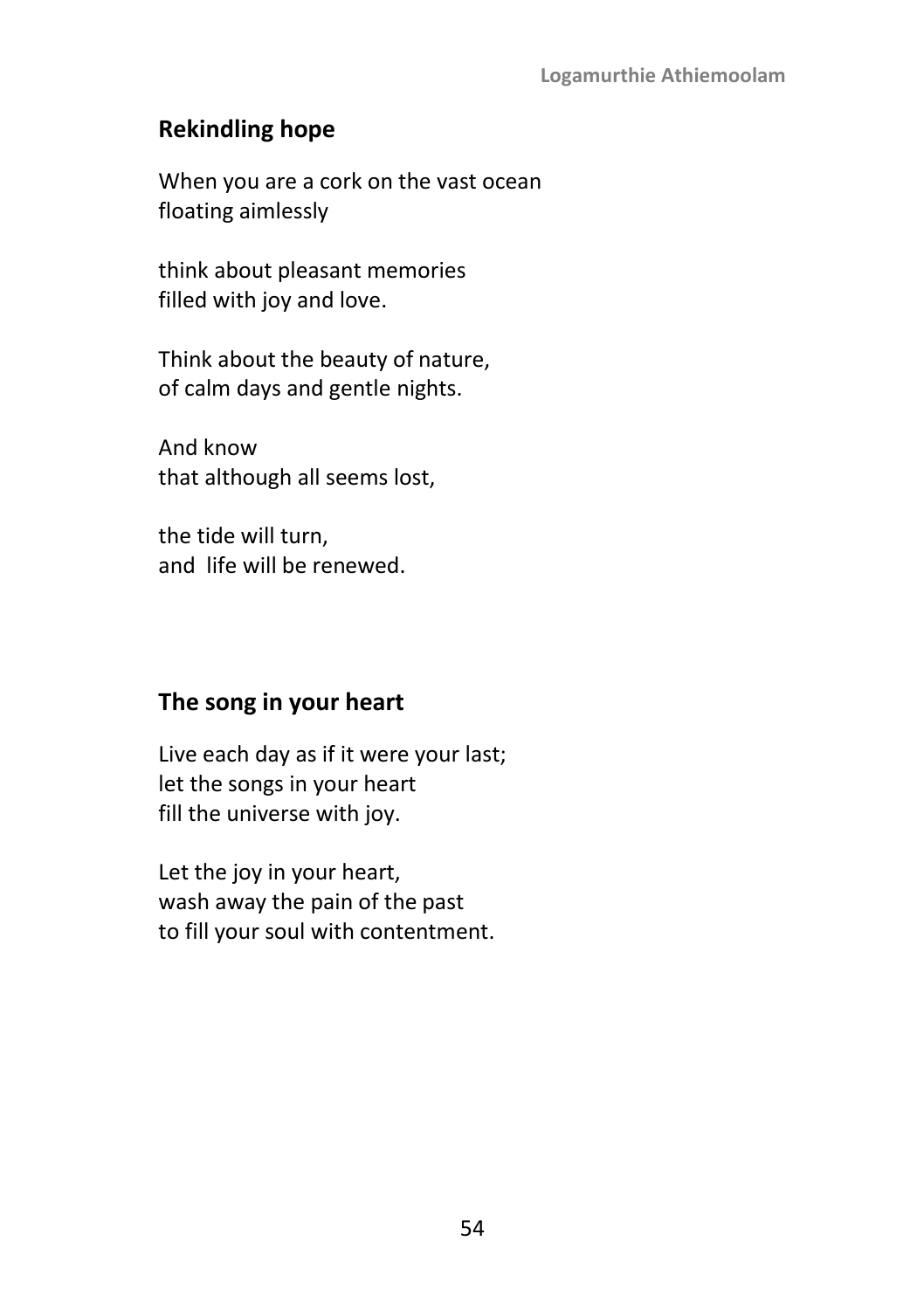# **Rekindling hope**

When you are a cork on the vast ocean floating aimlessly

think about pleasant memories filled with joy and love.

Think about the beauty of nature, of calm days and gentle nights.

And know that although all seems lost,

the tide will turn, and life will be renewed.

## **The song in your heart**

Live each day as if it were your last; let the songs in your heart fill the universe with joy.

Let the joy in your heart, wash away the pain of the past to fill your soul with contentment.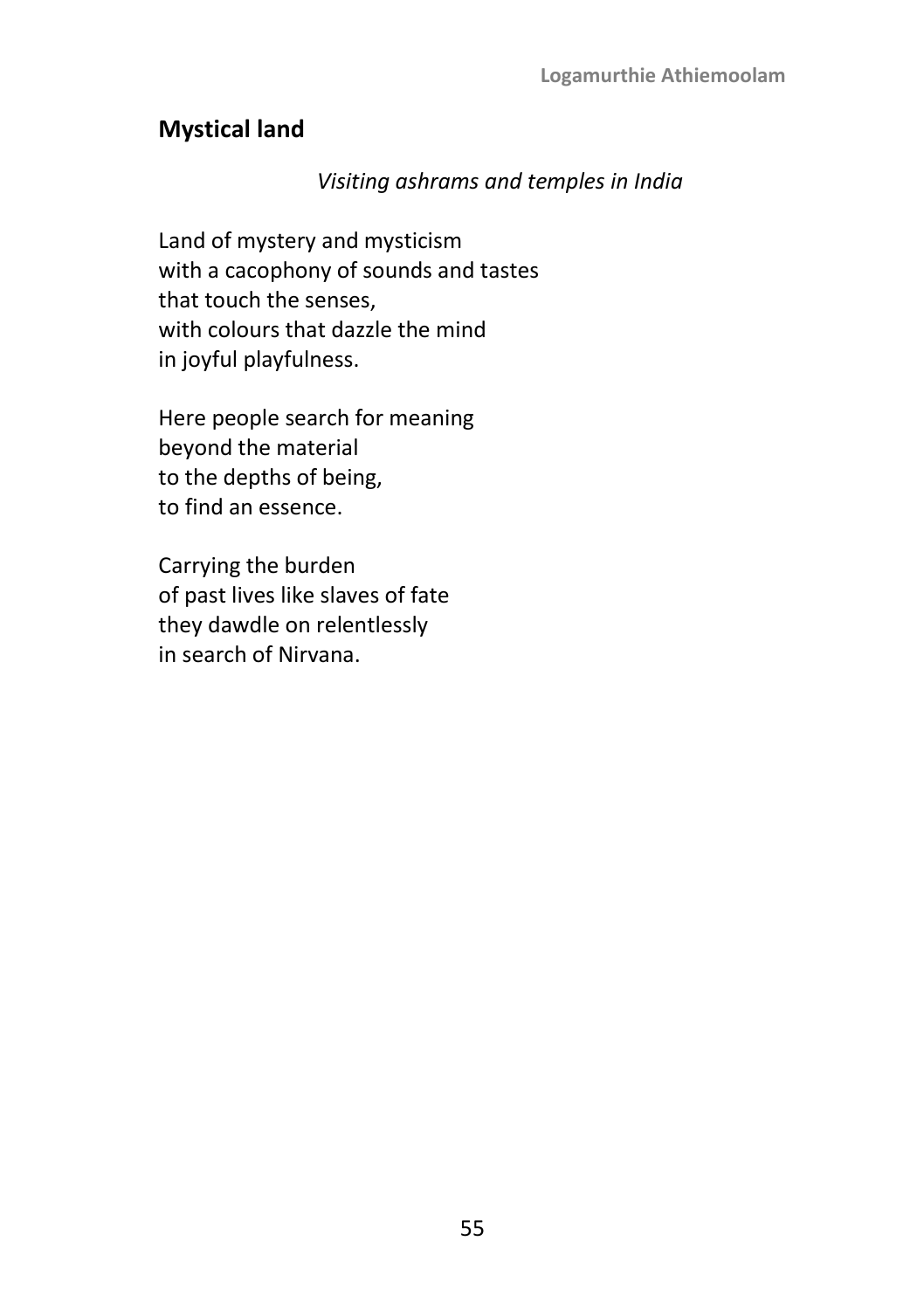### **Mystical land**

### *Visiting ashrams and temples in India*

Land of mystery and mysticism with a cacophony of sounds and tastes that touch the senses, with colours that dazzle the mind in joyful playfulness.

Here people search for meaning beyond the material to the depths of being, to find an essence.

Carrying the burden of past lives like slaves of fate they dawdle on relentlessly in search of Nirvana.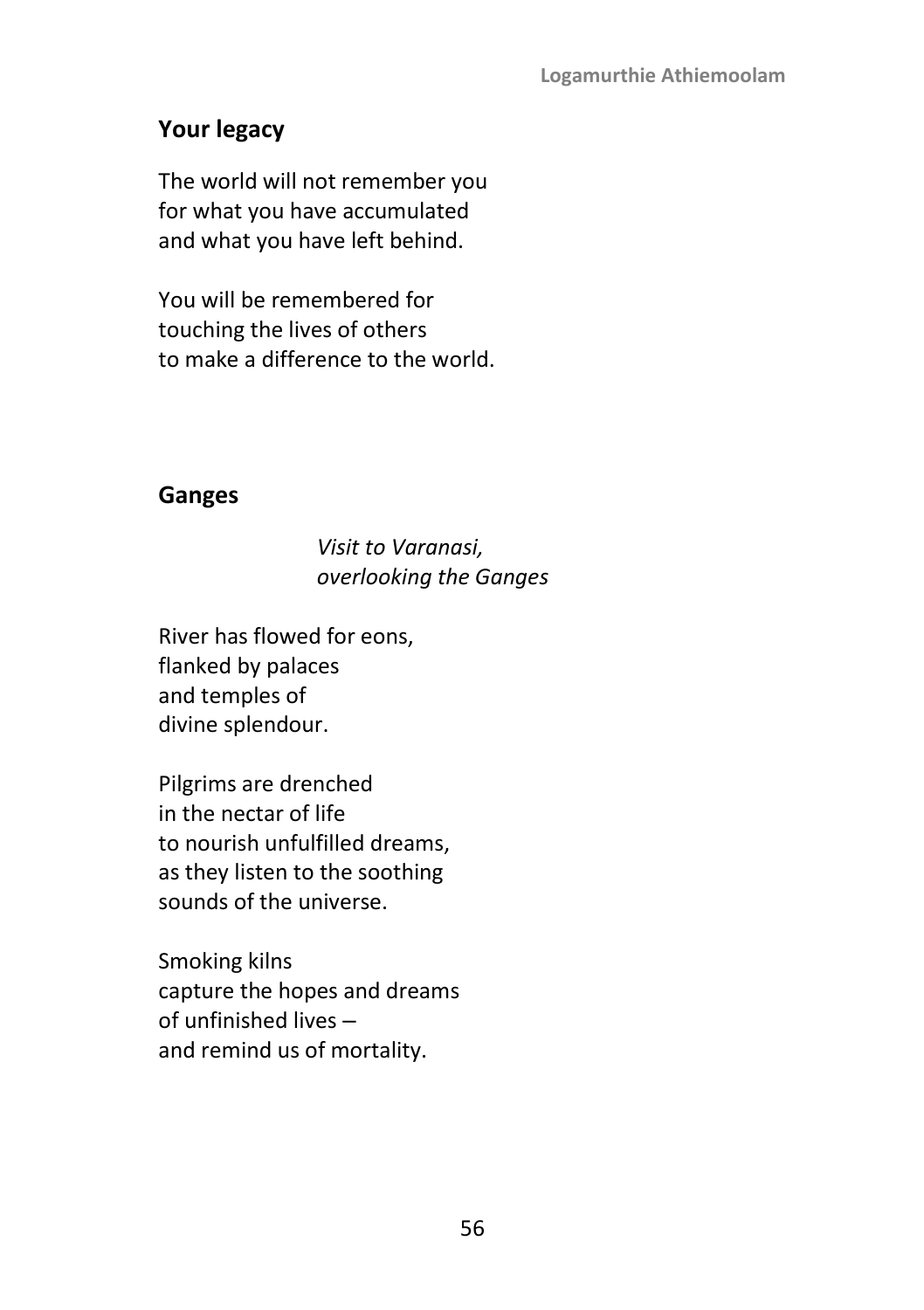# **Your legacy**

The world will not remember you for what you have accumulated and what you have left behind.

You will be remembered for touching the lives of others to make a difference to the world.

### **Ganges**

### *Visit to Varanasi, overlooking the Ganges*

River has flowed for eons, flanked by palaces and temples of divine splendour.

Pilgrims are drenched in the nectar of life to nourish unfulfilled dreams, as they listen to the soothing sounds of the universe.

Smoking kilns capture the hopes and dreams of unfinished lives and remind us of mortality.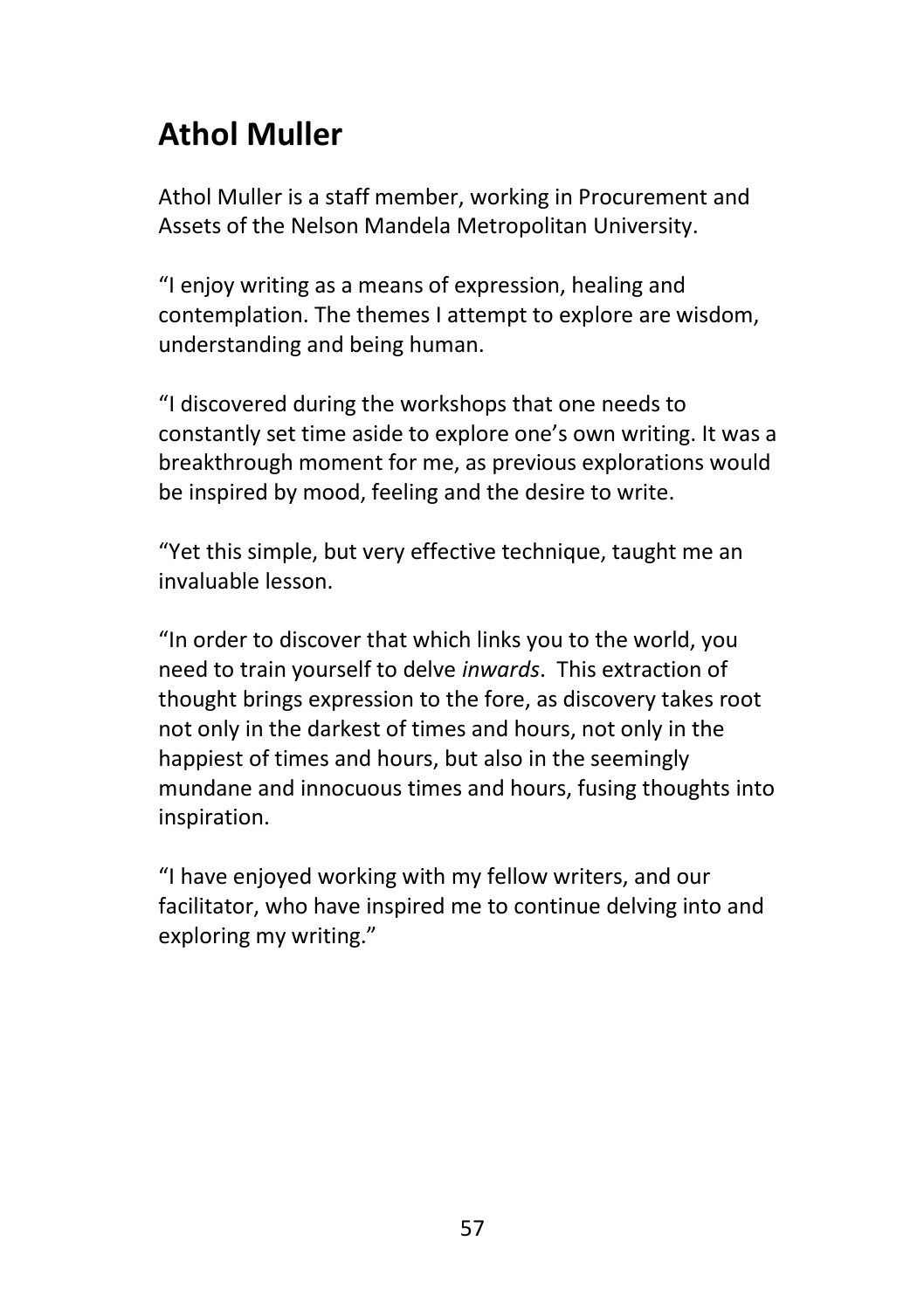# **Athol Muller**

Athol Muller is a staff member, working in Procurement and Assets of the Nelson Mandela Metropolitan University.

"I enjoy writing as a means of expression, healing and contemplation. The themes I attempt to explore are wisdom, understanding and being human.

"I discovered during the workshops that one needs to constantly set time aside to explore one's own writing. It was a breakthrough moment for me, as previous explorations would be inspired by mood, feeling and the desire to write.

"Yet this simple, but very effective technique, taught me an invaluable lesson.

"In order to discover that which links you to the world, you need to train yourself to delve *inwards*. This extraction of thought brings expression to the fore, as discovery takes root not only in the darkest of times and hours, not only in the happiest of times and hours, but also in the seemingly mundane and innocuous times and hours, fusing thoughts into inspiration.

"I have enjoyed working with my fellow writers, and our facilitator, who have inspired me to continue delving into and exploring my writing."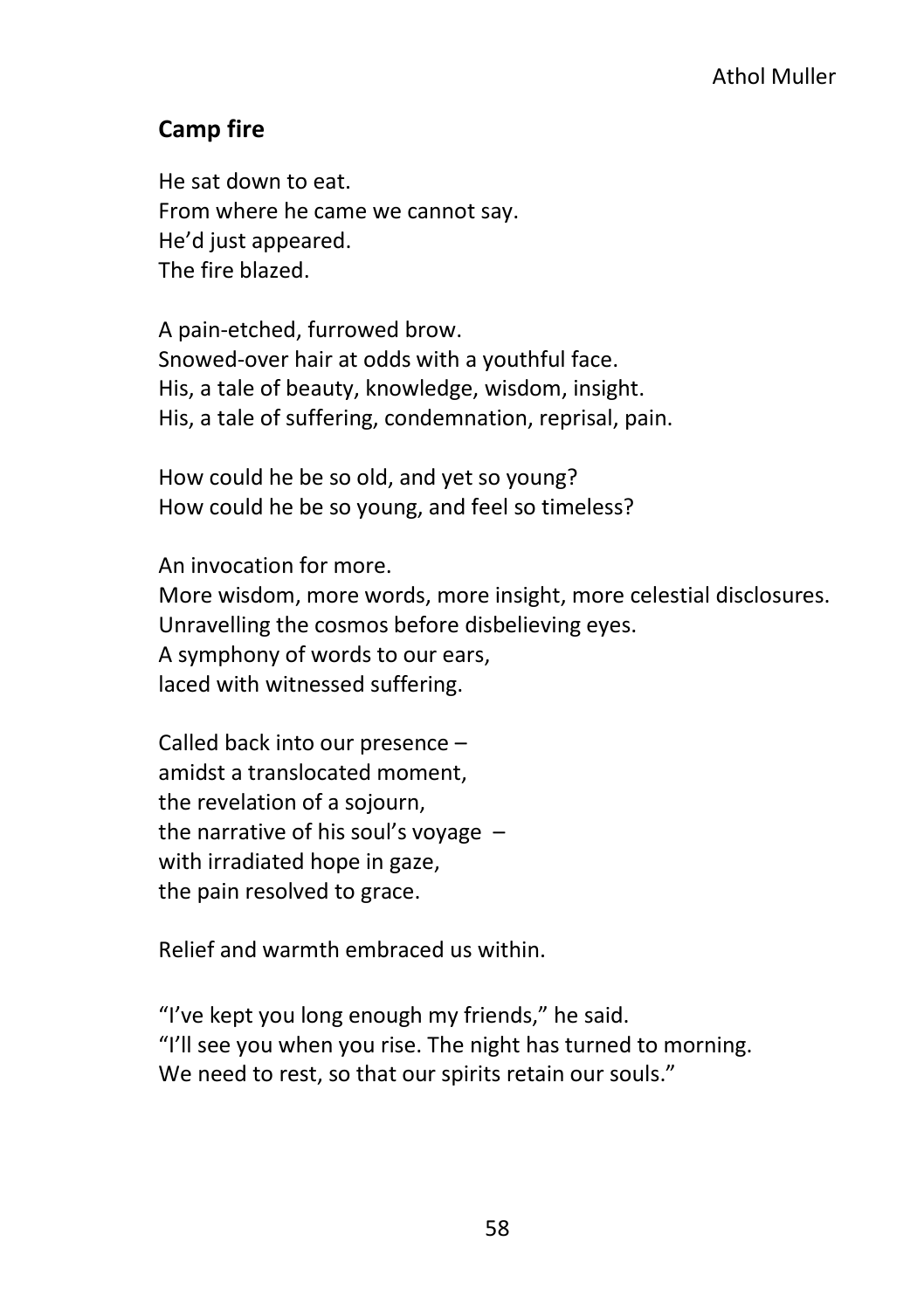### **Camp fire**

He sat down to eat. From where he came we cannot say. He'd just appeared. The fire blazed.

A pain-etched, furrowed brow. Snowed-over hair at odds with a youthful face. His, a tale of beauty, knowledge, wisdom, insight. His, a tale of suffering, condemnation, reprisal, pain.

How could he be so old, and yet so young? How could he be so young, and feel so timeless?

An invocation for more.

More wisdom, more words, more insight, more celestial disclosures. Unravelling the cosmos before disbelieving eyes. A symphony of words to our ears, laced with witnessed suffering.

Called back into our presence – amidst a translocated moment, the revelation of a sojourn, the narrative of his soul's voyage – with irradiated hope in gaze, the pain resolved to grace.

Relief and warmth embraced us within.

"I've kept you long enough my friends," he said. "I'll see you when you rise. The night has turned to morning. We need to rest, so that our spirits retain our souls."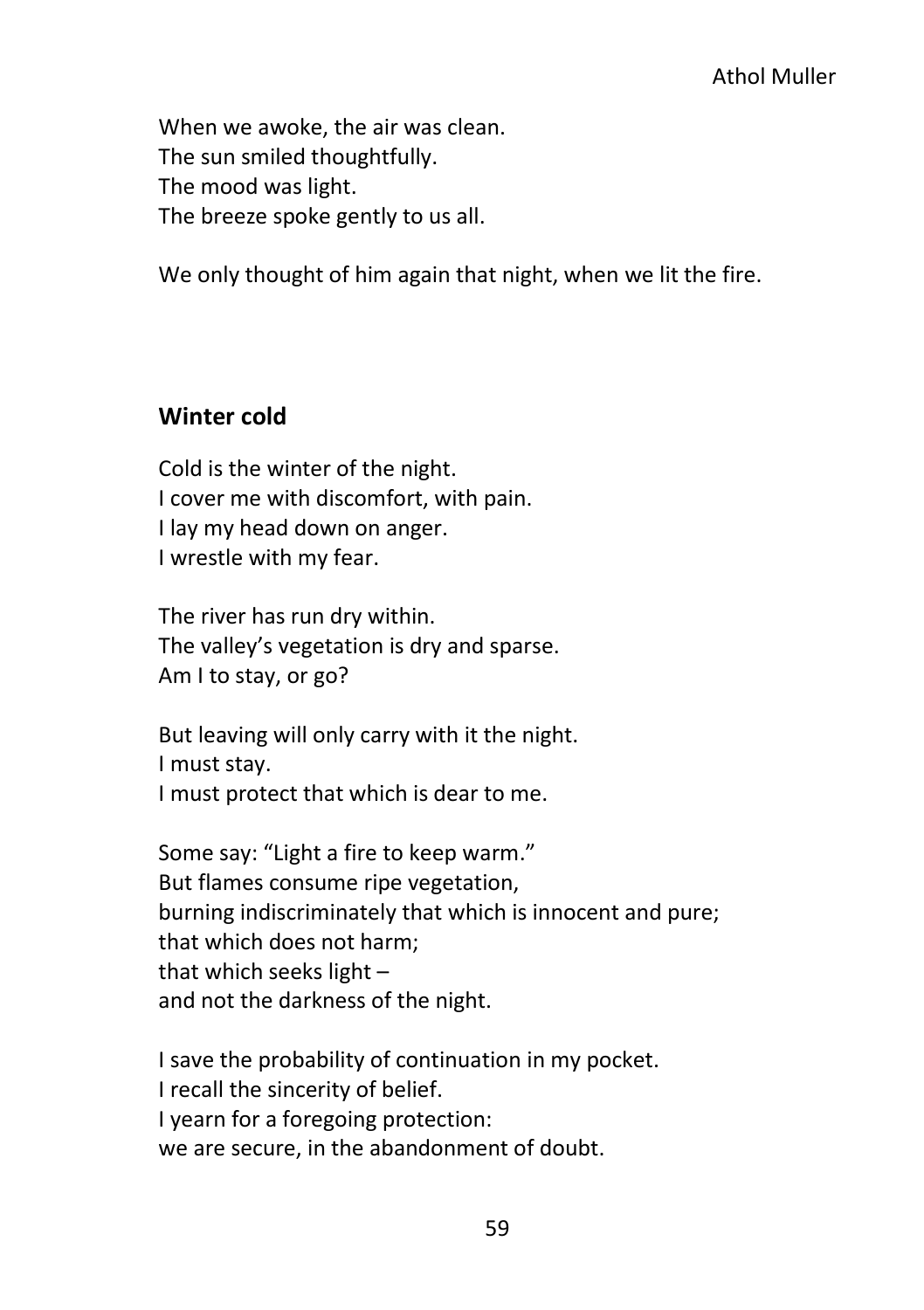When we awoke, the air was clean. The sun smiled thoughtfully. The mood was light. The breeze spoke gently to us all.

We only thought of him again that night, when we lit the fire.

### **Winter cold**

Cold is the winter of the night. I cover me with discomfort, with pain. I lay my head down on anger. I wrestle with my fear.

The river has run dry within. The valley's vegetation is dry and sparse. Am I to stay, or go?

But leaving will only carry with it the night. I must stay. I must protect that which is dear to me.

Some say: "Light a fire to keep warm." But flames consume ripe vegetation, burning indiscriminately that which is innocent and pure; that which does not harm; that which seeks light – and not the darkness of the night.

I save the probability of continuation in my pocket. I recall the sincerity of belief. I yearn for a foregoing protection: we are secure, in the abandonment of doubt.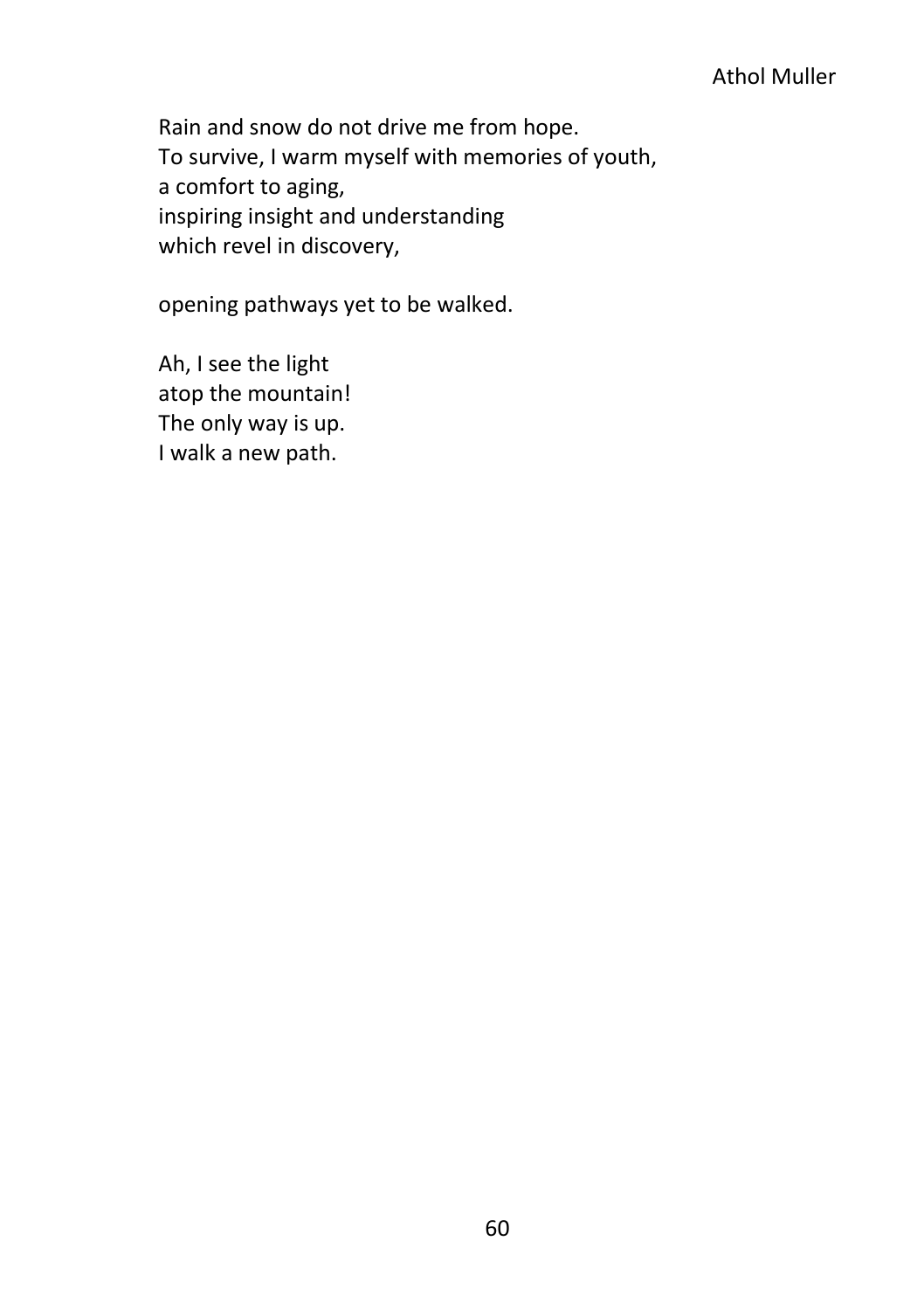#### Athol Muller

Rain and snow do not drive me from hope. To survive, I warm myself with memories of youth, a comfort to aging, inspiring insight and understanding which revel in discovery,

opening pathways yet to be walked.

Ah, I see the light atop the mountain! The only way is up. I walk a new path.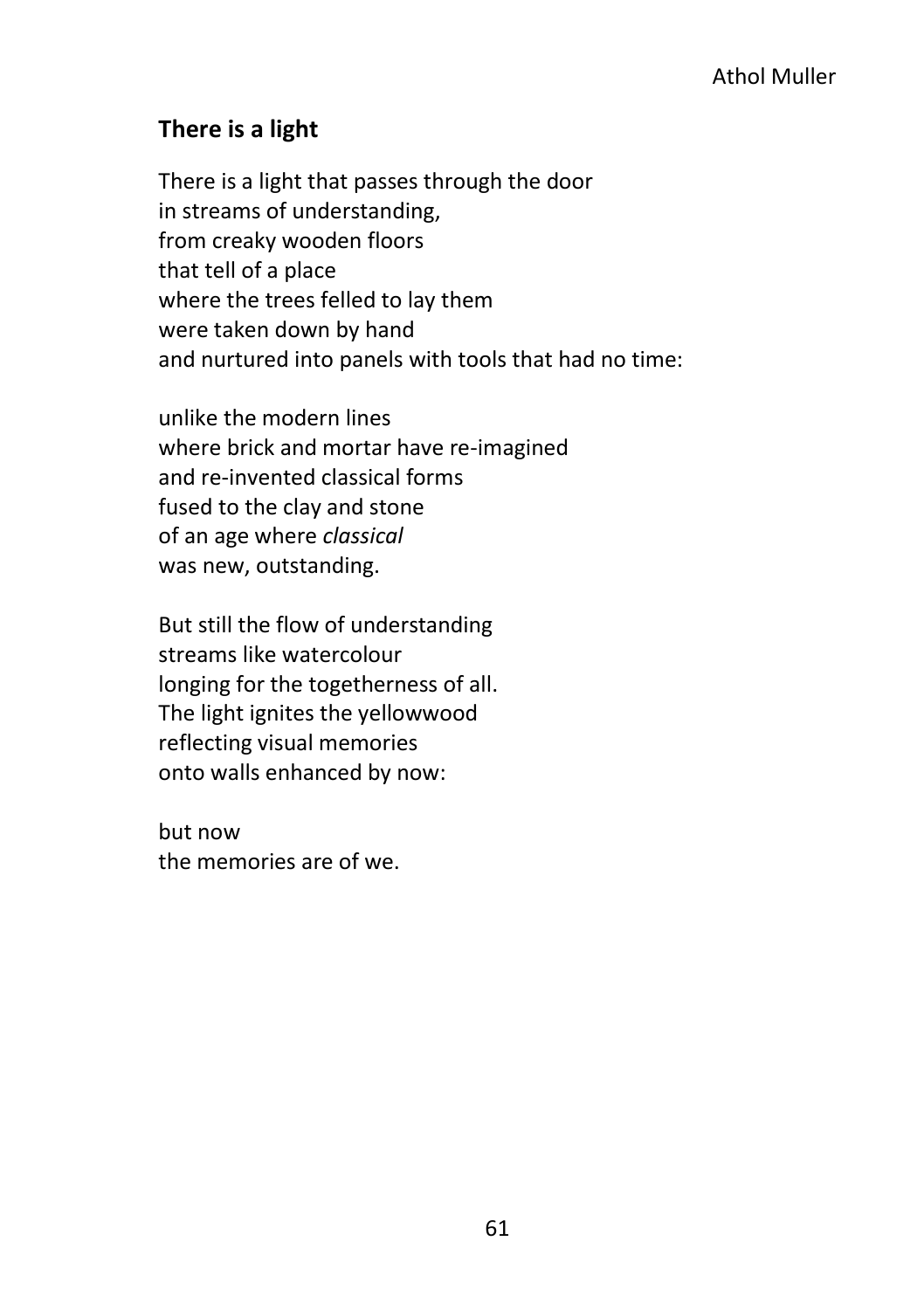## **There is a light**

There is a light that passes through the door in streams of understanding, from creaky wooden floors that tell of a place where the trees felled to lay them were taken down by hand and nurtured into panels with tools that had no time:

unlike the modern lines where brick and mortar have re-imagined and re-invented classical forms fused to the clay and stone of an age where *classical* was new, outstanding.

But still the flow of understanding streams like watercolour longing for the togetherness of all. The light ignites the yellowwood reflecting visual memories onto walls enhanced by now:

but now the memories are of we.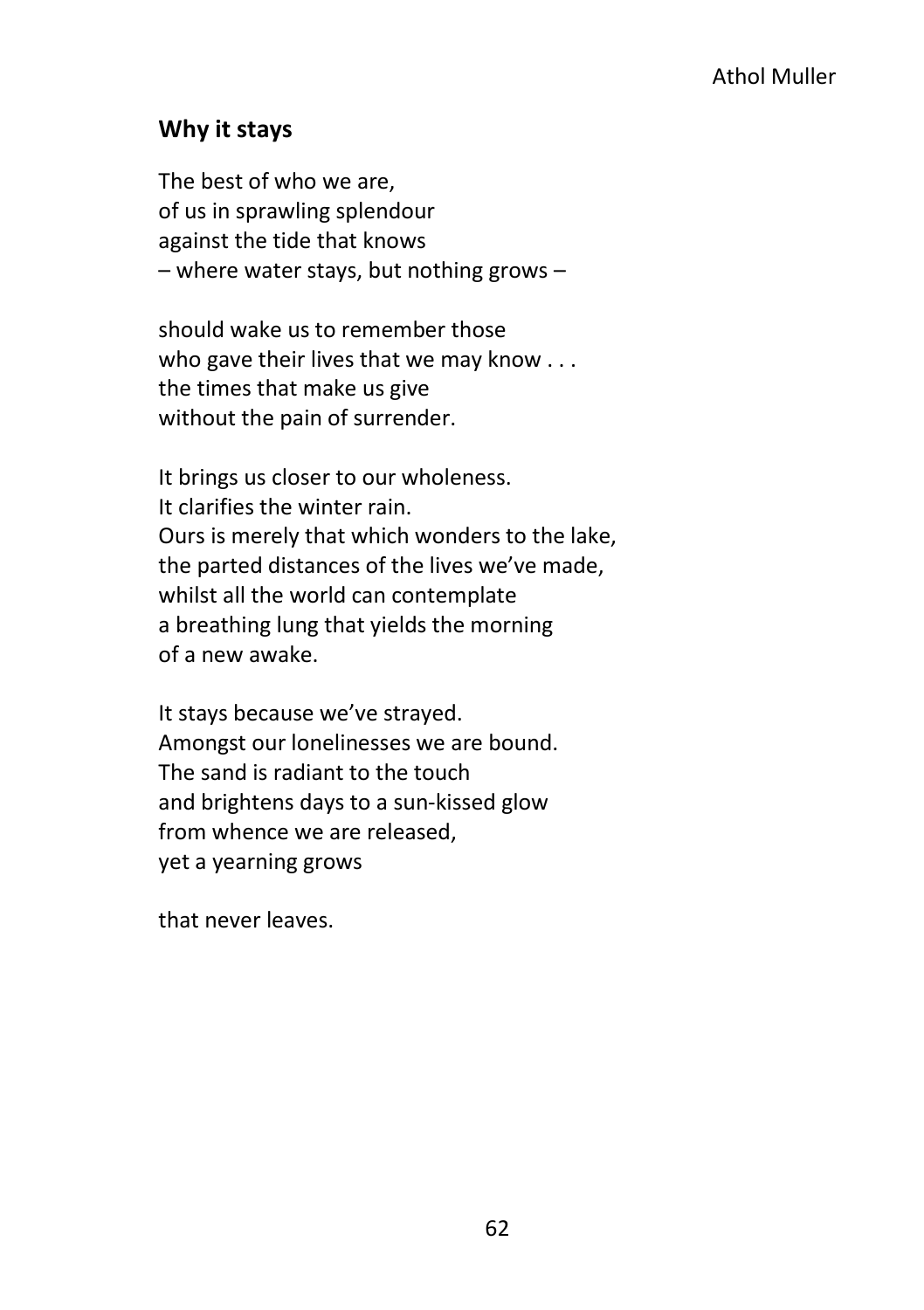### **Why it stays**

The best of who we are, of us in sprawling splendour against the tide that knows – where water stays, but nothing grows –

should wake us to remember those who gave their lives that we may know . . . the times that make us give without the pain of surrender.

It brings us closer to our wholeness. It clarifies the winter rain. Ours is merely that which wonders to the lake, the parted distances of the lives we've made, whilst all the world can contemplate a breathing lung that yields the morning of a new awake.

It stays because we've strayed. Amongst our lonelinesses we are bound. The sand is radiant to the touch and brightens days to a sun-kissed glow from whence we are released, yet a yearning grows

that never leaves.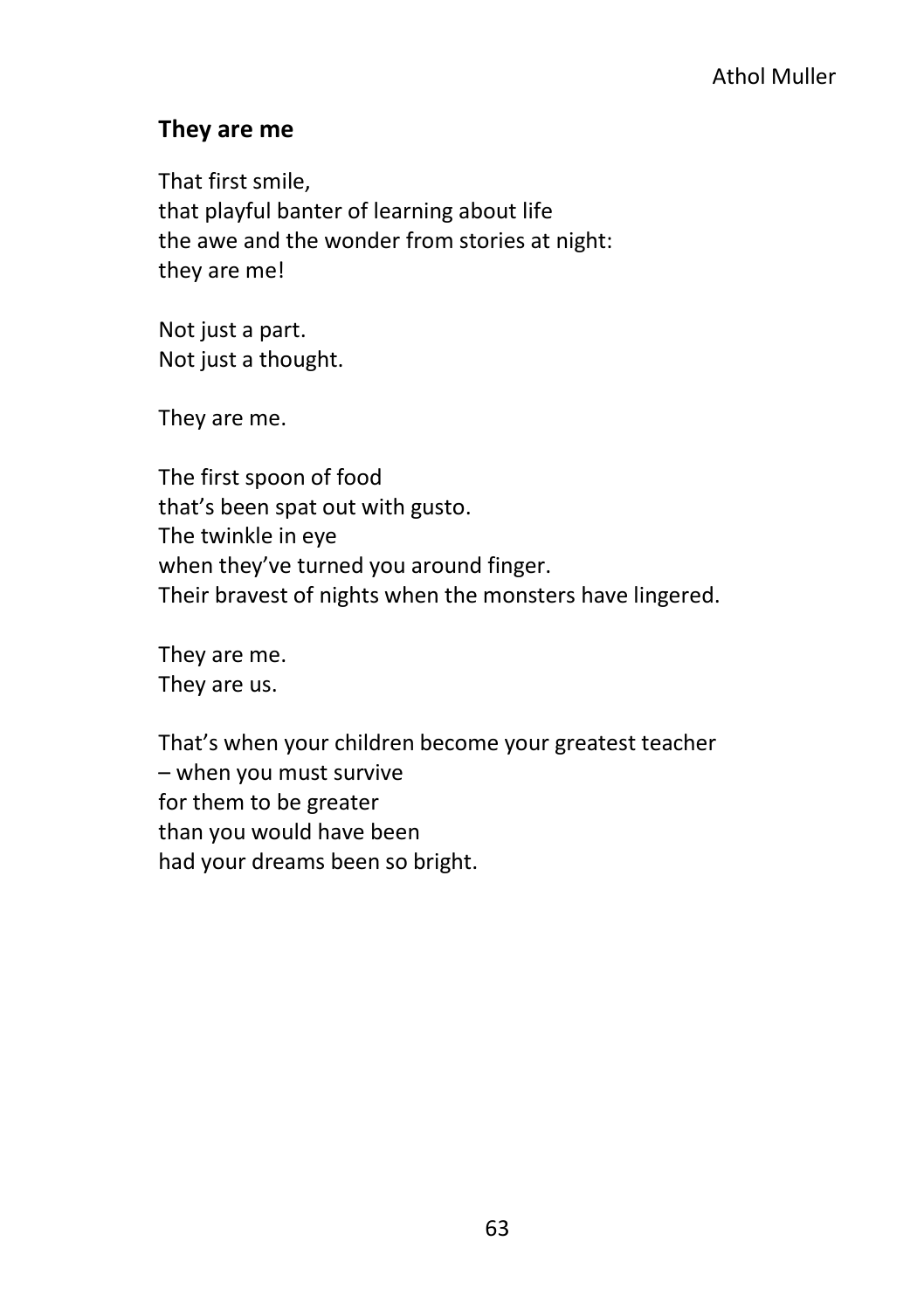#### **They are me**

That first smile, that playful banter of learning about life the awe and the wonder from stories at night: they are me!

Not just a part. Not just a thought.

They are me.

The first spoon of food that's been spat out with gusto. The twinkle in eye when they've turned you around finger. Their bravest of nights when the monsters have lingered.

They are me. They are us.

That's when your children become your greatest teacher – when you must survive for them to be greater than you would have been had your dreams been so bright.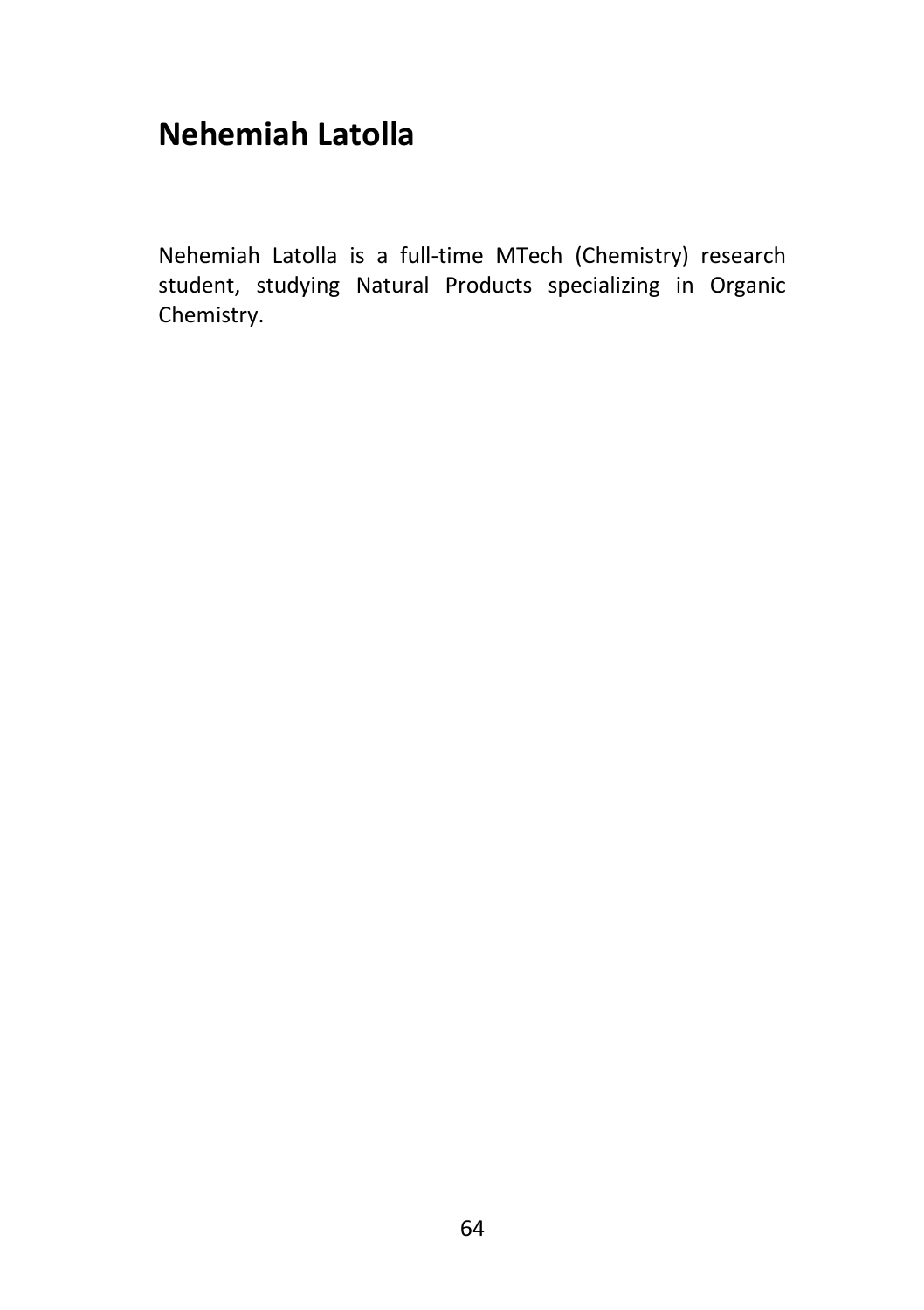# **Nehemiah Latolla**

Nehemiah Latolla is a full-time MTech (Chemistry) research student, studying Natural Products specializing in Organic Chemistry.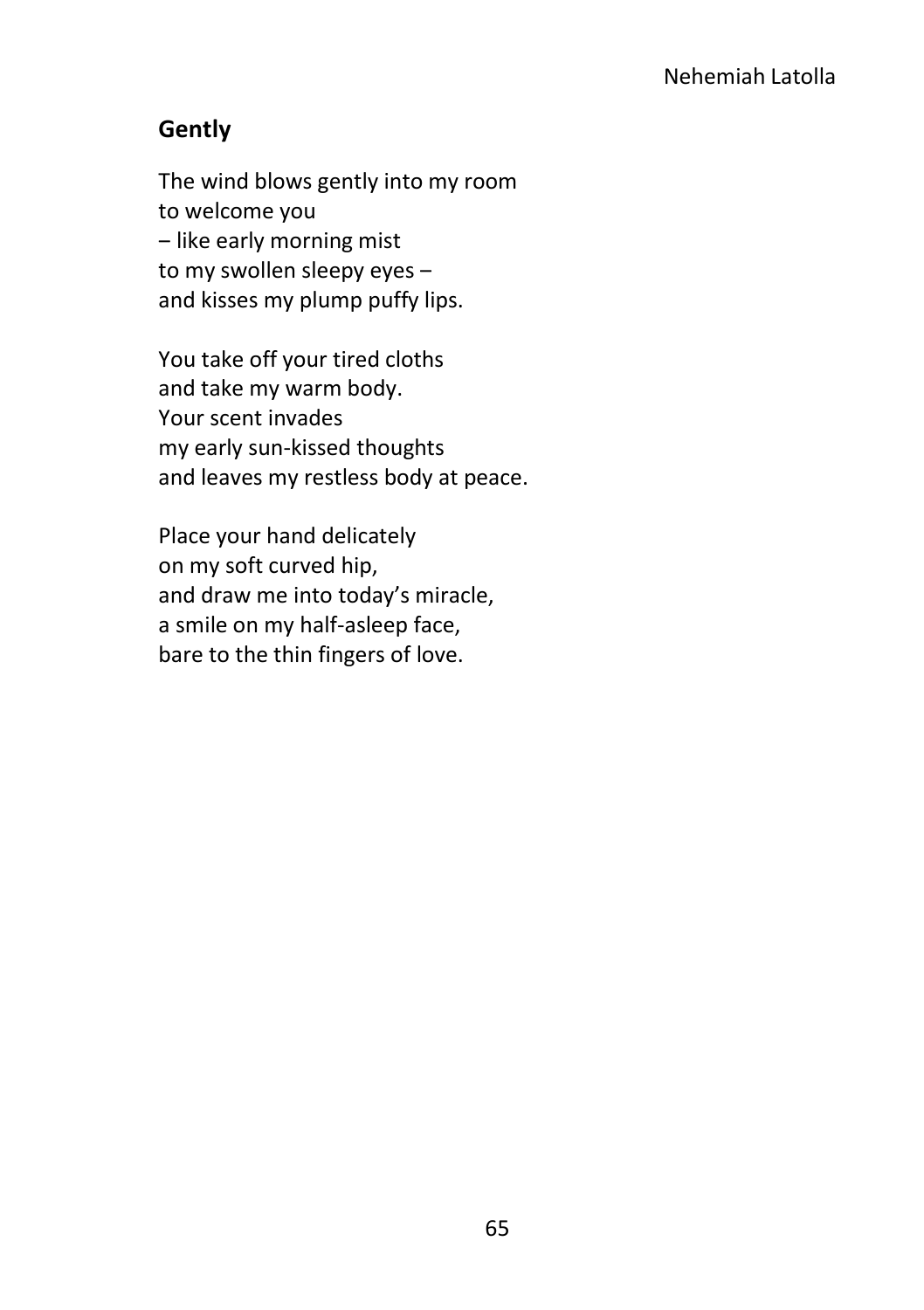# **Gently**

The wind blows gently into my room to welcome you - like early morning mist to my swollen sleepy eyes and kisses my plump puffy lips.

You take off your tired cloths and take my warm body. Your scent invades my early sun-kissed thoughts and leaves my restless body at peace.

Place your hand delicately on my soft curved hip, and draw me into today's miracle, a smile on my half-asleep face, bare to the thin fingers of love.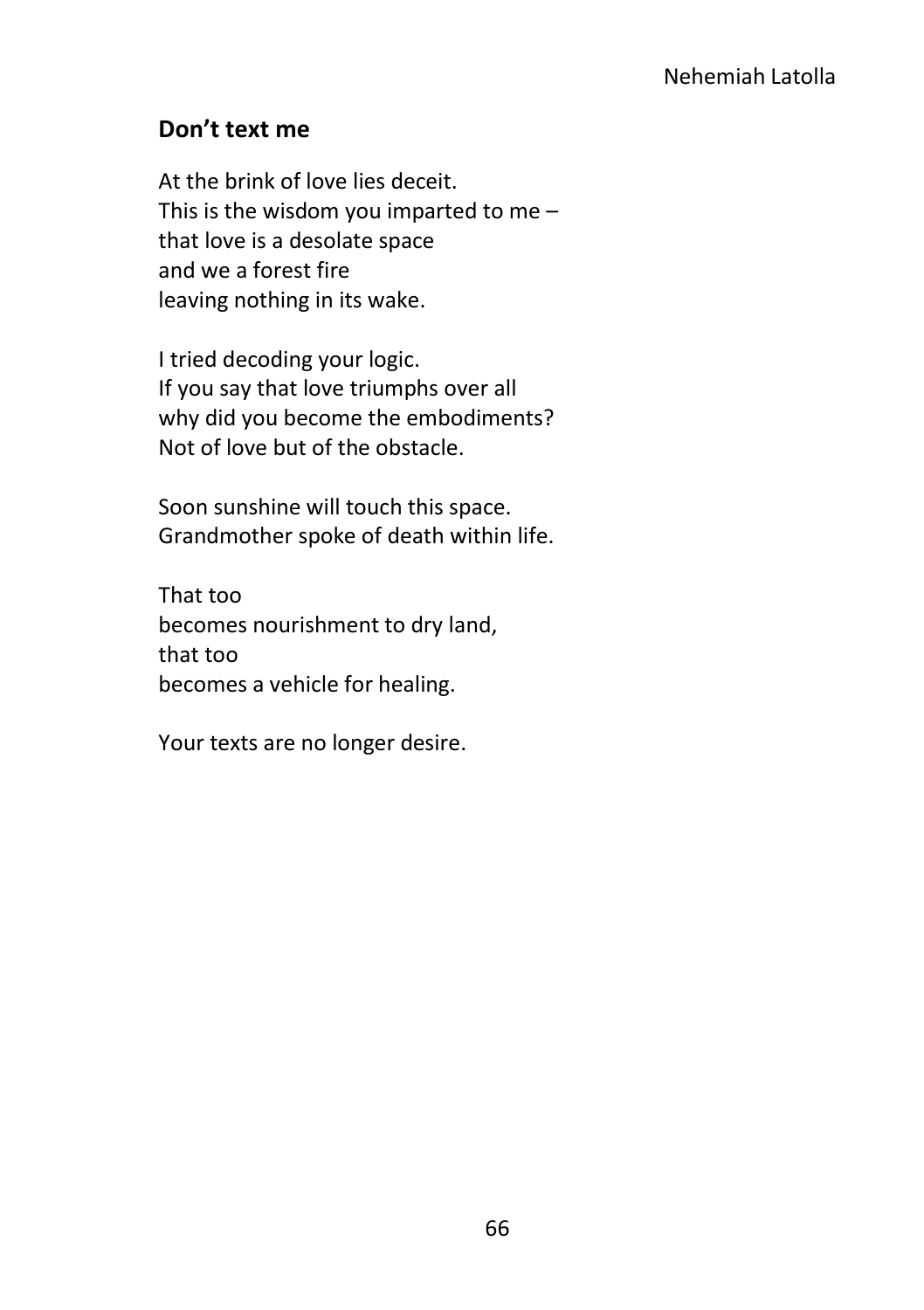# **Don't text me**

At the brink of love lies deceit. This is the wisdom you imparted to me – that love is a desolate space and we a forest fire leaving nothing in its wake.

I tried decoding your logic. If you say that love triumphs over all why did you become the embodiments? Not of love but of the obstacle.

Soon sunshine will touch this space. Grandmother spoke of death within life.

That too becomes nourishment to dry land, that too becomes a vehicle for healing.

Your texts are no longer desire.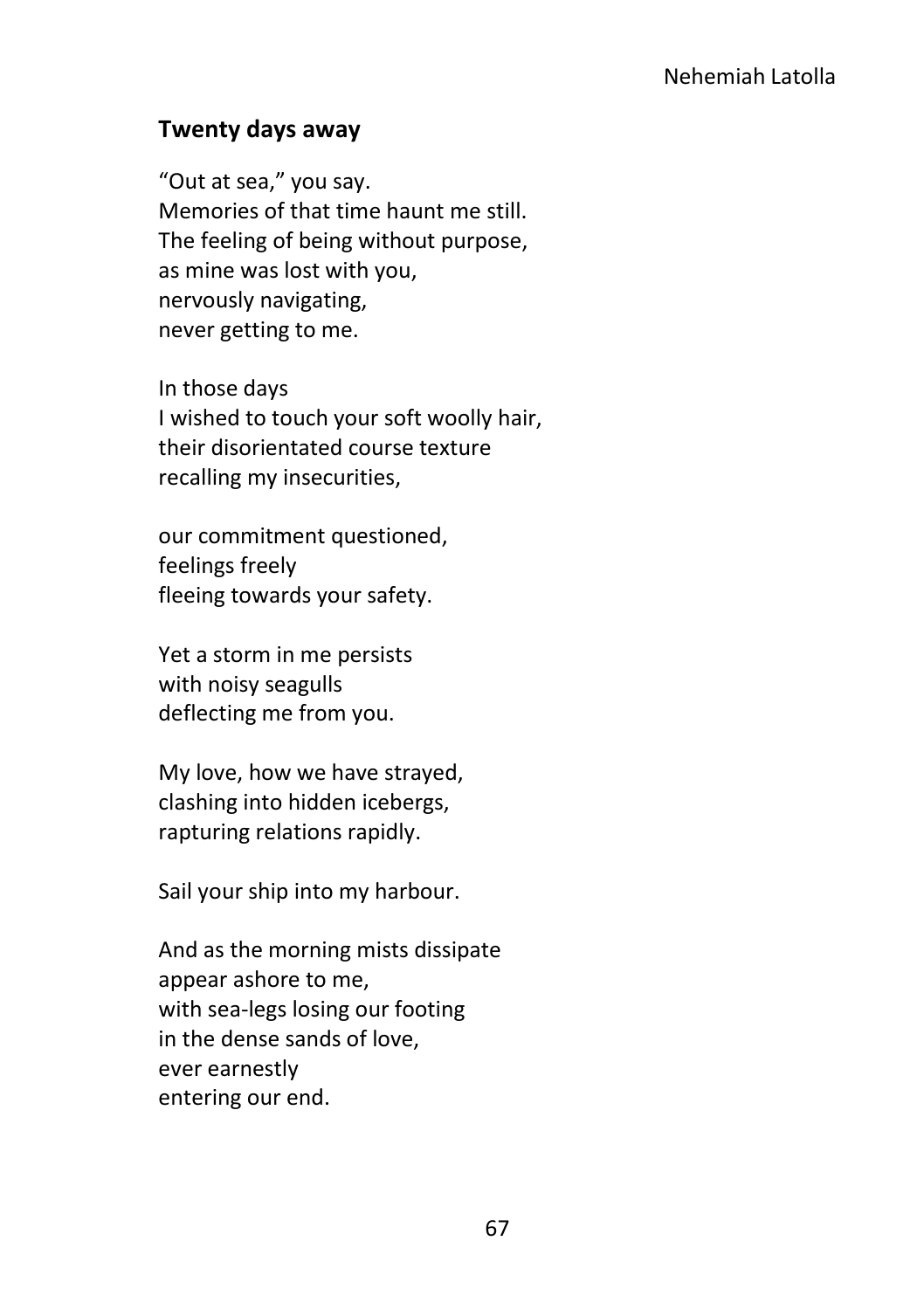#### **Twenty days away**

"Out at sea," you say. Memories of that time haunt me still. The feeling of being without purpose, as mine was lost with you, nervously navigating, never getting to me.

In those days I wished to touch your soft woolly hair, their disorientated course texture recalling my insecurities,

our commitment questioned, feelings freely fleeing towards your safety.

Yet a storm in me persists with noisy seagulls deflecting me from you.

My love, how we have strayed, clashing into hidden icebergs, rapturing relations rapidly.

Sail your ship into my harbour.

And as the morning mists dissipate appear ashore to me, with sea-legs losing our footing in the dense sands of love, ever earnestly entering our end.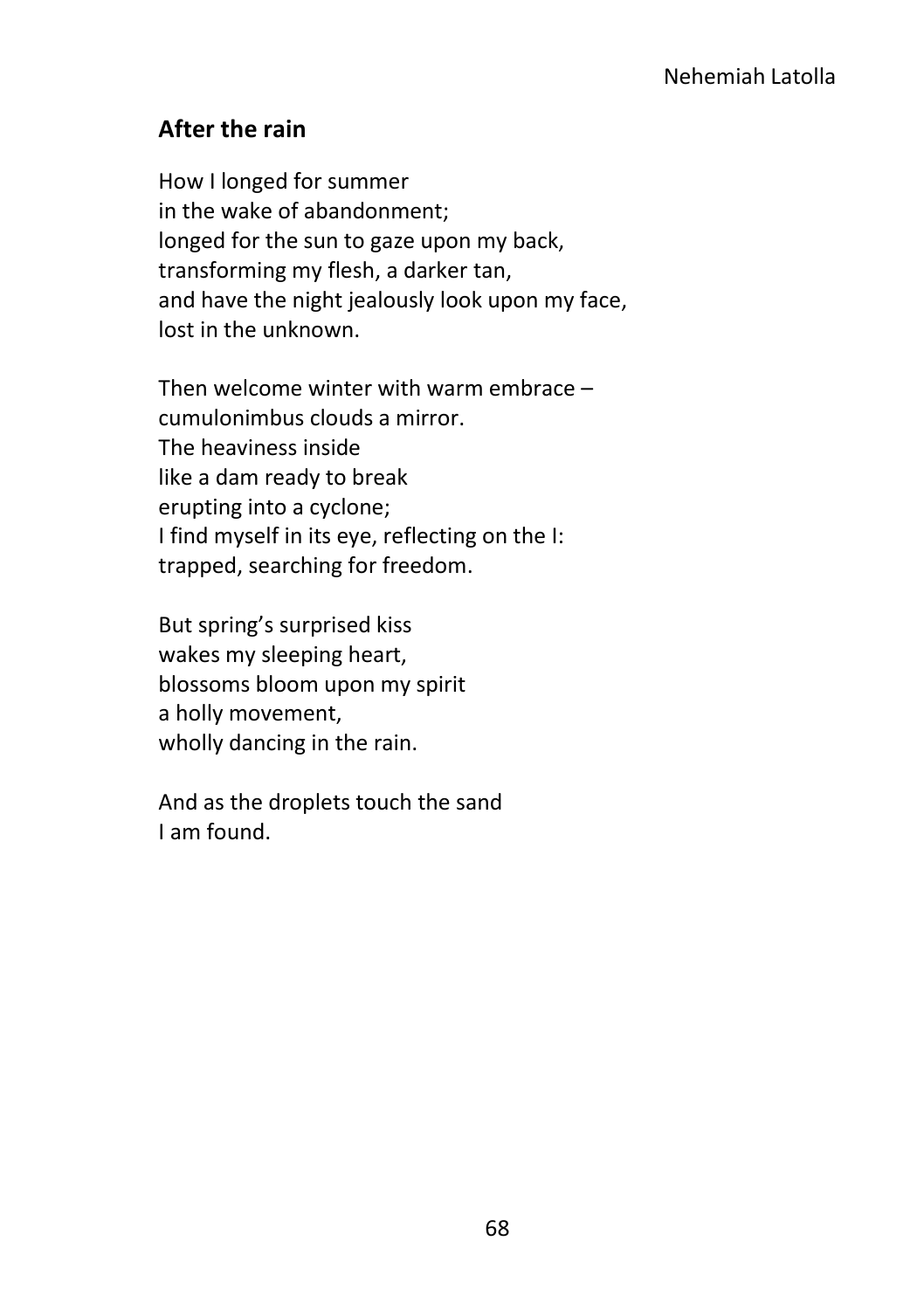# **After the rain**

How I longed for summer in the wake of abandonment; longed for the sun to gaze upon my back, transforming my flesh, a darker tan, and have the night jealously look upon my face, lost in the unknown.

Then welcome winter with warm embrace – cumulonimbus clouds a mirror. The heaviness inside like a dam ready to break erupting into a cyclone; I find myself in its eye, reflecting on the I: trapped, searching for freedom.

But spring's surprised kiss wakes my sleeping heart, blossoms bloom upon my spirit a holly movement, wholly dancing in the rain.

And as the droplets touch the sand I am found.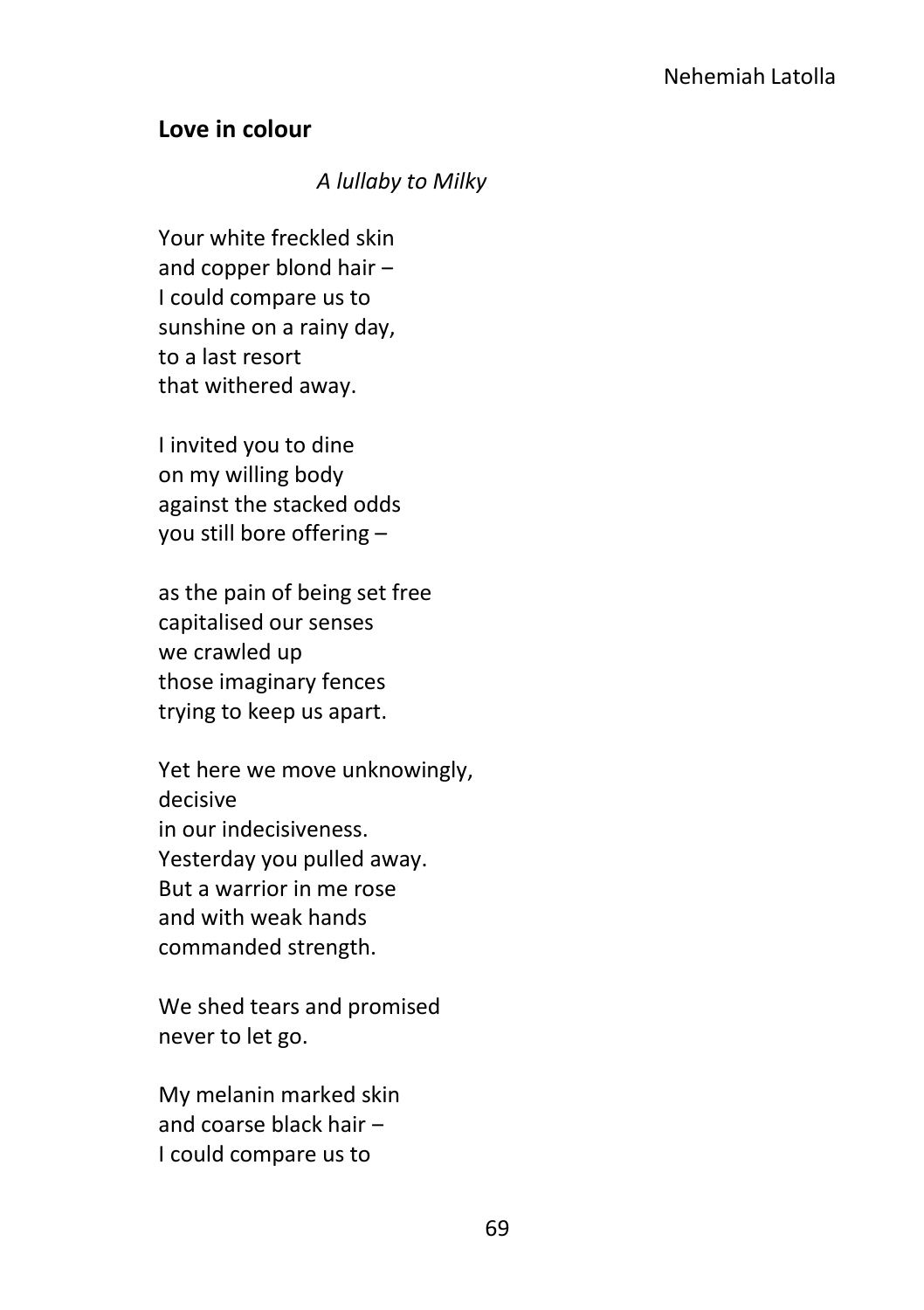#### **Love in colour**

#### *A lullaby to Milky*

Your white freckled skin and copper blond hair -I could compare us to sunshine on a rainy day, to a last resort that withered away.

I invited you to dine on my willing body against the stacked odds you still bore offering –

as the pain of being set free capitalised our senses we crawled up those imaginary fences trying to keep us apart.

Yet here we move unknowingly, decisive in our indecisiveness. Yesterday you pulled away. But a warrior in me rose and with weak hands commanded strength.

We shed tears and promised never to let go.

My melanin marked skin and coarse black hair  $-$ I could compare us to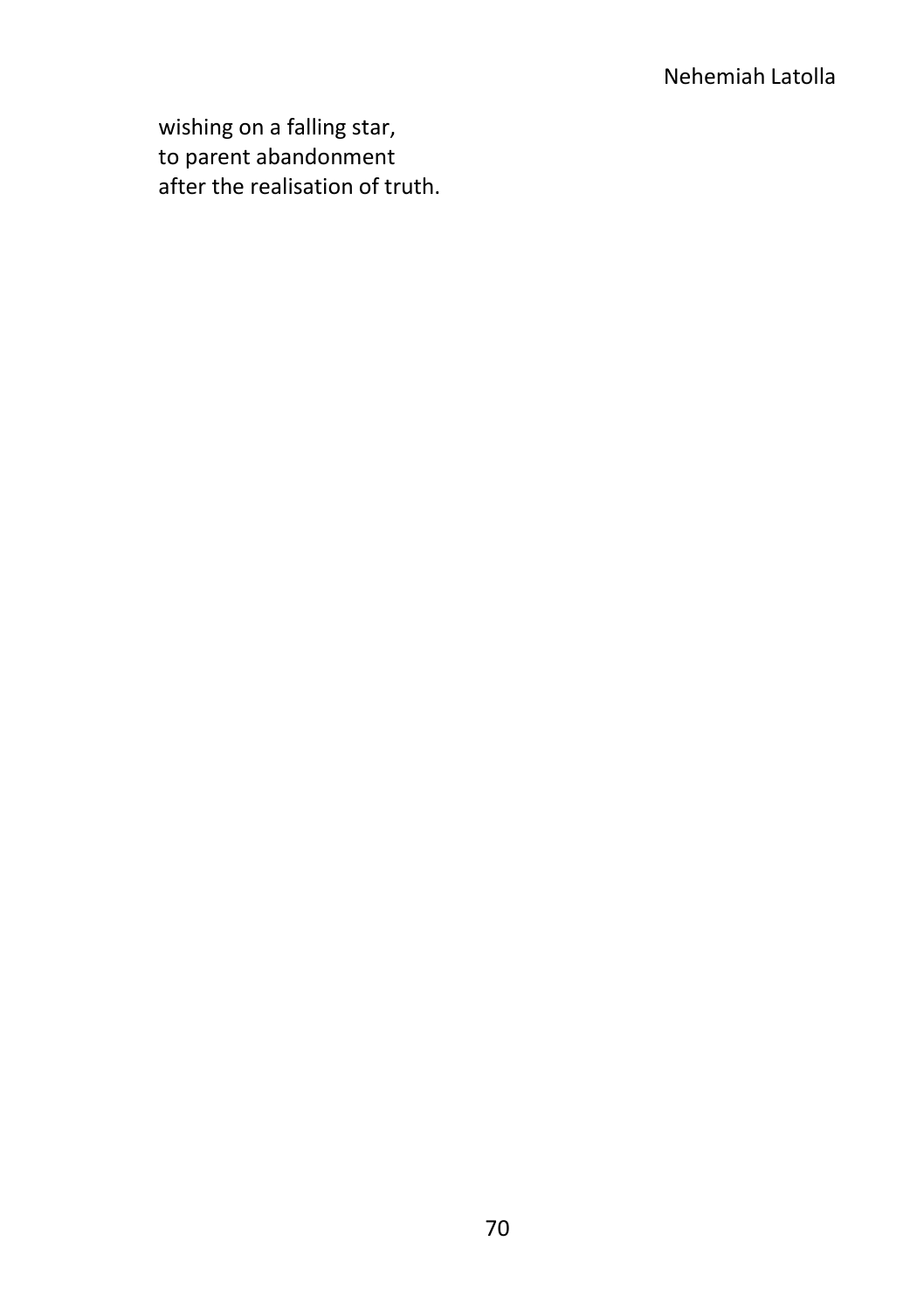# Nehemiah Latolla

wishing on a falling star, to parent abandonment after the realisation of truth.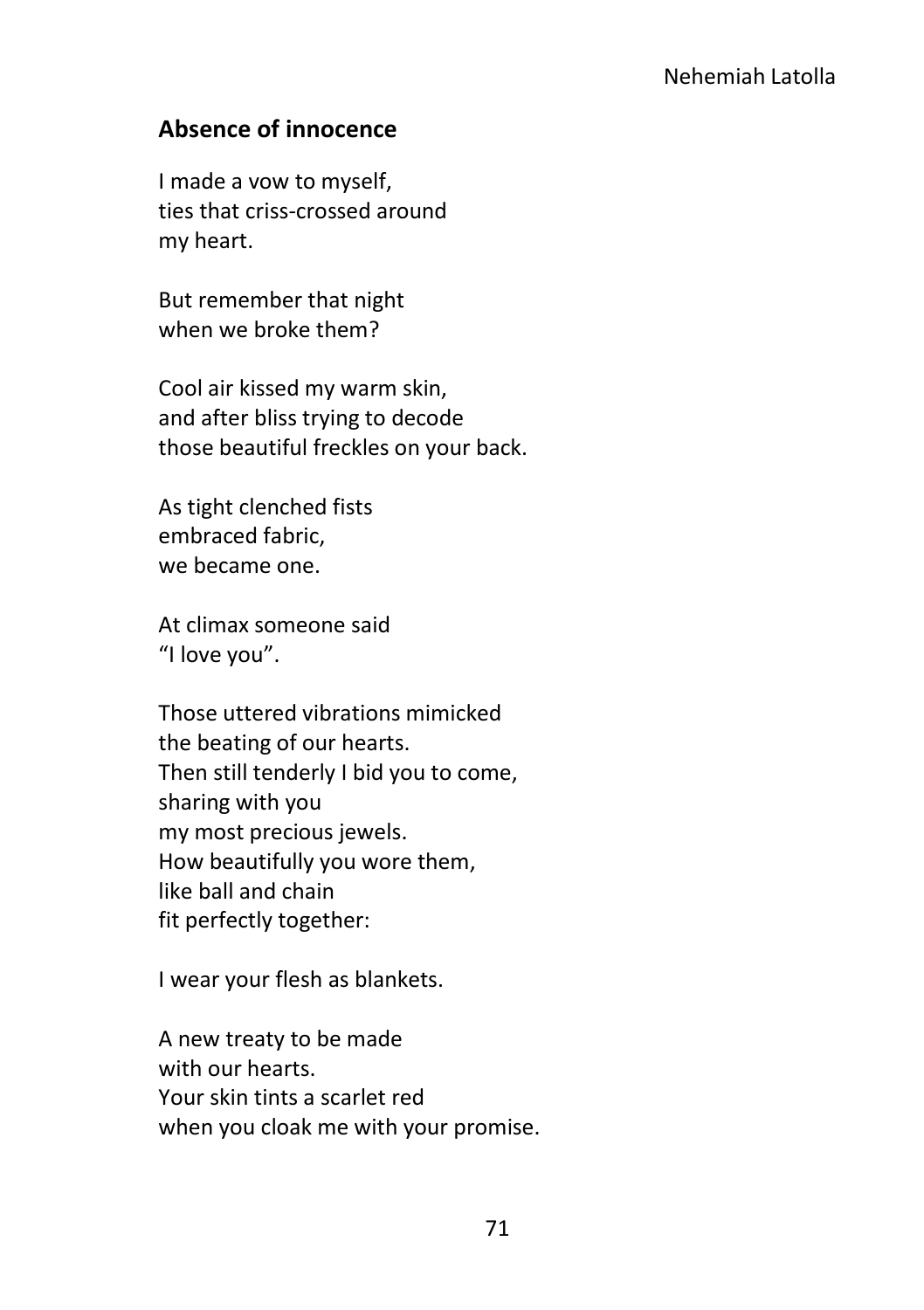### **Absence of innocence**

I made a vow to myself, ties that criss-crossed around my heart.

But remember that night when we broke them?

Cool air kissed my warm skin, and after bliss trying to decode those beautiful freckles on your back.

As tight clenched fists embraced fabric, we became one.

At climax someone said "I love you".

Those uttered vibrations mimicked the beating of our hearts. Then still tenderly I bid you to come, sharing with you my most precious jewels. How beautifully you wore them, like ball and chain fit perfectly together:

I wear your flesh as blankets.

A new treaty to be made with our hearts. Your skin tints a scarlet red when you cloak me with your promise.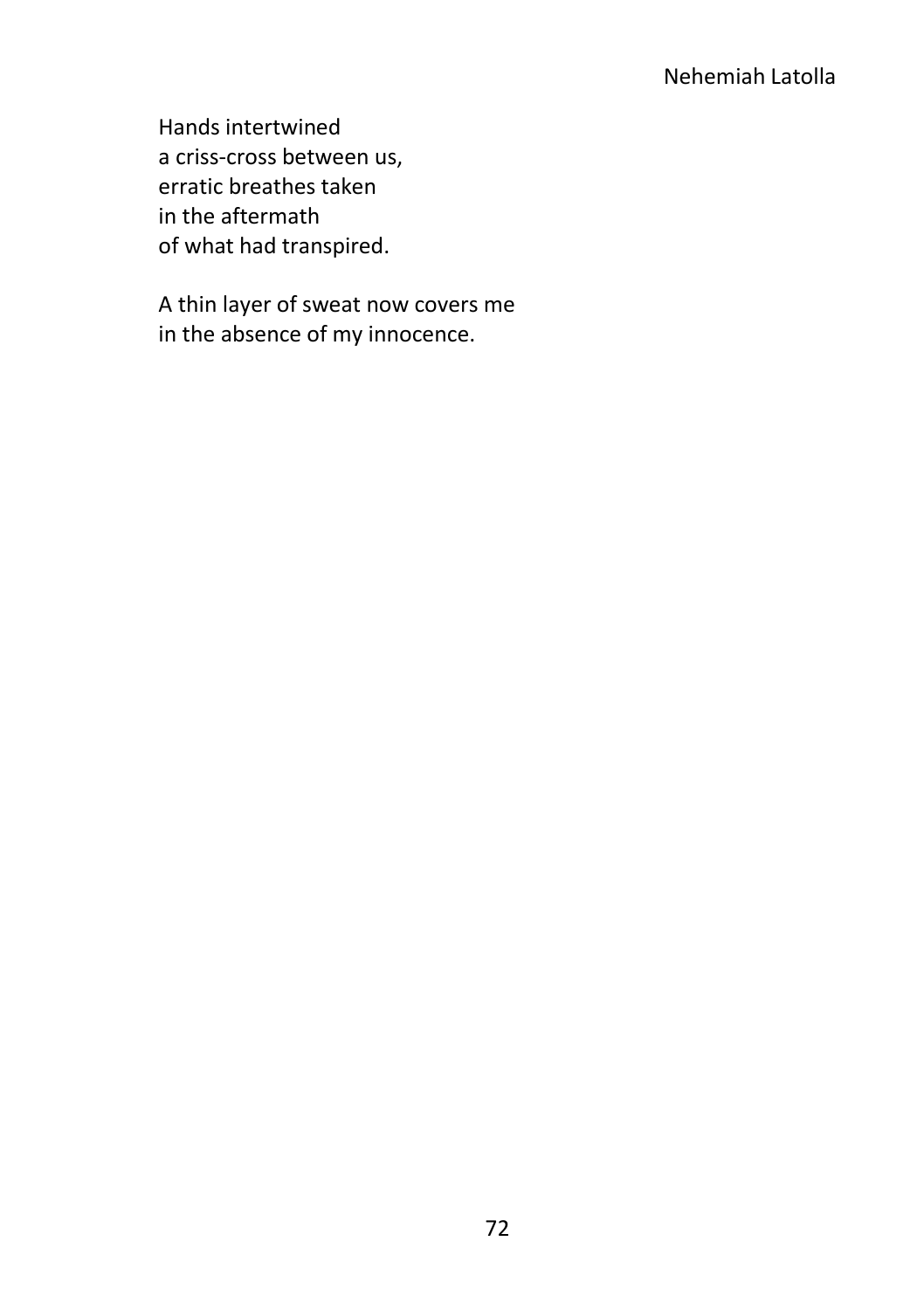Hands intertwined a criss-cross between us, erratic breathes taken in the aftermath of what had transpired.

A thin layer of sweat now covers me in the absence of my innocence.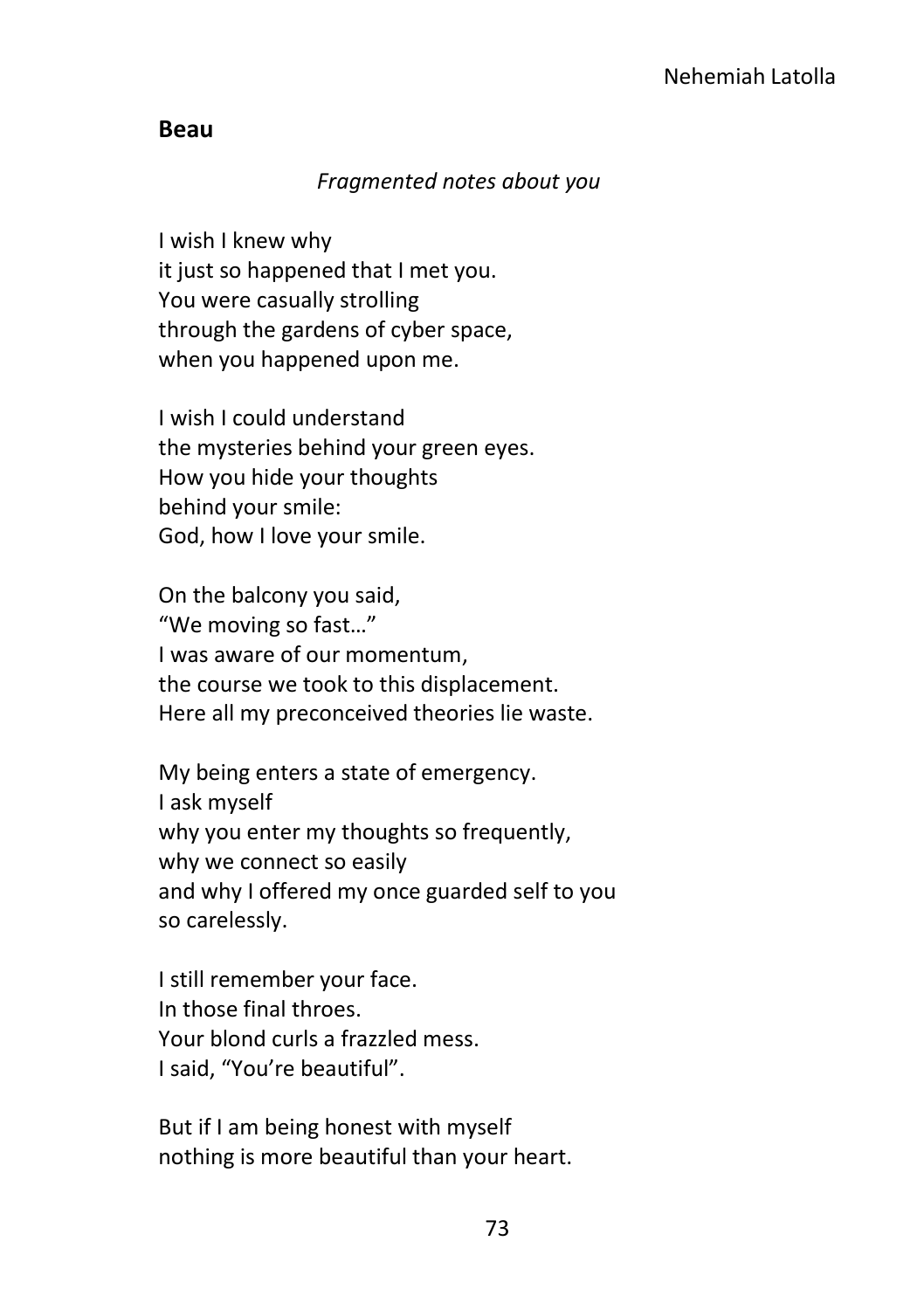#### **Beau**

#### *Fragmented notes about you*

I wish I knew why it just so happened that I met you. You were casually strolling through the gardens of cyber space, when you happened upon me.

I wish I could understand the mysteries behind your green eyes. How you hide your thoughts behind your smile: God, how I love your smile.

On the balcony you said, "We moving so fast…" I was aware of our momentum, the course we took to this displacement. Here all my preconceived theories lie waste.

My being enters a state of emergency. I ask myself why you enter my thoughts so frequently, why we connect so easily and why I offered my once guarded self to you so carelessly.

I still remember your face. In those final throes. Your blond curls a frazzled mess. I said, "You're beautiful".

But if I am being honest with myself nothing is more beautiful than your heart.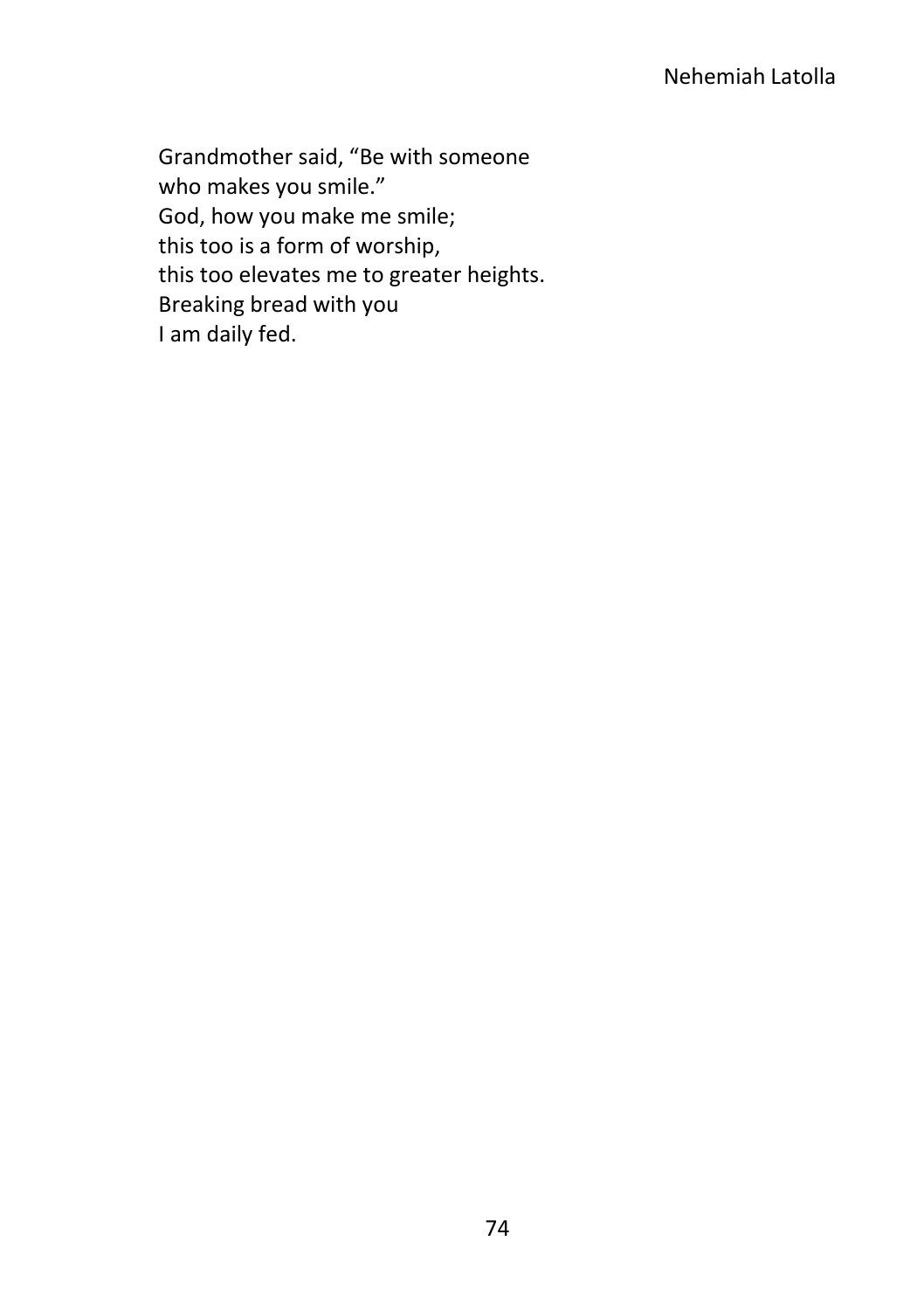Grandmother said, "Be with someone who makes you smile." God, how you make me smile; this too is a form of worship, this too elevates me to greater heights. Breaking bread with you I am daily fed.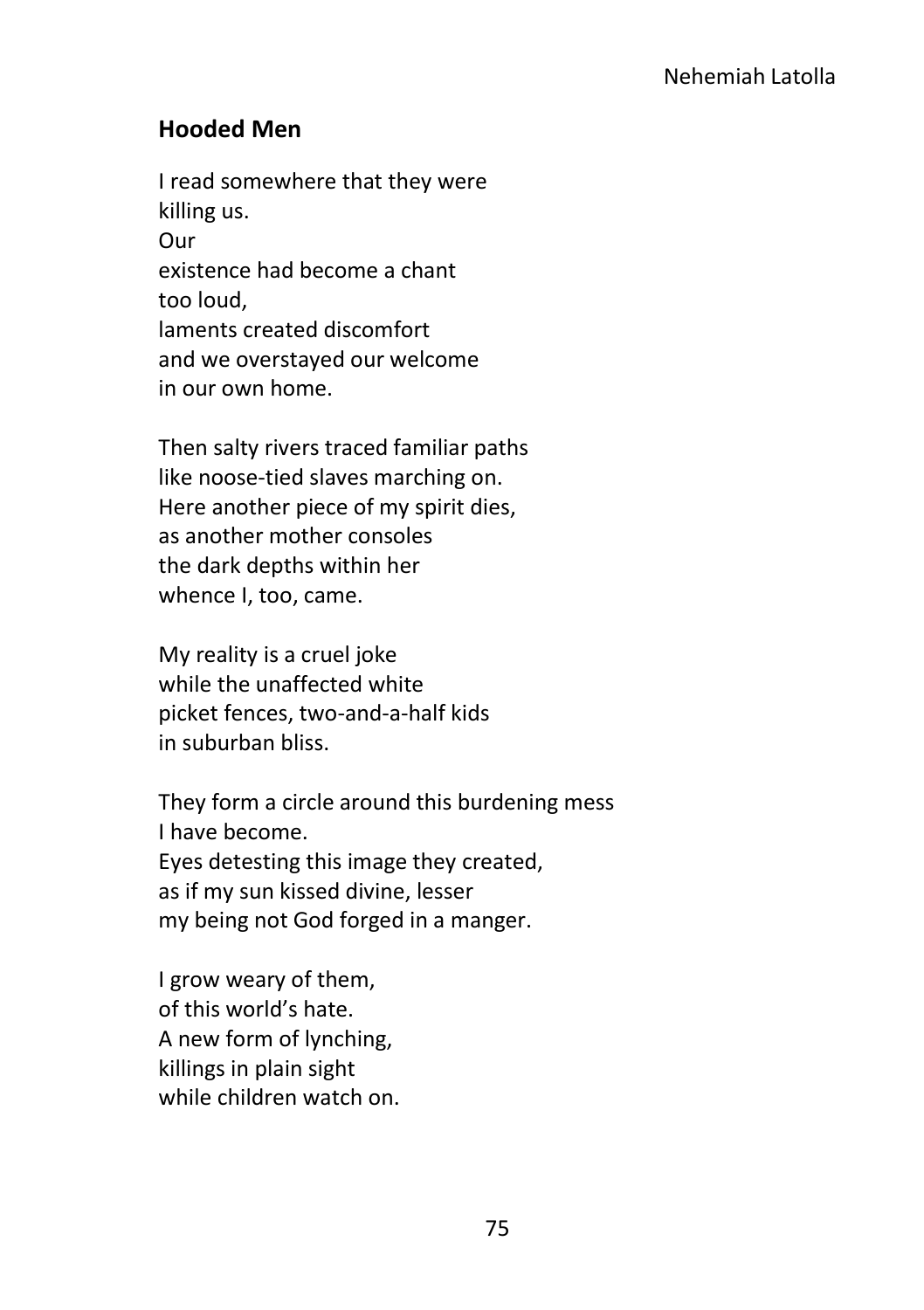### **Hooded Men**

I read somewhere that they were killing us. Our existence had become a chant too loud, laments created discomfort and we overstayed our welcome in our own home.

Then salty rivers traced familiar paths like noose-tied slaves marching on. Here another piece of my spirit dies, as another mother consoles the dark depths within her whence I, too, came.

My reality is a cruel joke while the unaffected white picket fences, two-and-a-half kids in suburban bliss.

They form a circle around this burdening mess I have become. Eyes detesting this image they created, as if my sun kissed divine, lesser my being not God forged in a manger.

I grow weary of them, of this world's hate. A new form of lynching, killings in plain sight while children watch on.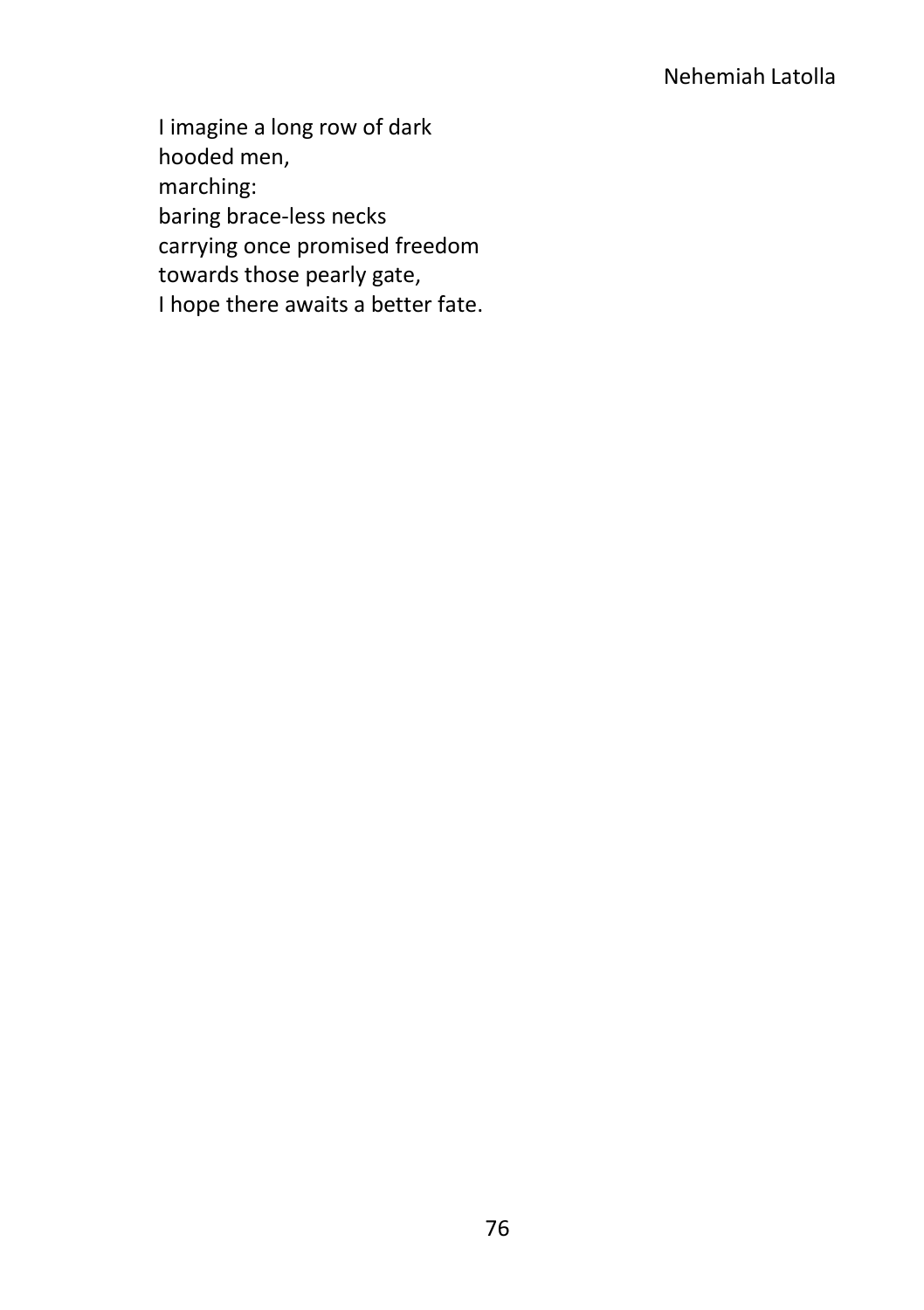# Nehemiah Latolla

I imagine a long row of dark hooded men, marching: baring brace-less necks carrying once promised freedom towards those pearly gate, I hope there awaits a better fate.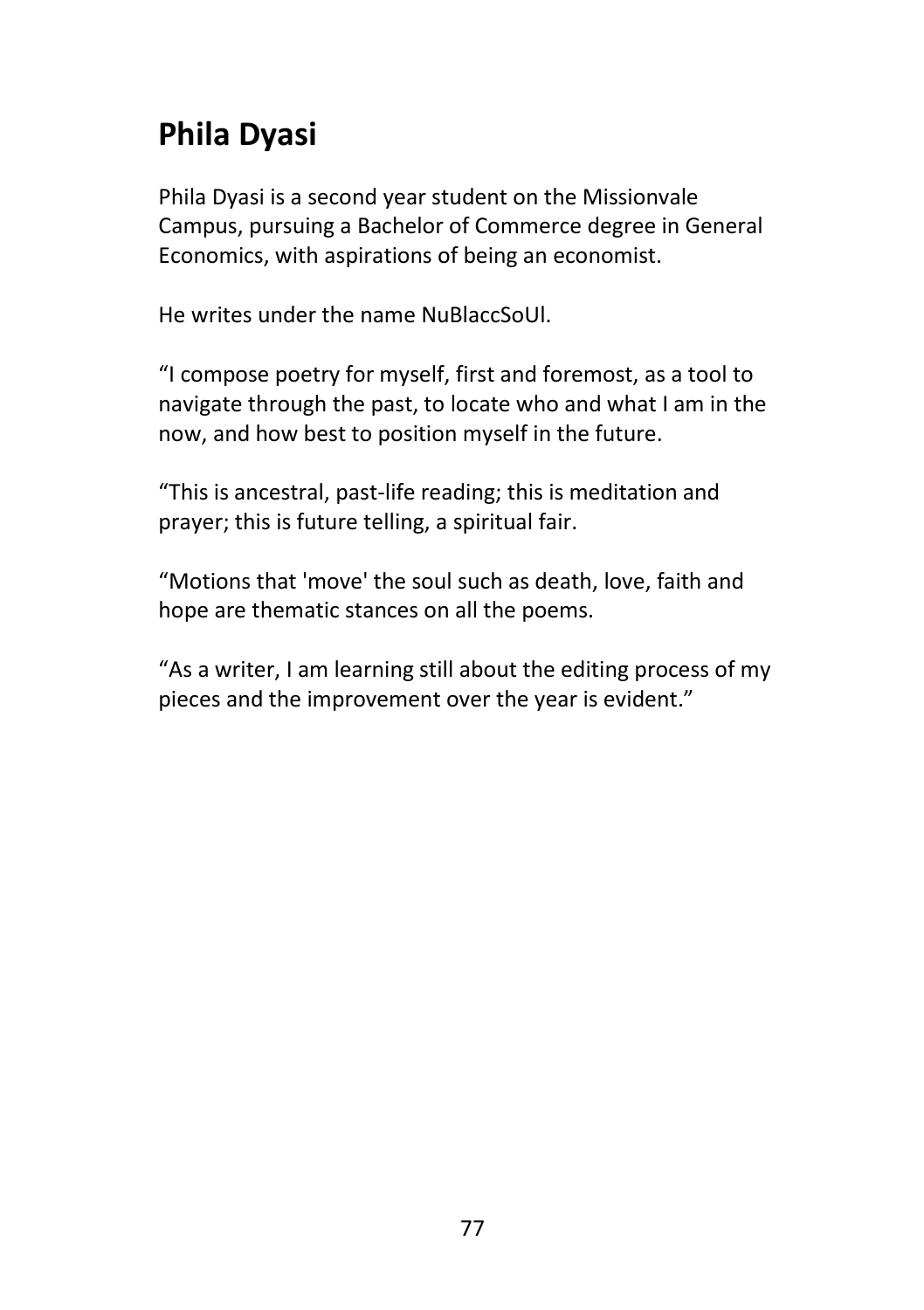# **Phila Dyasi**

Phila Dyasi is a second year student on the Missionvale Campus, pursuing a Bachelor of Commerce degree in General Economics, with aspirations of being an economist.

He writes under the name NuBlaccSoUl.

"I compose poetry for myself, first and foremost, as a tool to navigate through the past, to locate who and what I am in the now, and how best to position myself in the future.

"This is ancestral, past-life reading; this is meditation and prayer; this is future telling, a spiritual fair.

"Motions that 'move' the soul such as death, love, faith and hope are thematic stances on all the poems.

"As a writer, I am learning still about the editing process of my pieces and the improvement over the year is evident."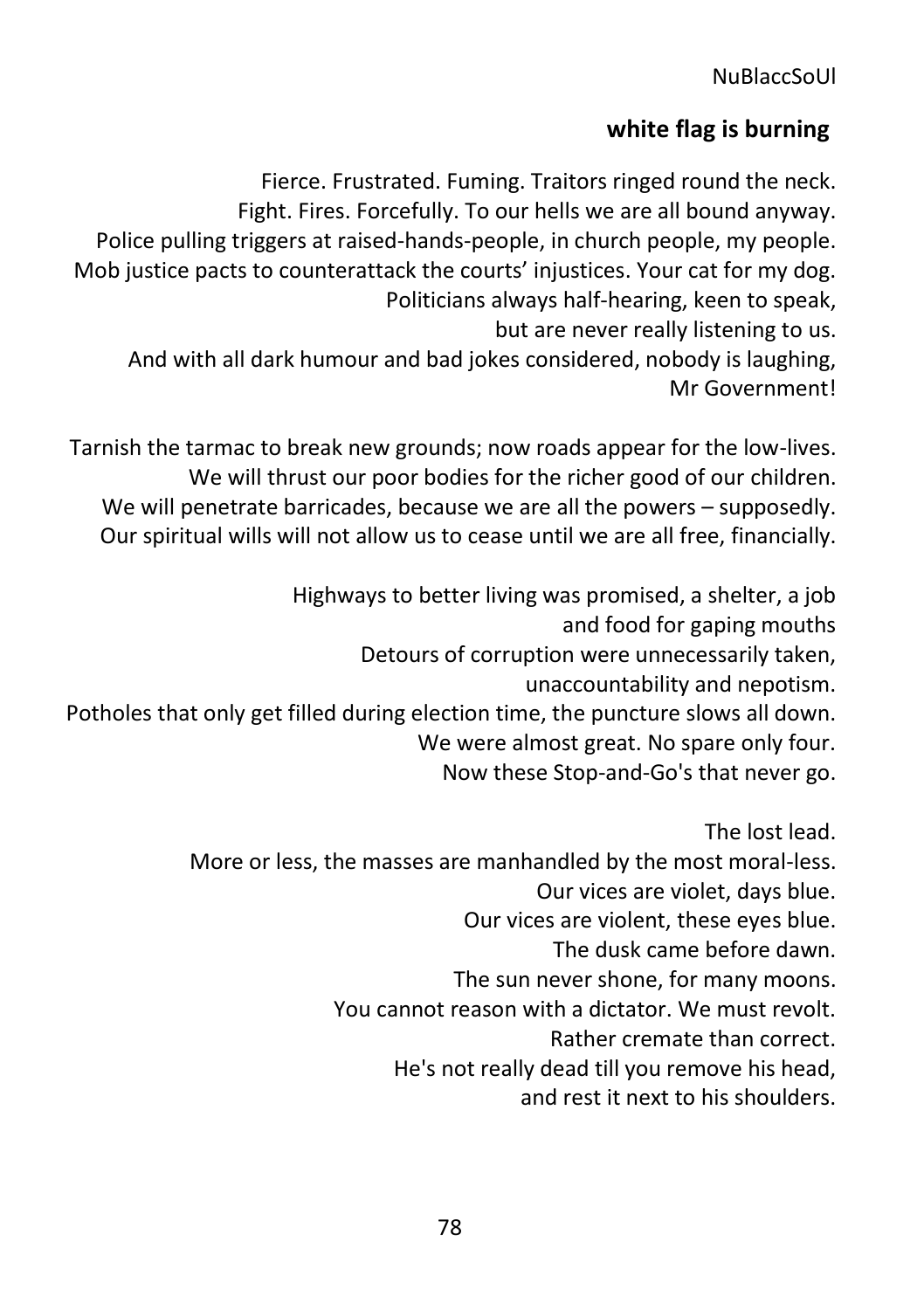# **white flag is burning**

Fierce. Frustrated. Fuming. Traitors ringed round the neck. Fight. Fires. Forcefully. To our hells we are all bound anyway. Police pulling triggers at raised-hands-people, in church people, my people. Mob justice pacts to counterattack the courts' injustices. Your cat for my dog. Politicians always half-hearing, keen to speak, but are never really listening to us. And with all dark humour and bad jokes considered, nobody is laughing, Mr Government!

Tarnish the tarmac to break new grounds; now roads appear for the low-lives. We will thrust our poor bodies for the richer good of our children. We will penetrate barricades, because we are all the powers – supposedly. Our spiritual wills will not allow us to cease until we are all free, financially.

Highways to better living was promised, a shelter, a job and food for gaping mouths Detours of corruption were unnecessarily taken, unaccountability and nepotism. Potholes that only get filled during election time, the puncture slows all down. We were almost great. No spare only four. Now these Stop-and-Go's that never go.

> The lost lead. More or less, the masses are manhandled by the most moral-less. Our vices are violet, days blue. Our vices are violent, these eyes blue. The dusk came before dawn. The sun never shone, for many moons. You cannot reason with a dictator. We must revolt. Rather cremate than correct. He's not really dead till you remove his head, and rest it next to his shoulders.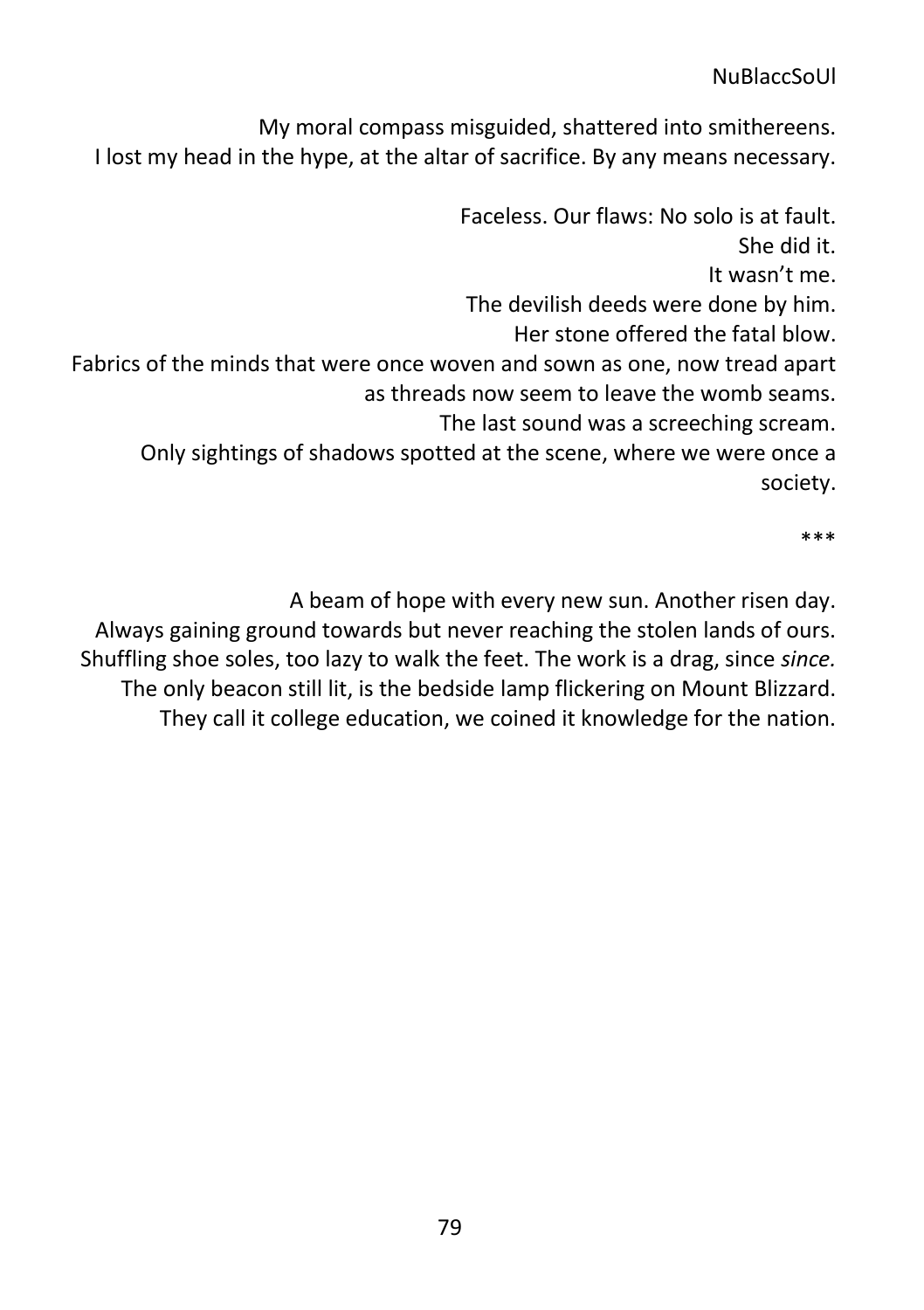My moral compass misguided, shattered into smithereens. I lost my head in the hype, at the altar of sacrifice. By any means necessary.

Faceless. Our flaws: No solo is at fault. She did it. It wasn't me. The devilish deeds were done by him. Her stone offered the fatal blow. Fabrics of the minds that were once woven and sown as one, now tread apart as threads now seem to leave the womb seams. The last sound was a screeching scream. Only sightings of shadows spotted at the scene, where we were once a society.

\*\*\*

A beam of hope with every new sun. Another risen day. Always gaining ground towards but never reaching the stolen lands of ours. Shuffling shoe soles, too lazy to walk the feet. The work is a drag, since *since.*  The only beacon still lit, is the bedside lamp flickering on Mount Blizzard. They call it college education, we coined it knowledge for the nation.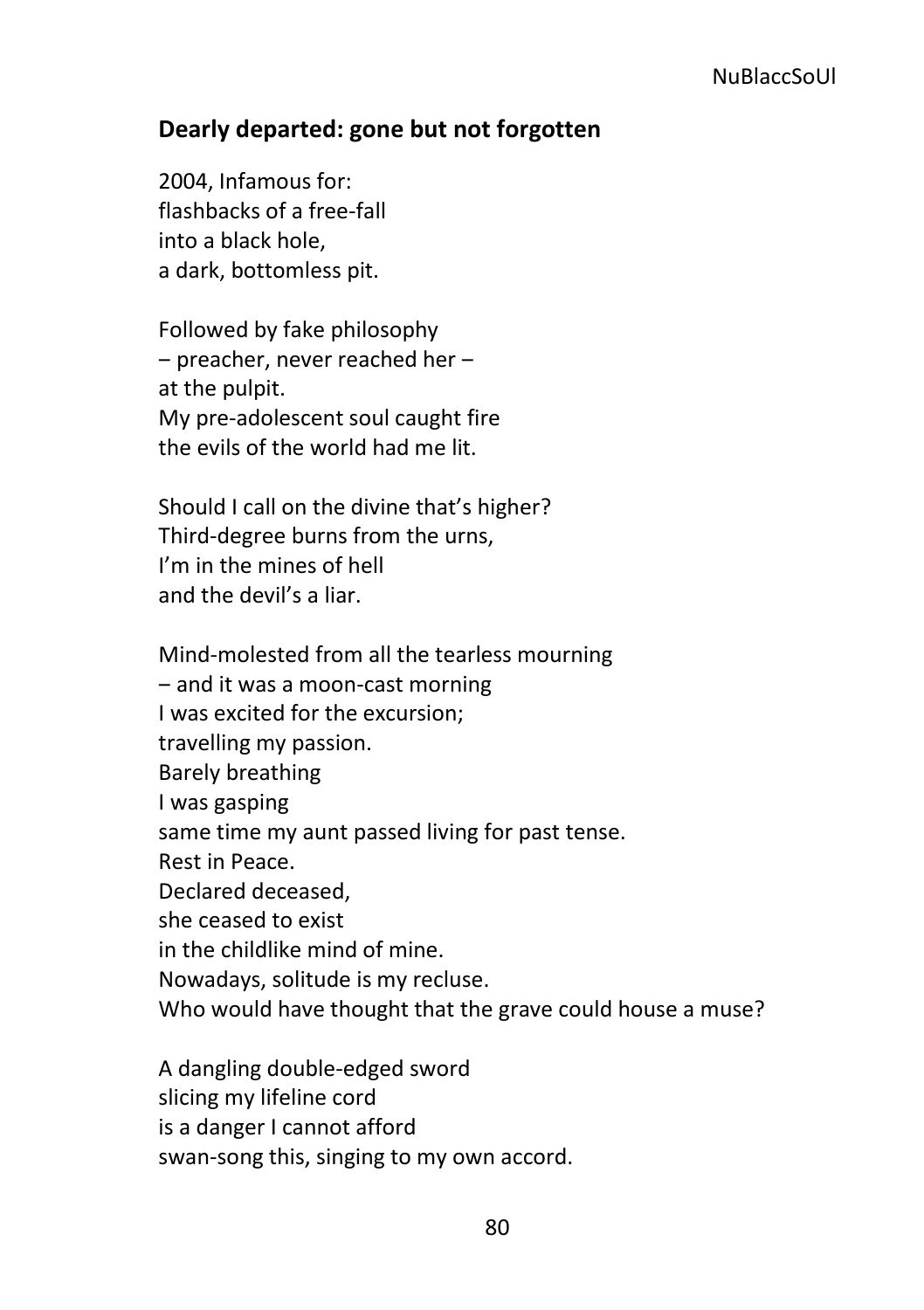### **Dearly departed: gone but not forgotten**

2004, Infamous for: flashbacks of a free-fall into a black hole, a dark, bottomless pit.

Followed by fake philosophy – preacher, never reached her – at the pulpit. My pre-adolescent soul caught fire the evils of the world had me lit.

Should I call on the divine that's higher? Third-degree burns from the urns, I'm in the mines of hell and the devil's a liar.

Mind-molested from all the tearless mourning ‒ and it was a moon-cast morning I was excited for the excursion; travelling my passion. Barely breathing I was gasping same time my aunt passed living for past tense. Rest in Peace. Declared deceased, she ceased to exist in the childlike mind of mine. Nowadays, solitude is my recluse. Who would have thought that the grave could house a muse?

A dangling double-edged sword slicing my lifeline cord is a danger I cannot afford swan-song this, singing to my own accord.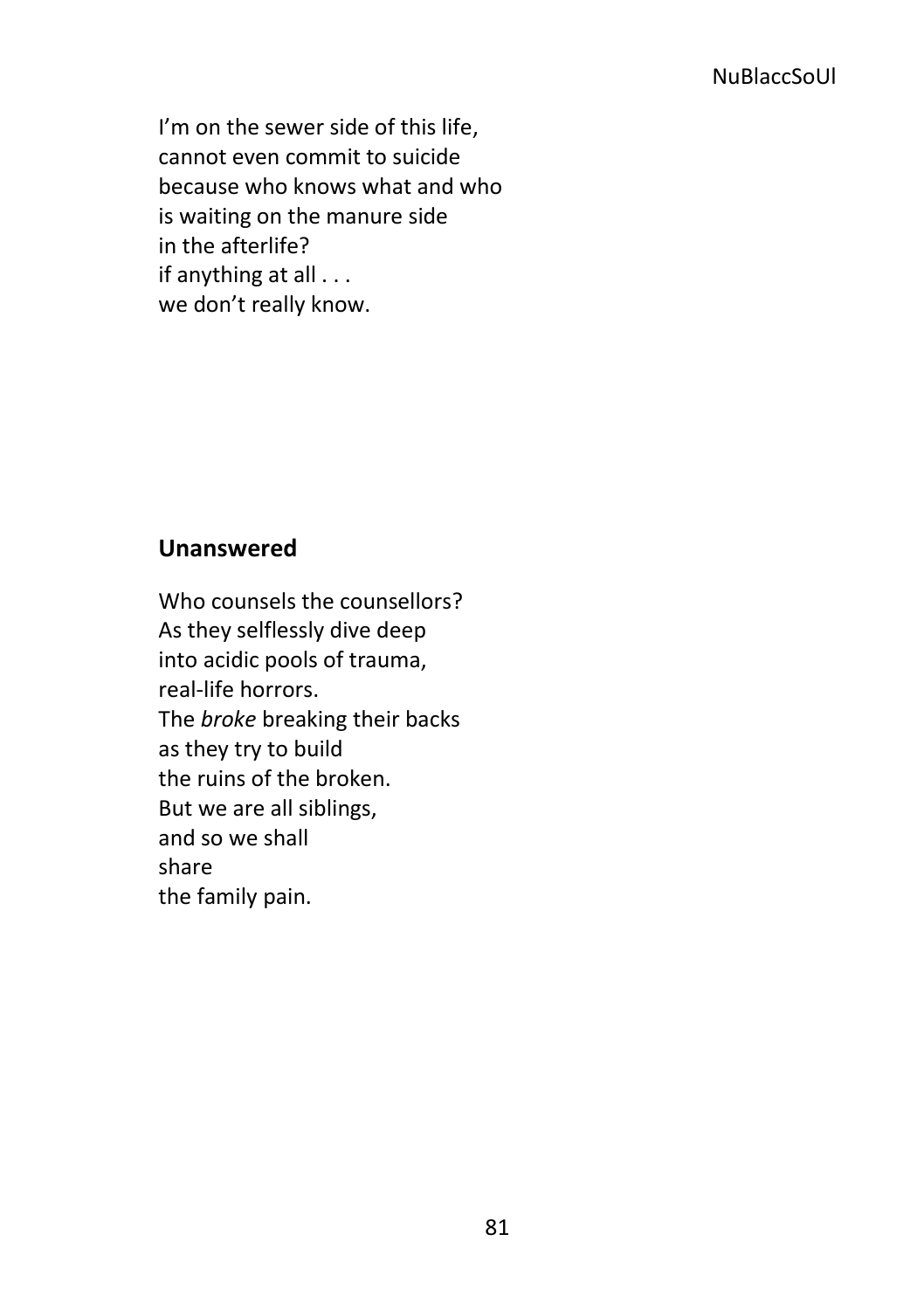I'm on the sewer side of this life, cannot even commit to suicide because who knows what and who is waiting on the manure side in the afterlife? if anything at all . . . we don't really know.

### **Unanswered**

Who counsels the counsellors? As they selflessly dive deep into acidic pools of trauma, real-life horrors. The *broke* breaking their backs as they try to build the ruins of the broken. But we are all siblings, and so we shall share the family pain.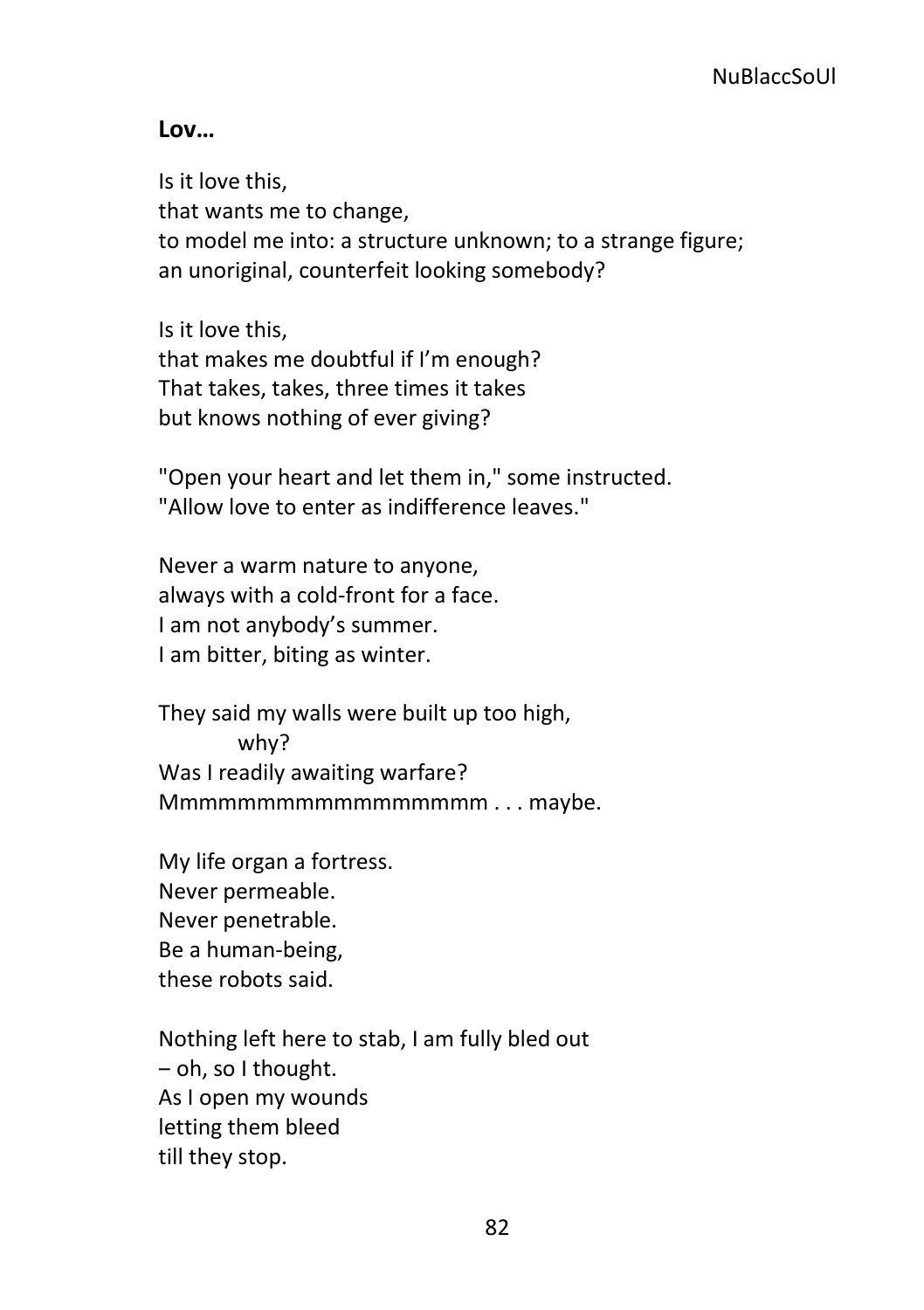#### **Lov…**

Is it love this, that wants me to change, to model me into: a structure unknown; to a strange figure; an unoriginal, counterfeit looking somebody?

Is it love this, that makes me doubtful if I'm enough? That takes, takes, three times it takes but knows nothing of ever giving?

"Open your heart and let them in," some instructed. "Allow love to enter as indifference leaves."

Never a warm nature to anyone, always with a cold-front for a face. I am not anybody's summer. I am bitter, biting as winter.

They said my walls were built up too high, why? Was I readily awaiting warfare? Mmmmmmmmmmmmmmmmm . . . maybe.

My life organ a fortress. Never permeable. Never penetrable. Be a human-being, these robots said.

Nothing left here to stab, I am fully bled out  $-$  oh, so I thought. As I open my wounds letting them bleed till they stop.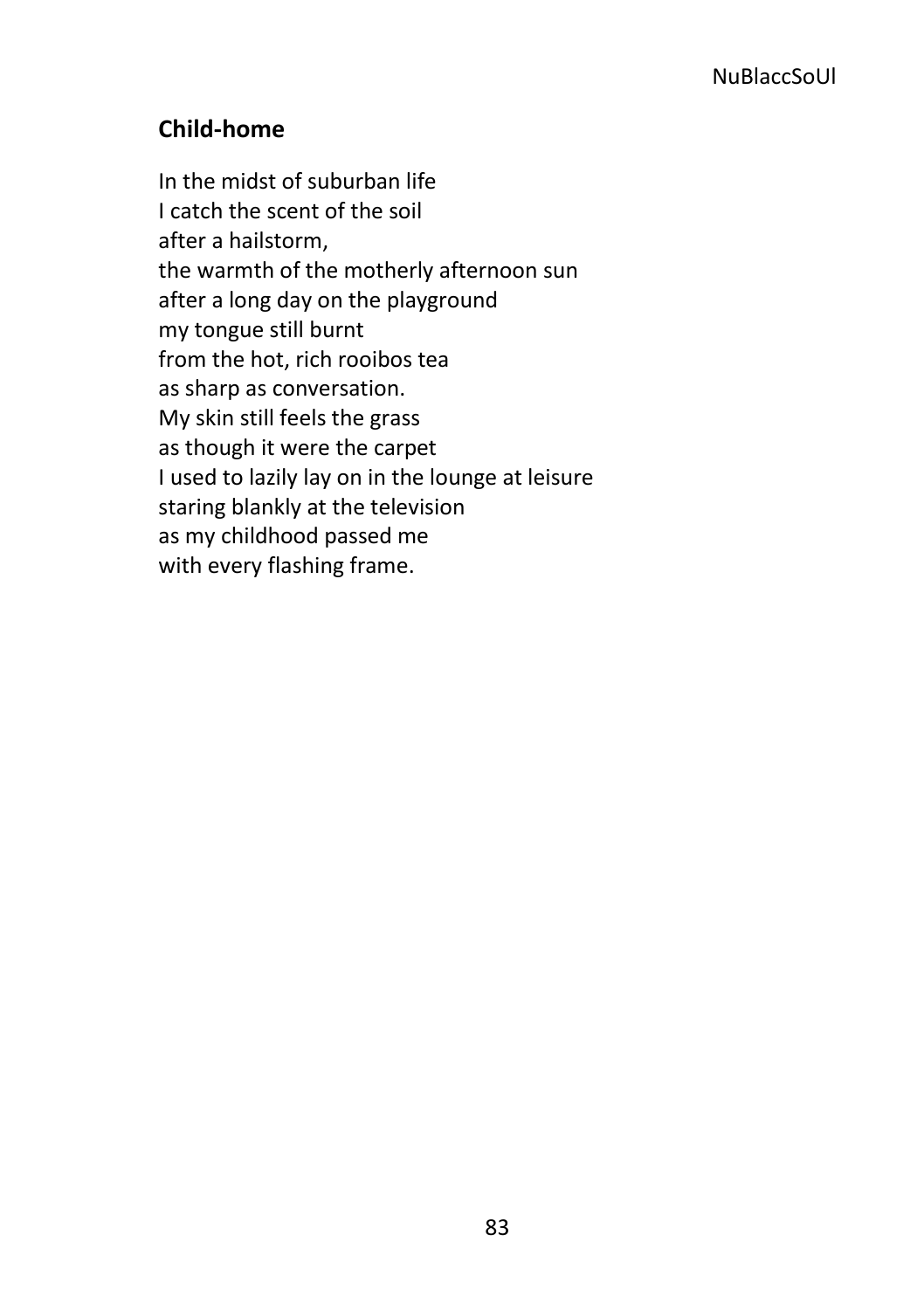# **Child-home**

In the midst of suburban life I catch the scent of the soil after a hailstorm, the warmth of the motherly afternoon sun after a long day on the playground my tongue still burnt from the hot, rich rooibos tea as sharp as conversation. My skin still feels the grass as though it were the carpet I used to lazily lay on in the lounge at leisure staring blankly at the television as my childhood passed me with every flashing frame.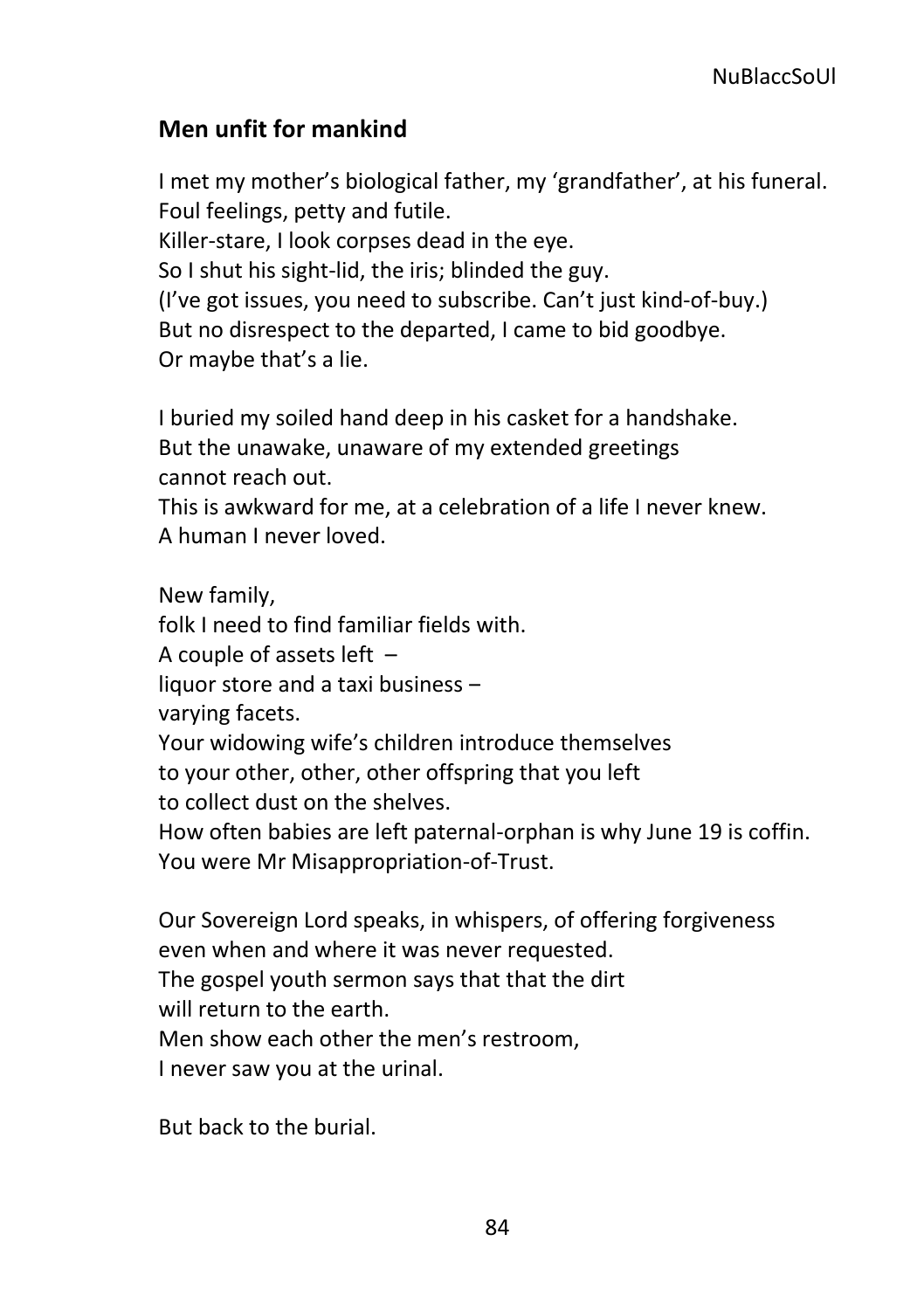# **Men unfit for mankind**

I met my mother's biological father, my 'grandfather', at his funeral. Foul feelings, petty and futile. Killer-stare, I look corpses dead in the eye. So I shut his sight-lid, the iris; blinded the guy. (I've got issues, you need to subscribe. Can't just kind-of-buy.) But no disrespect to the departed, I came to bid goodbye. Or maybe that's a lie.

I buried my soiled hand deep in his casket for a handshake. But the unawake, unaware of my extended greetings cannot reach out.

This is awkward for me, at a celebration of a life I never knew. A human I never loved.

New family, folk I need to find familiar fields with. A couple of assets left – liquor store and a taxi business  $$ varying facets. Your widowing wife's children introduce themselves to your other, other, other offspring that you left to collect dust on the shelves. How often babies are left paternal-orphan is why June 19 is coffin. You were Mr Misappropriation-of-Trust.

Our Sovereign Lord speaks, in whispers, of offering forgiveness even when and where it was never requested. The gospel youth sermon says that that the dirt will return to the earth. Men show each other the men's restroom, I never saw you at the urinal.

But back to the burial.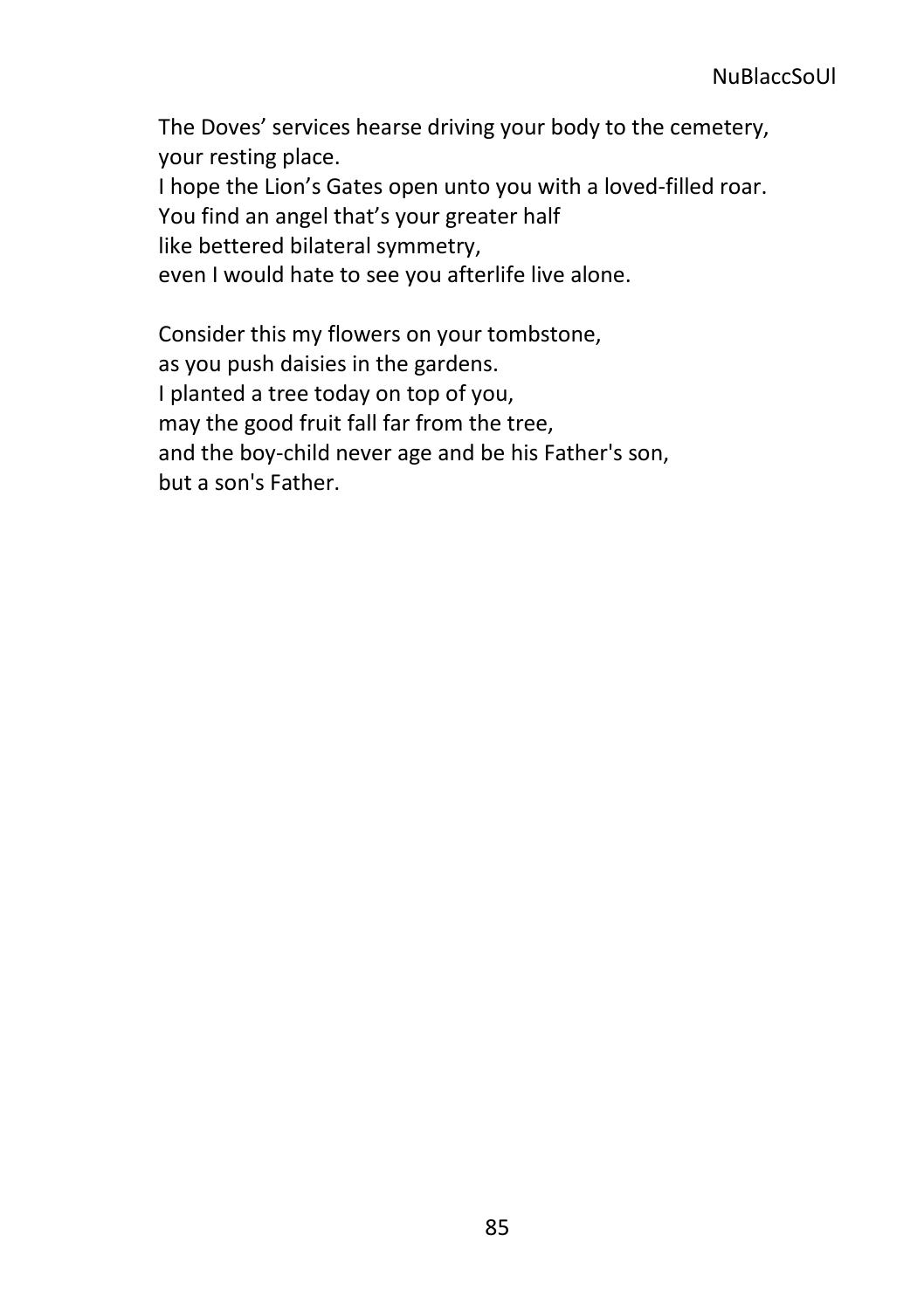The Doves' services hearse driving your body to the cemetery, your resting place. I hope the Lion's Gates open unto you with a loved-filled roar. You find an angel that's your greater half like bettered bilateral symmetry, even I would hate to see you afterlife live alone.

Consider this my flowers on your tombstone, as you push daisies in the gardens. I planted a tree today on top of you,

may the good fruit fall far from the tree,

and the boy-child never age and be his Father's son,

but a son's Father.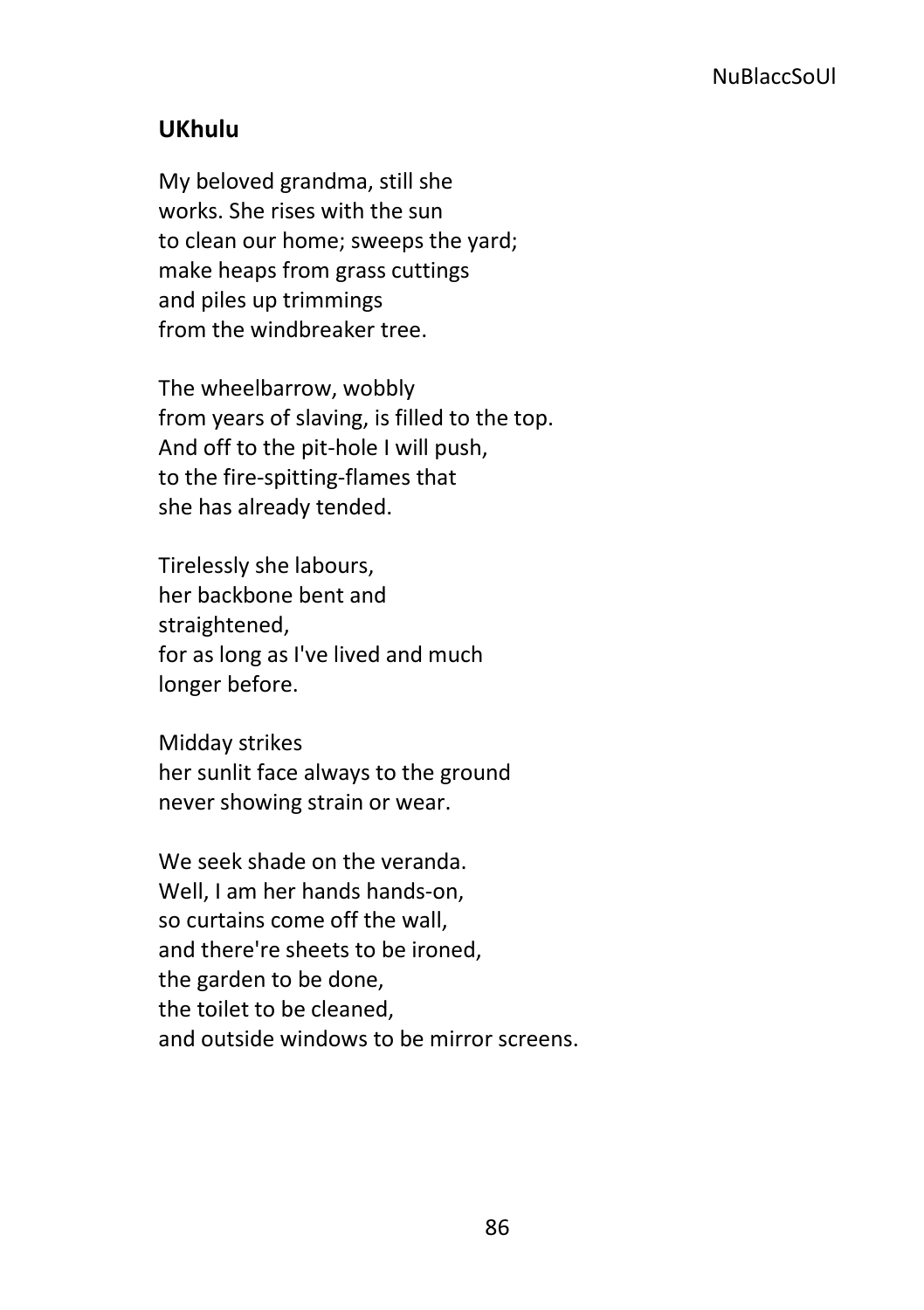# **UKhulu**

My beloved grandma, still she works. She rises with the sun to clean our home; sweeps the yard; make heaps from grass cuttings and piles up trimmings from the windbreaker tree.

The wheelbarrow, wobbly from years of slaving, is filled to the top. And off to the pit-hole I will push, to the fire-spitting-flames that she has already tended.

Tirelessly she labours, her backbone bent and straightened, for as long as I've lived and much longer before.

Midday strikes her sunlit face always to the ground never showing strain or wear.

We seek shade on the veranda. Well, I am her hands hands-on, so curtains come off the wall, and there're sheets to be ironed, the garden to be done, the toilet to be cleaned, and outside windows to be mirror screens.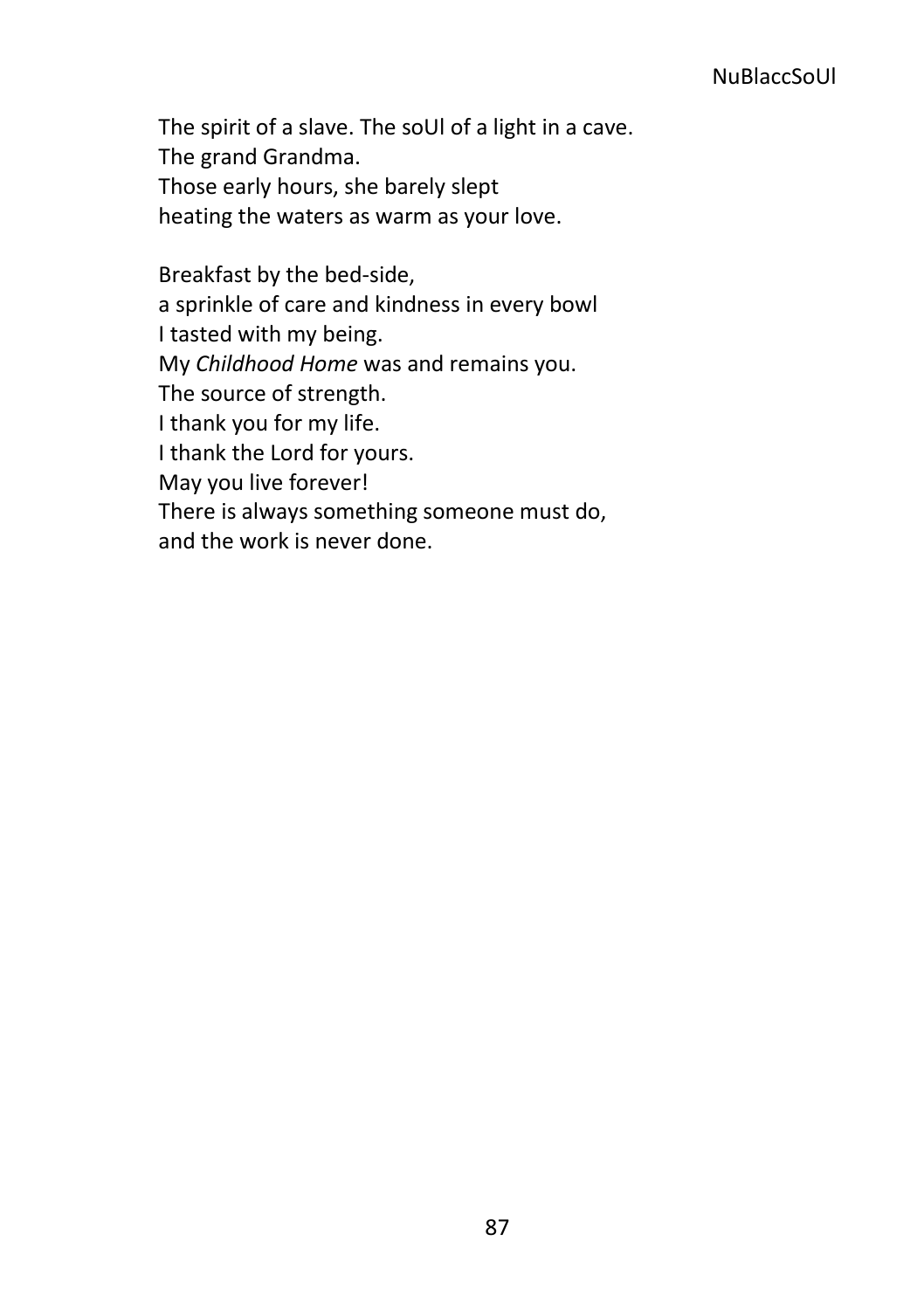The spirit of a slave. The soUl of a light in a cave. The grand Grandma. Those early hours, she barely slept heating the waters as warm as your love.

Breakfast by the bed-side, a sprinkle of care and kindness in every bowl I tasted with my being. My *Childhood Home* was and remains you. The source of strength. I thank you for my life. I thank the Lord for yours. May you live forever! There is always something someone must do, and the work is never done.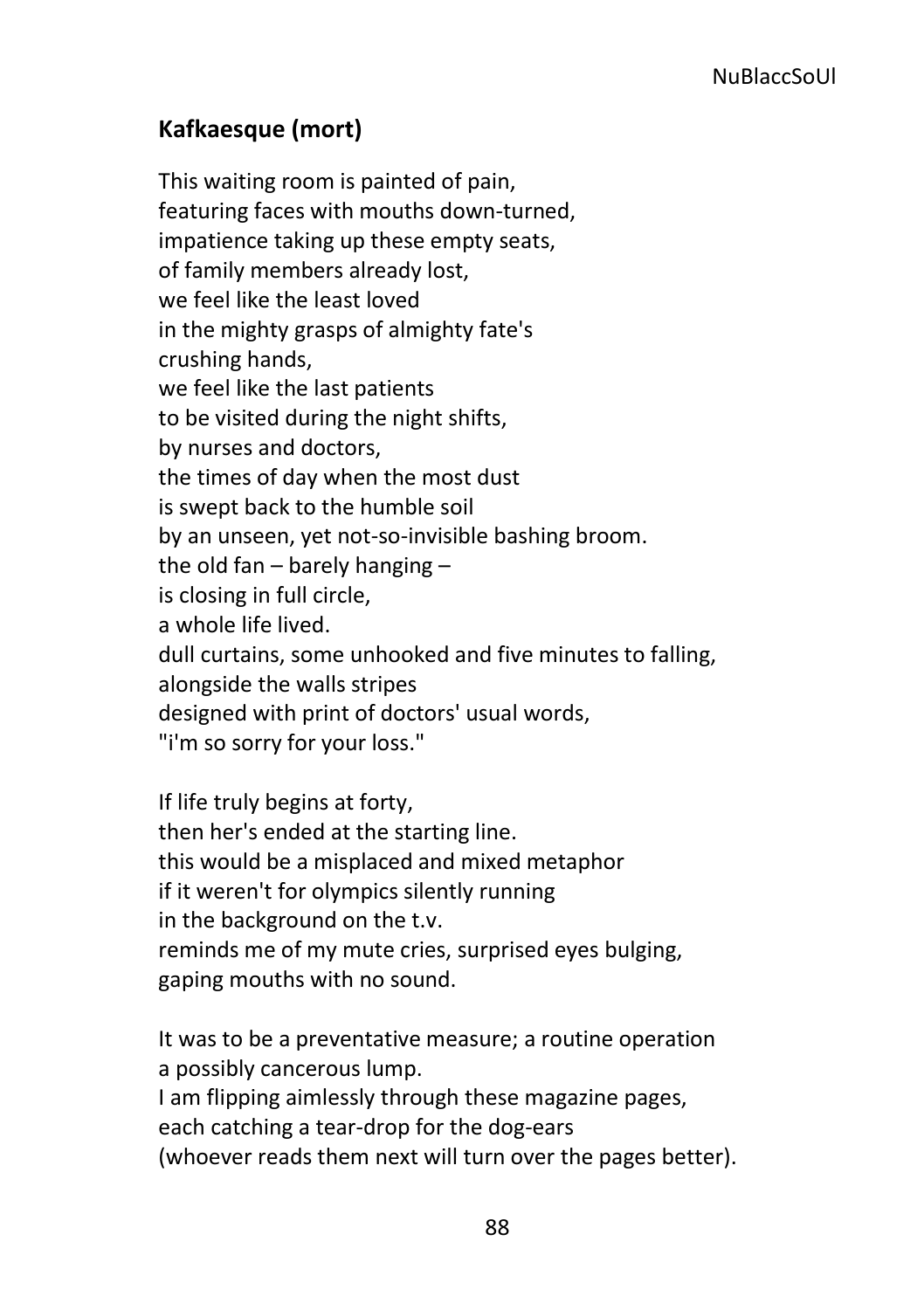# **Kafkaesque (mort)**

This waiting room is painted of pain, featuring faces with mouths down-turned, impatience taking up these empty seats, of family members already lost, we feel like the least loved in the mighty grasps of almighty fate's crushing hands, we feel like the last patients to be visited during the night shifts, by nurses and doctors, the times of day when the most dust is swept back to the humble soil by an unseen, yet not-so-invisible bashing broom. the old fan – barely hanging – is closing in full circle, a whole life lived. dull curtains, some unhooked and five minutes to falling, alongside the walls stripes designed with print of doctors' usual words, "i'm so sorry for your loss."

If life truly begins at forty, then her's ended at the starting line. this would be a misplaced and mixed metaphor if it weren't for olympics silently running in the background on the t.v. reminds me of my mute cries, surprised eyes bulging, gaping mouths with no sound.

It was to be a preventative measure; a routine operation a possibly cancerous lump. I am flipping aimlessly through these magazine pages, each catching a tear-drop for the dog-ears (whoever reads them next will turn over the pages better).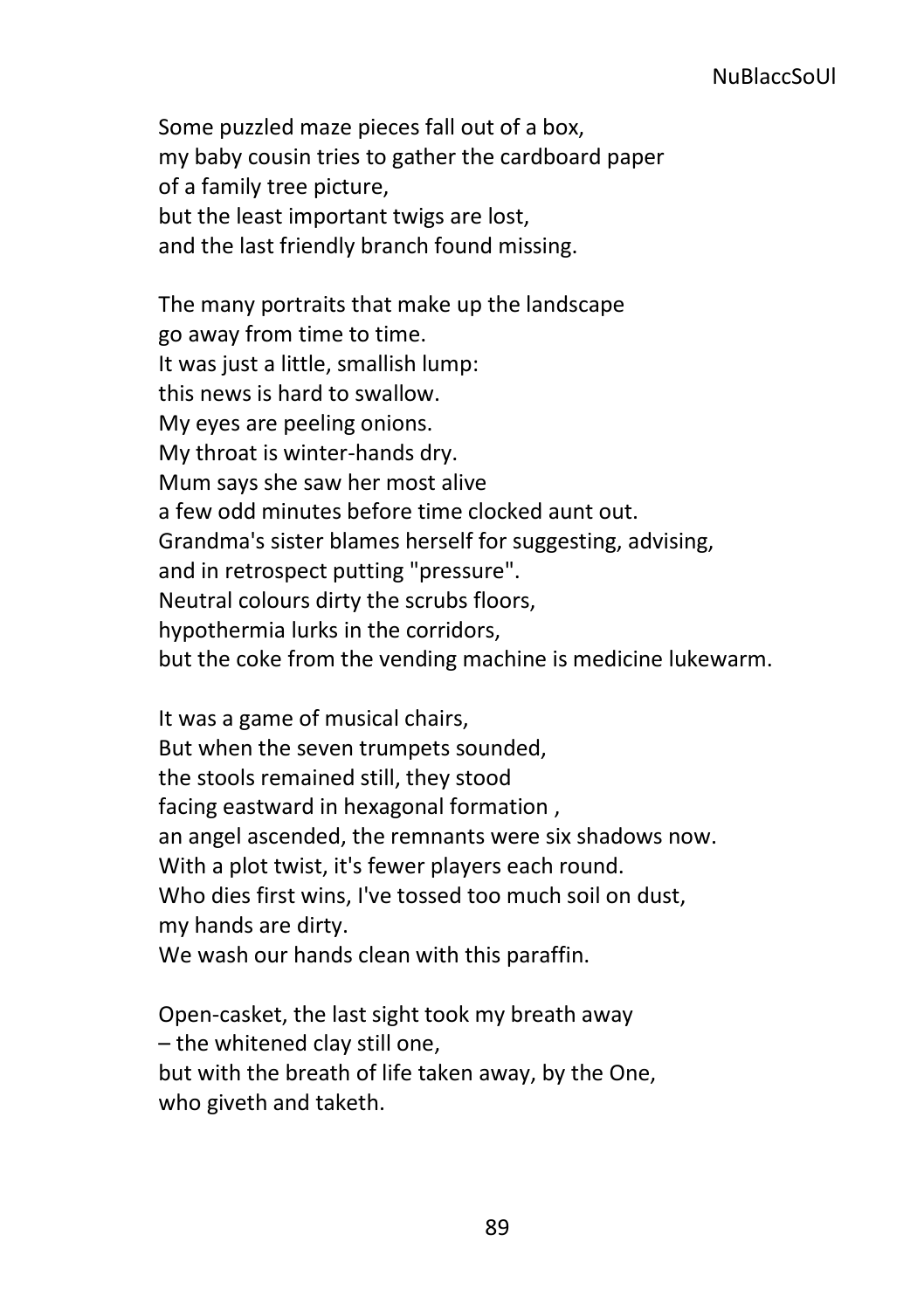Some puzzled maze pieces fall out of a box, my baby cousin tries to gather the cardboard paper of a family tree picture, but the least important twigs are lost, and the last friendly branch found missing.

The many portraits that make up the landscape go away from time to time. It was just a little, smallish lump: this news is hard to swallow. My eyes are peeling onions. My throat is winter-hands dry. Mum says she saw her most alive a few odd minutes before time clocked aunt out. Grandma's sister blames herself for suggesting, advising, and in retrospect putting "pressure". Neutral colours dirty the scrubs floors, hypothermia lurks in the corridors, but the coke from the vending machine is medicine lukewarm.

It was a game of musical chairs, But when the seven trumpets sounded, the stools remained still, they stood facing eastward in hexagonal formation , an angel ascended, the remnants were six shadows now. With a plot twist, it's fewer players each round. Who dies first wins, I've tossed too much soil on dust, my hands are dirty. We wash our hands clean with this paraffin.

Open-casket, the last sight took my breath away – the whitened clay still one, but with the breath of life taken away, by the One, who giveth and taketh.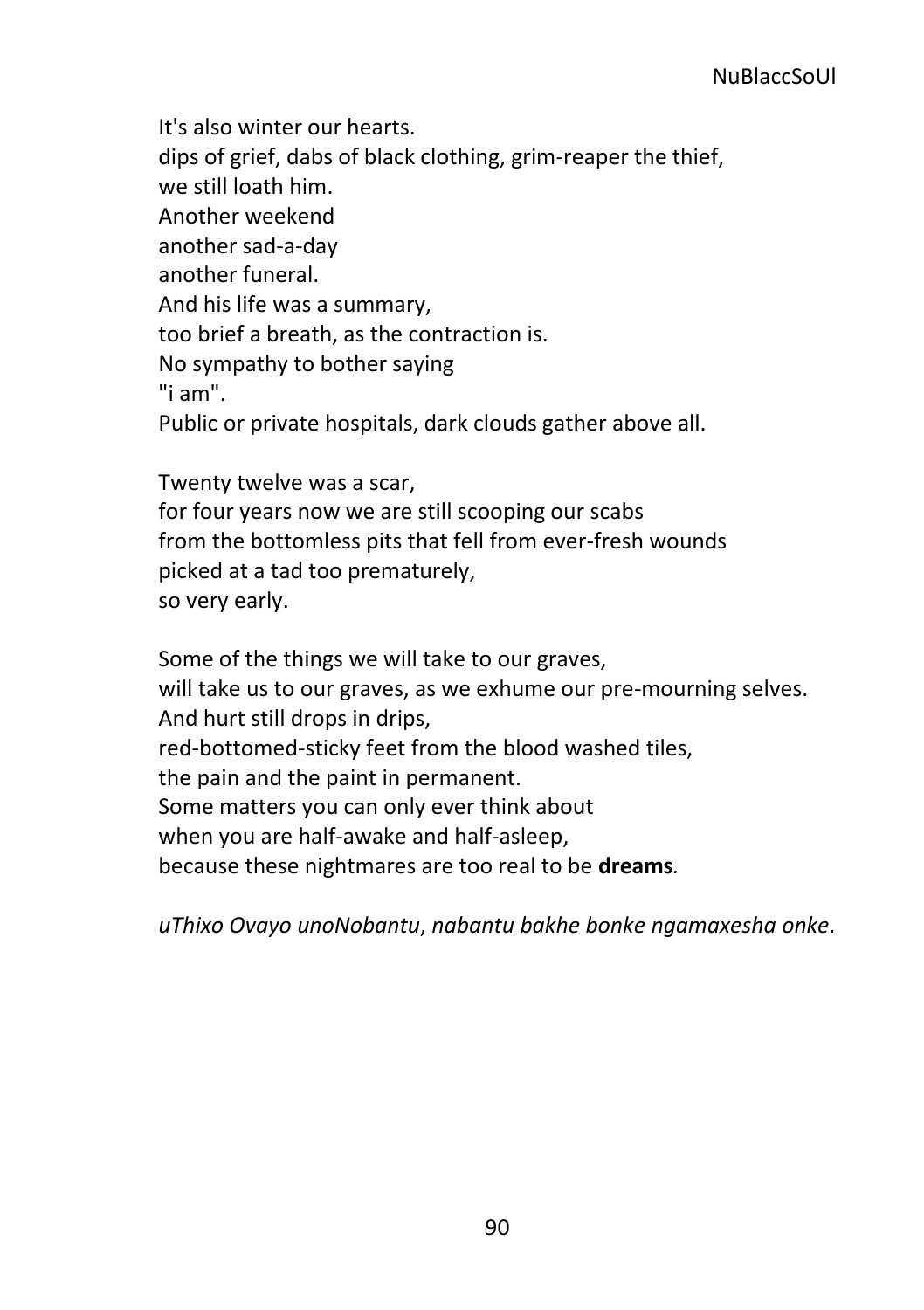It's also winter our hearts. dips of grief, dabs of black clothing, grim-reaper the thief, we still loath him. Another weekend another sad-a-day another funeral. And his life was a summary, too brief a breath, as the contraction is. No sympathy to bother saying "i am". Public or private hospitals, dark clouds gather above all.

Twenty twelve was a scar, for four years now we are still scooping our scabs from the bottomless pits that fell from ever-fresh wounds picked at a tad too prematurely, so very early.

Some of the things we will take to our graves, will take us to our graves, as we exhume our pre-mourning selves. And hurt still drops in drips, red-bottomed-sticky feet from the blood washed tiles, the pain and the paint in permanent. Some matters you can only ever think about when you are half-awake and half-asleep, because these nightmares are too real to be **dreams***.* 

*uThixo Ovayo unoNobantu*, *nabantu bakhe bonke ngamaxesha onke*.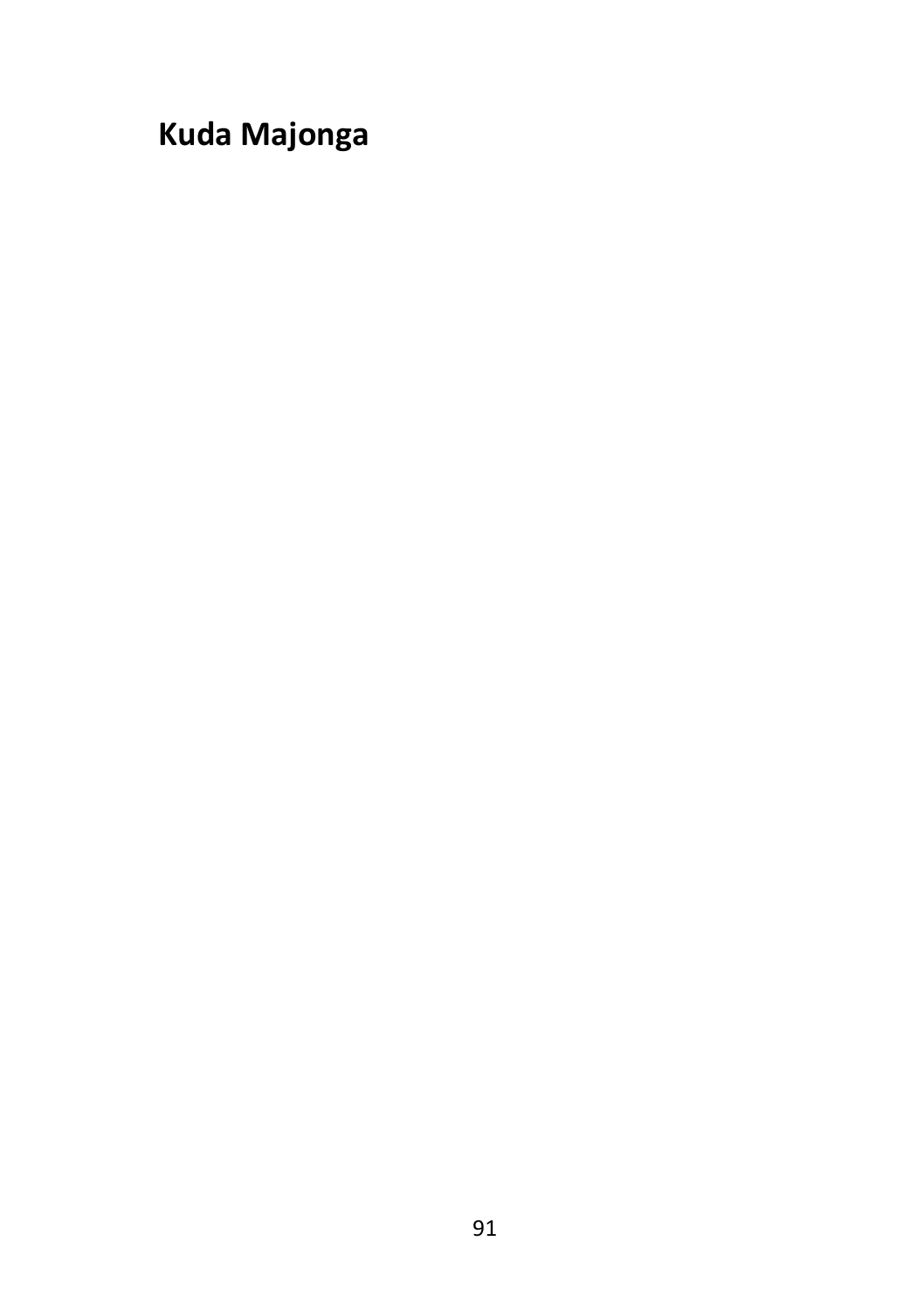**Kuda Majonga**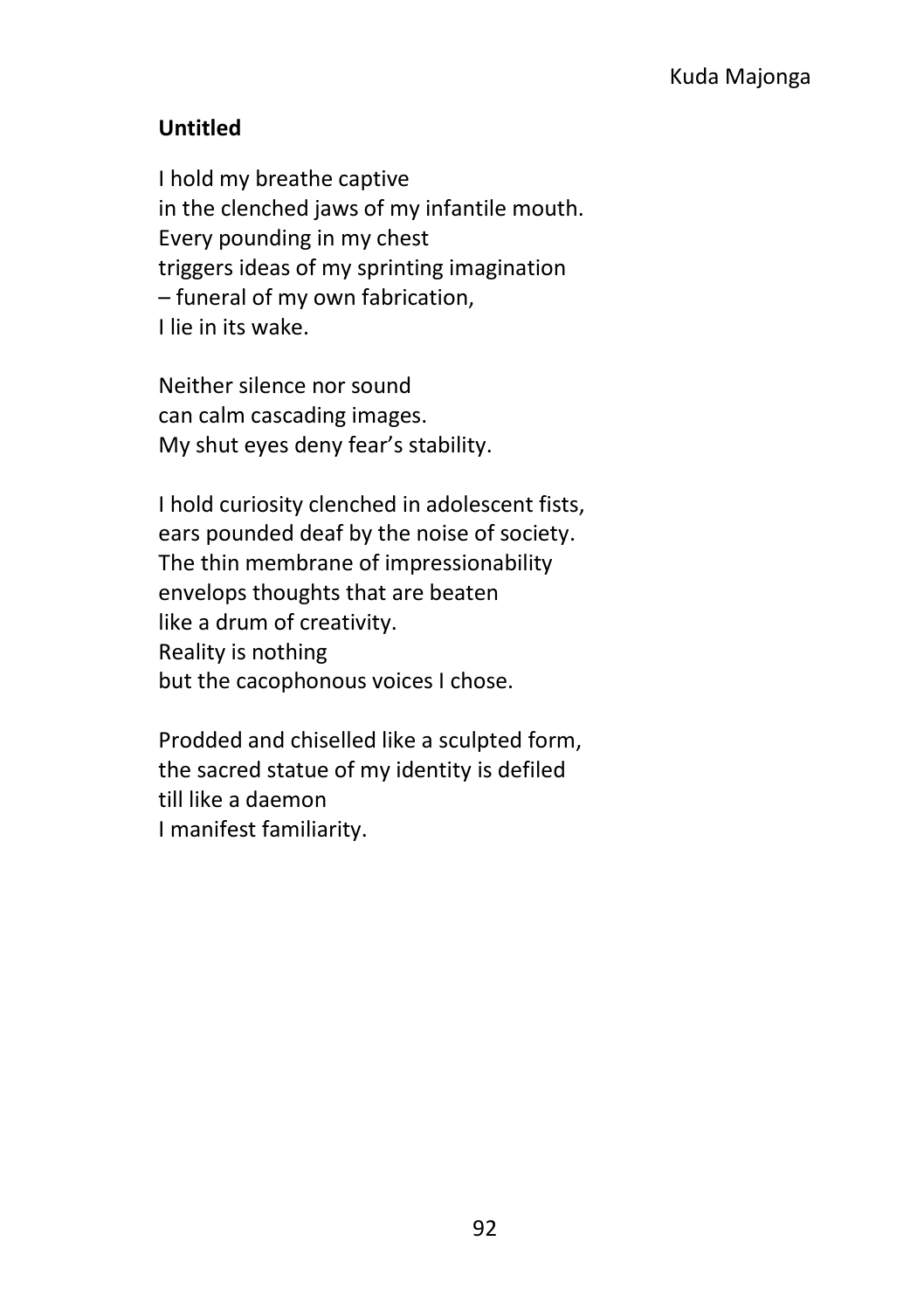### **Untitled**

I hold my breathe captive in the clenched jaws of my infantile mouth. Every pounding in my chest triggers ideas of my sprinting imagination – funeral of my own fabrication, I lie in its wake.

Neither silence nor sound can calm cascading images. My shut eyes deny fear's stability.

I hold curiosity clenched in adolescent fists, ears pounded deaf by the noise of society. The thin membrane of impressionability envelops thoughts that are beaten like a drum of creativity. Reality is nothing but the cacophonous voices I chose.

Prodded and chiselled like a sculpted form, the sacred statue of my identity is defiled till like a daemon I manifest familiarity.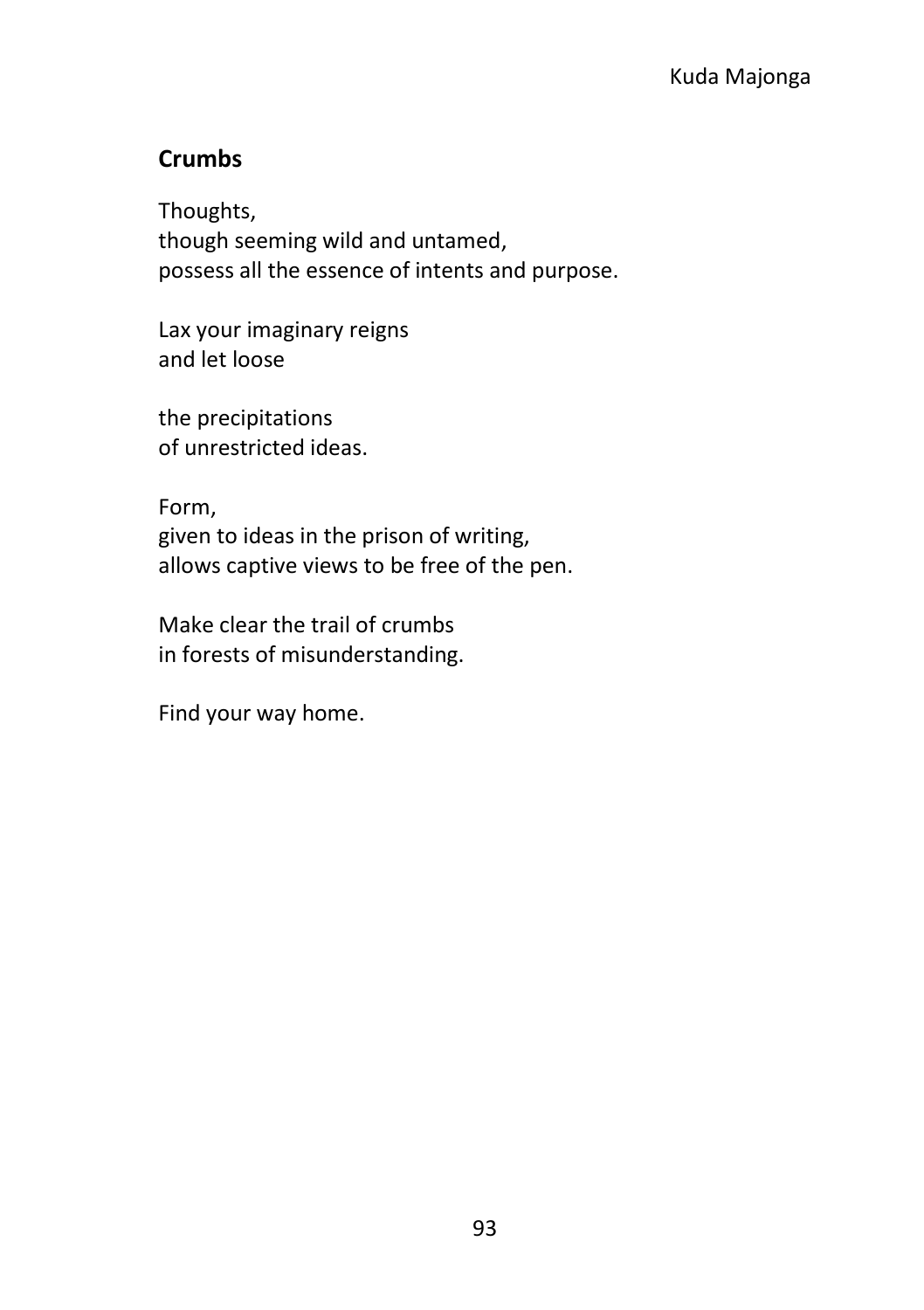# **Crumbs**

Thoughts, though seeming wild and untamed, possess all the essence of intents and purpose.

Lax your imaginary reigns and let loose

the precipitations of unrestricted ideas.

Form, given to ideas in the prison of writing, allows captive views to be free of the pen.

Make clear the trail of crumbs in forests of misunderstanding.

Find your way home.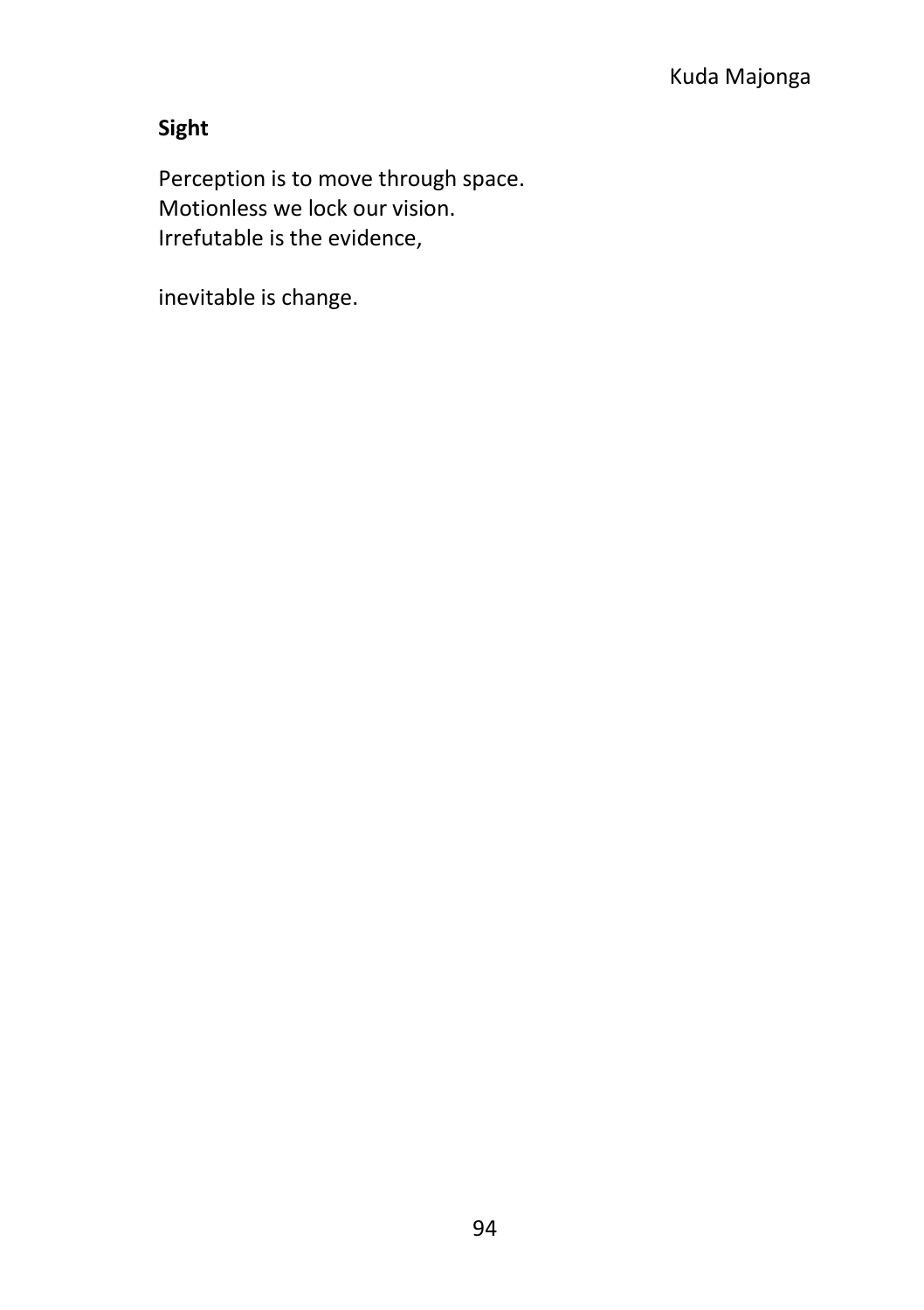# **Sight**

Perception is to move through space. Motionless we lock our vision. Irrefutable is the evidence,

inevitable is change.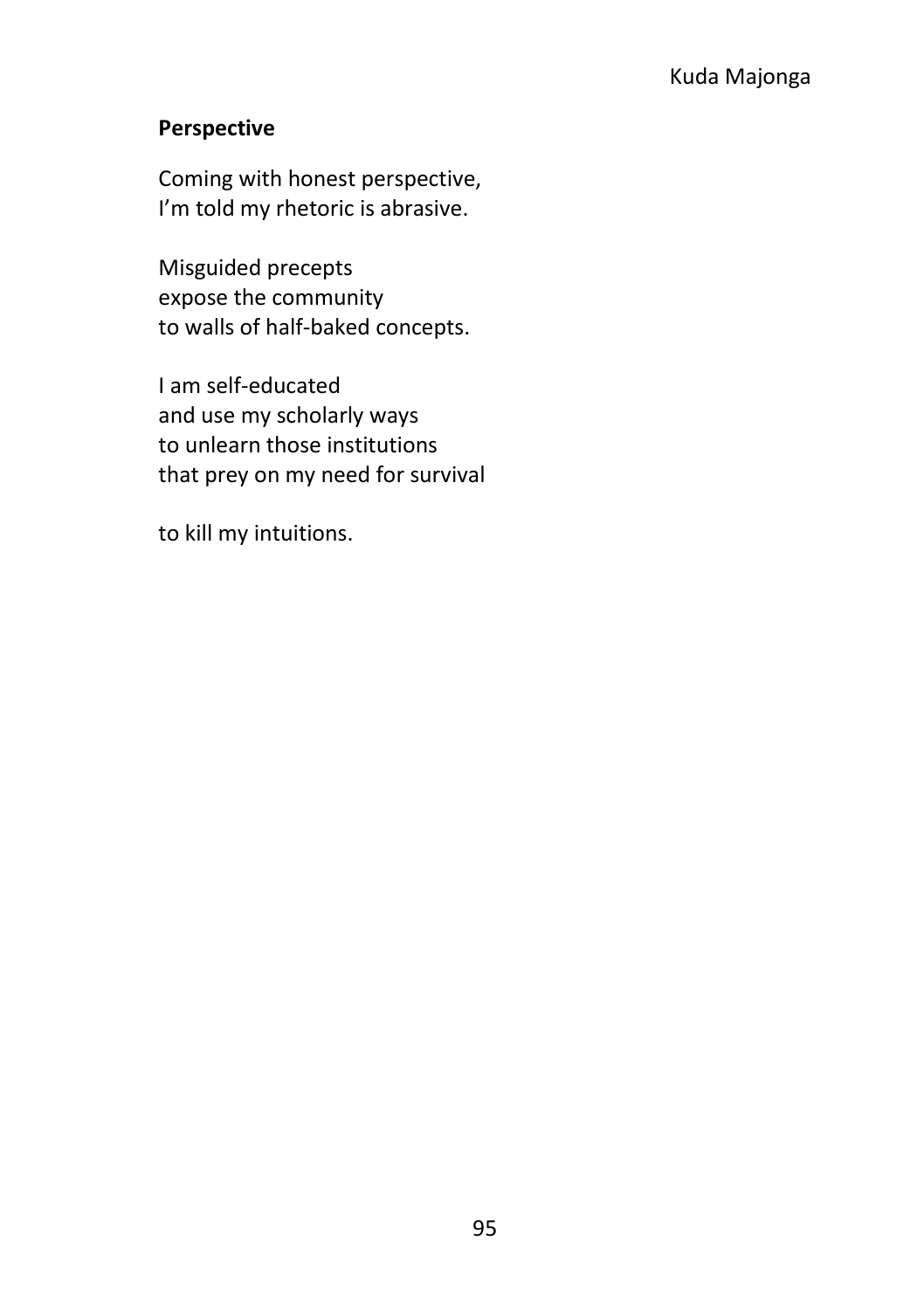#### **Perspective**

Coming with honest perspective, I'm told my rhetoric is abrasive.

Misguided precepts expose the community to walls of half-baked concepts.

I am self-educated and use my scholarly ways to unlearn those institutions that prey on my need for survival

to kill my intuitions.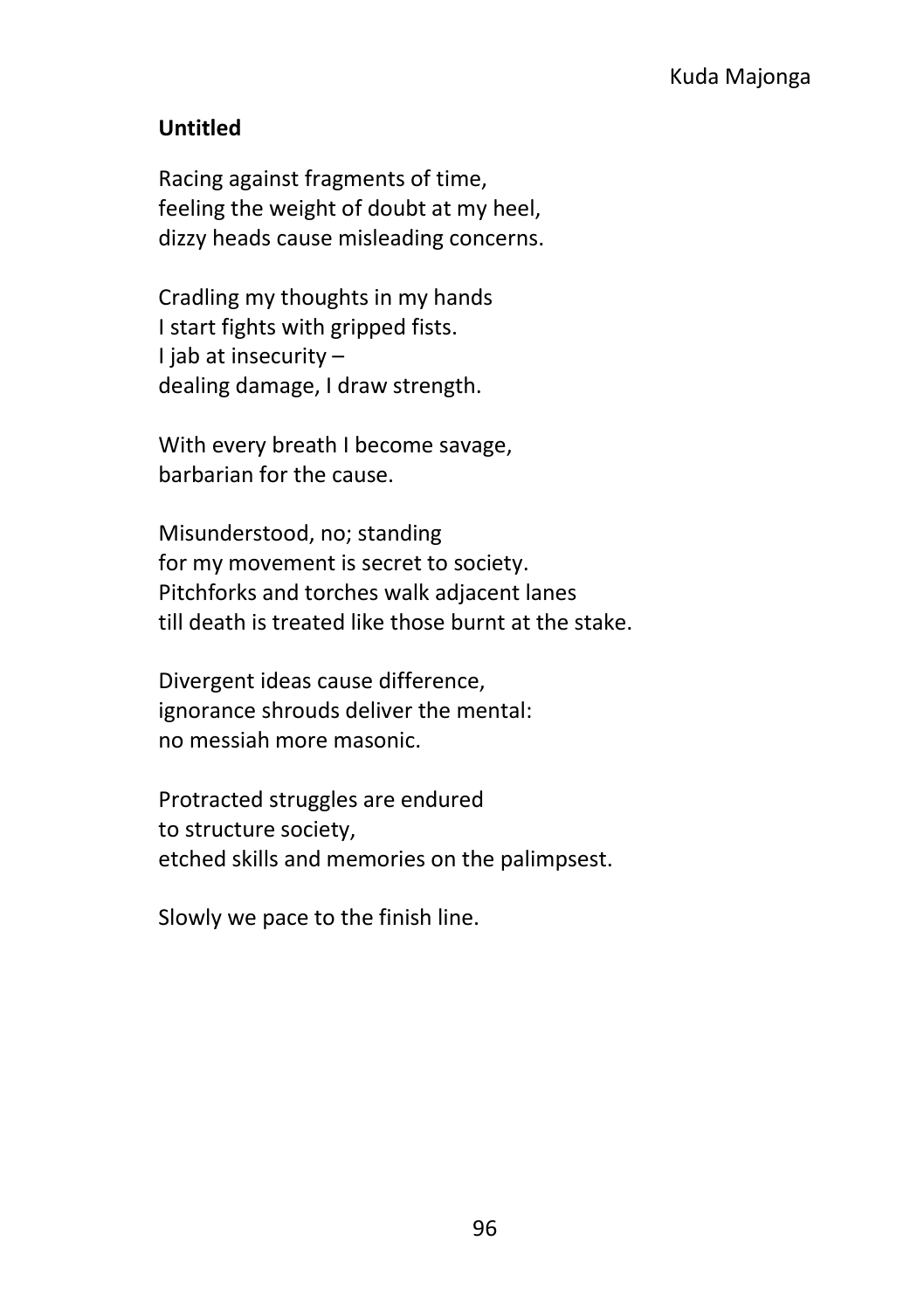#### **Untitled**

Racing against fragments of time, feeling the weight of doubt at my heel, dizzy heads cause misleading concerns.

Cradling my thoughts in my hands I start fights with gripped fists. I jab at insecurity – dealing damage, I draw strength.

With every breath I become savage, barbarian for the cause.

Misunderstood, no; standing for my movement is secret to society. Pitchforks and torches walk adjacent lanes till death is treated like those burnt at the stake.

Divergent ideas cause difference, ignorance shrouds deliver the mental: no messiah more masonic.

Protracted struggles are endured to structure society, etched skills and memories on the palimpsest.

Slowly we pace to the finish line.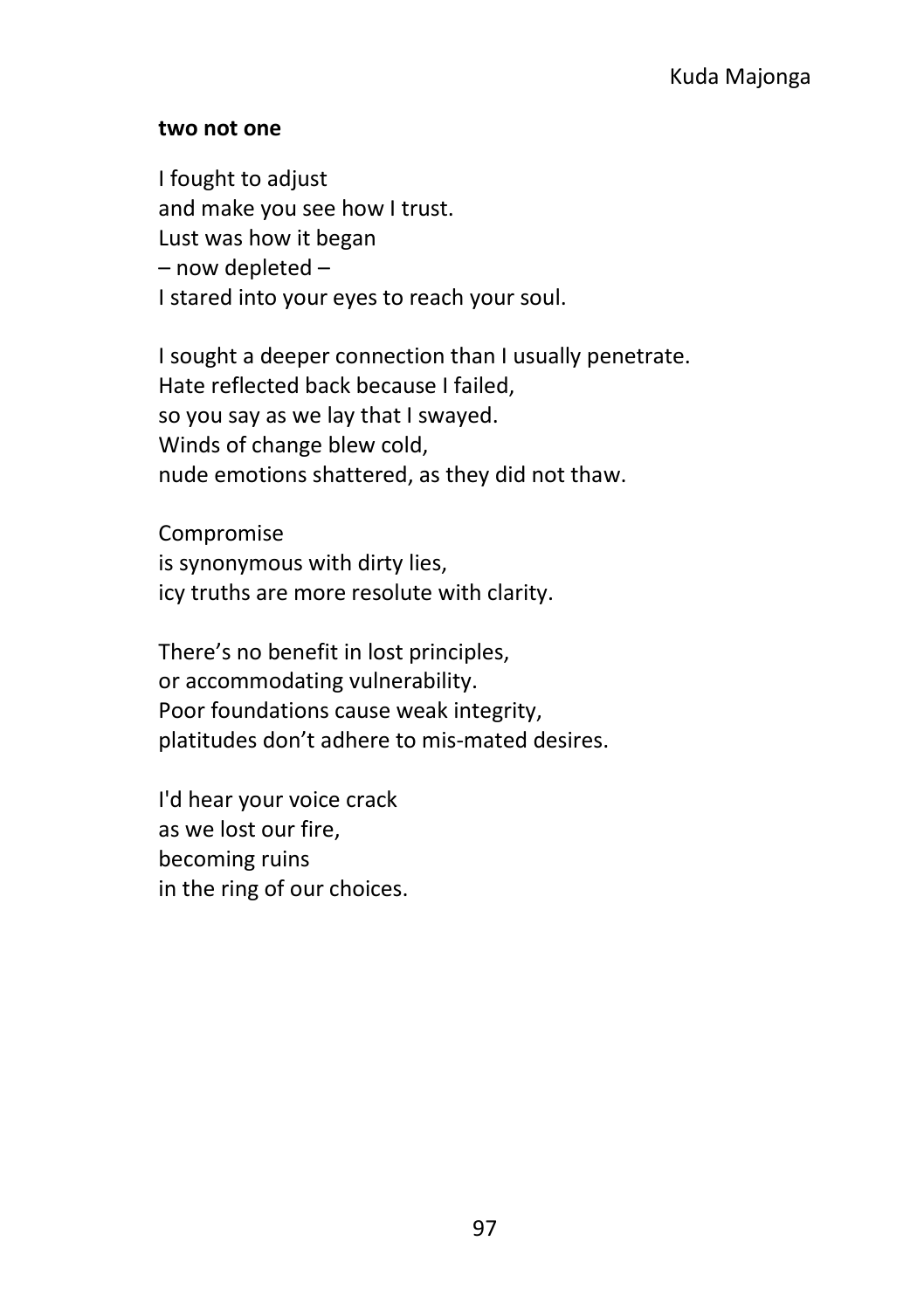#### **two not one**

I fought to adjust and make you see how I trust. Lust was how it began – now depleted – I stared into your eyes to reach your soul.

I sought a deeper connection than I usually penetrate. Hate reflected back because I failed, so you say as we lay that I swayed. Winds of change blew cold, nude emotions shattered, as they did not thaw.

Compromise is synonymous with dirty lies, icy truths are more resolute with clarity.

There's no benefit in lost principles, or accommodating vulnerability. Poor foundations cause weak integrity, platitudes don't adhere to mis-mated desires.

I'd hear your voice crack as we lost our fire, becoming ruins in the ring of our choices.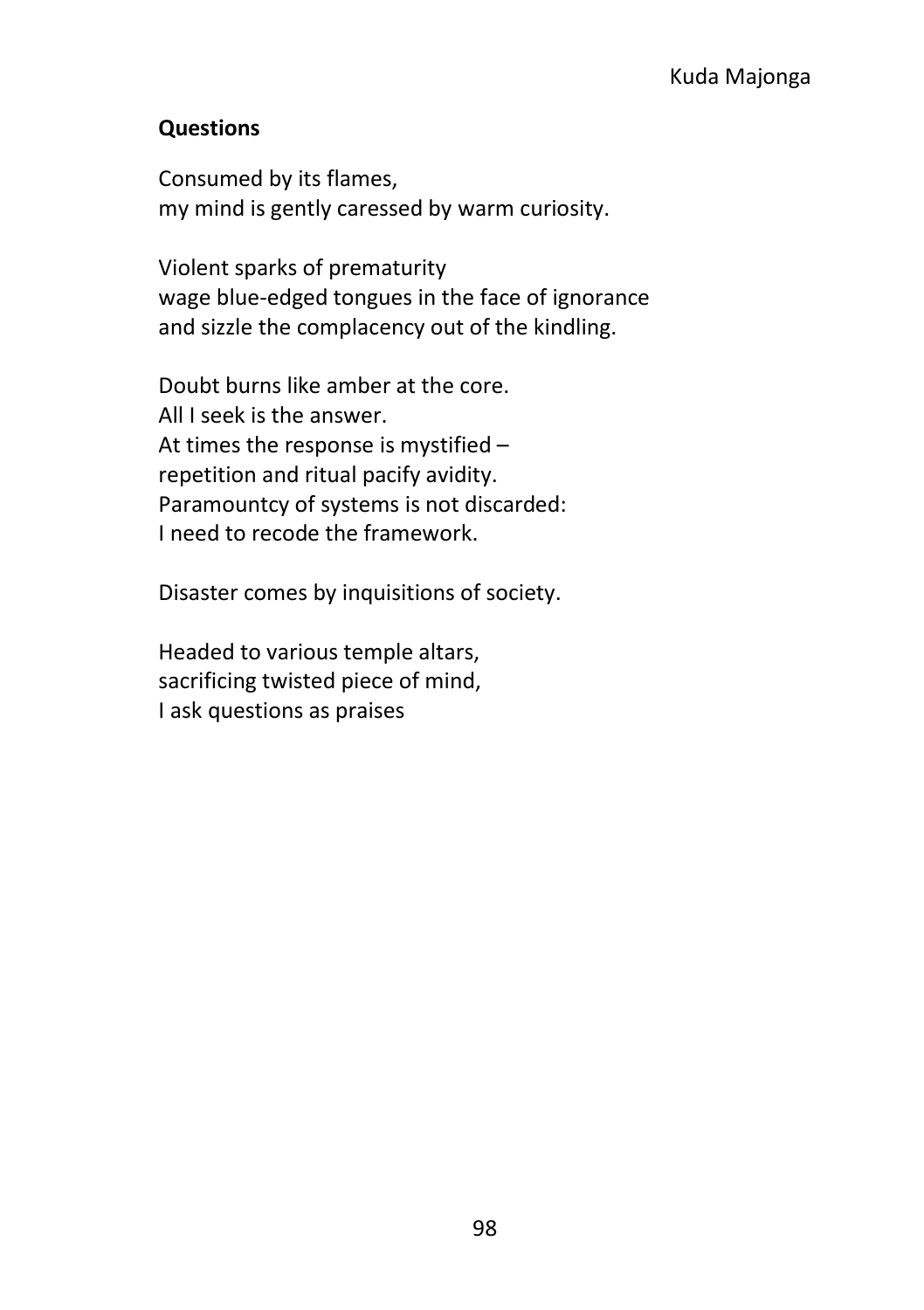#### Kuda Majonga

#### **Questions**

Consumed by its flames, my mind is gently caressed by warm curiosity.

Violent sparks of prematurity wage blue-edged tongues in the face of ignorance and sizzle the complacency out of the kindling.

Doubt burns like amber at the core. All I seek is the answer. At times the response is mystified – repetition and ritual pacify avidity. Paramountcy of systems is not discarded: I need to recode the framework.

Disaster comes by inquisitions of society.

Headed to various temple altars, sacrificing twisted piece of mind, I ask questions as praises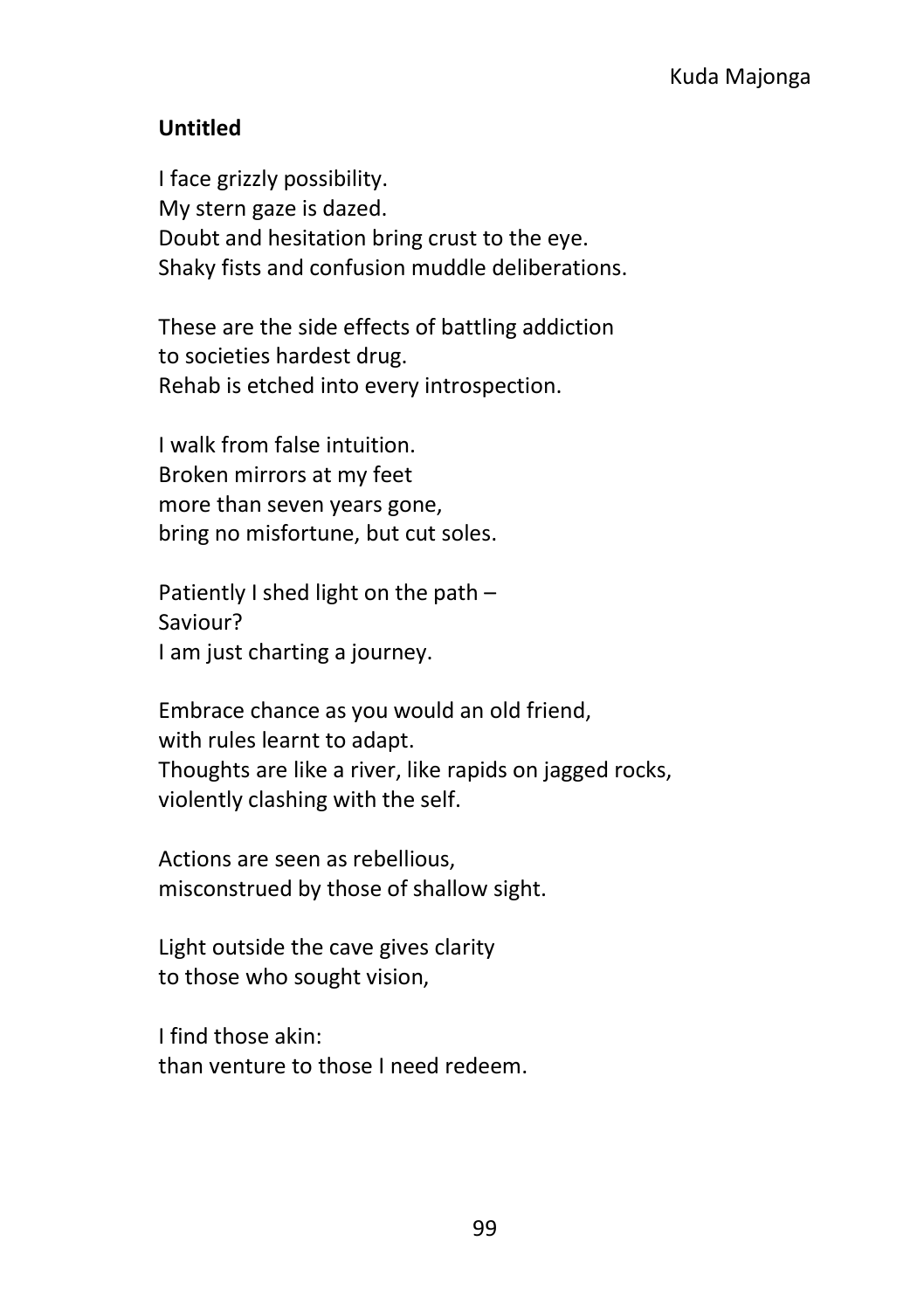#### **Untitled**

I face grizzly possibility. My stern gaze is dazed. Doubt and hesitation bring crust to the eye. Shaky fists and confusion muddle deliberations.

These are the side effects of battling addiction to societies hardest drug. Rehab is etched into every introspection.

I walk from false intuition. Broken mirrors at my feet more than seven years gone, bring no misfortune, but cut soles.

Patiently I shed light on the path – Saviour? I am just charting a journey.

Embrace chance as you would an old friend, with rules learnt to adapt. Thoughts are like a river, like rapids on jagged rocks, violently clashing with the self.

Actions are seen as rebellious, misconstrued by those of shallow sight.

Light outside the cave gives clarity to those who sought vision,

I find those akin: than venture to those I need redeem.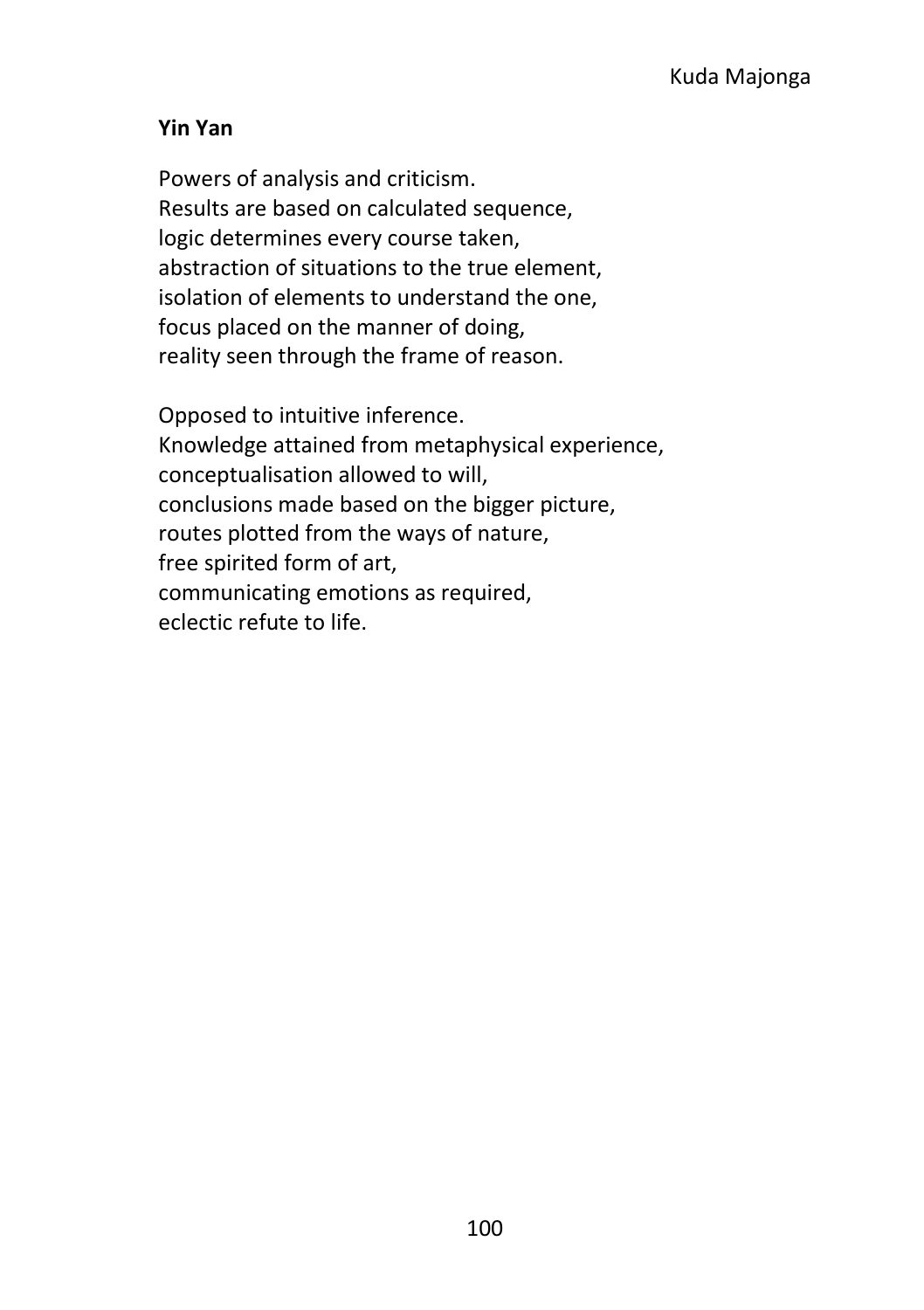#### **Yin Yan**

Powers of analysis and criticism. Results are based on calculated sequence, logic determines every course taken, abstraction of situations to the true element, isolation of elements to understand the one, focus placed on the manner of doing, reality seen through the frame of reason.

Opposed to intuitive inference. Knowledge attained from metaphysical experience, conceptualisation allowed to will, conclusions made based on the bigger picture, routes plotted from the ways of nature, free spirited form of art, communicating emotions as required, eclectic refute to life.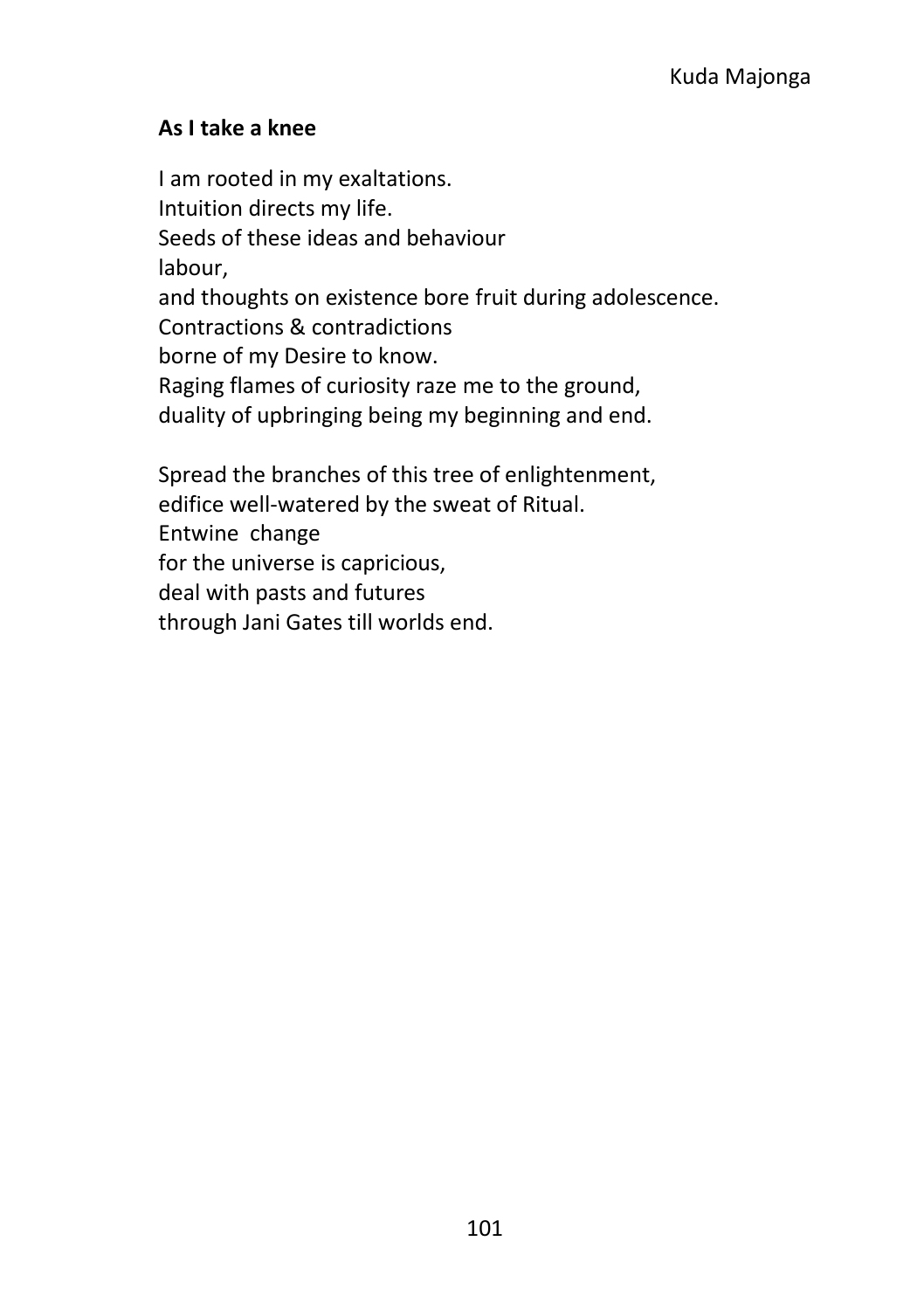#### **As I take a knee**

I am rooted in my exaltations. Intuition directs my life. Seeds of these ideas and behaviour labour, and thoughts on existence bore fruit during adolescence. Contractions & contradictions borne of my Desire to know. Raging flames of curiosity raze me to the ground, duality of upbringing being my beginning and end.

Spread the branches of this tree of enlightenment, edifice well-watered by the sweat of Ritual. Entwine change for the universe is capricious, deal with pasts and futures through Jani Gates till worlds end.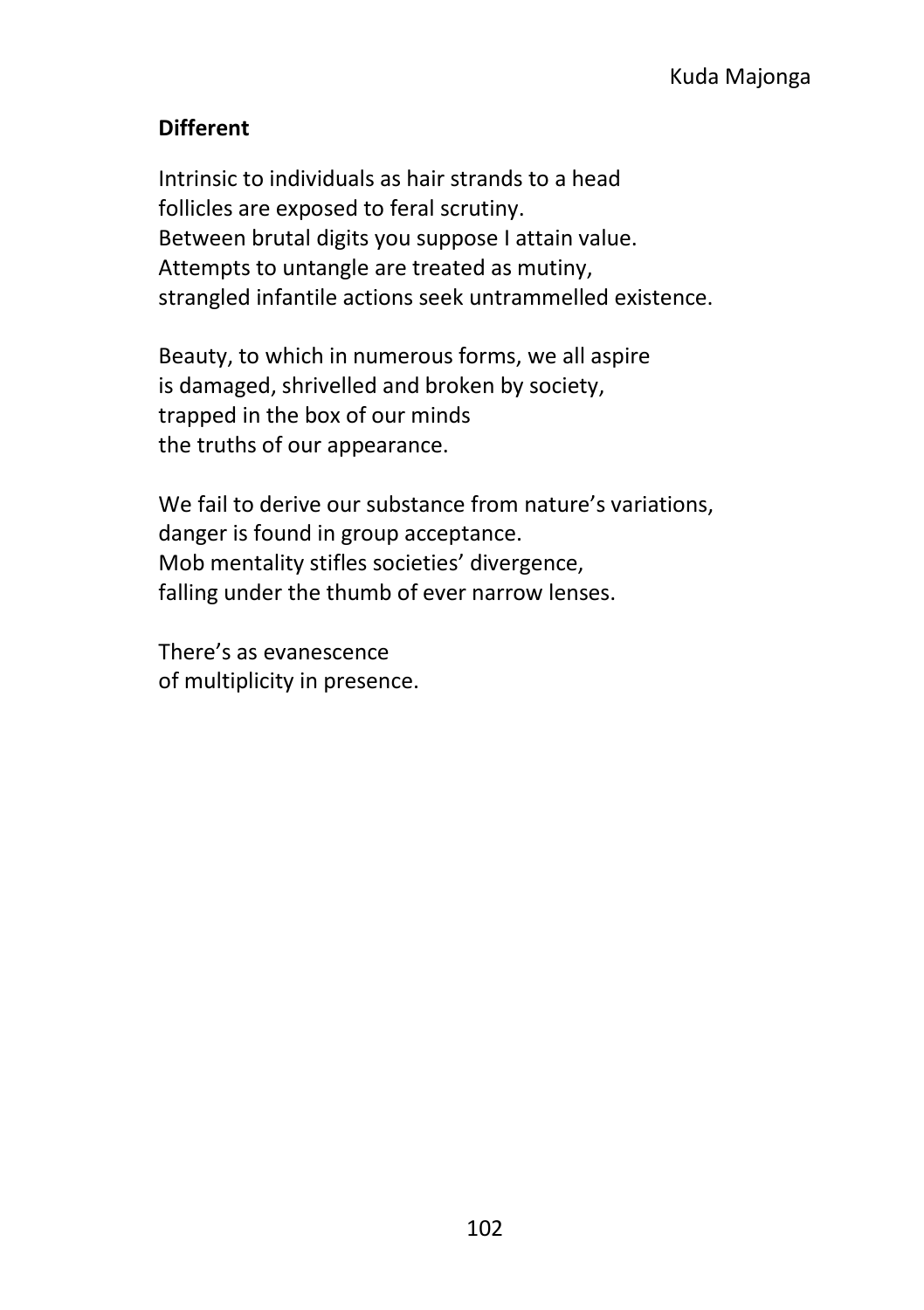#### **Different**

Intrinsic to individuals as hair strands to a head follicles are exposed to feral scrutiny. Between brutal digits you suppose I attain value. Attempts to untangle are treated as mutiny, strangled infantile actions seek untrammelled existence.

Beauty, to which in numerous forms, we all aspire is damaged, shrivelled and broken by society, trapped in the box of our minds the truths of our appearance.

We fail to derive our substance from nature's variations. danger is found in group acceptance. Mob mentality stifles societies' divergence, falling under the thumb of ever narrow lenses.

There's as evanescence of multiplicity in presence.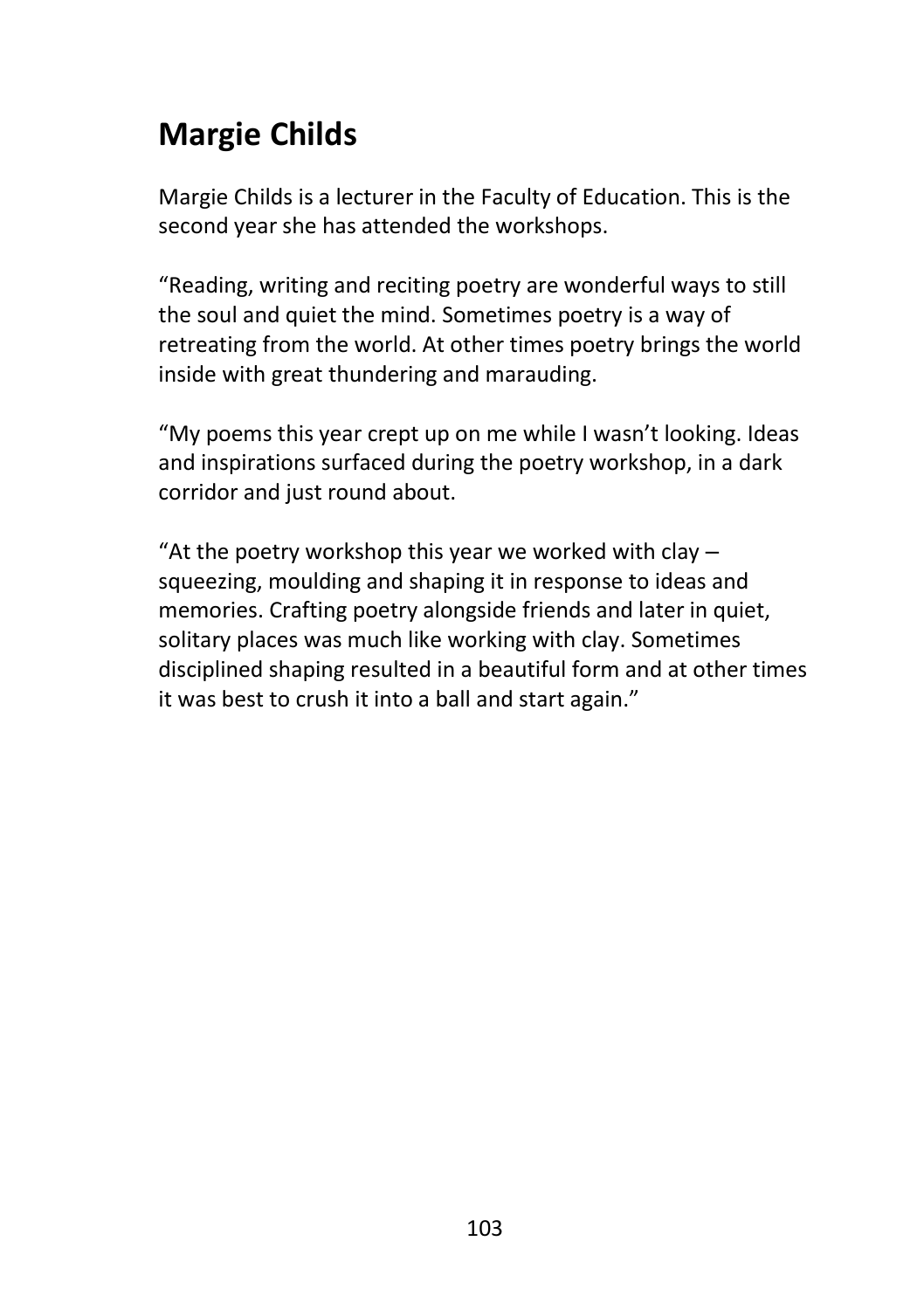# **Margie Childs**

Margie Childs is a lecturer in the Faculty of Education. This is the second year she has attended the workshops.

"Reading, writing and reciting poetry are wonderful ways to still the soul and quiet the mind. Sometimes poetry is a way of retreating from the world. At other times poetry brings the world inside with great thundering and marauding.

"My poems this year crept up on me while I wasn't looking. Ideas and inspirations surfaced during the poetry workshop, in a dark corridor and just round about.

"At the poetry workshop this year we worked with clay  $$ squeezing, moulding and shaping it in response to ideas and memories. Crafting poetry alongside friends and later in quiet, solitary places was much like working with clay. Sometimes disciplined shaping resulted in a beautiful form and at other times it was best to crush it into a ball and start again."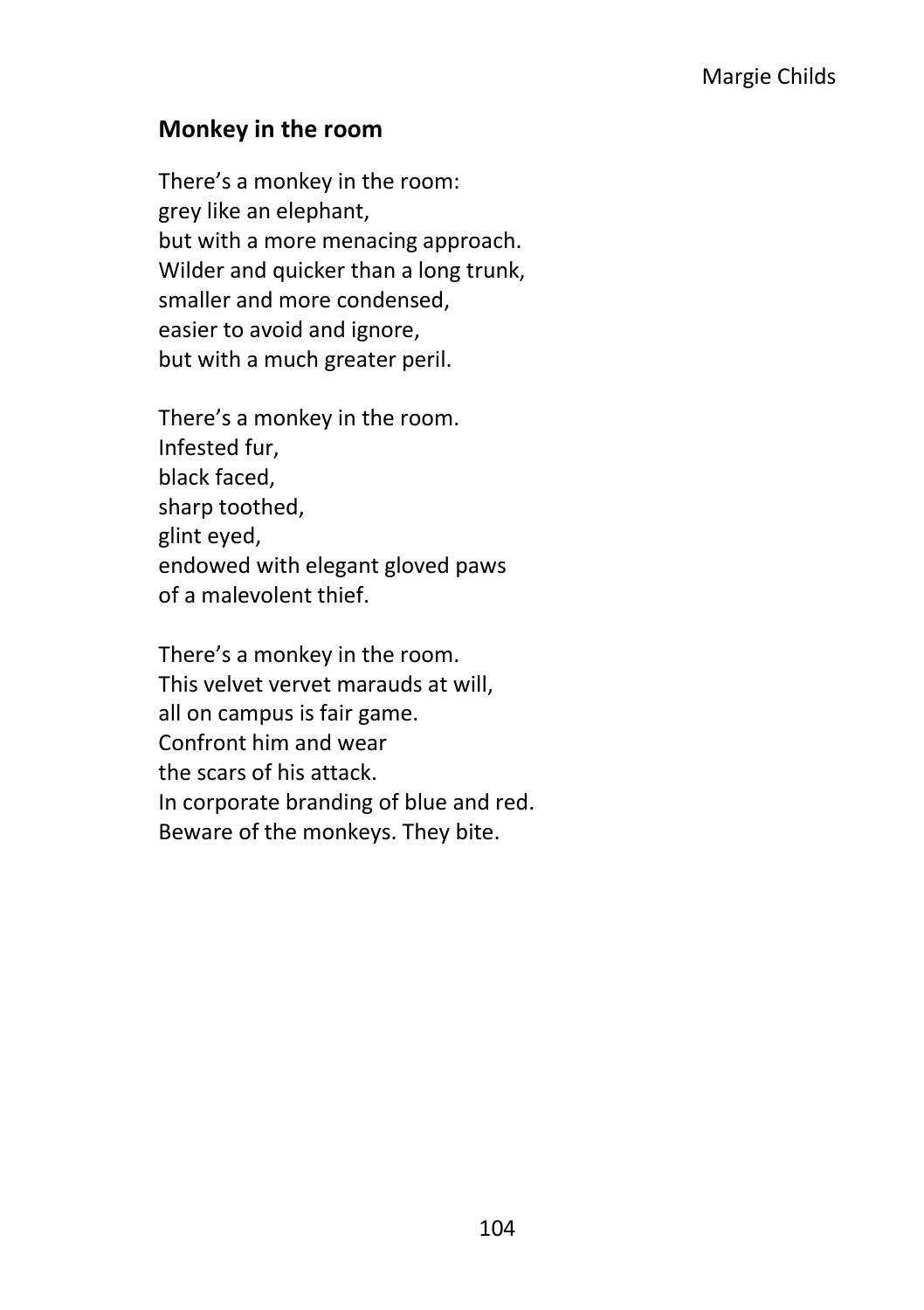#### **Monkey in the room**

There's a monkey in the room: grey like an elephant, but with a more menacing approach. Wilder and quicker than a long trunk, smaller and more condensed, easier to avoid and ignore, but with a much greater peril.

There's a monkey in the room. Infested fur, black faced, sharp toothed, glint eyed, endowed with elegant gloved paws of a malevolent thief.

There's a monkey in the room. This velvet vervet marauds at will, all on campus is fair game. Confront him and wear the scars of his attack. In corporate branding of blue and red. Beware of the monkeys. They bite.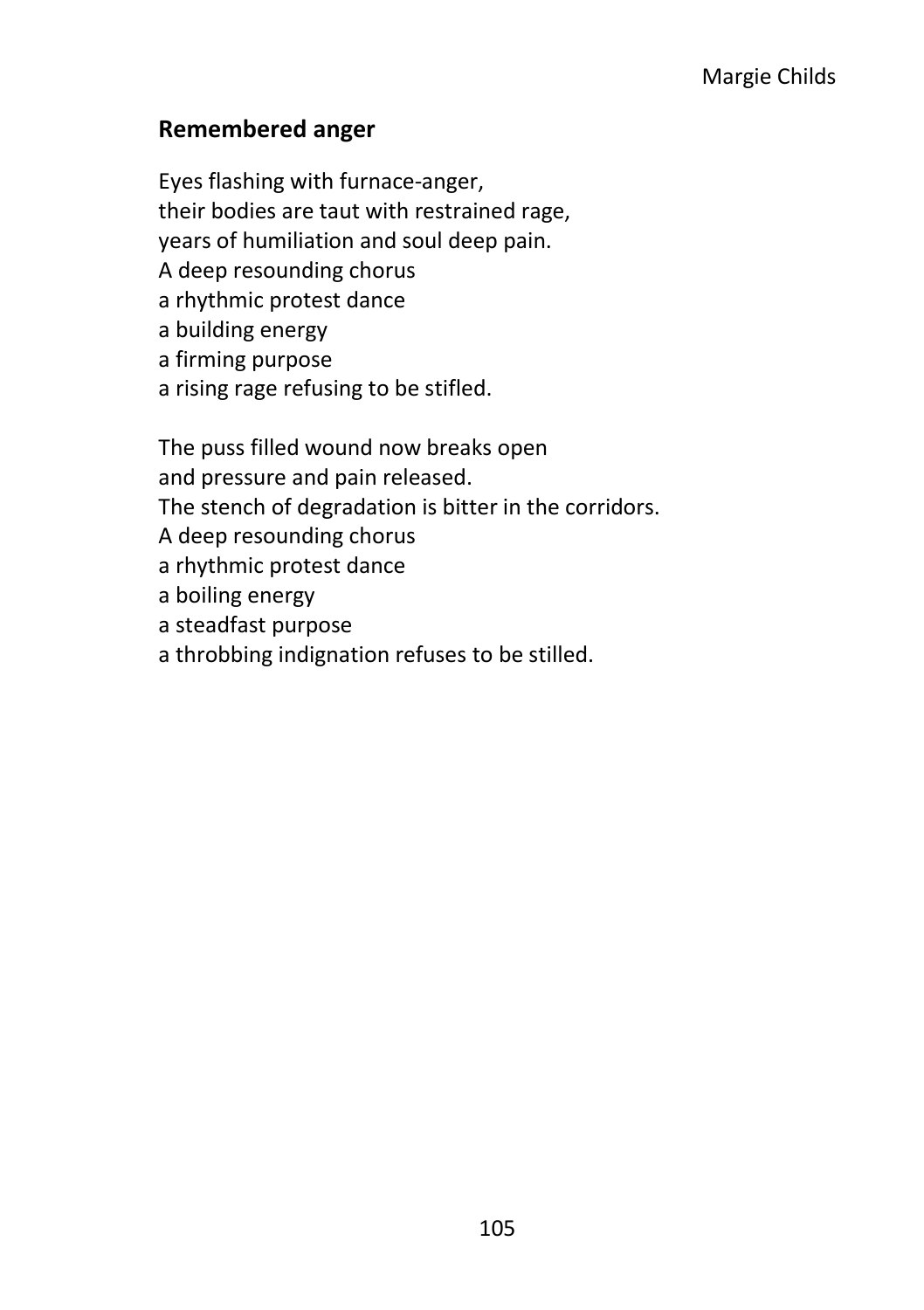#### **Remembered anger**

Eyes flashing with furnace-anger, their bodies are taut with restrained rage, years of humiliation and soul deep pain. A deep resounding chorus a rhythmic protest dance a building energy a firming purpose a rising rage refusing to be stifled.

The puss filled wound now breaks open and pressure and pain released. The stench of degradation is bitter in the corridors. A deep resounding chorus a rhythmic protest dance a boiling energy a steadfast purpose a throbbing indignation refuses to be stilled.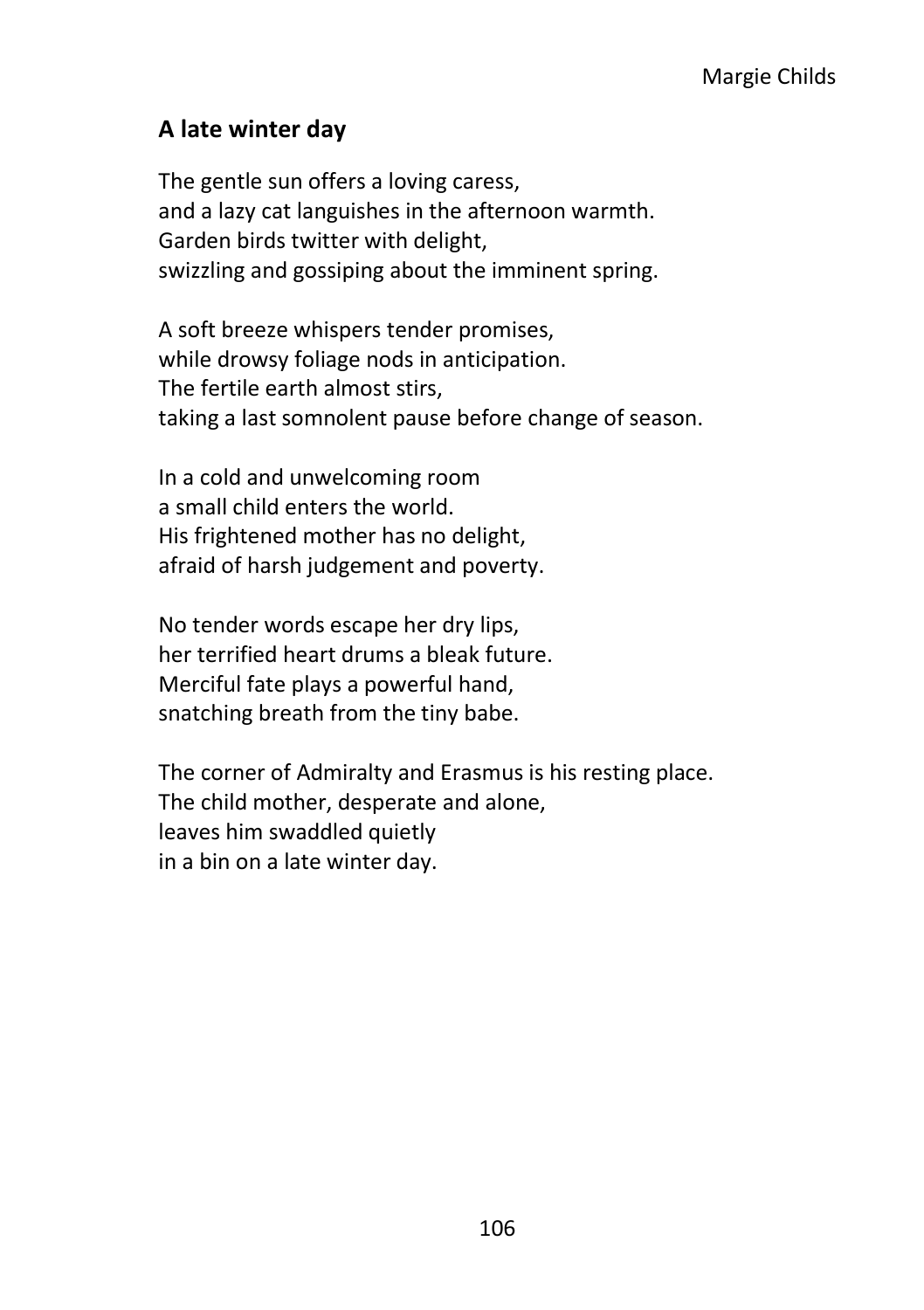# **A late winter day**

The gentle sun offers a loving caress, and a lazy cat languishes in the afternoon warmth. Garden birds twitter with delight, swizzling and gossiping about the imminent spring.

A soft breeze whispers tender promises, while drowsy foliage nods in anticipation. The fertile earth almost stirs, taking a last somnolent pause before change of season.

In a cold and unwelcoming room a small child enters the world. His frightened mother has no delight, afraid of harsh judgement and poverty.

No tender words escape her dry lips, her terrified heart drums a bleak future. Merciful fate plays a powerful hand, snatching breath from the tiny babe.

The corner of Admiralty and Erasmus is his resting place. The child mother, desperate and alone, leaves him swaddled quietly in a bin on a late winter day.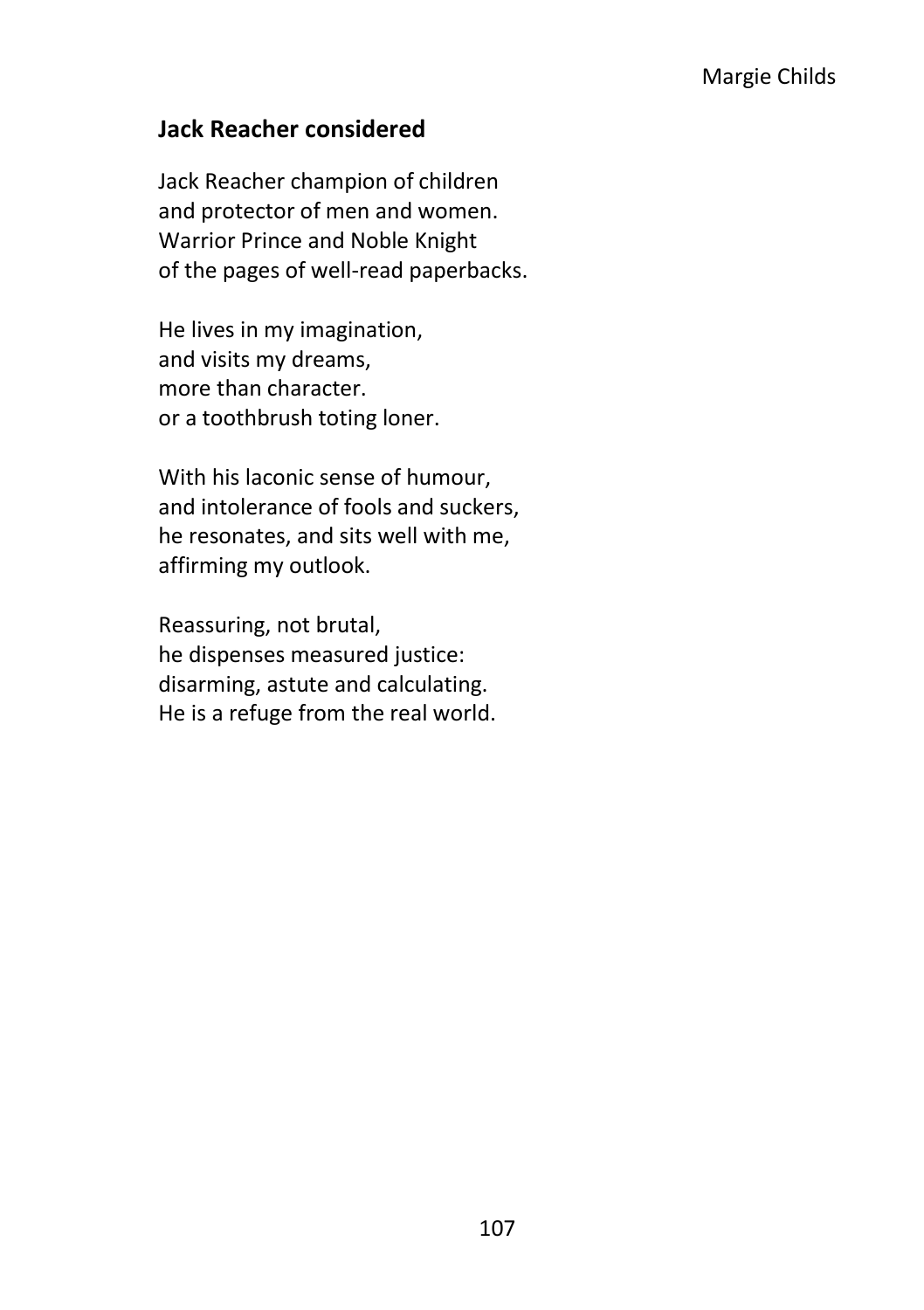#### **Jack Reacher considered**

Jack Reacher champion of children and protector of men and women. Warrior Prince and Noble Knight of the pages of well-read paperbacks.

He lives in my imagination, and visits my dreams, more than character. or a toothbrush toting loner.

With his laconic sense of humour, and intolerance of fools and suckers, he resonates, and sits well with me, affirming my outlook.

Reassuring, not brutal, he dispenses measured justice: disarming, astute and calculating. He is a refuge from the real world.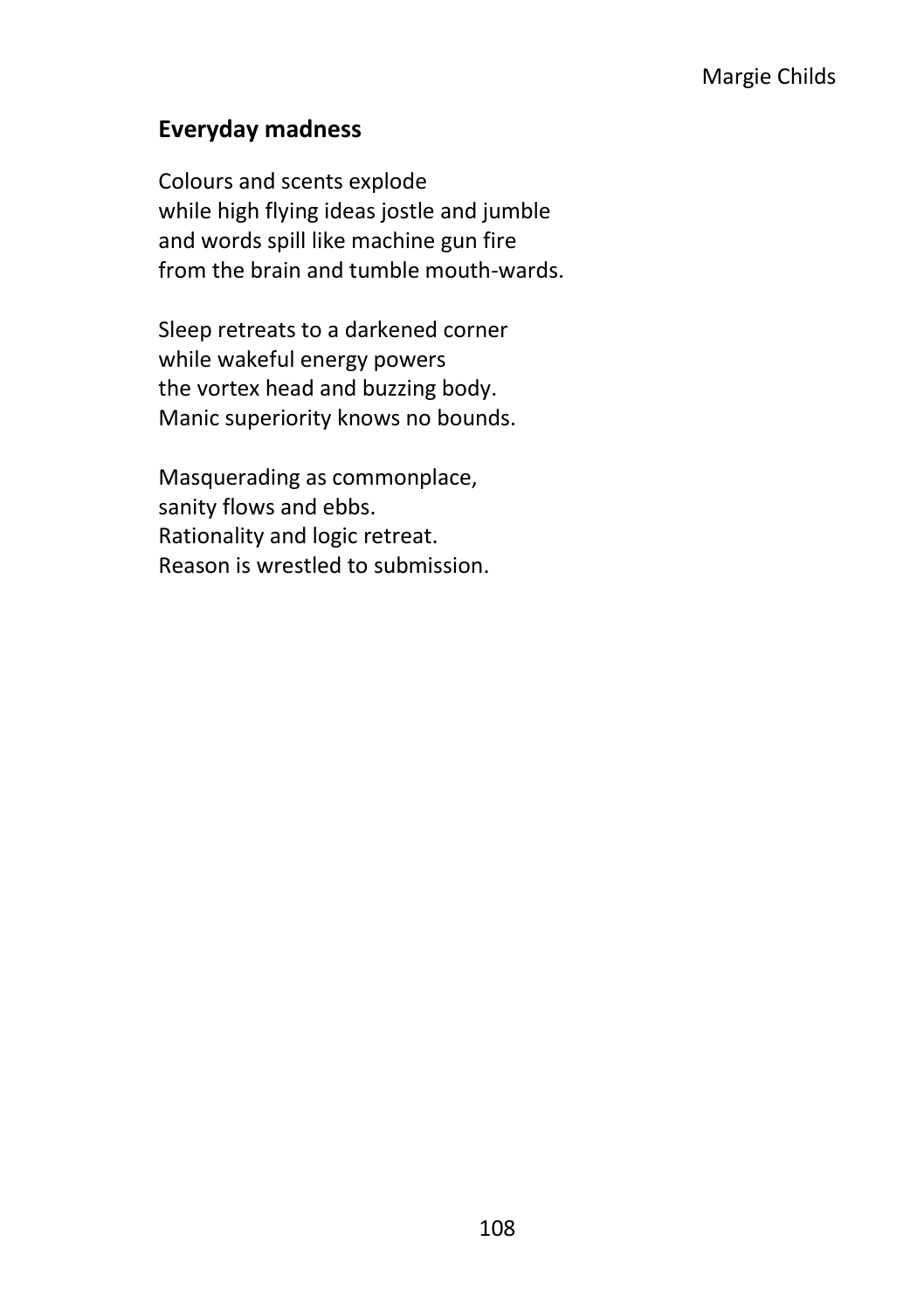# **Everyday madness**

Colours and scents explode while high flying ideas jostle and jumble and words spill like machine gun fire from the brain and tumble mouth-wards.

Sleep retreats to a darkened corner while wakeful energy powers the vortex head and buzzing body. Manic superiority knows no bounds.

Masquerading as commonplace, sanity flows and ebbs. Rationality and logic retreat. Reason is wrestled to submission.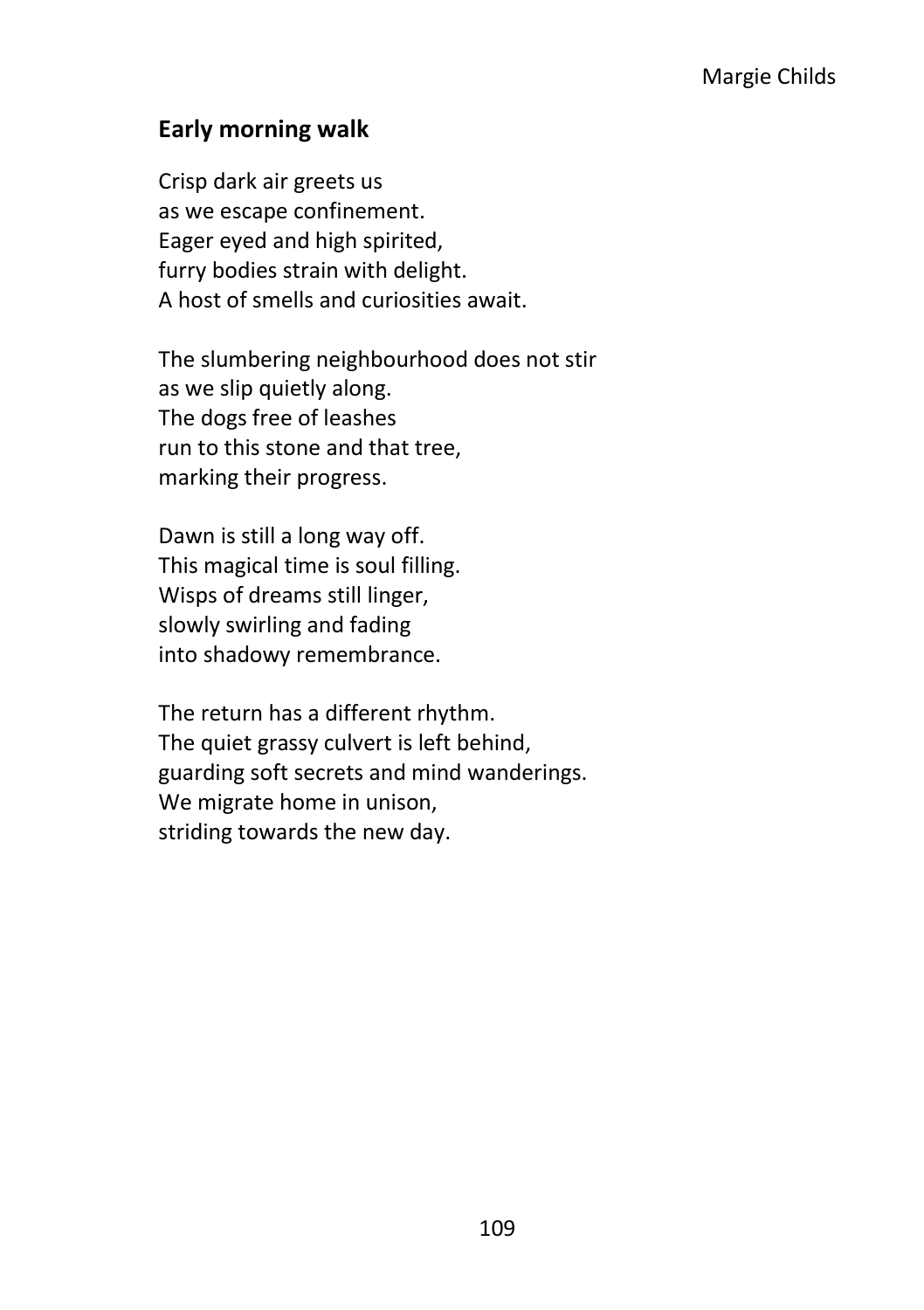#### **Early morning walk**

Crisp dark air greets us as we escape confinement. Eager eyed and high spirited, furry bodies strain with delight. A host of smells and curiosities await.

The slumbering neighbourhood does not stir as we slip quietly along. The dogs free of leashes run to this stone and that tree, marking their progress.

Dawn is still a long way off. This magical time is soul filling. Wisps of dreams still linger, slowly swirling and fading into shadowy remembrance.

The return has a different rhythm. The quiet grassy culvert is left behind, guarding soft secrets and mind wanderings. We migrate home in unison, striding towards the new day.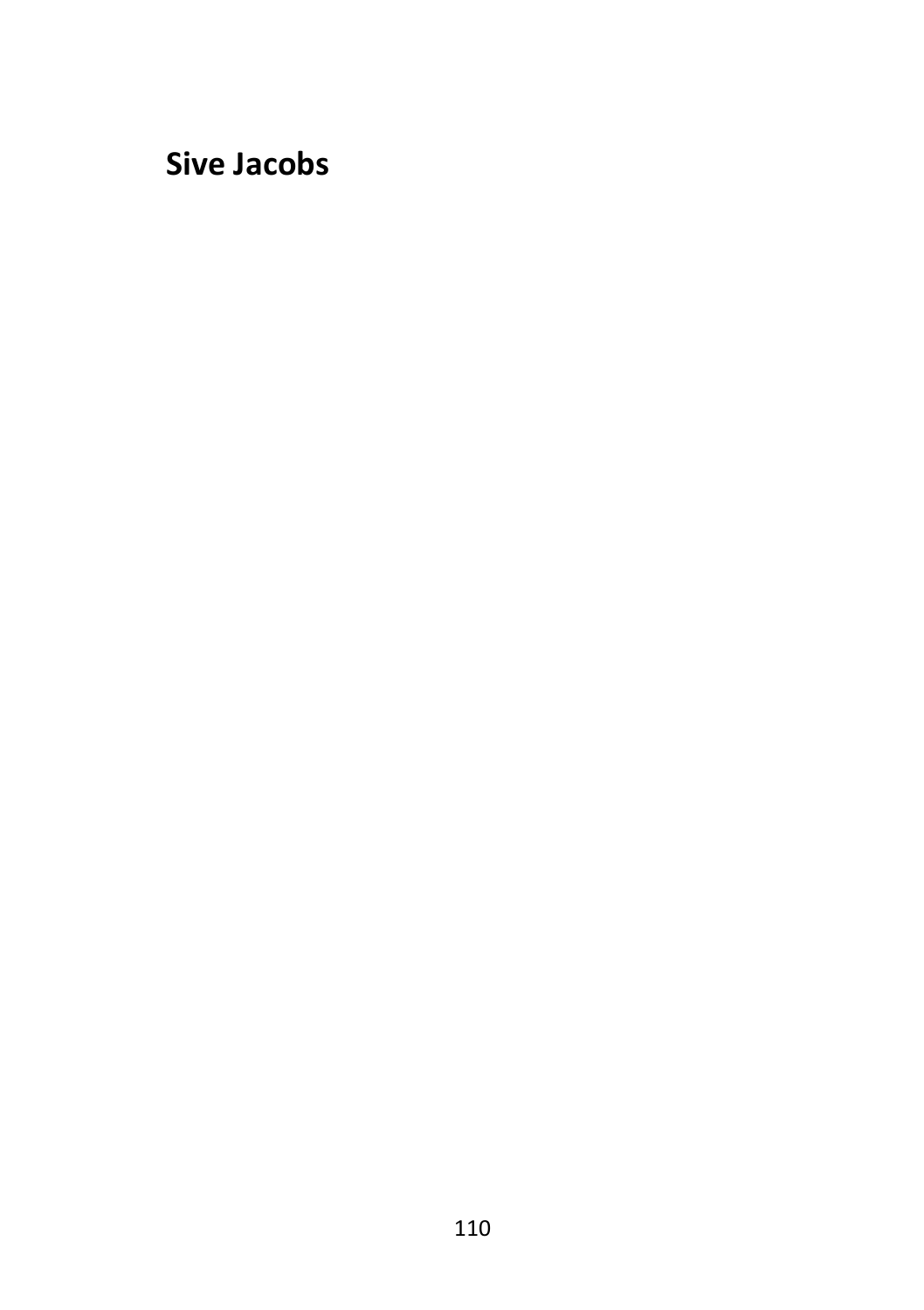# **Sive Jacobs**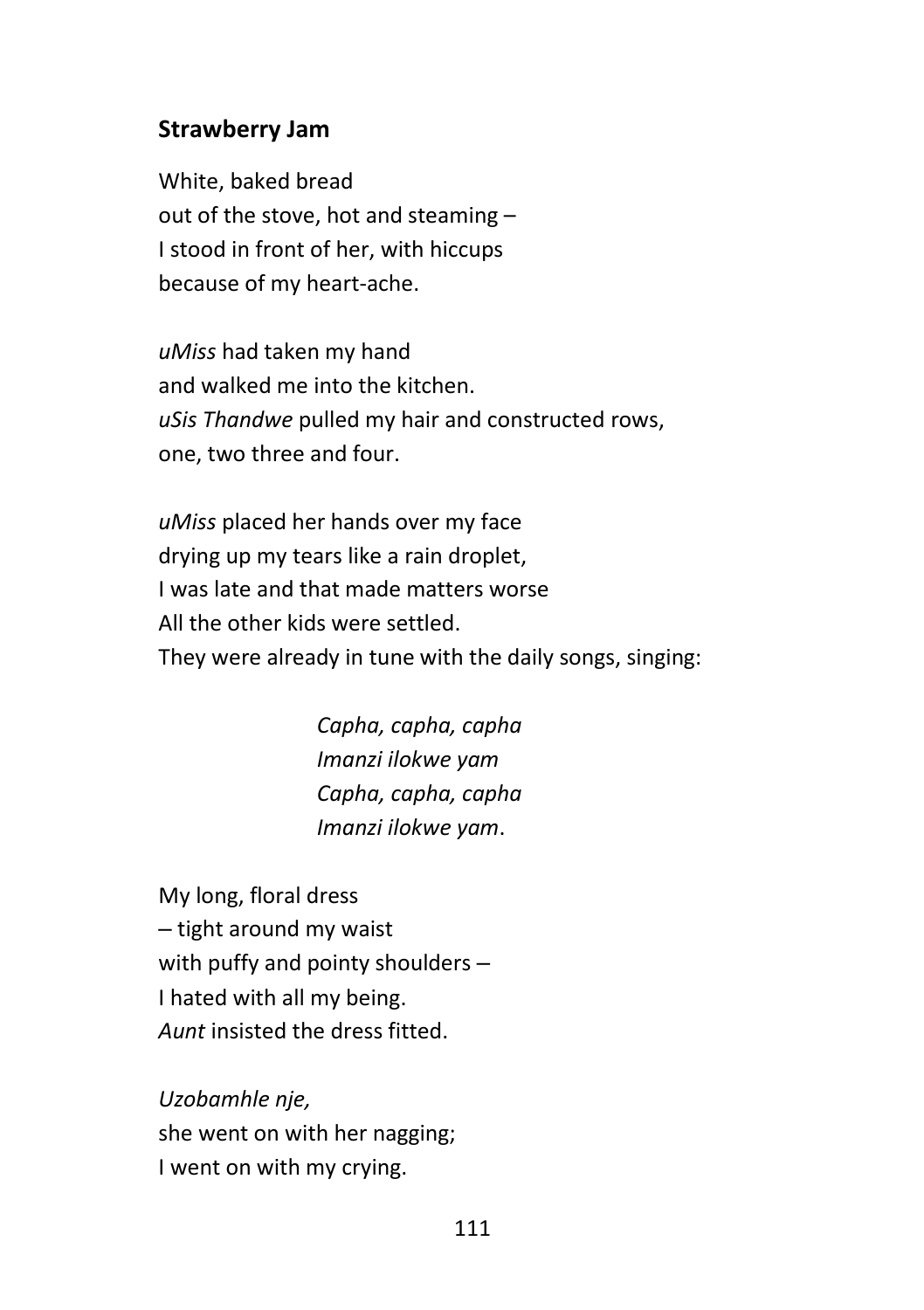#### **Strawberry Jam**

White, baked bread out of the stove, hot and steaming – I stood in front of her, with hiccups because of my heart-ache.

*uMiss* had taken my hand and walked me into the kitchen. *uSis Thandwe* pulled my hair and constructed rows, one, two three and four.

*uMiss* placed her hands over my face drying up my tears like a rain droplet, I was late and that made matters worse All the other kids were settled. They were already in tune with the daily songs, singing:

> *Capha, capha, capha Imanzi ilokwe yam Capha, capha, capha Imanzi ilokwe yam*.

My long, floral dress - tight around my waist with puffy and pointy shoulders  $-$ I hated with all my being. *Aunt* insisted the dress fitted.

*Uzobamhle nje,*  she went on with her nagging; I went on with my crying.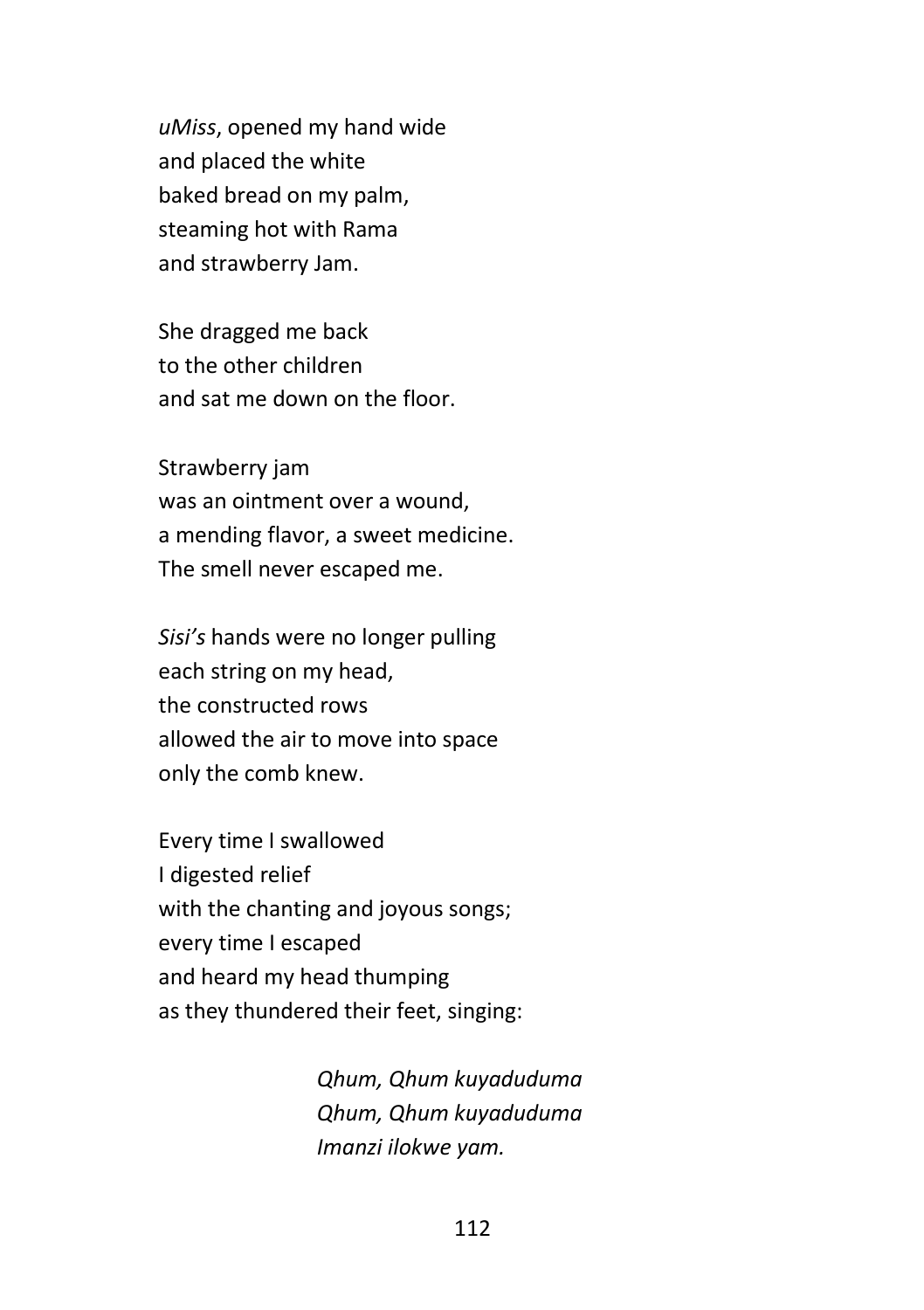*uMiss*, opened my hand wide and placed the white baked bread on my palm, steaming hot with Rama and strawberry Jam.

She dragged me back to the other children and sat me down on the floor.

Strawberry jam was an ointment over a wound, a mending flavor, a sweet medicine. The smell never escaped me.

*Sisi's* hands were no longer pulling each string on my head, the constructed rows allowed the air to move into space only the comb knew.

Every time I swallowed I digested relief with the chanting and joyous songs; every time I escaped and heard my head thumping as they thundered their feet, singing:

> *Qhum, Qhum kuyaduduma Qhum, Qhum kuyaduduma Imanzi ilokwe yam.*

> > 112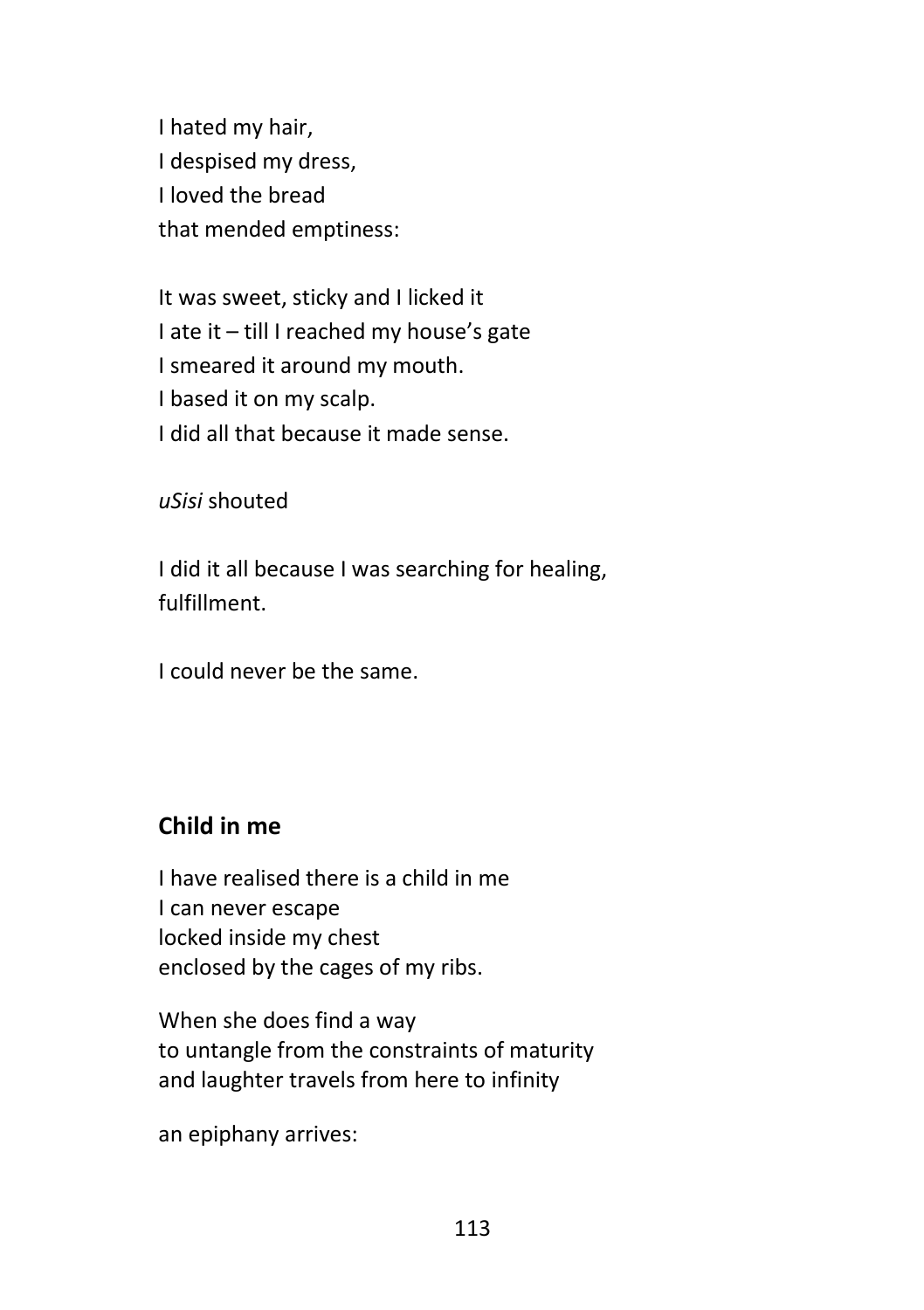I hated my hair, I despised my dress, I loved the bread that mended emptiness:

It was sweet, sticky and I licked it I ate it – till I reached my house's gate I smeared it around my mouth. I based it on my scalp. I did all that because it made sense.

*uSisi* shouted

I did it all because I was searching for healing, fulfillment.

I could never be the same.

# **Child in me**

I have realised there is a child in me I can never escape locked inside my chest enclosed by the cages of my ribs.

When she does find a way to untangle from the constraints of maturity and laughter travels from here to infinity

an epiphany arrives: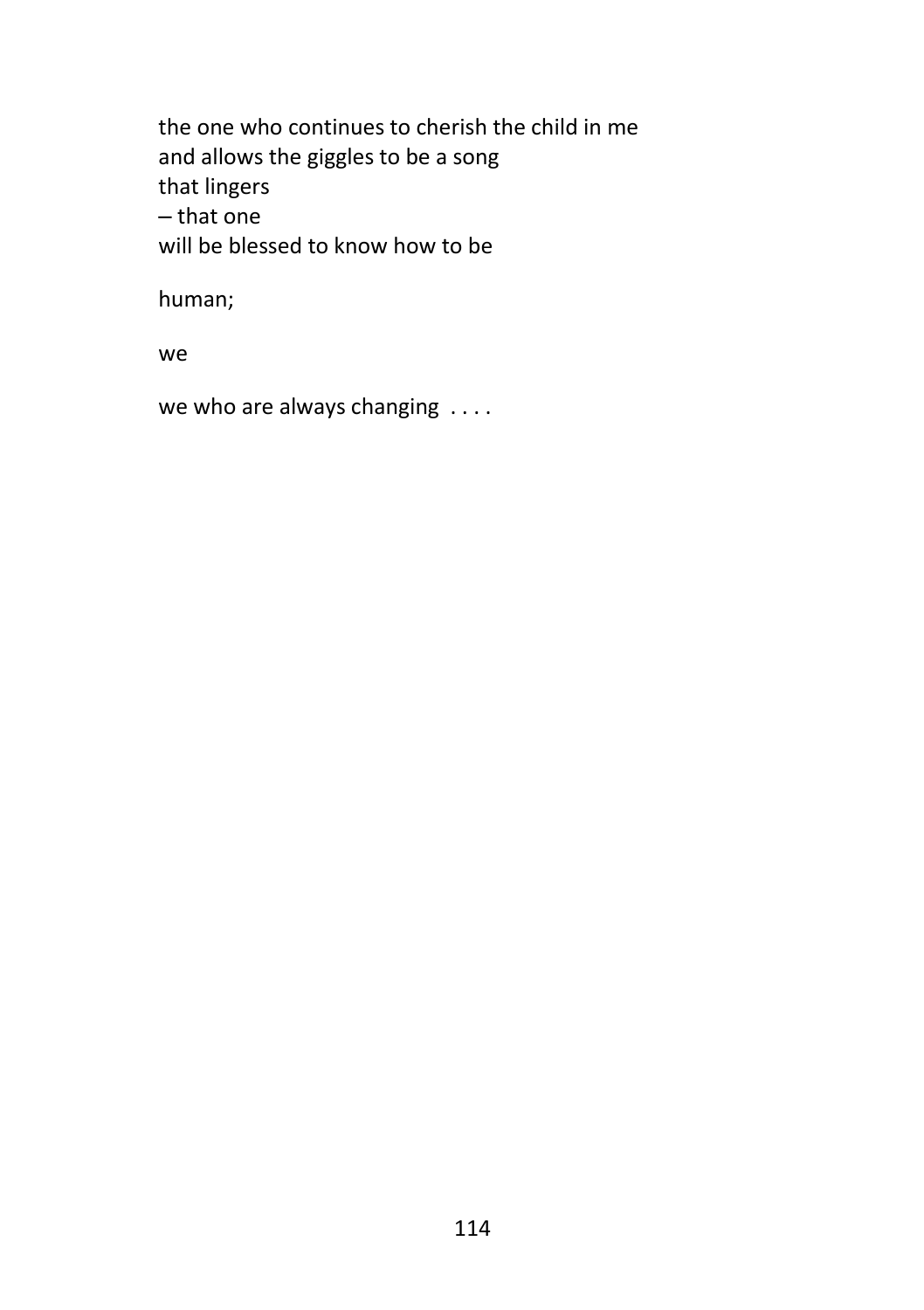the one who continues to cherish the child in me and allows the giggles to be a song that lingers ‒ that one will be blessed to know how to be

human;

we

we who are always changing . . . .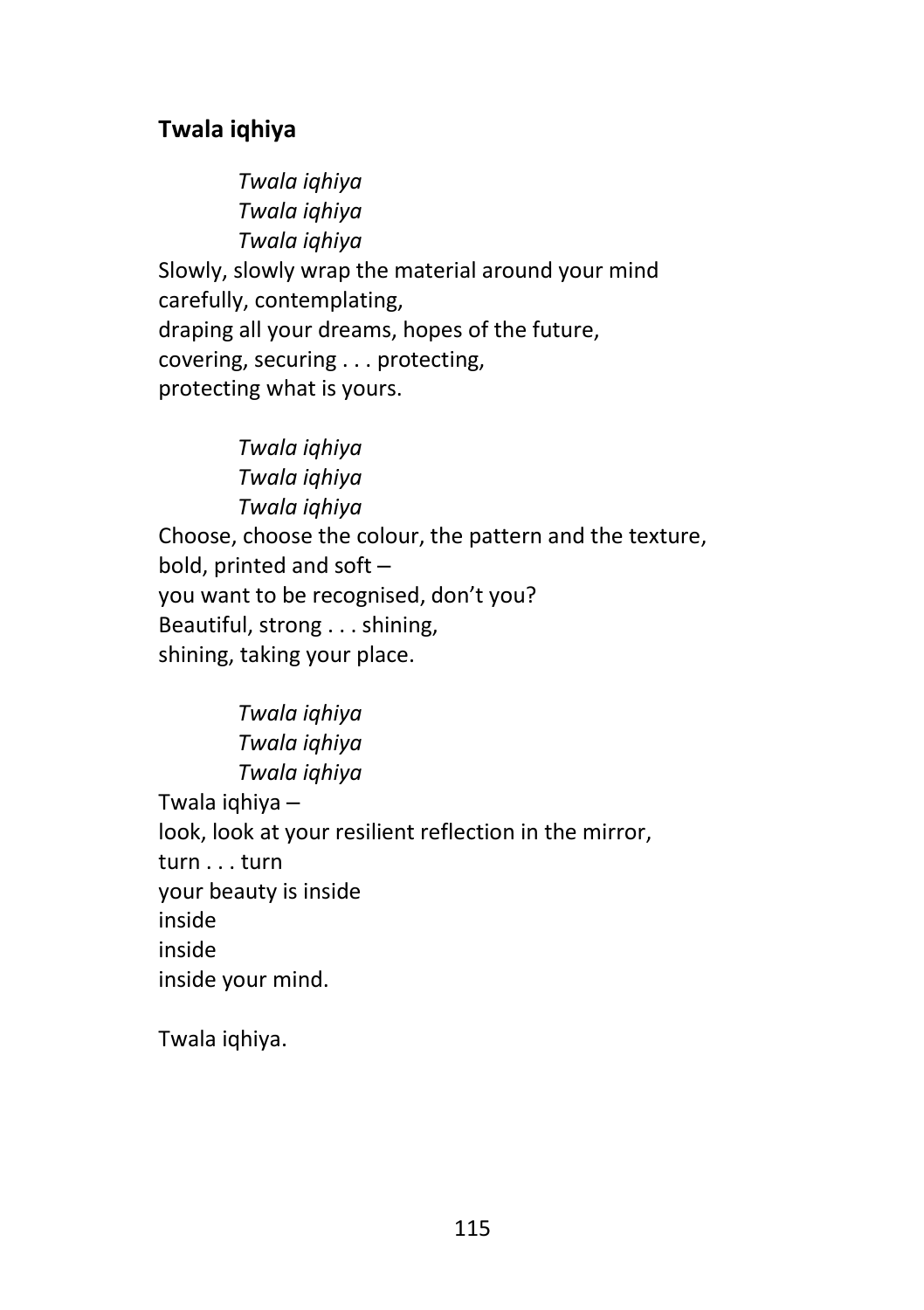# **Twala iqhiya**

*Twala iqhiya Twala iqhiya Twala iqhiya* Slowly, slowly wrap the material around your mind carefully, contemplating, draping all your dreams, hopes of the future, covering, securing . . . protecting, protecting what is yours.

*Twala iqhiya Twala iqhiya Twala iqhiya* Choose, choose the colour, the pattern and the texture, bold, printed and soft you want to be recognised, don't you? Beautiful, strong . . . shining, shining, taking your place.

*Twala iqhiya Twala iqhiya Twala iqhiya* Twala iqhiya ‒ look, look at your resilient reflection in the mirror, turn . . . turn your beauty is inside inside inside inside your mind.

Twala iqhiya.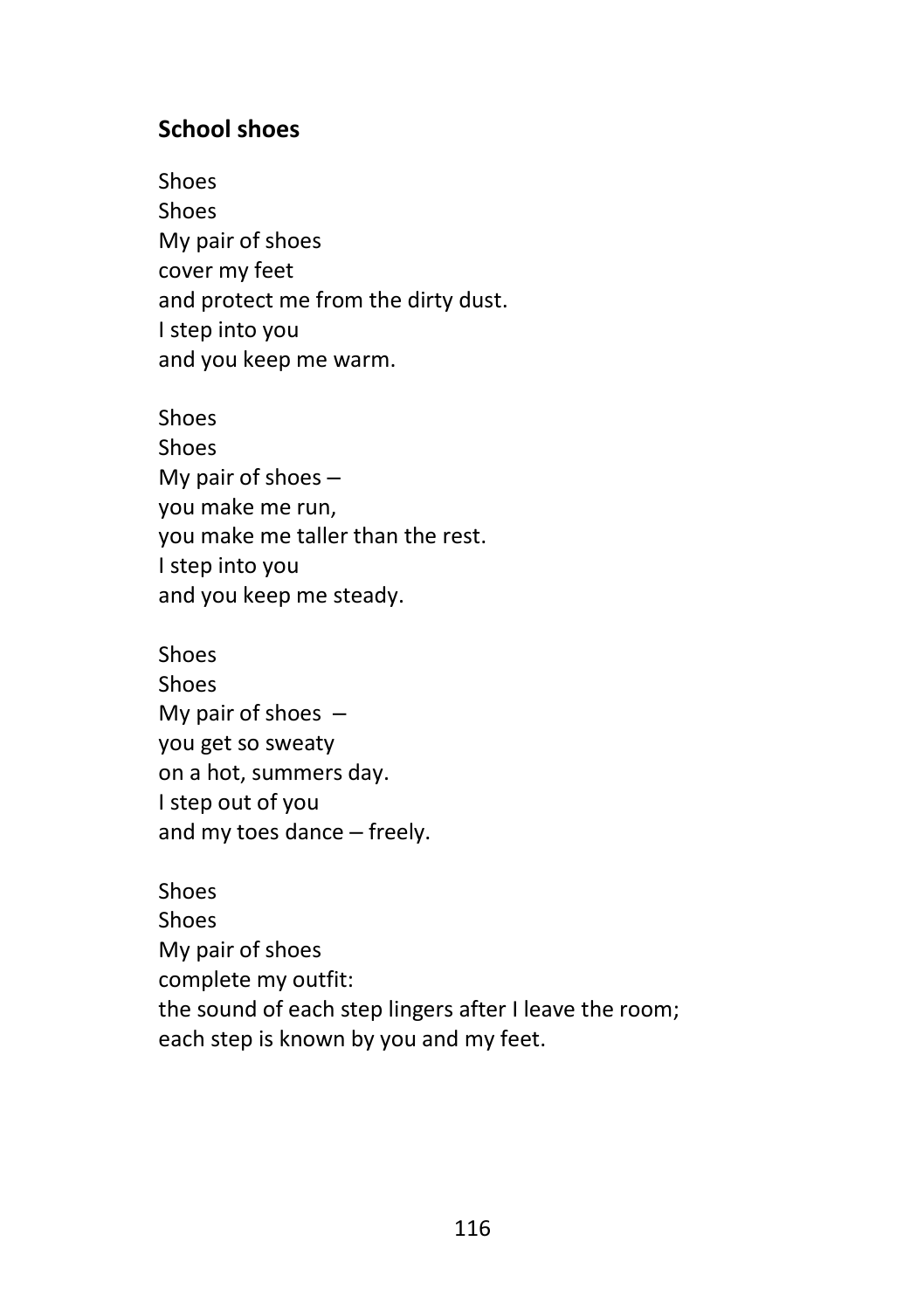#### **School shoes**

Shoes Shoes My pair of shoes cover my feet and protect me from the dirty dust. I step into you and you keep me warm.

Shoes Shoes My pair of shoes  $$ you make me run, you make me taller than the rest. I step into you and you keep me steady.

Shoes Shoes My pair of shoes  $$ you get so sweaty on a hot, summers day. I step out of you and my toes dance - freely.

Shoes Shoes My pair of shoes complete my outfit: the sound of each step lingers after I leave the room; each step is known by you and my feet.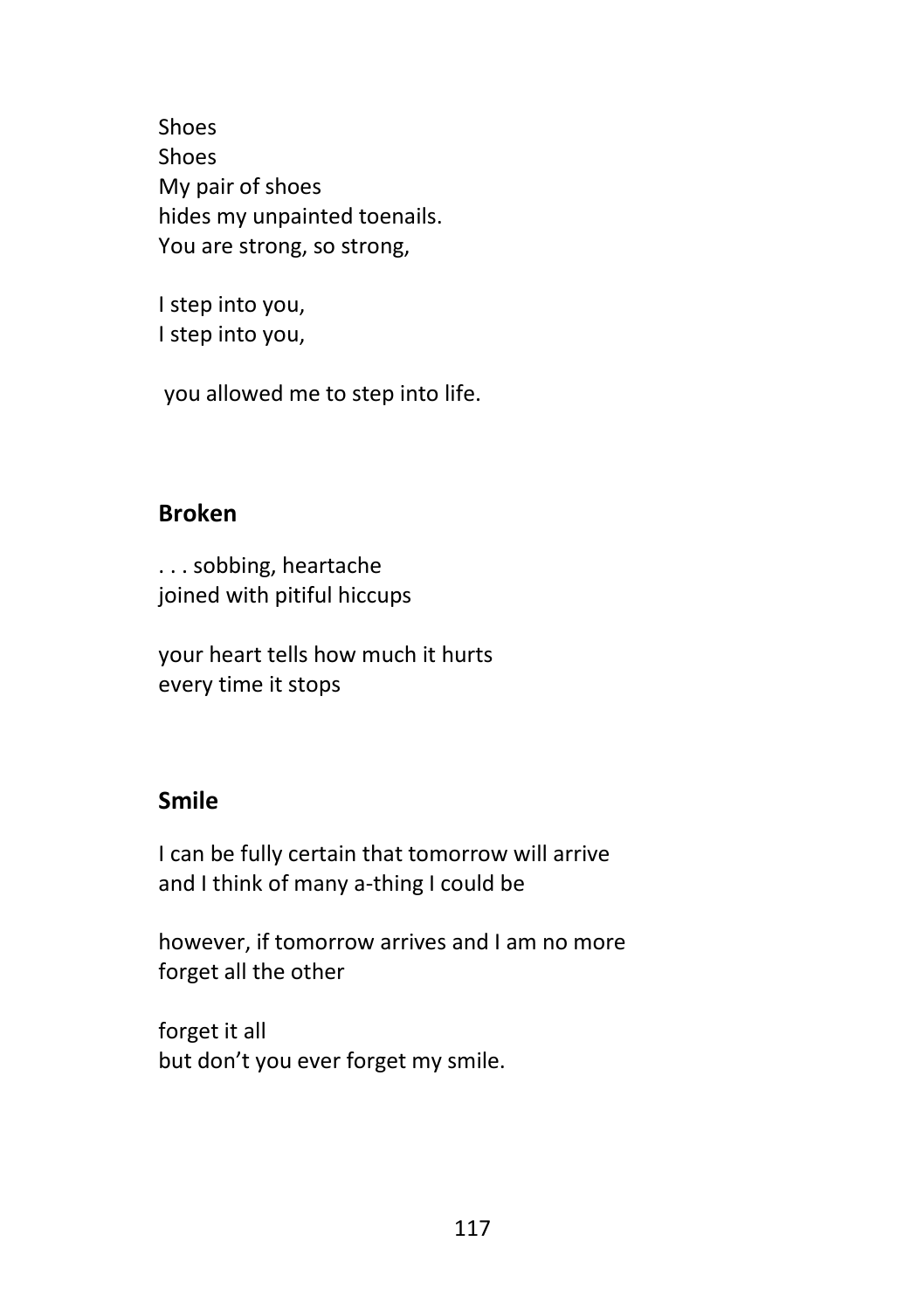Shoes Shoes My pair of shoes hides my unpainted toenails. You are strong, so strong,

I step into you, I step into you,

you allowed me to step into life.

# **Broken**

. . . sobbing, heartache joined with pitiful hiccups

your heart tells how much it hurts every time it stops

#### **Smile**

I can be fully certain that tomorrow will arrive and I think of many a-thing I could be

however, if tomorrow arrives and I am no more forget all the other

forget it all but don't you ever forget my smile.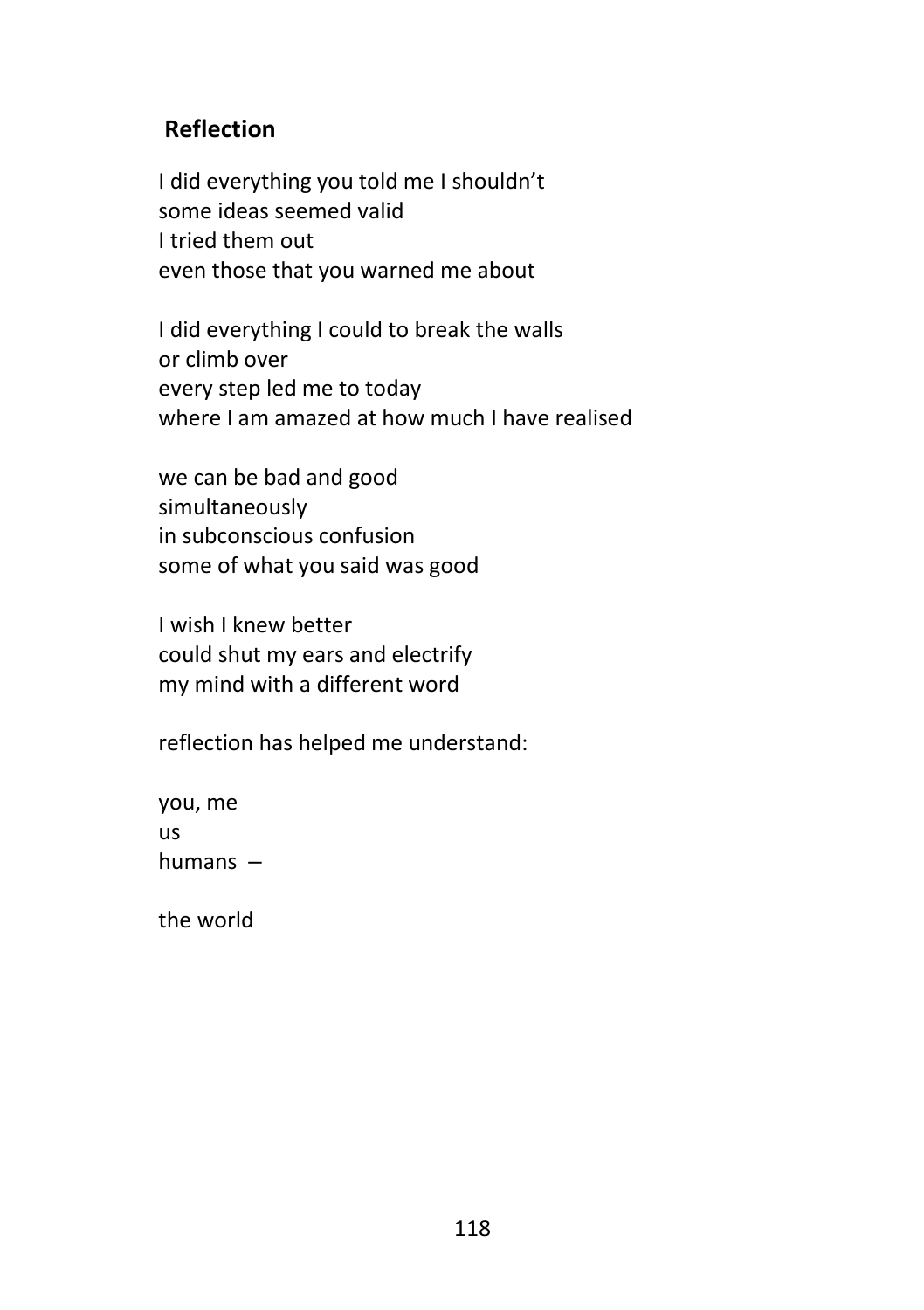# **Reflection**

I did everything you told me I shouldn't some ideas seemed valid I tried them out even those that you warned me about

I did everything I could to break the walls or climb over every step led me to today where I am amazed at how much I have realised

we can be bad and good simultaneously in subconscious confusion some of what you said was good

I wish I knew better could shut my ears and electrify my mind with a different word

reflection has helped me understand:

you, me us humans  $-$ 

the world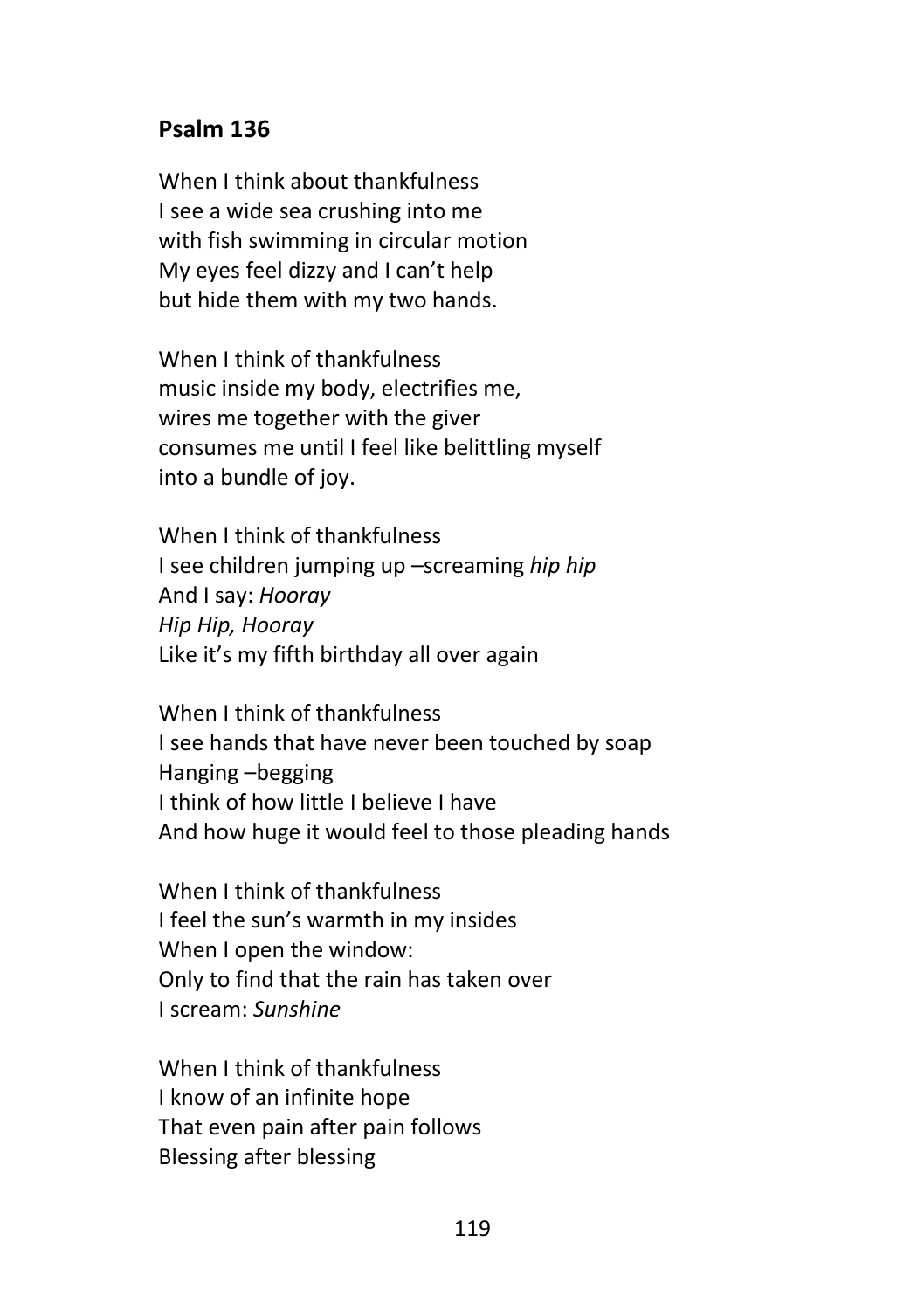#### **Psalm 136**

When I think about thankfulness I see a wide sea crushing into me with fish swimming in circular motion My eyes feel dizzy and I can't help but hide them with my two hands.

When I think of thankfulness music inside my body, electrifies me, wires me together with the giver consumes me until I feel like belittling myself into a bundle of joy.

When I think of thankfulness I see children jumping up –screaming *hip hip* And I say: *Hooray Hip Hip, Hooray* Like it's my fifth birthday all over again

When I think of thankfulness I see hands that have never been touched by soap Hanging –begging I think of how little I believe I have And how huge it would feel to those pleading hands

When I think of thankfulness I feel the sun's warmth in my insides When I open the window: Only to find that the rain has taken over I scream: *Sunshine*

When I think of thankfulness I know of an infinite hope That even pain after pain follows Blessing after blessing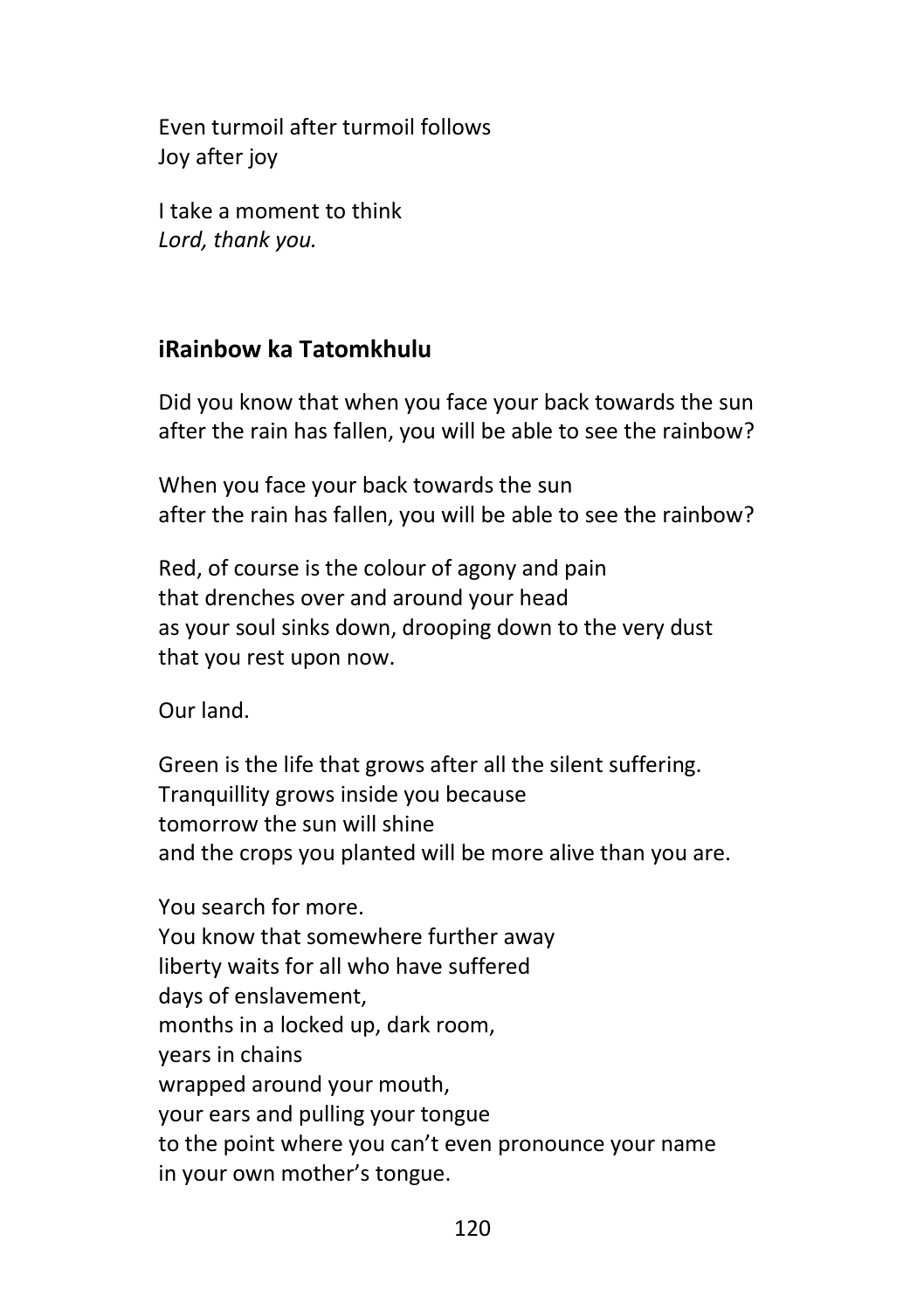Even turmoil after turmoil follows Joy after joy

I take a moment to think *Lord, thank you.*

# **iRainbow ka Tatomkhulu**

Did you know that when you face your back towards the sun after the rain has fallen, you will be able to see the rainbow?

When you face your back towards the sun after the rain has fallen, you will be able to see the rainbow?

Red, of course is the colour of agony and pain that drenches over and around your head as your soul sinks down, drooping down to the very dust that you rest upon now.

Our land.

Green is the life that grows after all the silent suffering. Tranquillity grows inside you because tomorrow the sun will shine and the crops you planted will be more alive than you are.

You search for more. You know that somewhere further away liberty waits for all who have suffered days of enslavement, months in a locked up, dark room, years in chains wrapped around your mouth, your ears and pulling your tongue to the point where you can't even pronounce your name in your own mother's tongue.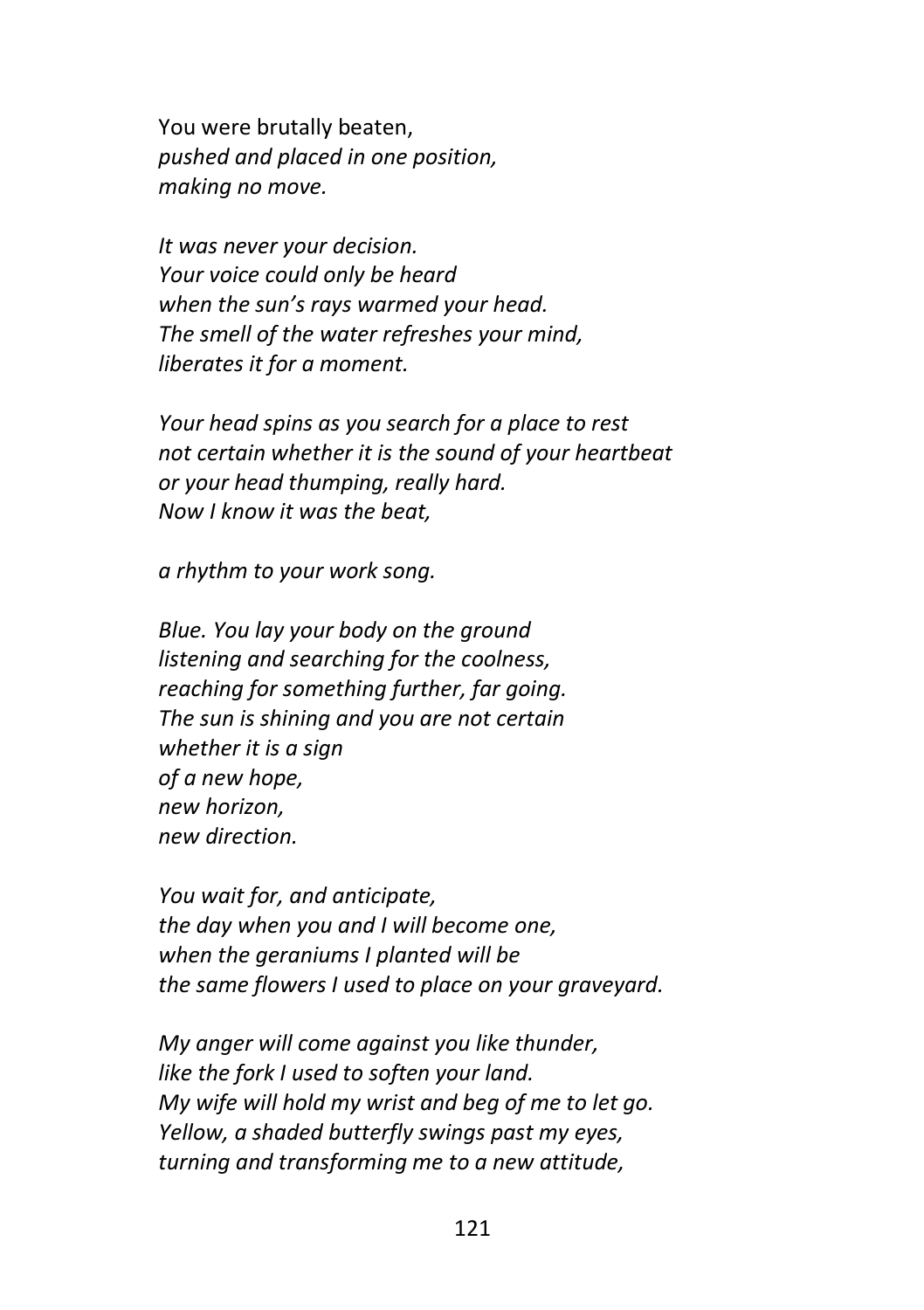You were brutally beaten, *pushed and placed in one position, making no move.*

*It was never your decision. Your voice could only be heard when the sun's rays warmed your head. The smell of the water refreshes your mind, liberates it for a moment.*

*Your head spins as you search for a place to rest not certain whether it is the sound of your heartbeat or your head thumping, really hard. Now I know it was the beat,*

*a rhythm to your work song.*

*Blue. You lay your body on the ground listening and searching for the coolness, reaching for something further, far going. The sun is shining and you are not certain whether it is a sign of a new hope, new horizon, new direction.*

*You wait for, and anticipate, the day when you and I will become one, when the geraniums I planted will be the same flowers I used to place on your graveyard.*

*My anger will come against you like thunder, like the fork I used to soften your land. My wife will hold my wrist and beg of me to let go. Yellow, a shaded butterfly swings past my eyes, turning and transforming me to a new attitude,*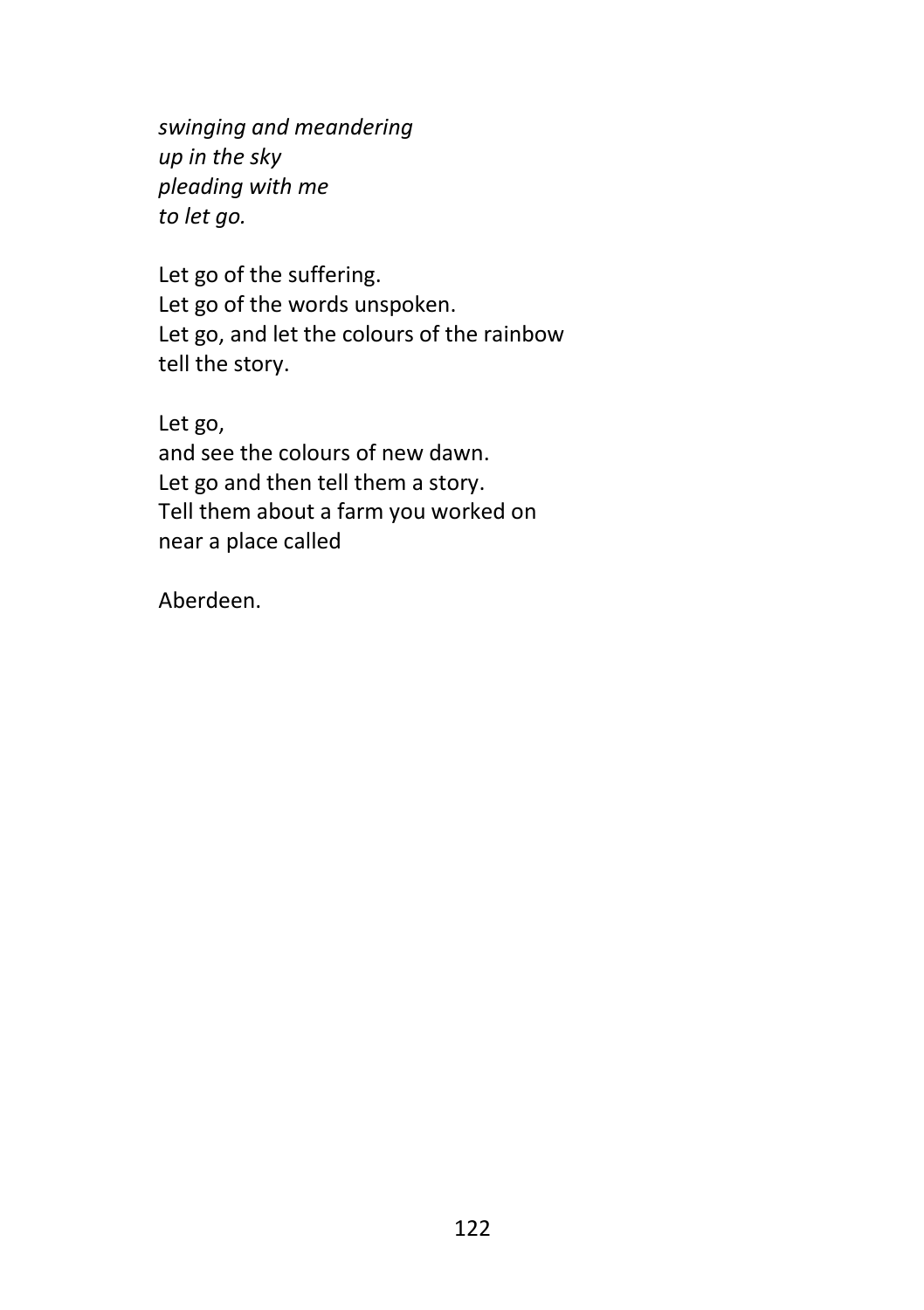*swinging and meandering up in the sky pleading with me to let go.*

Let go of the suffering. Let go of the words unspoken. Let go, and let the colours of the rainbow tell the story.

Let go, and see the colours of new dawn. Let go and then tell them a story. Tell them about a farm you worked on near a place called

Aberdeen.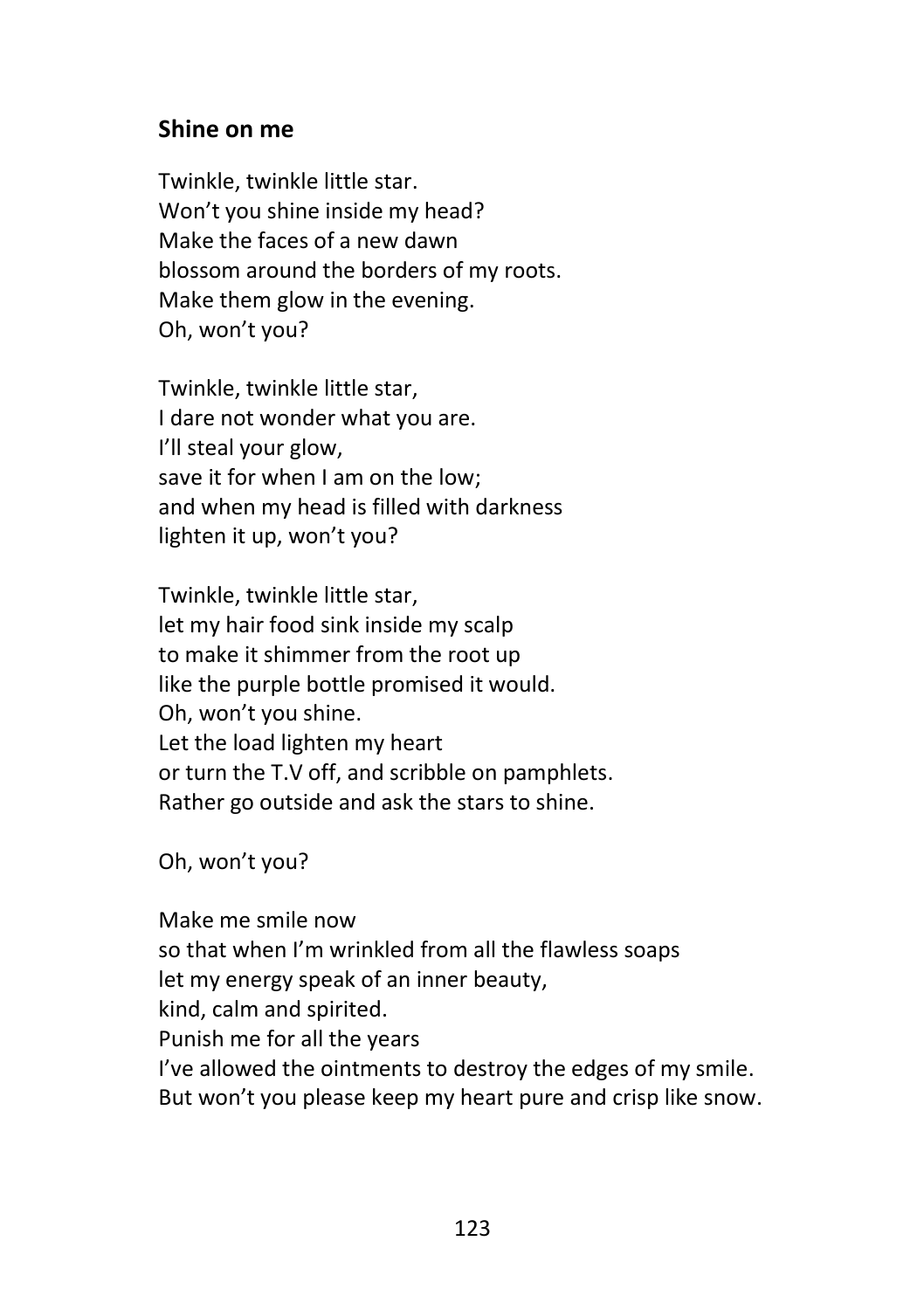#### **Shine on me**

Twinkle, twinkle little star. Won't you shine inside my head? Make the faces of a new dawn blossom around the borders of my roots. Make them glow in the evening. Oh, won't you?

Twinkle, twinkle little star, I dare not wonder what you are. I'll steal your glow, save it for when I am on the low; and when my head is filled with darkness lighten it up, won't you?

Twinkle, twinkle little star, let my hair food sink inside my scalp to make it shimmer from the root up like the purple bottle promised it would. Oh, won't you shine. Let the load lighten my heart or turn the T.V off, and scribble on pamphlets. Rather go outside and ask the stars to shine.

Oh, won't you?

Make me smile now so that when I'm wrinkled from all the flawless soaps let my energy speak of an inner beauty, kind, calm and spirited. Punish me for all the years I've allowed the ointments to destroy the edges of my smile. But won't you please keep my heart pure and crisp like snow.